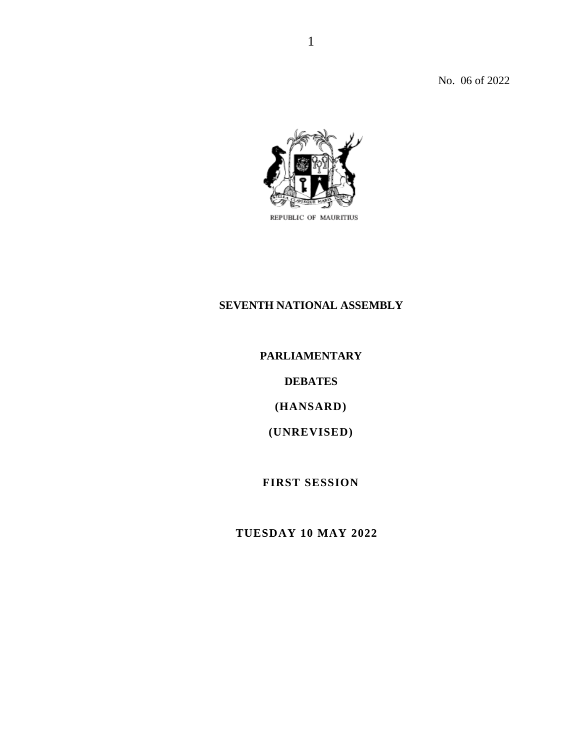No. 06 of 2022



## **SEVENTH NATIONAL ASSEMBLY**

**PARLIAMENTARY**

**DEBATES**

**(HANSARD)**

**(UNREVISED)**

**FIRST SESSION**

**TUESDAY 10 MAY 2022**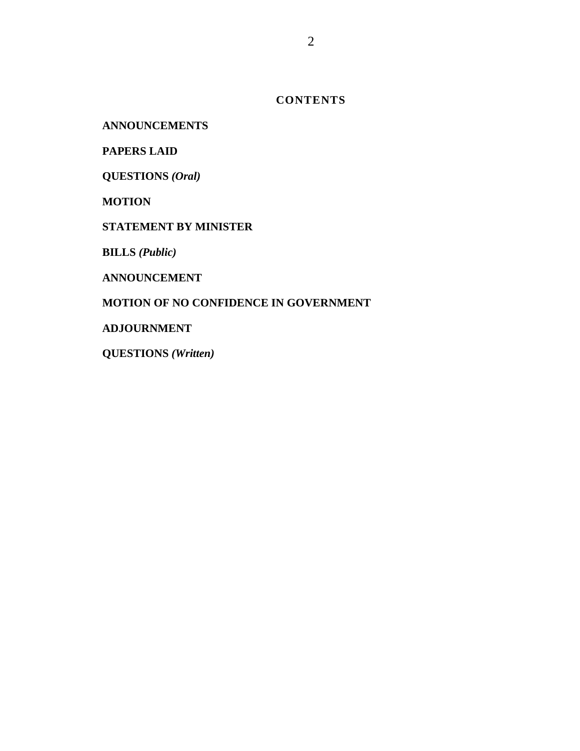**CONTENTS**

**ANNOUNCEMENTS**

**PAPERS LAID**

**QUESTIONS** *(Oral)*

**MOTION**

**STATEMENT BY MINISTER**

**BILLS** *(Public)*

**ANNOUNCEMENT**

**MOTION OF NO CONFIDENCE IN GOVERNMENT**

**ADJOURNMENT**

**QUESTIONS** *(Written)*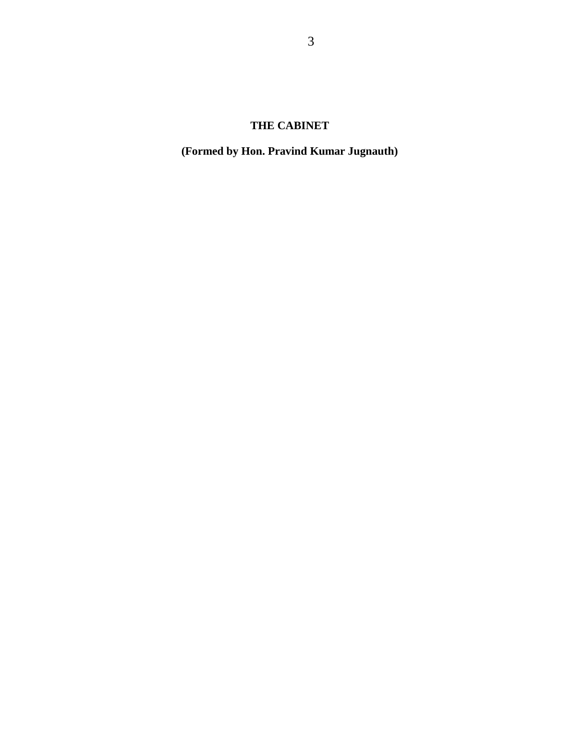## **THE CABINET**

**(Formed by Hon. Pravind Kumar Jugnauth)**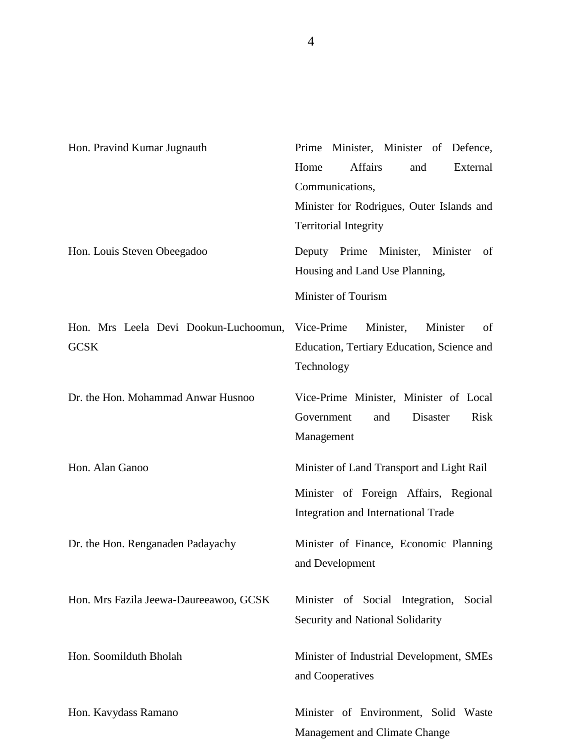| Hon. Pravind Kumar Jugnauth            | Minister, Minister of Defence,<br>Prime      |  |
|----------------------------------------|----------------------------------------------|--|
|                                        | <b>Affairs</b><br>Home<br>and<br>External    |  |
|                                        | Communications,                              |  |
|                                        | Minister for Rodrigues, Outer Islands and    |  |
|                                        | <b>Territorial Integrity</b>                 |  |
| Hon. Louis Steven Obeegadoo            | Deputy Prime Minister, Minister<br>of        |  |
|                                        | Housing and Land Use Planning,               |  |
|                                        |                                              |  |
|                                        | Minister of Tourism                          |  |
| Hon. Mrs Leela Devi Dookun-Luchoomun,  | Vice-Prime<br>Minister,<br>Minister<br>of    |  |
| <b>GCSK</b>                            | Education, Tertiary Education, Science and   |  |
|                                        | Technology                                   |  |
|                                        |                                              |  |
| Dr. the Hon. Mohammad Anwar Husnoo     | Vice-Prime Minister, Minister of Local       |  |
|                                        | Disaster<br><b>Risk</b><br>Government<br>and |  |
|                                        | Management                                   |  |
| Hon. Alan Ganoo                        | Minister of Land Transport and Light Rail    |  |
|                                        | Minister of Foreign Affairs, Regional        |  |
|                                        | Integration and International Trade          |  |
| Dr. the Hon. Renganaden Padayachy      | Minister of Finance, Economic Planning       |  |
|                                        | and Development                              |  |
|                                        |                                              |  |
| Hon. Mrs Fazila Jeewa-Daureeawoo, GCSK | Minister of Social Integration,<br>Social    |  |
|                                        | Security and National Solidarity             |  |
|                                        |                                              |  |
| Hon. Soomilduth Bholah                 | Minister of Industrial Development, SMEs     |  |
|                                        | and Cooperatives                             |  |
| Hon. Kavydass Ramano                   | Minister of Environment, Solid Waste         |  |
|                                        | Management and Climate Change                |  |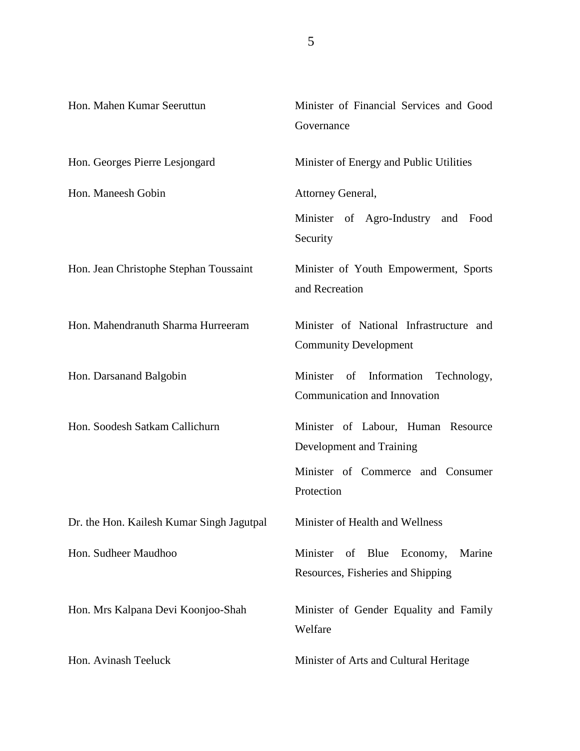| Hon. Mahen Kumar Seeruttun                | Minister of Financial Services and Good<br>Governance                                                             |
|-------------------------------------------|-------------------------------------------------------------------------------------------------------------------|
| Hon. Georges Pierre Lesjongard            | Minister of Energy and Public Utilities                                                                           |
| Hon. Maneesh Gobin                        | Attorney General,<br>Minister of Agro-Industry and Food<br>Security                                               |
| Hon. Jean Christophe Stephan Toussaint    | Minister of Youth Empowerment, Sports<br>and Recreation                                                           |
| Hon. Mahendranuth Sharma Hurreeram        | Minister of National Infrastructure and<br><b>Community Development</b>                                           |
| Hon. Darsanand Balgobin                   | Minister of Information<br>Technology,<br>Communication and Innovation                                            |
| Hon. Soodesh Satkam Callichurn            | Minister of Labour, Human Resource<br>Development and Training<br>Minister of Commerce and Consumer<br>Protection |
| Dr. the Hon. Kailesh Kumar Singh Jagutpal | Minister of Health and Wellness                                                                                   |
| Hon. Sudheer Maudhoo                      | Minister<br>of Blue<br>Economy,<br>Marine<br>Resources, Fisheries and Shipping                                    |
| Hon. Mrs Kalpana Devi Koonjoo-Shah        | Minister of Gender Equality and Family<br>Welfare                                                                 |
| Hon. Avinash Teeluck                      | Minister of Arts and Cultural Heritage                                                                            |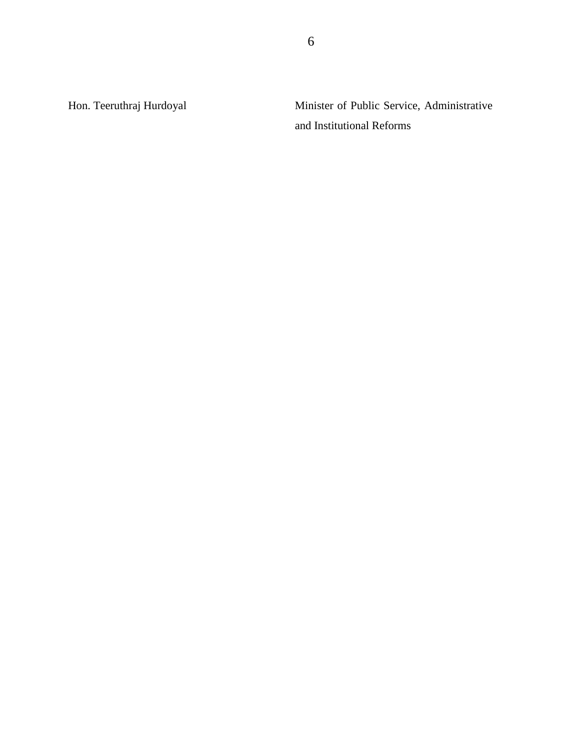Hon. Teeruthraj Hurdoyal Minister of Public Service, Administrative and Institutional Reforms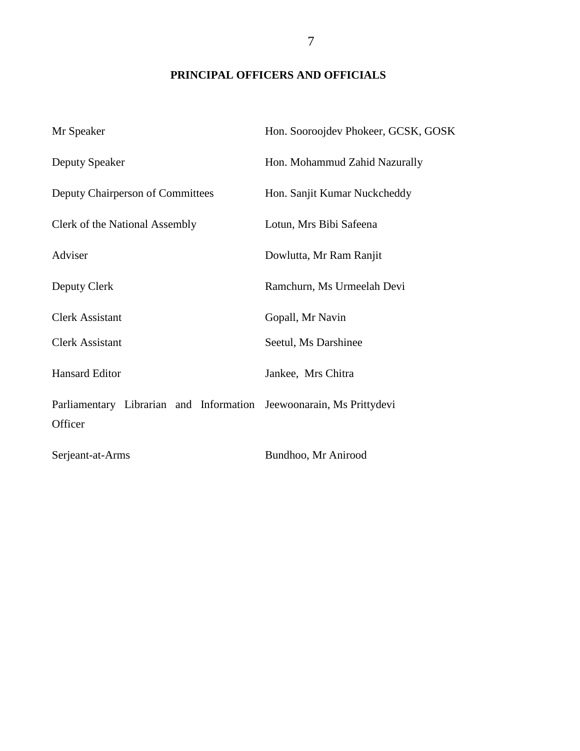## **PRINCIPAL OFFICERS AND OFFICIALS**

| Mr Speaker                                                          | Hon. Sooroojdev Phokeer, GCSK, GOSK |
|---------------------------------------------------------------------|-------------------------------------|
| Deputy Speaker                                                      | Hon. Mohammud Zahid Nazurally       |
| Deputy Chairperson of Committees                                    | Hon. Sanjit Kumar Nuckcheddy        |
| Clerk of the National Assembly                                      | Lotun, Mrs Bibi Safeena             |
| Adviser                                                             | Dowlutta, Mr Ram Ranjit             |
| Deputy Clerk                                                        | Ramchurn, Ms Urmeelah Devi          |
| <b>Clerk Assistant</b>                                              | Gopall, Mr Navin                    |
| <b>Clerk Assistant</b>                                              | Seetul, Ms Darshinee                |
| <b>Hansard Editor</b>                                               | Jankee, Mrs Chitra                  |
| Parliamentary Librarian and Information Jeewoonarain, Ms Prittydevi |                                     |
| Officer                                                             |                                     |
| Serjeant-at-Arms                                                    | Bundhoo, Mr Anirood                 |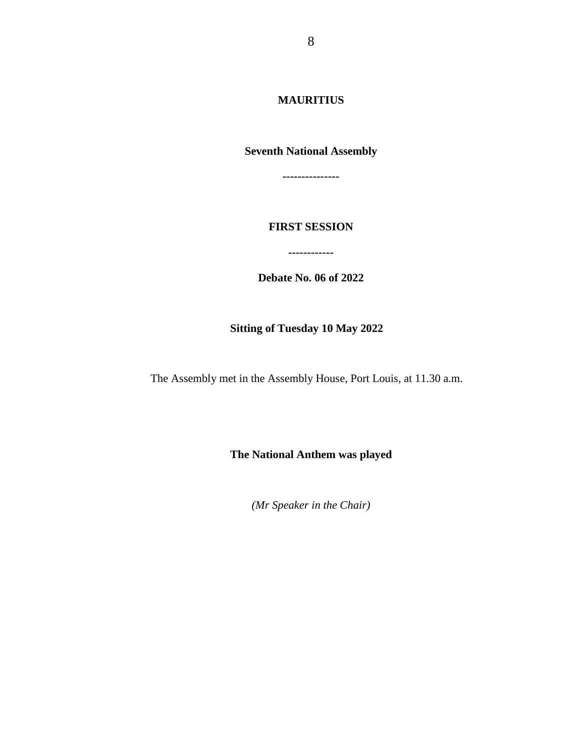**MAURITIUS**

**Seventh National Assembly**

**---------------**

**FIRST SESSION**

**------------**

**Debate No. 06 of 2022**

**Sitting of Tuesday 10 May 2022**

The Assembly met in the Assembly House, Port Louis, at 11.30 a.m.

**The National Anthem was played**

*(Mr Speaker in the Chair)*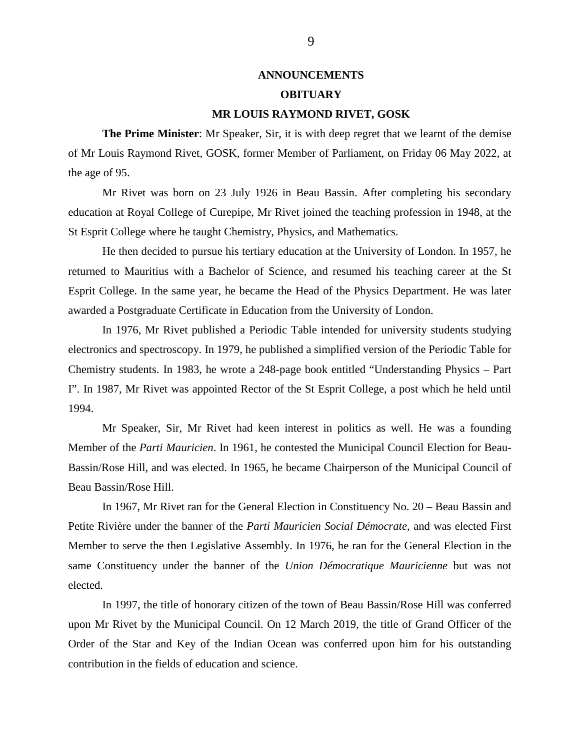# **ANNOUNCEMENTS OBITUARY**

## **MR LOUIS RAYMOND RIVET, GOSK**

**The Prime Minister**: Mr Speaker, Sir, it is with deep regret that we learnt of the demise of Mr Louis Raymond Rivet, GOSK, former Member of Parliament, on Friday 06 May 2022, at the age of 95.

Mr Rivet was born on 23 July 1926 in Beau Bassin. After completing his secondary education at Royal College of Curepipe, Mr Rivet joined the teaching profession in 1948, at the St Esprit College where he taught Chemistry, Physics, and Mathematics.

He then decided to pursue his tertiary education at the University of London. In 1957, he returned to Mauritius with a Bachelor of Science, and resumed his teaching career at the St Esprit College. In the same year, he became the Head of the Physics Department. He was later awarded a Postgraduate Certificate in Education from the University of London.

In 1976, Mr Rivet published a Periodic Table intended for university students studying electronics and spectroscopy. In 1979, he published a simplified version of the Periodic Table for Chemistry students. In 1983, he wrote a 248-page book entitled "Understanding Physics – Part I". In 1987, Mr Rivet was appointed Rector of the St Esprit College, a post which he held until 1994.

Mr Speaker, Sir, Mr Rivet had keen interest in politics as well. He was a founding Member of the *Parti Mauricien*. In 1961, he contested the Municipal Council Election for Beau-Bassin/Rose Hill, and was elected. In 1965, he became Chairperson of the Municipal Council of Beau Bassin/Rose Hill.

In 1967, Mr Rivet ran for the General Election in Constituency No. 20 – Beau Bassin and Petite Rivière under the banner of the *Parti Mauricien Social Démocrate*, and was elected First Member to serve the then Legislative Assembly. In 1976, he ran for the General Election in the same Constituency under the banner of the *Union Démocratique Mauricienne* but was not elected.

In 1997, the title of honorary citizen of the town of Beau Bassin/Rose Hill was conferred upon Mr Rivet by the Municipal Council. On 12 March 2019, the title of Grand Officer of the Order of the Star and Key of the Indian Ocean was conferred upon him for his outstanding contribution in the fields of education and science.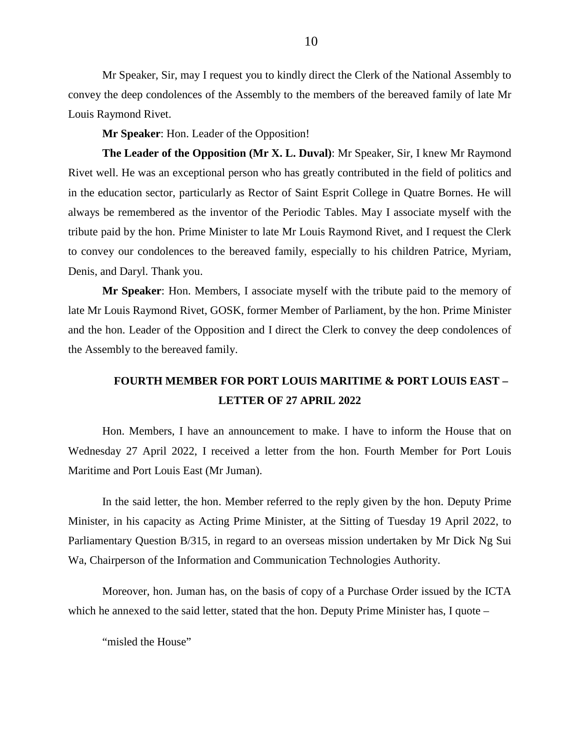Mr Speaker, Sir, may I request you to kindly direct the Clerk of the National Assembly to convey the deep condolences of the Assembly to the members of the bereaved family of late Mr Louis Raymond Rivet.

**Mr Speaker**: Hon. Leader of the Opposition!

**The Leader of the Opposition (Mr X. L. Duval)**: Mr Speaker, Sir, I knew Mr Raymond Rivet well. He was an exceptional person who has greatly contributed in the field of politics and in the education sector, particularly as Rector of Saint Esprit College in Quatre Bornes. He will always be remembered as the inventor of the Periodic Tables. May I associate myself with the tribute paid by the hon. Prime Minister to late Mr Louis Raymond Rivet, and I request the Clerk to convey our condolences to the bereaved family, especially to his children Patrice, Myriam, Denis, and Daryl. Thank you.

**Mr Speaker**: Hon. Members, I associate myself with the tribute paid to the memory of late Mr Louis Raymond Rivet, GOSK, former Member of Parliament, by the hon. Prime Minister and the hon. Leader of the Opposition and I direct the Clerk to convey the deep condolences of the Assembly to the bereaved family.

## **FOURTH MEMBER FOR PORT LOUIS MARITIME & PORT LOUIS EAST – LETTER OF 27 APRIL 2022**

Hon. Members, I have an announcement to make. I have to inform the House that on Wednesday 27 April 2022, I received a letter from the hon. Fourth Member for Port Louis Maritime and Port Louis East (Mr Juman).

In the said letter, the hon. Member referred to the reply given by the hon. Deputy Prime Minister, in his capacity as Acting Prime Minister, at the Sitting of Tuesday 19 April 2022, to Parliamentary Question B/315, in regard to an overseas mission undertaken by Mr Dick Ng Sui Wa, Chairperson of the Information and Communication Technologies Authority.

Moreover, hon. Juman has, on the basis of copy of a Purchase Order issued by the ICTA which he annexed to the said letter, stated that the hon. Deputy Prime Minister has, I quote –

"misled the House"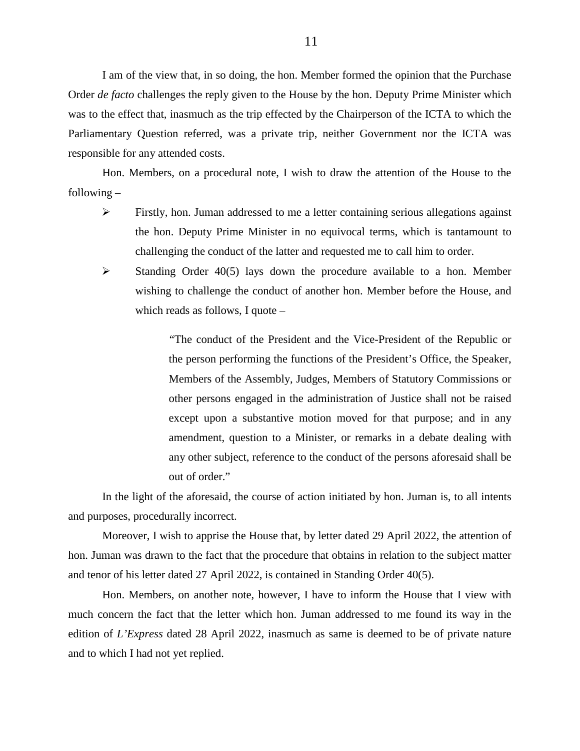I am of the view that, in so doing, the hon. Member formed the opinion that the Purchase Order *de facto* challenges the reply given to the House by the hon. Deputy Prime Minister which was to the effect that, inasmuch as the trip effected by the Chairperson of the ICTA to which the Parliamentary Question referred, was a private trip, neither Government nor the ICTA was responsible for any attended costs.

Hon. Members, on a procedural note, I wish to draw the attention of the House to the following –

- $\triangleright$  Firstly, hon. Juman addressed to me a letter containing serious allegations against the hon. Deputy Prime Minister in no equivocal terms, which is tantamount to challenging the conduct of the latter and requested me to call him to order.
- $\triangleright$  Standing Order 40(5) lays down the procedure available to a hon. Member wishing to challenge the conduct of another hon. Member before the House, and which reads as follows, I quote –

"The conduct of the President and the Vice-President of the Republic or the person performing the functions of the President's Office, the Speaker, Members of the Assembly, Judges, Members of Statutory Commissions or other persons engaged in the administration of Justice shall not be raised except upon a substantive motion moved for that purpose; and in any amendment, question to a Minister, or remarks in a debate dealing with any other subject, reference to the conduct of the persons aforesaid shall be out of order."

In the light of the aforesaid, the course of action initiated by hon. Juman is, to all intents and purposes, procedurally incorrect.

Moreover, I wish to apprise the House that, by letter dated 29 April 2022, the attention of hon. Juman was drawn to the fact that the procedure that obtains in relation to the subject matter and tenor of his letter dated 27 April 2022, is contained in Standing Order 40(5).

Hon. Members, on another note, however, I have to inform the House that I view with much concern the fact that the letter which hon. Juman addressed to me found its way in the edition of *L'Express* dated 28 April 2022, inasmuch as same is deemed to be of private nature and to which I had not yet replied.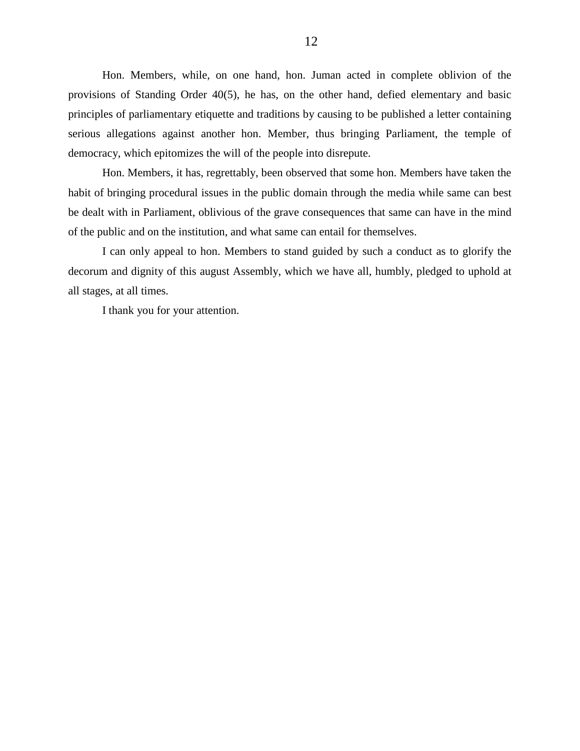Hon. Members, while, on one hand, hon. Juman acted in complete oblivion of the provisions of Standing Order 40(5), he has, on the other hand, defied elementary and basic principles of parliamentary etiquette and traditions by causing to be published a letter containing serious allegations against another hon. Member, thus bringing Parliament, the temple of democracy, which epitomizes the will of the people into disrepute.

Hon. Members, it has, regrettably, been observed that some hon. Members have taken the habit of bringing procedural issues in the public domain through the media while same can best be dealt with in Parliament, oblivious of the grave consequences that same can have in the mind of the public and on the institution, and what same can entail for themselves.

I can only appeal to hon. Members to stand guided by such a conduct as to glorify the decorum and dignity of this august Assembly, which we have all, humbly, pledged to uphold at all stages, at all times.

I thank you for your attention.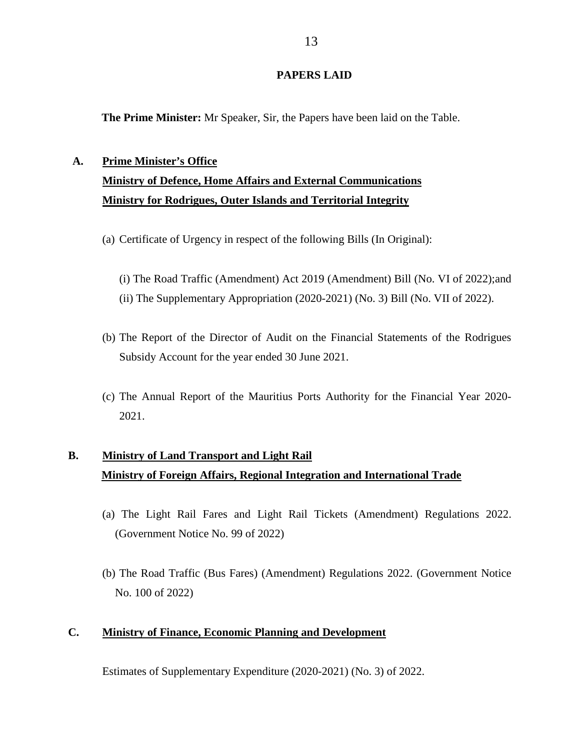## **PAPERS LAID**

**The Prime Minister:** Mr Speaker, Sir, the Papers have been laid on the Table.

# **A. Prime Minister's Office Ministry of Defence, Home Affairs and External Communications Ministry for Rodrigues, Outer Islands and Territorial Integrity**

- (a) Certificate of Urgency in respect of the following Bills (In Original):
	- (i) The Road Traffic (Amendment) Act 2019 (Amendment) Bill (No. VI of 2022);and
	- (ii) The Supplementary Appropriation (2020-2021) (No. 3) Bill (No. VII of 2022).
- (b) The Report of the Director of Audit on the Financial Statements of the Rodrigues Subsidy Account for the year ended 30 June 2021.
- (c) The Annual Report of the Mauritius Ports Authority for the Financial Year 2020- 2021.

# **B. Ministry of Land Transport and Light Rail Ministry of Foreign Affairs, Regional Integration and International Trade**

- (a) The Light Rail Fares and Light Rail Tickets (Amendment) Regulations 2022. (Government Notice No. 99 of 2022)
- (b) The Road Traffic (Bus Fares) (Amendment) Regulations 2022. (Government Notice No. 100 of 2022)

## **C. Ministry of Finance, Economic Planning and Development**

Estimates of Supplementary Expenditure (2020-2021) (No. 3) of 2022.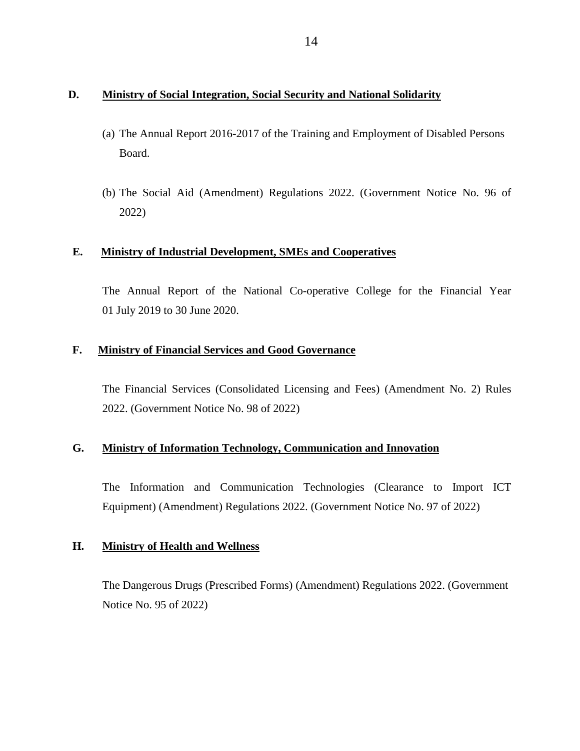## **D. Ministry of Social Integration, Social Security and National Solidarity**

- (a) The Annual Report 2016-2017 of the Training and Employment of Disabled Persons Board.
- (b) The Social Aid (Amendment) Regulations 2022. (Government Notice No. 96 of 2022)

## **E. Ministry of Industrial Development, SMEs and Cooperatives**

The Annual Report of the National Co-operative College for the Financial Year 01 July 2019 to 30 June 2020.

## **F. Ministry of Financial Services and Good Governance**

 The Financial Services (Consolidated Licensing and Fees) (Amendment No. 2) Rules 2022. (Government Notice No. 98 of 2022)

## **G. Ministry of Information Technology, Communication and Innovation**

The Information and Communication Technologies (Clearance to Import ICT Equipment) (Amendment) Regulations 2022. (Government Notice No. 97 of 2022)

## **H. Ministry of Health and Wellness**

The Dangerous Drugs (Prescribed Forms) (Amendment) Regulations 2022. (Government Notice No. 95 of 2022)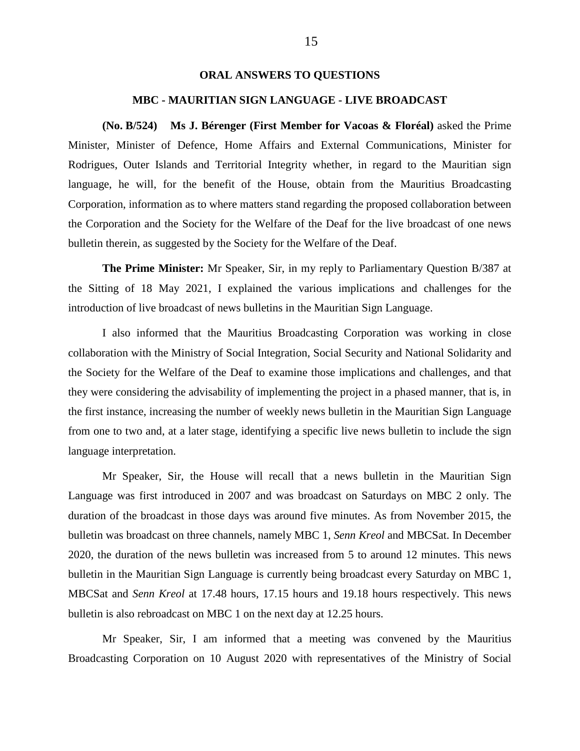#### **ORAL ANSWERS TO QUESTIONS**

#### **MBC - MAURITIAN SIGN LANGUAGE - LIVE BROADCAST**

**(No. B/524) Ms J. Bérenger (First Member for Vacoas & Floréal)** asked the Prime Minister, Minister of Defence, Home Affairs and External Communications, Minister for Rodrigues, Outer Islands and Territorial Integrity whether, in regard to the Mauritian sign language, he will, for the benefit of the House, obtain from the Mauritius Broadcasting Corporation, information as to where matters stand regarding the proposed collaboration between the Corporation and the Society for the Welfare of the Deaf for the live broadcast of one news bulletin therein, as suggested by the Society for the Welfare of the Deaf.

**The Prime Minister:** Mr Speaker, Sir, in my reply to Parliamentary Question B/387 at the Sitting of 18 May 2021, I explained the various implications and challenges for the introduction of live broadcast of news bulletins in the Mauritian Sign Language.

I also informed that the Mauritius Broadcasting Corporation was working in close collaboration with the Ministry of Social Integration, Social Security and National Solidarity and the Society for the Welfare of the Deaf to examine those implications and challenges, and that they were considering the advisability of implementing the project in a phased manner, that is, in the first instance, increasing the number of weekly news bulletin in the Mauritian Sign Language from one to two and, at a later stage, identifying a specific live news bulletin to include the sign language interpretation.

Mr Speaker, Sir, the House will recall that a news bulletin in the Mauritian Sign Language was first introduced in 2007 and was broadcast on Saturdays on MBC 2 only. The duration of the broadcast in those days was around five minutes. As from November 2015, the bulletin was broadcast on three channels, namely MBC 1, *Senn Kreol* and MBCSat. In December 2020, the duration of the news bulletin was increased from 5 to around 12 minutes. This news bulletin in the Mauritian Sign Language is currently being broadcast every Saturday on MBC 1, MBCSat and *Senn Kreol* at 17.48 hours, 17.15 hours and 19.18 hours respectively. This news bulletin is also rebroadcast on MBC 1 on the next day at 12.25 hours.

Mr Speaker, Sir, I am informed that a meeting was convened by the Mauritius Broadcasting Corporation on 10 August 2020 with representatives of the Ministry of Social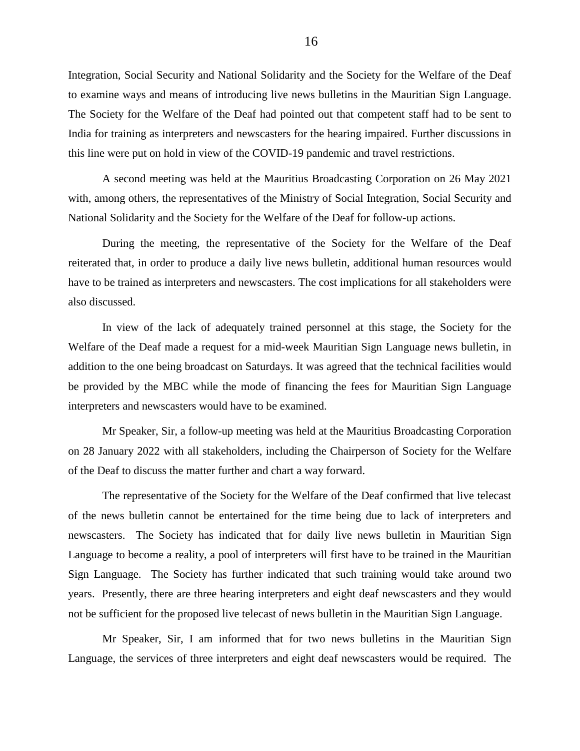Integration, Social Security and National Solidarity and the Society for the Welfare of the Deaf to examine ways and means of introducing live news bulletins in the Mauritian Sign Language. The Society for the Welfare of the Deaf had pointed out that competent staff had to be sent to India for training as interpreters and newscasters for the hearing impaired. Further discussions in this line were put on hold in view of the COVID-19 pandemic and travel restrictions.

A second meeting was held at the Mauritius Broadcasting Corporation on 26 May 2021 with, among others, the representatives of the Ministry of Social Integration, Social Security and National Solidarity and the Society for the Welfare of the Deaf for follow-up actions.

During the meeting, the representative of the Society for the Welfare of the Deaf reiterated that, in order to produce a daily live news bulletin, additional human resources would have to be trained as interpreters and newscasters. The cost implications for all stakeholders were also discussed.

In view of the lack of adequately trained personnel at this stage, the Society for the Welfare of the Deaf made a request for a mid-week Mauritian Sign Language news bulletin, in addition to the one being broadcast on Saturdays. It was agreed that the technical facilities would be provided by the MBC while the mode of financing the fees for Mauritian Sign Language interpreters and newscasters would have to be examined.

Mr Speaker, Sir, a follow-up meeting was held at the Mauritius Broadcasting Corporation on 28 January 2022 with all stakeholders, including the Chairperson of Society for the Welfare of the Deaf to discuss the matter further and chart a way forward.

The representative of the Society for the Welfare of the Deaf confirmed that live telecast of the news bulletin cannot be entertained for the time being due to lack of interpreters and newscasters. The Society has indicated that for daily live news bulletin in Mauritian Sign Language to become a reality, a pool of interpreters will first have to be trained in the Mauritian Sign Language. The Society has further indicated that such training would take around two years. Presently, there are three hearing interpreters and eight deaf newscasters and they would not be sufficient for the proposed live telecast of news bulletin in the Mauritian Sign Language.

Mr Speaker, Sir, I am informed that for two news bulletins in the Mauritian Sign Language, the services of three interpreters and eight deaf newscasters would be required. The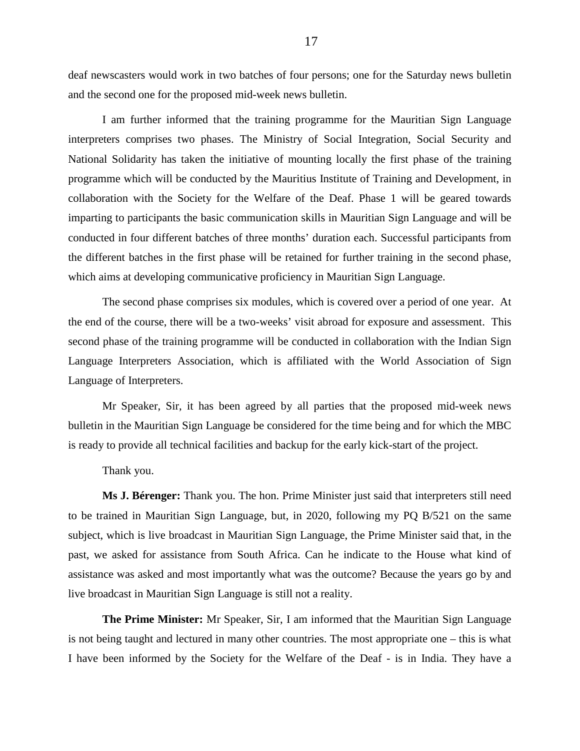deaf newscasters would work in two batches of four persons; one for the Saturday news bulletin and the second one for the proposed mid-week news bulletin.

I am further informed that the training programme for the Mauritian Sign Language interpreters comprises two phases. The Ministry of Social Integration, Social Security and National Solidarity has taken the initiative of mounting locally the first phase of the training programme which will be conducted by the Mauritius Institute of Training and Development, in collaboration with the Society for the Welfare of the Deaf. Phase 1 will be geared towards imparting to participants the basic communication skills in Mauritian Sign Language and will be conducted in four different batches of three months' duration each. Successful participants from the different batches in the first phase will be retained for further training in the second phase, which aims at developing communicative proficiency in Mauritian Sign Language.

The second phase comprises six modules, which is covered over a period of one year. At the end of the course, there will be a two-weeks' visit abroad for exposure and assessment. This second phase of the training programme will be conducted in collaboration with the Indian Sign Language Interpreters Association, which is affiliated with the World Association of Sign Language of Interpreters.

Mr Speaker, Sir, it has been agreed by all parties that the proposed mid-week news bulletin in the Mauritian Sign Language be considered for the time being and for which the MBC is ready to provide all technical facilities and backup for the early kick-start of the project.

Thank you.

**Ms J. Bérenger:** Thank you. The hon. Prime Minister just said that interpreters still need to be trained in Mauritian Sign Language, but, in 2020, following my PQ B/521 on the same subject, which is live broadcast in Mauritian Sign Language, the Prime Minister said that, in the past, we asked for assistance from South Africa. Can he indicate to the House what kind of assistance was asked and most importantly what was the outcome? Because the years go by and live broadcast in Mauritian Sign Language is still not a reality.

**The Prime Minister:** Mr Speaker, Sir, I am informed that the Mauritian Sign Language is not being taught and lectured in many other countries. The most appropriate one – this is what I have been informed by the Society for the Welfare of the Deaf - is in India. They have a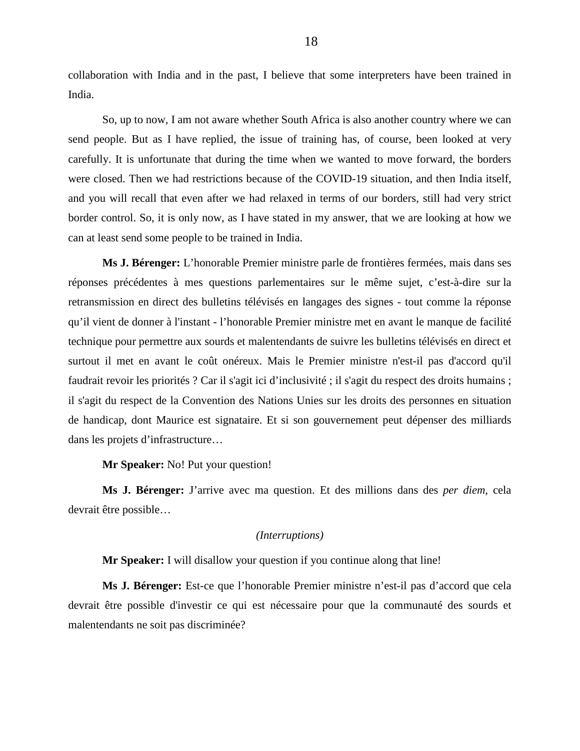collaboration with India and in the past, I believe that some interpreters have been trained in India.

So, up to now, I am not aware whether South Africa is also another country where we can send people. But as I have replied, the issue of training has, of course, been looked at very carefully. It is unfortunate that during the time when we wanted to move forward, the borders were closed. Then we had restrictions because of the COVID-19 situation, and then India itself, and you will recall that even after we had relaxed in terms of our borders, still had very strict border control. So, it is only now, as I have stated in my answer, that we are looking at how we can at least send some people to be trained in India.

**Ms J. Bérenger:** L'honorable Premier ministre parle de frontières fermées, mais dans ses réponses précédentes à mes questions parlementaires sur le même sujet, c'est-à-dire sur la retransmission en direct des bulletins télévisés en langages des signes - tout comme la réponse qu'il vient de donner à l'instant - l'honorable Premier ministre met en avant le manque de facilité technique pour permettre aux sourds et malentendants de suivre les bulletins télévisés en direct et surtout il met en avant le coût onéreux. Mais le Premier ministre n'est-il pas d'accord qu'il faudrait revoir les priorités ? Car il s'agit ici d'inclusivité ; il s'agit du respect des droits humains ; il s'agit du respect de la Convention des Nations Unies sur les droits des personnes en situation de handicap, dont Maurice est signataire. Et si son gouvernement peut dépenser des milliards dans les projets d'infrastructure…

## **Mr Speaker:** No! Put your question!

**Ms J. Bérenger:** J'arrive avec ma question. Et des millions dans des *per diem,* cela devrait être possible…

#### *(Interruptions)*

**Mr Speaker:** I will disallow your question if you continue along that line!

**Ms J. Bérenger:** Est-ce que l'honorable Premier ministre n'est-il pas d'accord que cela devrait être possible d'investir ce qui est nécessaire pour que la communauté des sourds et malentendants ne soit pas discriminée?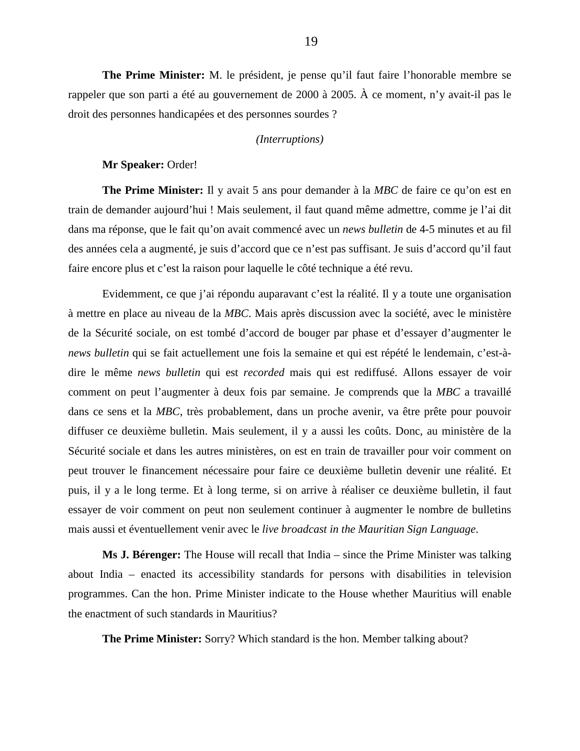**The Prime Minister:** M. le président, je pense qu'il faut faire l'honorable membre se rappeler que son parti a été au gouvernement de 2000 à 2005. À ce moment, n'y avait-il pas le droit des personnes handicapées et des personnes sourdes ?

#### *(Interruptions)*

#### **Mr Speaker:** Order!

**The Prime Minister:** Il y avait 5 ans pour demander à la *MBC* de faire ce qu'on est en train de demander aujourd'hui ! Mais seulement, il faut quand même admettre, comme je l'ai dit dans ma réponse, que le fait qu'on avait commencé avec un *news bulletin* de 4-5 minutes et au fil des années cela a augmenté, je suis d'accord que ce n'est pas suffisant. Je suis d'accord qu'il faut faire encore plus et c'est la raison pour laquelle le côté technique a été revu.

Evidemment, ce que j'ai répondu auparavant c'est la réalité. Il y a toute une organisation à mettre en place au niveau de la *MBC*. Mais après discussion avec la société, avec le ministère de la Sécurité sociale, on est tombé d'accord de bouger par phase et d'essayer d'augmenter le *news bulletin* qui se fait actuellement une fois la semaine et qui est répété le lendemain, c'est-àdire le même *news bulletin* qui est *recorded* mais qui est rediffusé. Allons essayer de voir comment on peut l'augmenter à deux fois par semaine. Je comprends que la *MBC* a travaillé dans ce sens et la *MBC*, très probablement, dans un proche avenir, va être prête pour pouvoir diffuser ce deuxième bulletin. Mais seulement, il y a aussi les coûts. Donc, au ministère de la Sécurité sociale et dans les autres ministères, on est en train de travailler pour voir comment on peut trouver le financement nécessaire pour faire ce deuxième bulletin devenir une réalité. Et puis, il y a le long terme. Et à long terme, si on arrive à réaliser ce deuxième bulletin, il faut essayer de voir comment on peut non seulement continuer à augmenter le nombre de bulletins mais aussi et éventuellement venir avec le *live broadcast in the Mauritian Sign Language*.

**Ms J. Bérenger:** The House will recall that India – since the Prime Minister was talking about India – enacted its accessibility standards for persons with disabilities in television programmes. Can the hon. Prime Minister indicate to the House whether Mauritius will enable the enactment of such standards in Mauritius?

**The Prime Minister:** Sorry? Which standard is the hon. Member talking about?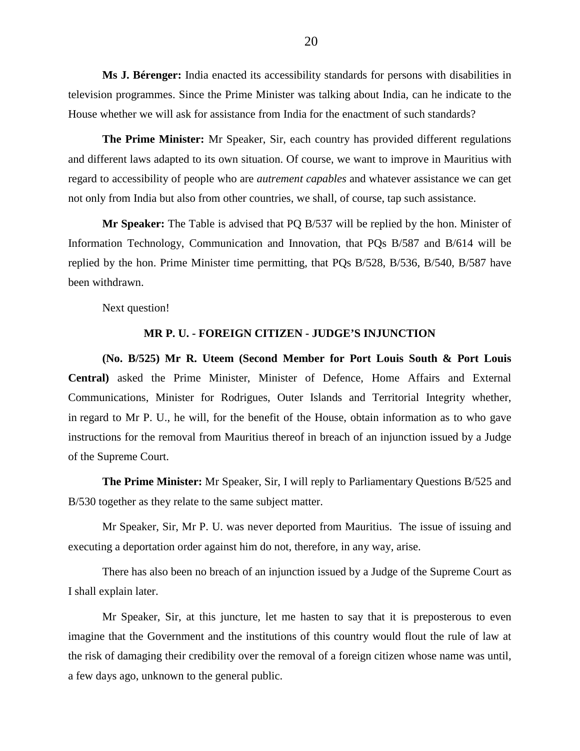**Ms J. Bérenger:** India enacted its accessibility standards for persons with disabilities in television programmes. Since the Prime Minister was talking about India, can he indicate to the House whether we will ask for assistance from India for the enactment of such standards?

**The Prime Minister:** Mr Speaker, Sir, each country has provided different regulations and different laws adapted to its own situation. Of course, we want to improve in Mauritius with regard to accessibility of people who are *autrement capables* and whatever assistance we can get not only from India but also from other countries, we shall, of course, tap such assistance.

**Mr Speaker:** The Table is advised that PQ B/537 will be replied by the hon. Minister of Information Technology, Communication and Innovation, that PQs B/587 and B/614 will be replied by the hon. Prime Minister time permitting, that PQs B/528, B/536, B/540, B/587 have been withdrawn.

Next question!

#### **MR P. U. - FOREIGN CITIZEN - JUDGE'S INJUNCTION**

**(No. B/525) Mr R. Uteem (Second Member for Port Louis South & Port Louis Central)** asked the Prime Minister, Minister of Defence, Home Affairs and External Communications, Minister for Rodrigues, Outer Islands and Territorial Integrity whether, in regard to Mr P. U., he will, for the benefit of the House, obtain information as to who gave instructions for the removal from Mauritius thereof in breach of an injunction issued by a Judge of the Supreme Court.

**The Prime Minister:** Mr Speaker, Sir, I will reply to Parliamentary Questions B/525 and B/530 together as they relate to the same subject matter.

Mr Speaker, Sir, Mr P. U. was never deported from Mauritius. The issue of issuing and executing a deportation order against him do not, therefore, in any way, arise.

There has also been no breach of an injunction issued by a Judge of the Supreme Court as I shall explain later.

Mr Speaker, Sir, at this juncture, let me hasten to say that it is preposterous to even imagine that the Government and the institutions of this country would flout the rule of law at the risk of damaging their credibility over the removal of a foreign citizen whose name was until, a few days ago, unknown to the general public.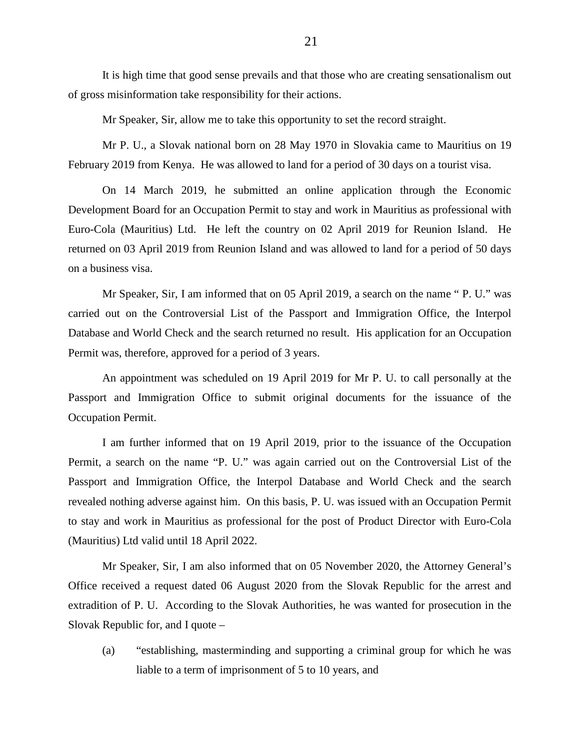It is high time that good sense prevails and that those who are creating sensationalism out of gross misinformation take responsibility for their actions.

Mr Speaker, Sir, allow me to take this opportunity to set the record straight.

Mr P. U., a Slovak national born on 28 May 1970 in Slovakia came to Mauritius on 19 February 2019 from Kenya. He was allowed to land for a period of 30 days on a tourist visa.

On 14 March 2019, he submitted an online application through the Economic Development Board for an Occupation Permit to stay and work in Mauritius as professional with Euro-Cola (Mauritius) Ltd. He left the country on 02 April 2019 for Reunion Island. He returned on 03 April 2019 from Reunion Island and was allowed to land for a period of 50 days on a business visa.

Mr Speaker, Sir, I am informed that on 05 April 2019, a search on the name " P. U." was carried out on the Controversial List of the Passport and Immigration Office, the Interpol Database and World Check and the search returned no result. His application for an Occupation Permit was, therefore, approved for a period of 3 years.

An appointment was scheduled on 19 April 2019 for Mr P. U. to call personally at the Passport and Immigration Office to submit original documents for the issuance of the Occupation Permit.

I am further informed that on 19 April 2019, prior to the issuance of the Occupation Permit, a search on the name "P. U." was again carried out on the Controversial List of the Passport and Immigration Office, the Interpol Database and World Check and the search revealed nothing adverse against him. On this basis, P. U. was issued with an Occupation Permit to stay and work in Mauritius as professional for the post of Product Director with Euro-Cola (Mauritius) Ltd valid until 18 April 2022.

Mr Speaker, Sir, I am also informed that on 05 November 2020, the Attorney General's Office received a request dated 06 August 2020 from the Slovak Republic for the arrest and extradition of P. U. According to the Slovak Authorities, he was wanted for prosecution in the Slovak Republic for, and I quote –

(a) "establishing, masterminding and supporting a criminal group for which he was liable to a term of imprisonment of 5 to 10 years, and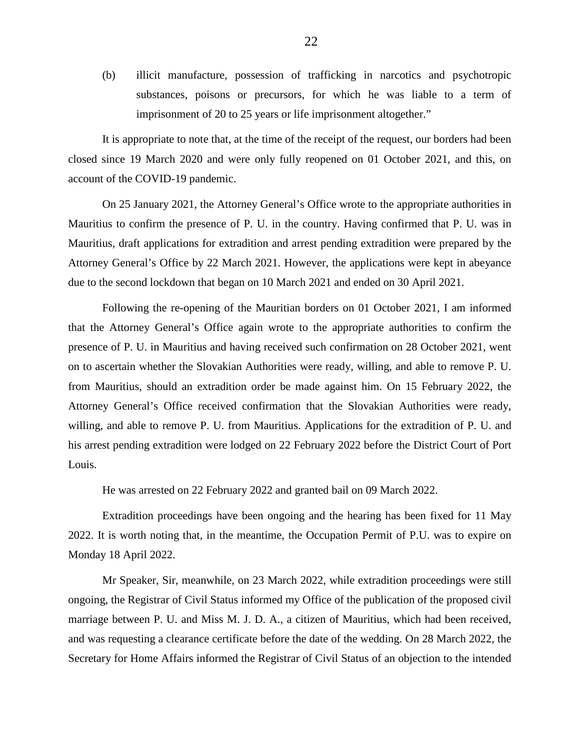(b) illicit manufacture, possession of trafficking in narcotics and psychotropic substances, poisons or precursors, for which he was liable to a term of imprisonment of 20 to 25 years or life imprisonment altogether."

It is appropriate to note that, at the time of the receipt of the request, our borders had been closed since 19 March 2020 and were only fully reopened on 01 October 2021, and this, on account of the COVID-19 pandemic.

On 25 January 2021, the Attorney General's Office wrote to the appropriate authorities in Mauritius to confirm the presence of P. U. in the country. Having confirmed that P. U. was in Mauritius, draft applications for extradition and arrest pending extradition were prepared by the Attorney General's Office by 22 March 2021. However, the applications were kept in abeyance due to the second lockdown that began on 10 March 2021 and ended on 30 April 2021.

Following the re-opening of the Mauritian borders on 01 October 2021, I am informed that the Attorney General's Office again wrote to the appropriate authorities to confirm the presence of P. U. in Mauritius and having received such confirmation on 28 October 2021, went on to ascertain whether the Slovakian Authorities were ready, willing, and able to remove P. U. from Mauritius, should an extradition order be made against him. On 15 February 2022, the Attorney General's Office received confirmation that the Slovakian Authorities were ready, willing, and able to remove P. U. from Mauritius. Applications for the extradition of P. U. and his arrest pending extradition were lodged on 22 February 2022 before the District Court of Port Louis.

He was arrested on 22 February 2022 and granted bail on 09 March 2022.

Extradition proceedings have been ongoing and the hearing has been fixed for 11 May 2022. It is worth noting that, in the meantime, the Occupation Permit of P.U. was to expire on Monday 18 April 2022.

Mr Speaker, Sir, meanwhile, on 23 March 2022, while extradition proceedings were still ongoing, the Registrar of Civil Status informed my Office of the publication of the proposed civil marriage between P. U. and Miss M. J. D. A., a citizen of Mauritius, which had been received, and was requesting a clearance certificate before the date of the wedding. On 28 March 2022, the Secretary for Home Affairs informed the Registrar of Civil Status of an objection to the intended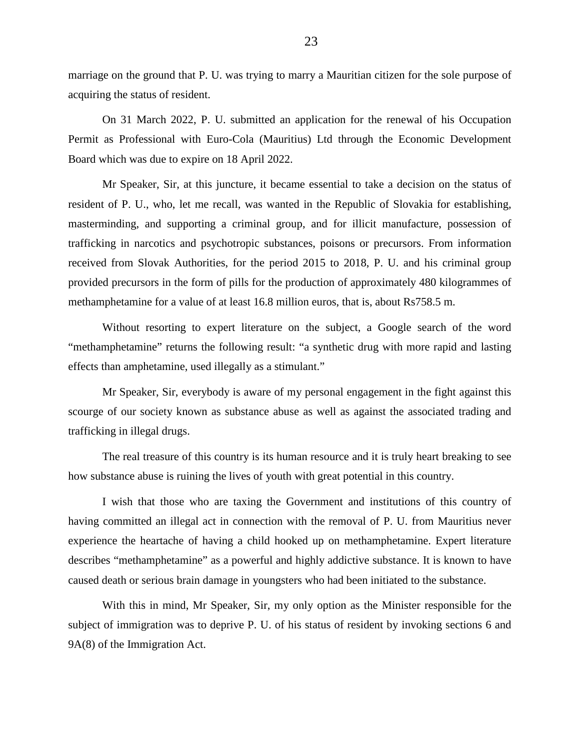marriage on the ground that P. U. was trying to marry a Mauritian citizen for the sole purpose of acquiring the status of resident.

On 31 March 2022, P. U. submitted an application for the renewal of his Occupation Permit as Professional with Euro-Cola (Mauritius) Ltd through the Economic Development Board which was due to expire on 18 April 2022.

Mr Speaker, Sir, at this juncture, it became essential to take a decision on the status of resident of P. U., who, let me recall, was wanted in the Republic of Slovakia for establishing, masterminding, and supporting a criminal group, and for illicit manufacture, possession of trafficking in narcotics and psychotropic substances, poisons or precursors. From information received from Slovak Authorities, for the period 2015 to 2018, P. U. and his criminal group provided precursors in the form of pills for the production of approximately 480 kilogrammes of methamphetamine for a value of at least 16.8 million euros, that is, about Rs758.5 m.

Without resorting to expert literature on the subject, a Google search of the word "methamphetamine" returns the following result: "a synthetic drug with more rapid and lasting effects than amphetamine, used illegally as a stimulant."

Mr Speaker, Sir, everybody is aware of my personal engagement in the fight against this scourge of our society known as substance abuse as well as against the associated trading and trafficking in illegal drugs.

The real treasure of this country is its human resource and it is truly heart breaking to see how substance abuse is ruining the lives of youth with great potential in this country.

I wish that those who are taxing the Government and institutions of this country of having committed an illegal act in connection with the removal of P. U. from Mauritius never experience the heartache of having a child hooked up on methamphetamine. Expert literature describes "methamphetamine" as a powerful and highly addictive substance. It is known to have caused death or serious brain damage in youngsters who had been initiated to the substance.

With this in mind, Mr Speaker, Sir, my only option as the Minister responsible for the subject of immigration was to deprive P. U. of his status of resident by invoking sections 6 and 9A(8) of the Immigration Act.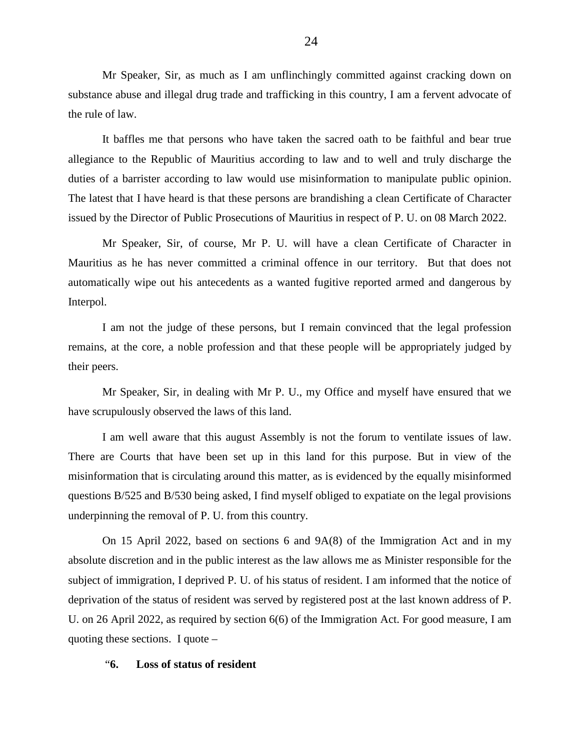Mr Speaker, Sir, as much as I am unflinchingly committed against cracking down on substance abuse and illegal drug trade and trafficking in this country, I am a fervent advocate of the rule of law.

It baffles me that persons who have taken the sacred oath to be faithful and bear true allegiance to the Republic of Mauritius according to law and to well and truly discharge the duties of a barrister according to law would use misinformation to manipulate public opinion. The latest that I have heard is that these persons are brandishing a clean Certificate of Character issued by the Director of Public Prosecutions of Mauritius in respect of P. U. on 08 March 2022.

Mr Speaker, Sir, of course, Mr P. U. will have a clean Certificate of Character in Mauritius as he has never committed a criminal offence in our territory. But that does not automatically wipe out his antecedents as a wanted fugitive reported armed and dangerous by Interpol.

I am not the judge of these persons, but I remain convinced that the legal profession remains, at the core, a noble profession and that these people will be appropriately judged by their peers.

Mr Speaker, Sir, in dealing with Mr P. U., my Office and myself have ensured that we have scrupulously observed the laws of this land.

I am well aware that this august Assembly is not the forum to ventilate issues of law. There are Courts that have been set up in this land for this purpose. But in view of the misinformation that is circulating around this matter, as is evidenced by the equally misinformed questions B/525 and B/530 being asked, I find myself obliged to expatiate on the legal provisions underpinning the removal of P. U. from this country.

On 15 April 2022, based on sections 6 and 9A(8) of the Immigration Act and in my absolute discretion and in the public interest as the law allows me as Minister responsible for the subject of immigration, I deprived P. U. of his status of resident. I am informed that the notice of deprivation of the status of resident was served by registered post at the last known address of P. U. on 26 April 2022, as required by section 6(6) of the Immigration Act. For good measure, I am quoting these sections. I quote –

#### "**6. Loss of status of resident**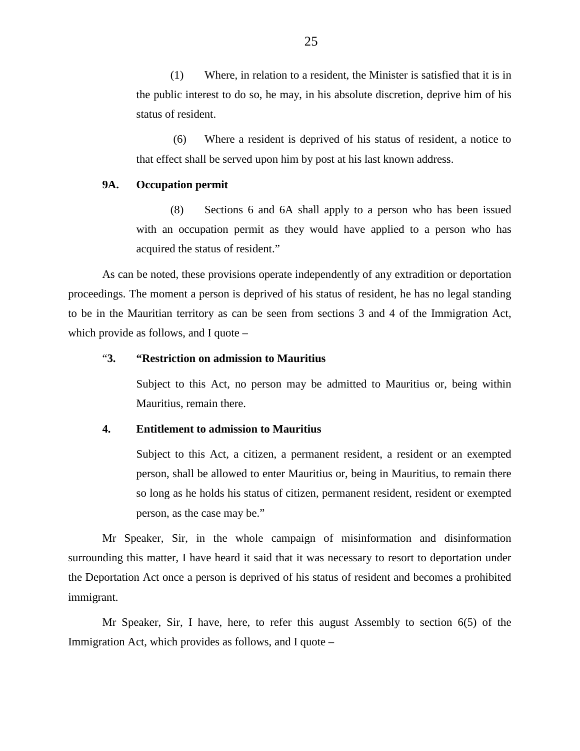(1) Where, in relation to a resident, the Minister is satisfied that it is in the public interest to do so, he may, in his absolute discretion, deprive him of his status of resident.

(6) Where a resident is deprived of his status of resident, a notice to that effect shall be served upon him by post at his last known address.

## **9A. Occupation permit**

(8) Sections 6 and 6A shall apply to a person who has been issued with an occupation permit as they would have applied to a person who has acquired the status of resident."

As can be noted, these provisions operate independently of any extradition or deportation proceedings. The moment a person is deprived of his status of resident, he has no legal standing to be in the Mauritian territory as can be seen from sections 3 and 4 of the Immigration Act, which provide as follows, and I quote –

## "**3. "Restriction on admission to Mauritius**

Subject to this Act, no person may be admitted to Mauritius or, being within Mauritius, remain there.

#### **4. Entitlement to admission to Mauritius**

Subject to this Act, a citizen, a permanent resident, a resident or an exempted person, shall be allowed to enter Mauritius or, being in Mauritius, to remain there so long as he holds his status of citizen, permanent resident, resident or exempted person, as the case may be."

Mr Speaker, Sir, in the whole campaign of misinformation and disinformation surrounding this matter, I have heard it said that it was necessary to resort to deportation under the Deportation Act once a person is deprived of his status of resident and becomes a prohibited immigrant.

Mr Speaker, Sir, I have, here, to refer this august Assembly to section 6(5) of the Immigration Act, which provides as follows, and I quote –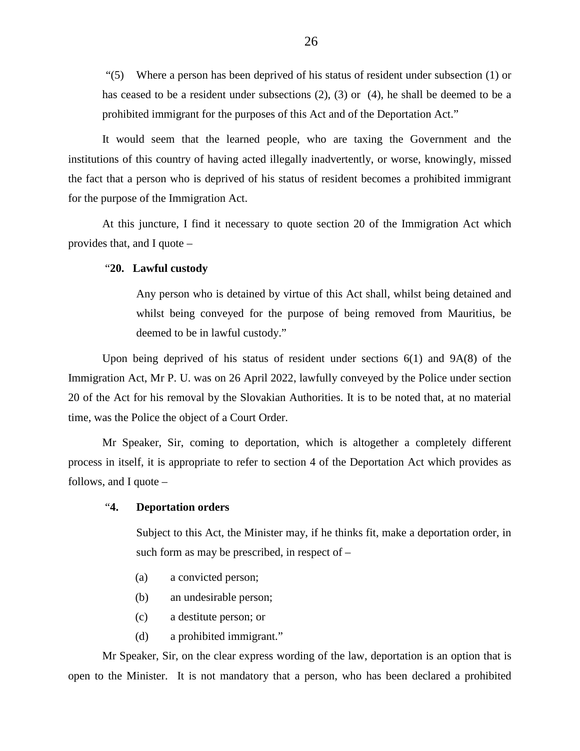"(5) Where a person has been deprived of his status of resident under subsection (1) or has ceased to be a resident under subsections (2), (3) or (4), he shall be deemed to be a prohibited immigrant for the purposes of this Act and of the Deportation Act."

It would seem that the learned people, who are taxing the Government and the institutions of this country of having acted illegally inadvertently, or worse, knowingly, missed the fact that a person who is deprived of his status of resident becomes a prohibited immigrant for the purpose of the Immigration Act.

At this juncture, I find it necessary to quote section 20 of the Immigration Act which provides that, and I quote –

#### "**20. Lawful custody**

Any person who is detained by virtue of this Act shall, whilst being detained and whilst being conveyed for the purpose of being removed from Mauritius, be deemed to be in lawful custody."

Upon being deprived of his status of resident under sections 6(1) and 9A(8) of the Immigration Act, Mr P. U. was on 26 April 2022, lawfully conveyed by the Police under section 20 of the Act for his removal by the Slovakian Authorities. It is to be noted that, at no material time, was the Police the object of a Court Order.

Mr Speaker, Sir, coming to deportation, which is altogether a completely different process in itself, it is appropriate to refer to section 4 of the Deportation Act which provides as follows, and I quote –

## "**4. Deportation orders**

Subject to this Act, the Minister may, if he thinks fit, make a deportation order, in such form as may be prescribed, in respect of –

- (a) a convicted person;
- (b) an undesirable person;
- (c) a destitute person; or
- (d) a prohibited immigrant."

Mr Speaker, Sir, on the clear express wording of the law, deportation is an option that is open to the Minister. It is not mandatory that a person, who has been declared a prohibited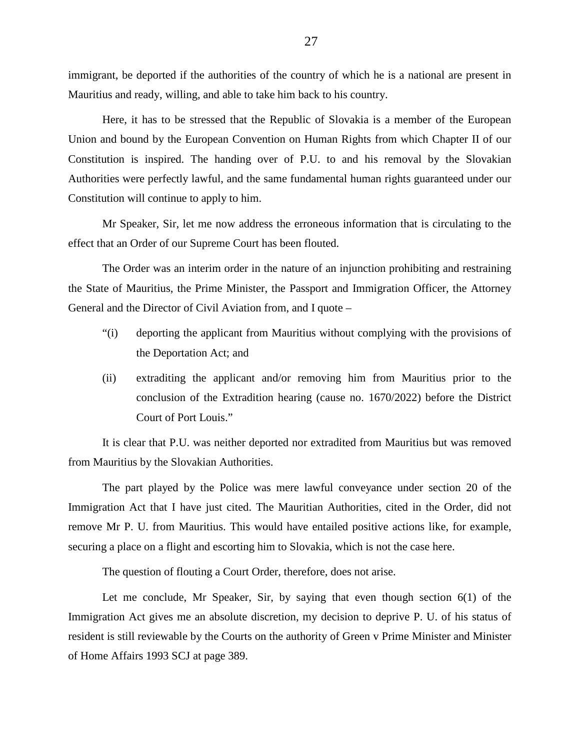immigrant, be deported if the authorities of the country of which he is a national are present in Mauritius and ready, willing, and able to take him back to his country.

Here, it has to be stressed that the Republic of Slovakia is a member of the European Union and bound by the European Convention on Human Rights from which Chapter II of our Constitution is inspired. The handing over of P.U. to and his removal by the Slovakian Authorities were perfectly lawful, and the same fundamental human rights guaranteed under our Constitution will continue to apply to him.

Mr Speaker, Sir, let me now address the erroneous information that is circulating to the effect that an Order of our Supreme Court has been flouted.

The Order was an interim order in the nature of an injunction prohibiting and restraining the State of Mauritius, the Prime Minister, the Passport and Immigration Officer, the Attorney General and the Director of Civil Aviation from, and I quote –

- "(i) deporting the applicant from Mauritius without complying with the provisions of the Deportation Act; and
- (ii) extraditing the applicant and/or removing him from Mauritius prior to the conclusion of the Extradition hearing (cause no. 1670/2022) before the District Court of Port Louis."

It is clear that P.U. was neither deported nor extradited from Mauritius but was removed from Mauritius by the Slovakian Authorities.

The part played by the Police was mere lawful conveyance under section 20 of the Immigration Act that I have just cited. The Mauritian Authorities, cited in the Order, did not remove Mr P. U. from Mauritius. This would have entailed positive actions like, for example, securing a place on a flight and escorting him to Slovakia, which is not the case here.

The question of flouting a Court Order, therefore, does not arise.

Let me conclude, Mr Speaker, Sir, by saying that even though section 6(1) of the Immigration Act gives me an absolute discretion, my decision to deprive P. U. of his status of resident is still reviewable by the Courts on the authority of Green v Prime Minister and Minister of Home Affairs 1993 SCJ at page 389.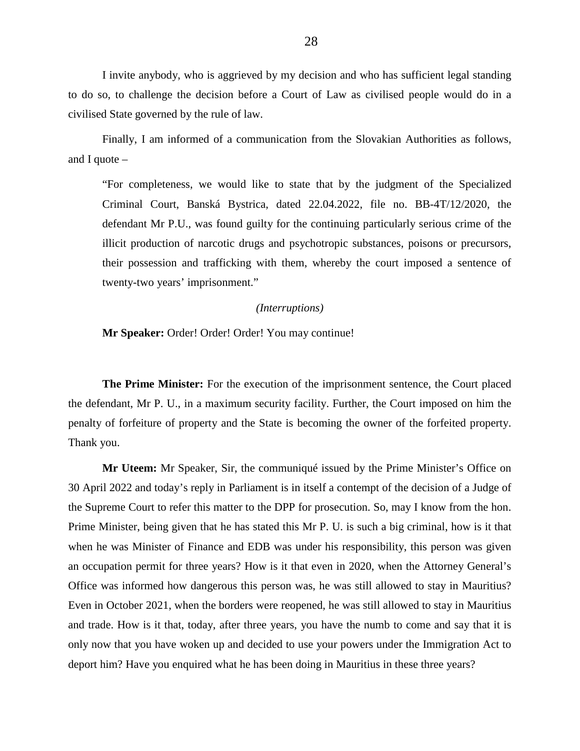I invite anybody, who is aggrieved by my decision and who has sufficient legal standing to do so, to challenge the decision before a Court of Law as civilised people would do in a civilised State governed by the rule of law.

Finally, I am informed of a communication from the Slovakian Authorities as follows, and I quote  $-$ 

"For completeness, we would like to state that by the judgment of the Specialized Criminal Court, Banská Bystrica, dated 22.04.2022, file no. BB-4T/12/2020, the defendant Mr P.U., was found guilty for the continuing particularly serious crime of the illicit production of narcotic drugs and psychotropic substances, poisons or precursors, their possession and trafficking with them, whereby the court imposed a sentence of twenty-two years' imprisonment."

#### *(Interruptions)*

**Mr Speaker:** Order! Order! Order! You may continue!

**The Prime Minister:** For the execution of the imprisonment sentence, the Court placed the defendant, Mr P. U., in a maximum security facility. Further, the Court imposed on him the penalty of forfeiture of property and the State is becoming the owner of the forfeited property. Thank you.

**Mr Uteem:** Mr Speaker, Sir, the communiqué issued by the Prime Minister's Office on 30 April 2022 and today's reply in Parliament is in itself a contempt of the decision of a Judge of the Supreme Court to refer this matter to the DPP for prosecution. So, may I know from the hon. Prime Minister, being given that he has stated this Mr P. U. is such a big criminal, how is it that when he was Minister of Finance and EDB was under his responsibility, this person was given an occupation permit for three years? How is it that even in 2020, when the Attorney General's Office was informed how dangerous this person was, he was still allowed to stay in Mauritius? Even in October 2021, when the borders were reopened, he was still allowed to stay in Mauritius and trade. How is it that, today, after three years, you have the numb to come and say that it is only now that you have woken up and decided to use your powers under the Immigration Act to deport him? Have you enquired what he has been doing in Mauritius in these three years?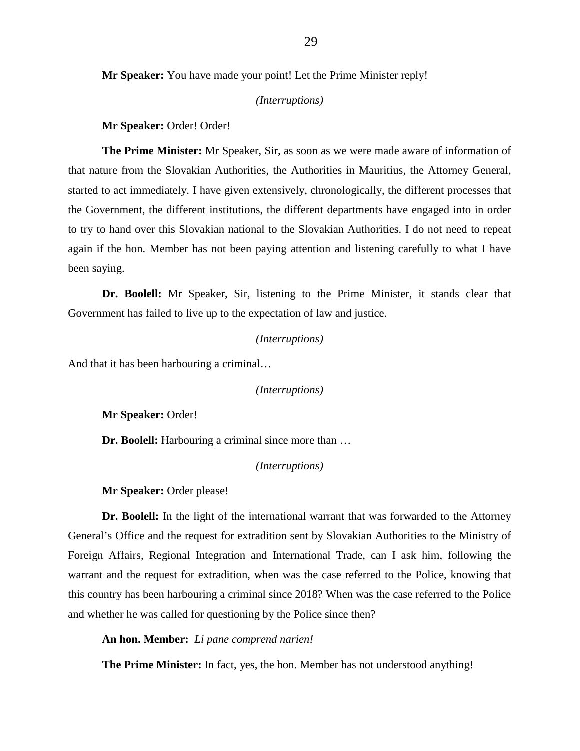**Mr Speaker:** You have made your point! Let the Prime Minister reply!

#### *(Interruptions)*

**Mr Speaker:** Order! Order!

**The Prime Minister:** Mr Speaker, Sir, as soon as we were made aware of information of that nature from the Slovakian Authorities, the Authorities in Mauritius, the Attorney General, started to act immediately. I have given extensively, chronologically, the different processes that the Government, the different institutions, the different departments have engaged into in order to try to hand over this Slovakian national to the Slovakian Authorities. I do not need to repeat again if the hon. Member has not been paying attention and listening carefully to what I have been saying.

**Dr. Boolell:** Mr Speaker, Sir, listening to the Prime Minister, it stands clear that Government has failed to live up to the expectation of law and justice.

## *(Interruptions)*

And that it has been harbouring a criminal…

*(Interruptions)*

**Mr Speaker:** Order!

**Dr. Boolell:** Harbouring a criminal since more than …

*(Interruptions)*

**Mr Speaker:** Order please!

**Dr. Boolell:** In the light of the international warrant that was forwarded to the Attorney General's Office and the request for extradition sent by Slovakian Authorities to the Ministry of Foreign Affairs, Regional Integration and International Trade, can I ask him, following the warrant and the request for extradition, when was the case referred to the Police, knowing that this country has been harbouring a criminal since 2018? When was the case referred to the Police and whether he was called for questioning by the Police since then?

**An hon. Member:** *Li pane comprend narien!*

**The Prime Minister:** In fact, yes, the hon. Member has not understood anything!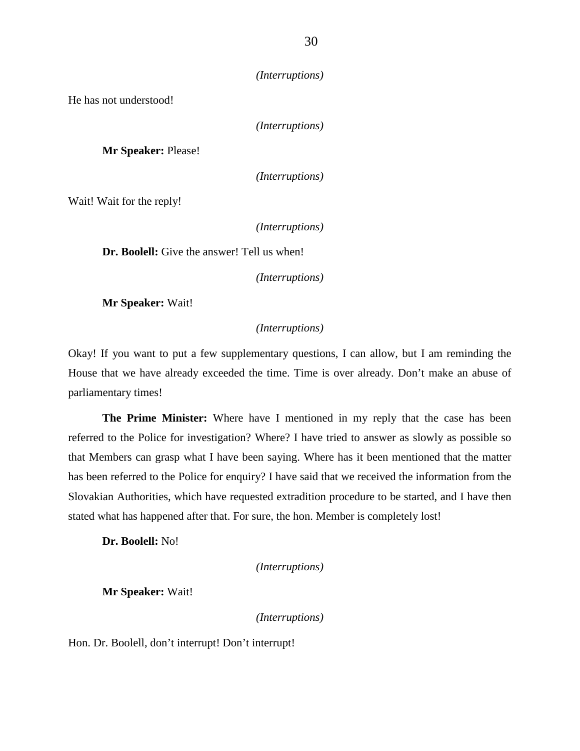```
(Interruptions)
```
He has not understood!

*(Interruptions)*

**Mr Speaker:** Please!

*(Interruptions)*

Wait! Wait for the reply!

*(Interruptions)*

**Dr. Boolell:** Give the answer! Tell us when!

*(Interruptions)*

**Mr Speaker:** Wait!

*(Interruptions)*

Okay! If you want to put a few supplementary questions, I can allow, but I am reminding the House that we have already exceeded the time. Time is over already. Don't make an abuse of parliamentary times!

**The Prime Minister:** Where have I mentioned in my reply that the case has been referred to the Police for investigation? Where? I have tried to answer as slowly as possible so that Members can grasp what I have been saying. Where has it been mentioned that the matter has been referred to the Police for enquiry? I have said that we received the information from the Slovakian Authorities, which have requested extradition procedure to be started, and I have then stated what has happened after that. For sure, the hon. Member is completely lost!

**Dr. Boolell:** No!

*(Interruptions)*

**Mr Speaker:** Wait!

*(Interruptions)*

Hon. Dr. Boolell, don't interrupt! Don't interrupt!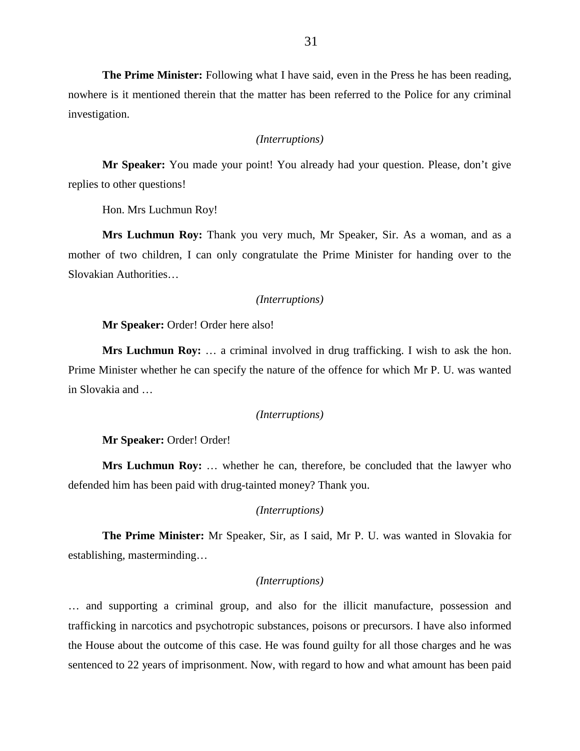**The Prime Minister:** Following what I have said, even in the Press he has been reading, nowhere is it mentioned therein that the matter has been referred to the Police for any criminal investigation.

#### *(Interruptions)*

**Mr Speaker:** You made your point! You already had your question. Please, don't give replies to other questions!

Hon. Mrs Luchmun Roy!

**Mrs Luchmun Roy:** Thank you very much, Mr Speaker, Sir. As a woman, and as a mother of two children, I can only congratulate the Prime Minister for handing over to the Slovakian Authorities…

### *(Interruptions)*

**Mr Speaker:** Order! Order here also!

**Mrs Luchmun Roy:** … a criminal involved in drug trafficking. I wish to ask the hon. Prime Minister whether he can specify the nature of the offence for which Mr P. U. was wanted in Slovakia and …

## *(Interruptions)*

**Mr Speaker:** Order! Order!

**Mrs Luchmun Roy:** … whether he can, therefore, be concluded that the lawyer who defended him has been paid with drug-tainted money? Thank you.

## *(Interruptions)*

**The Prime Minister:** Mr Speaker, Sir, as I said, Mr P. U. was wanted in Slovakia for establishing, masterminding…

#### *(Interruptions)*

… and supporting a criminal group, and also for the illicit manufacture, possession and trafficking in narcotics and psychotropic substances, poisons or precursors. I have also informed the House about the outcome of this case. He was found guilty for all those charges and he was sentenced to 22 years of imprisonment. Now, with regard to how and what amount has been paid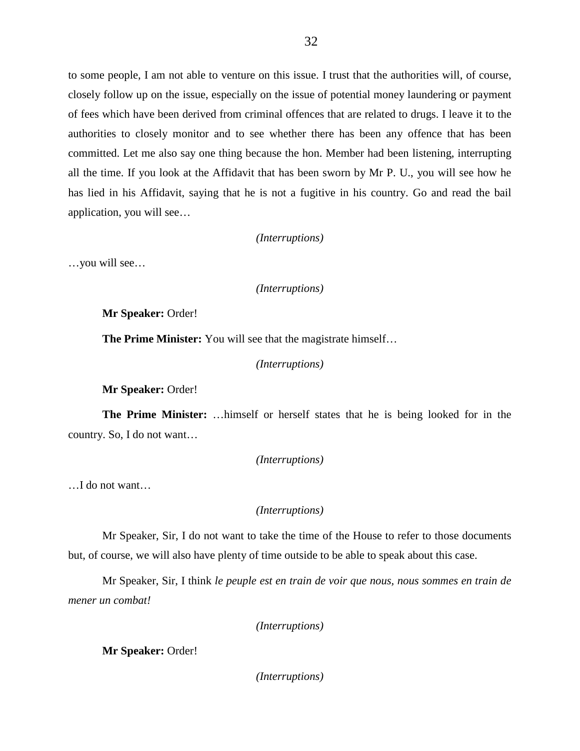to some people, I am not able to venture on this issue. I trust that the authorities will, of course, closely follow up on the issue, especially on the issue of potential money laundering or payment of fees which have been derived from criminal offences that are related to drugs. I leave it to the authorities to closely monitor and to see whether there has been any offence that has been committed. Let me also say one thing because the hon. Member had been listening, interrupting all the time. If you look at the Affidavit that has been sworn by Mr P. U., you will see how he has lied in his Affidavit, saying that he is not a fugitive in his country. Go and read the bail application, you will see…

*(Interruptions)*

…you will see…

*(Interruptions)*

**Mr Speaker:** Order!

**The Prime Minister:** You will see that the magistrate himself…

*(Interruptions)*

**Mr Speaker:** Order!

**The Prime Minister:** …himself or herself states that he is being looked for in the country. So, I do not want…

*(Interruptions)*

…I do not want…

*(Interruptions)*

Mr Speaker, Sir, I do not want to take the time of the House to refer to those documents but, of course, we will also have plenty of time outside to be able to speak about this case.

Mr Speaker, Sir, I think *le peuple est en train de voir que nous, nous sommes en train de mener un combat!*

*(Interruptions)*

**Mr Speaker:** Order!

*(Interruptions)*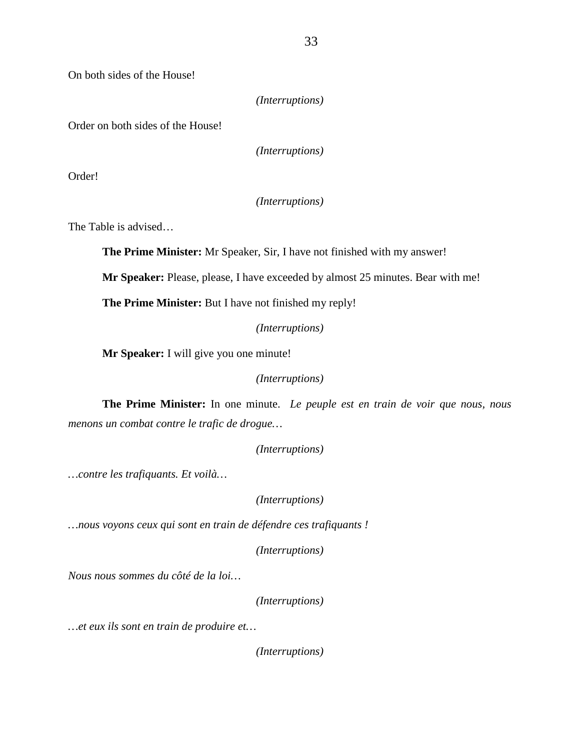On both sides of the House!

*(Interruptions)*

Order on both sides of the House!

*(Interruptions)*

Order!

*(Interruptions)*

The Table is advised…

**The Prime Minister:** Mr Speaker, Sir, I have not finished with my answer!

**Mr Speaker:** Please, please, I have exceeded by almost 25 minutes. Bear with me!

**The Prime Minister:** But I have not finished my reply!

*(Interruptions)*

**Mr Speaker:** I will give you one minute!

*(Interruptions)*

**The Prime Minister:** In one minute. *Le peuple est en train de voir que nous, nous menons un combat contre le trafic de drogue…*

*(Interruptions)*

*…contre les trafiquants. Et voilà…*

*(Interruptions)*

*…nous voyons ceux qui sont en train de défendre ces trafiquants !*

*(Interruptions)*

*Nous nous sommes du côté de la loi…*

*(Interruptions)*

*…et eux ils sont en train de produire et…* 

*(Interruptions)*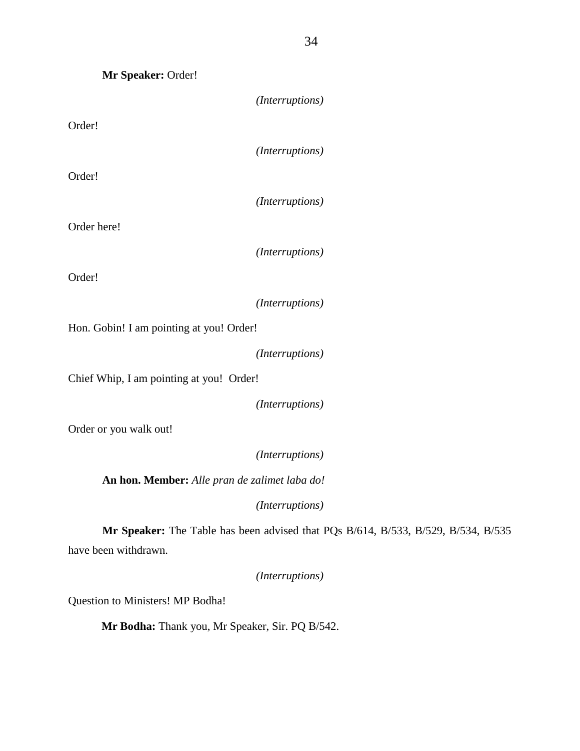| Mr Speaker: Order!                            |                                                                                                                                                                                                                                                                                                                                    |
|-----------------------------------------------|------------------------------------------------------------------------------------------------------------------------------------------------------------------------------------------------------------------------------------------------------------------------------------------------------------------------------------|
|                                               | (Interruptions)                                                                                                                                                                                                                                                                                                                    |
| Order!                                        |                                                                                                                                                                                                                                                                                                                                    |
|                                               | (Interruptions)                                                                                                                                                                                                                                                                                                                    |
| Order!                                        |                                                                                                                                                                                                                                                                                                                                    |
|                                               | (Interruptions)                                                                                                                                                                                                                                                                                                                    |
| Order here!                                   |                                                                                                                                                                                                                                                                                                                                    |
|                                               | (Interruptions)                                                                                                                                                                                                                                                                                                                    |
| Order!                                        |                                                                                                                                                                                                                                                                                                                                    |
|                                               | (Interruptions)                                                                                                                                                                                                                                                                                                                    |
| Hon. Gobin! I am pointing at you! Order!      |                                                                                                                                                                                                                                                                                                                                    |
|                                               | (Interruptions)                                                                                                                                                                                                                                                                                                                    |
| Chief Whip, I am pointing at you! Order!      |                                                                                                                                                                                                                                                                                                                                    |
|                                               | (Interruptions)                                                                                                                                                                                                                                                                                                                    |
| Order or you walk out!                        |                                                                                                                                                                                                                                                                                                                                    |
|                                               | (Interruptions)                                                                                                                                                                                                                                                                                                                    |
| An hon. Member: Alle pran de zalimet laba do! |                                                                                                                                                                                                                                                                                                                                    |
|                                               | (Interruptions)                                                                                                                                                                                                                                                                                                                    |
| <b>PER PERSONAL SET</b>                       | $\mathbf{1}$ $\mathbf{1}$ $\mathbf{1}$ $\mathbf{1}$ $\mathbf{1}$ $\mathbf{1}$ $\mathbf{1}$ $\mathbf{1}$ $\mathbf{1}$ $\mathbf{1}$ $\mathbf{1}$ $\mathbf{1}$ $\mathbf{1}$ $\mathbf{1}$ $\mathbf{1}$ $\mathbf{1}$ $\mathbf{1}$ $\mathbf{1}$ $\mathbf{1}$ $\mathbf{1}$ $\mathbf{1}$ $\mathbf{1}$ $\mathbf{1}$ $\mathbf{1}$ $\mathbf{$ |

**Mr Speaker:** The Table has been advised that PQs B/614, B/533, B/529, B/534, B/535 have been withdrawn.

*(Interruptions)*

Question to Ministers! MP Bodha!

**Mr Bodha:** Thank you, Mr Speaker, Sir. PQ B/542.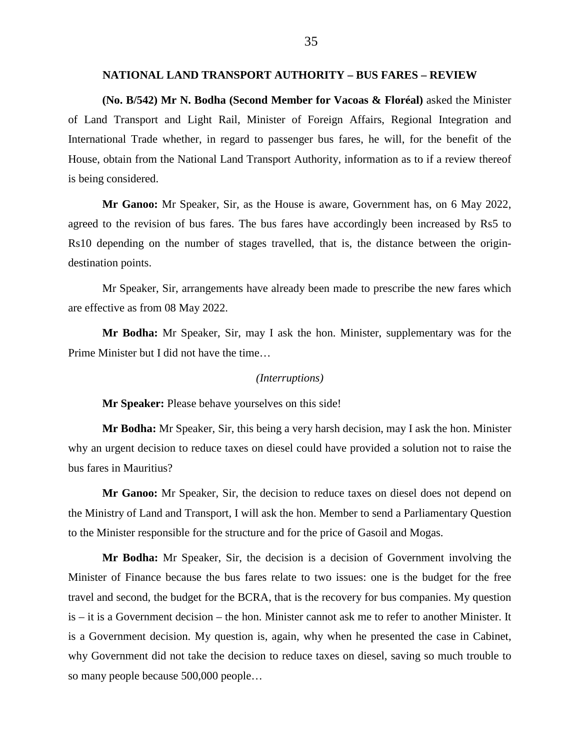#### **NATIONAL LAND TRANSPORT AUTHORITY – BUS FARES – REVIEW**

**(No. B/542) Mr N. Bodha (Second Member for Vacoas & Floréal)** asked the Minister of Land Transport and Light Rail, Minister of Foreign Affairs, Regional Integration and International Trade whether, in regard to passenger bus fares, he will, for the benefit of the House, obtain from the National Land Transport Authority, information as to if a review thereof is being considered.

**Mr Ganoo:** Mr Speaker, Sir, as the House is aware, Government has, on 6 May 2022, agreed to the revision of bus fares. The bus fares have accordingly been increased by Rs5 to Rs10 depending on the number of stages travelled, that is, the distance between the origindestination points.

Mr Speaker, Sir, arrangements have already been made to prescribe the new fares which are effective as from 08 May 2022.

**Mr Bodha:** Mr Speaker, Sir, may I ask the hon. Minister, supplementary was for the Prime Minister but I did not have the time…

#### *(Interruptions)*

**Mr Speaker:** Please behave yourselves on this side!

**Mr Bodha:** Mr Speaker, Sir, this being a very harsh decision, may I ask the hon. Minister why an urgent decision to reduce taxes on diesel could have provided a solution not to raise the bus fares in Mauritius?

**Mr Ganoo:** Mr Speaker, Sir, the decision to reduce taxes on diesel does not depend on the Ministry of Land and Transport, I will ask the hon. Member to send a Parliamentary Question to the Minister responsible for the structure and for the price of Gasoil and Mogas.

**Mr Bodha:** Mr Speaker, Sir, the decision is a decision of Government involving the Minister of Finance because the bus fares relate to two issues: one is the budget for the free travel and second, the budget for the BCRA, that is the recovery for bus companies. My question is – it is a Government decision – the hon. Minister cannot ask me to refer to another Minister. It is a Government decision. My question is, again, why when he presented the case in Cabinet, why Government did not take the decision to reduce taxes on diesel, saving so much trouble to so many people because 500,000 people…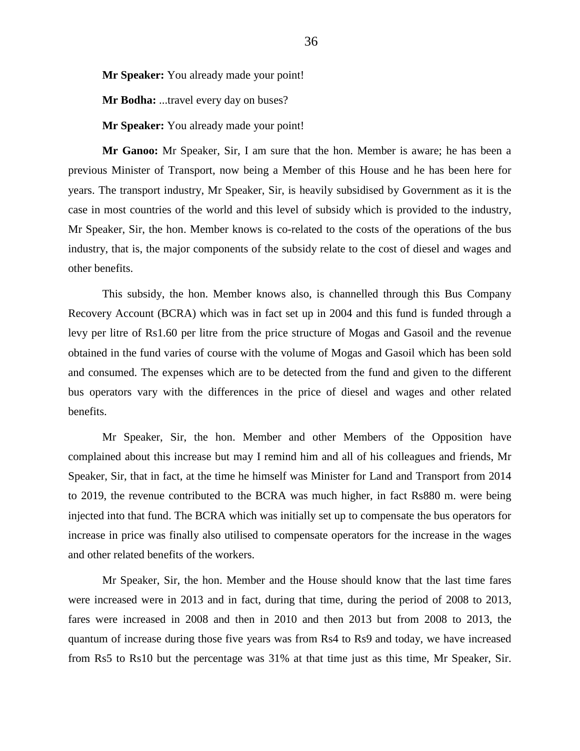**Mr Speaker:** You already made your point!

**Mr Bodha:** ...travel every day on buses?

**Mr Speaker:** You already made your point!

**Mr Ganoo:** Mr Speaker, Sir, I am sure that the hon. Member is aware; he has been a previous Minister of Transport, now being a Member of this House and he has been here for years. The transport industry, Mr Speaker, Sir, is heavily subsidised by Government as it is the case in most countries of the world and this level of subsidy which is provided to the industry, Mr Speaker, Sir, the hon. Member knows is co-related to the costs of the operations of the bus industry, that is, the major components of the subsidy relate to the cost of diesel and wages and other benefits.

This subsidy, the hon. Member knows also, is channelled through this Bus Company Recovery Account (BCRA) which was in fact set up in 2004 and this fund is funded through a levy per litre of Rs1.60 per litre from the price structure of Mogas and Gasoil and the revenue obtained in the fund varies of course with the volume of Mogas and Gasoil which has been sold and consumed. The expenses which are to be detected from the fund and given to the different bus operators vary with the differences in the price of diesel and wages and other related benefits.

Mr Speaker, Sir, the hon. Member and other Members of the Opposition have complained about this increase but may I remind him and all of his colleagues and friends, Mr Speaker, Sir, that in fact, at the time he himself was Minister for Land and Transport from 2014 to 2019, the revenue contributed to the BCRA was much higher, in fact Rs880 m. were being injected into that fund. The BCRA which was initially set up to compensate the bus operators for increase in price was finally also utilised to compensate operators for the increase in the wages and other related benefits of the workers.

Mr Speaker, Sir, the hon. Member and the House should know that the last time fares were increased were in 2013 and in fact, during that time, during the period of 2008 to 2013, fares were increased in 2008 and then in 2010 and then 2013 but from 2008 to 2013, the quantum of increase during those five years was from Rs4 to Rs9 and today, we have increased from Rs5 to Rs10 but the percentage was 31% at that time just as this time, Mr Speaker, Sir.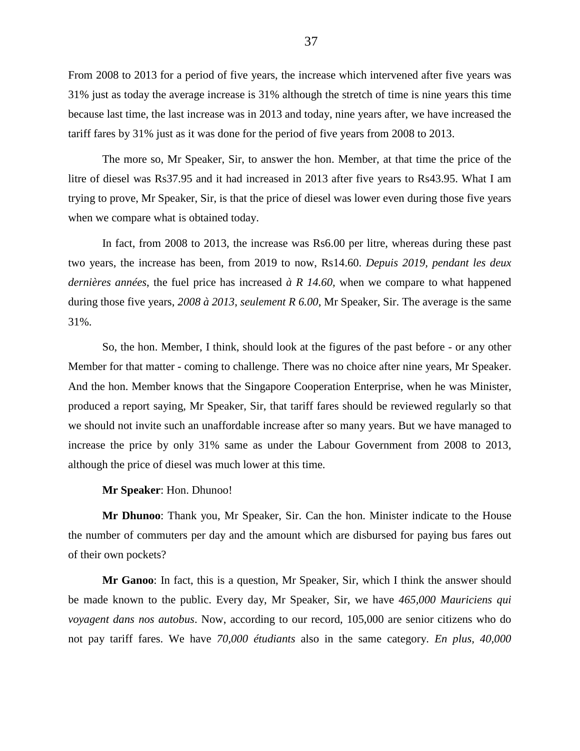From 2008 to 2013 for a period of five years, the increase which intervened after five years was 31% just as today the average increase is 31% although the stretch of time is nine years this time because last time, the last increase was in 2013 and today, nine years after, we have increased the tariff fares by 31% just as it was done for the period of five years from 2008 to 2013.

The more so, Mr Speaker, Sir, to answer the hon. Member, at that time the price of the litre of diesel was Rs37.95 and it had increased in 2013 after five years to Rs43.95. What I am trying to prove, Mr Speaker, Sir, is that the price of diesel was lower even during those five years when we compare what is obtained today.

In fact, from 2008 to 2013, the increase was Rs6.00 per litre, whereas during these past two years, the increase has been, from 2019 to now, Rs14.60. *Depuis 2019, pendant les deux dernières années*, the fuel price has increased *à R 14.60,* when we compare to what happened during those five years, *2008 à 2013*, *seulement R 6.00*, Mr Speaker, Sir. The average is the same 31%.

So, the hon. Member, I think, should look at the figures of the past before - or any other Member for that matter - coming to challenge. There was no choice after nine years, Mr Speaker. And the hon. Member knows that the Singapore Cooperation Enterprise, when he was Minister, produced a report saying, Mr Speaker, Sir, that tariff fares should be reviewed regularly so that we should not invite such an unaffordable increase after so many years. But we have managed to increase the price by only 31% same as under the Labour Government from 2008 to 2013, although the price of diesel was much lower at this time.

### **Mr Speaker**: Hon. Dhunoo!

**Mr Dhunoo**: Thank you, Mr Speaker, Sir. Can the hon. Minister indicate to the House the number of commuters per day and the amount which are disbursed for paying bus fares out of their own pockets?

**Mr Ganoo**: In fact, this is a question, Mr Speaker, Sir, which I think the answer should be made known to the public. Every day, Mr Speaker, Sir, we have *465,000 Mauriciens qui voyagent dans nos autobus*. Now, according to our record, 105,000 are senior citizens who do not pay tariff fares. We have *70,000 étudiants* also in the same category. *En plus, 40,000*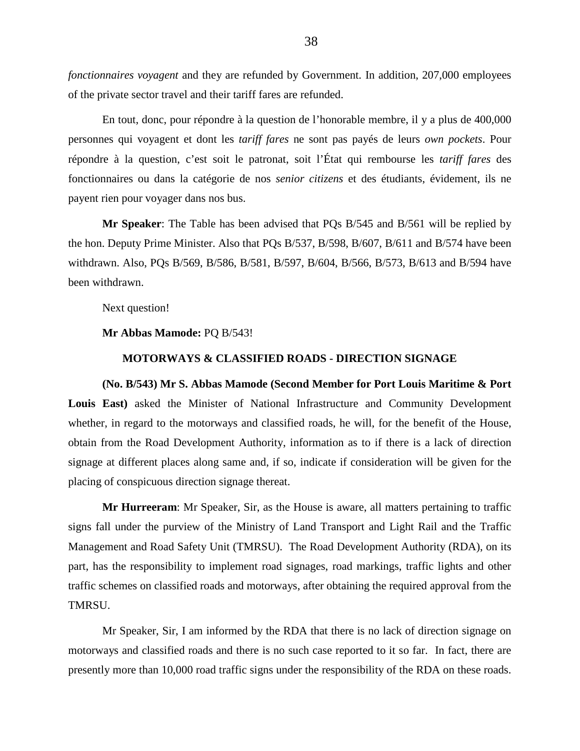*fonctionnaires voyagent* and they are refunded by Government. In addition, 207,000 employees of the private sector travel and their tariff fares are refunded.

En tout, donc, pour répondre à la question de l'honorable membre, il y a plus de 400,000 personnes qui voyagent et dont les *tariff fares* ne sont pas payés de leurs *own pockets*. Pour répondre à la question, c'est soit le patronat, soit l'État qui rembourse les *tariff fares* des fonctionnaires ou dans la catégorie de nos *senior citizens* et des étudiants, évidement, ils ne payent rien pour voyager dans nos bus.

**Mr Speaker**: The Table has been advised that PQs B/545 and B/561 will be replied by the hon. Deputy Prime Minister. Also that PQs B/537, B/598, B/607, B/611 and B/574 have been withdrawn. Also, PQs B/569, B/586, B/581, B/597, B/604, B/566, B/573, B/613 and B/594 have been withdrawn.

Next question!

# **Mr Abbas Mamode:** PQ B/543!

# **MOTORWAYS & CLASSIFIED ROADS - DIRECTION SIGNAGE**

**(No. B/543) Mr S. Abbas Mamode (Second Member for Port Louis Maritime & Port Louis East)** asked the Minister of National Infrastructure and Community Development whether, in regard to the motorways and classified roads, he will, for the benefit of the House, obtain from the Road Development Authority, information as to if there is a lack of direction signage at different places along same and, if so, indicate if consideration will be given for the placing of conspicuous direction signage thereat.

**Mr Hurreeram**: Mr Speaker, Sir, as the House is aware, all matters pertaining to traffic signs fall under the purview of the Ministry of Land Transport and Light Rail and the Traffic Management and Road Safety Unit (TMRSU). The Road Development Authority (RDA), on its part, has the responsibility to implement road signages, road markings, traffic lights and other traffic schemes on classified roads and motorways, after obtaining the required approval from the TMRSU.

Mr Speaker, Sir, I am informed by the RDA that there is no lack of direction signage on motorways and classified roads and there is no such case reported to it so far. In fact, there are presently more than 10,000 road traffic signs under the responsibility of the RDA on these roads.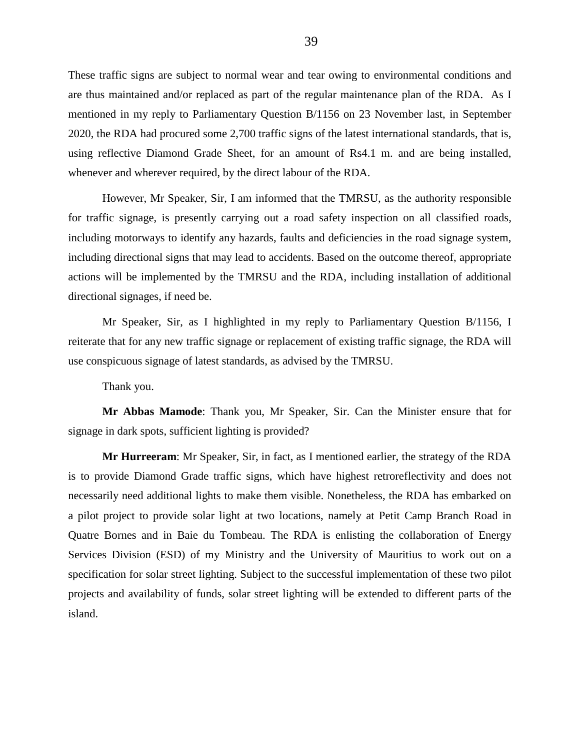These traffic signs are subject to normal wear and tear owing to environmental conditions and are thus maintained and/or replaced as part of the regular maintenance plan of the RDA. As I mentioned in my reply to Parliamentary Question B/1156 on 23 November last, in September 2020, the RDA had procured some 2,700 traffic signs of the latest international standards, that is, using reflective Diamond Grade Sheet, for an amount of Rs4.1 m. and are being installed, whenever and wherever required, by the direct labour of the RDA.

However, Mr Speaker, Sir, I am informed that the TMRSU, as the authority responsible for traffic signage, is presently carrying out a road safety inspection on all classified roads, including motorways to identify any hazards, faults and deficiencies in the road signage system, including directional signs that may lead to accidents. Based on the outcome thereof, appropriate actions will be implemented by the TMRSU and the RDA, including installation of additional directional signages, if need be.

Mr Speaker, Sir, as I highlighted in my reply to Parliamentary Question B/1156, I reiterate that for any new traffic signage or replacement of existing traffic signage, the RDA will use conspicuous signage of latest standards, as advised by the TMRSU.

Thank you.

**Mr Abbas Mamode**: Thank you, Mr Speaker, Sir. Can the Minister ensure that for signage in dark spots, sufficient lighting is provided?

**Mr Hurreeram**: Mr Speaker, Sir, in fact, as I mentioned earlier, the strategy of the RDA is to provide Diamond Grade traffic signs, which have highest retroreflectivity and does not necessarily need additional lights to make them visible. Nonetheless, the RDA has embarked on a pilot project to provide solar light at two locations, namely at Petit Camp Branch Road in Quatre Bornes and in Baie du Tombeau. The RDA is enlisting the collaboration of Energy Services Division (ESD) of my Ministry and the University of Mauritius to work out on a specification for solar street lighting. Subject to the successful implementation of these two pilot projects and availability of funds, solar street lighting will be extended to different parts of the island.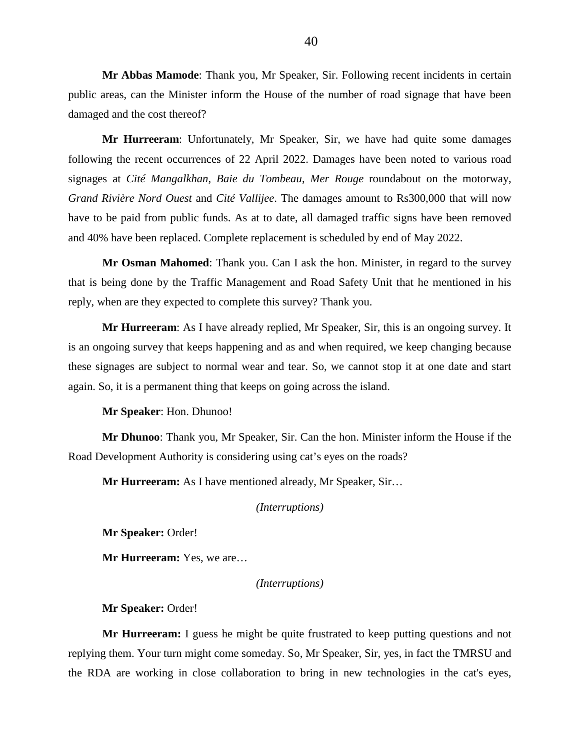**Mr Abbas Mamode**: Thank you, Mr Speaker, Sir. Following recent incidents in certain public areas, can the Minister inform the House of the number of road signage that have been damaged and the cost thereof?

**Mr Hurreeram**: Unfortunately, Mr Speaker, Sir, we have had quite some damages following the recent occurrences of 22 April 2022. Damages have been noted to various road signages at *Cité Mangalkhan*, *Baie du Tombeau*, *Mer Rouge* roundabout on the motorway, *Grand Rivière Nord Ouest* and *Cité Vallijee*. The damages amount to Rs300,000 that will now have to be paid from public funds. As at to date, all damaged traffic signs have been removed and 40% have been replaced. Complete replacement is scheduled by end of May 2022.

**Mr Osman Mahomed**: Thank you. Can I ask the hon. Minister, in regard to the survey that is being done by the Traffic Management and Road Safety Unit that he mentioned in his reply, when are they expected to complete this survey? Thank you.

**Mr Hurreeram**: As I have already replied, Mr Speaker, Sir, this is an ongoing survey. It is an ongoing survey that keeps happening and as and when required, we keep changing because these signages are subject to normal wear and tear. So, we cannot stop it at one date and start again. So, it is a permanent thing that keeps on going across the island.

**Mr Speaker**: Hon. Dhunoo!

**Mr Dhunoo**: Thank you, Mr Speaker, Sir. Can the hon. Minister inform the House if the Road Development Authority is considering using cat's eyes on the roads?

**Mr Hurreeram:** As I have mentioned already, Mr Speaker, Sir…

*(Interruptions)*

**Mr Speaker:** Order!

**Mr Hurreeram:** Yes, we are…

*(Interruptions)*

**Mr Speaker:** Order!

**Mr Hurreeram:** I guess he might be quite frustrated to keep putting questions and not replying them. Your turn might come someday. So, Mr Speaker, Sir, yes, in fact the TMRSU and the RDA are working in close collaboration to bring in new technologies in the cat's eyes,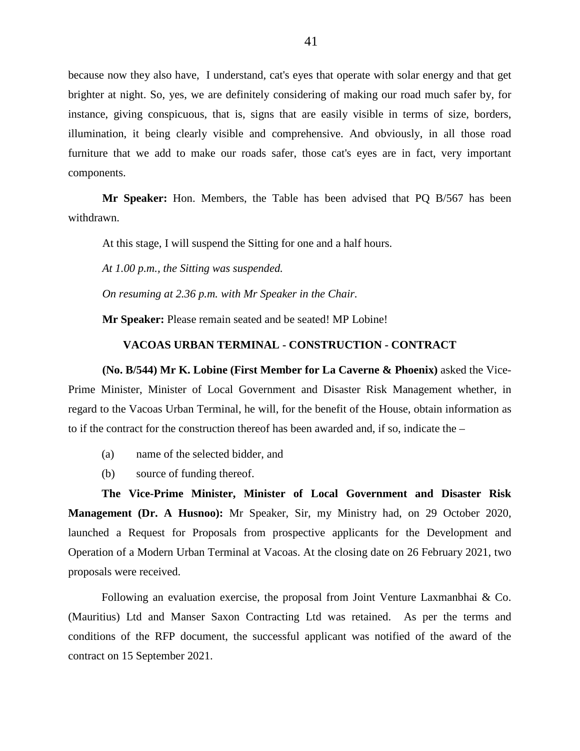because now they also have, I understand, cat's eyes that operate with solar energy and that get brighter at night. So, yes, we are definitely considering of making our road much safer by, for instance, giving conspicuous, that is, signs that are easily visible in terms of size, borders, illumination, it being clearly visible and comprehensive. And obviously, in all those road furniture that we add to make our roads safer, those cat's eyes are in fact, very important components.

**Mr Speaker:** Hon. Members, the Table has been advised that PQ B/567 has been withdrawn.

At this stage, I will suspend the Sitting for one and a half hours.

*At 1.00 p.m., the Sitting was suspended.*

*On resuming at 2.36 p.m. with Mr Speaker in the Chair.*

**Mr Speaker:** Please remain seated and be seated! MP Lobine!

# **VACOAS URBAN TERMINAL - CONSTRUCTION - CONTRACT**

# **(No. B/544) Mr K. Lobine (First Member for La Caverne & Phoenix)** asked the Vice-Prime Minister, Minister of Local Government and Disaster Risk Management whether, in regard to the Vacoas Urban Terminal, he will, for the benefit of the House, obtain information as to if the contract for the construction thereof has been awarded and, if so, indicate the –

- (a) name of the selected bidder, and
- (b) source of funding thereof.

**The Vice-Prime Minister, Minister of Local Government and Disaster Risk Management (Dr. A Husnoo):** Mr Speaker, Sir, my Ministry had, on 29 October 2020, launched a Request for Proposals from prospective applicants for the Development and Operation of a Modern Urban Terminal at Vacoas. At the closing date on 26 February 2021, two proposals were received.

Following an evaluation exercise, the proposal from Joint Venture Laxmanbhai & Co. (Mauritius) Ltd and Manser Saxon Contracting Ltd was retained. As per the terms and conditions of the RFP document, the successful applicant was notified of the award of the contract on 15 September 2021.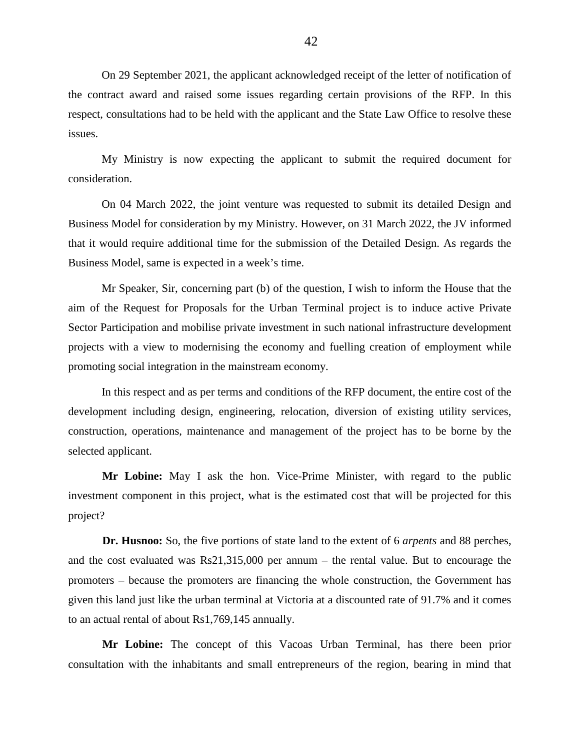On 29 September 2021, the applicant acknowledged receipt of the letter of notification of the contract award and raised some issues regarding certain provisions of the RFP. In this respect, consultations had to be held with the applicant and the State Law Office to resolve these issues.

My Ministry is now expecting the applicant to submit the required document for consideration.

On 04 March 2022, the joint venture was requested to submit its detailed Design and Business Model for consideration by my Ministry. However, on 31 March 2022, the JV informed that it would require additional time for the submission of the Detailed Design. As regards the Business Model, same is expected in a week's time.

Mr Speaker, Sir, concerning part (b) of the question, I wish to inform the House that the aim of the Request for Proposals for the Urban Terminal project is to induce active Private Sector Participation and mobilise private investment in such national infrastructure development projects with a view to modernising the economy and fuelling creation of employment while promoting social integration in the mainstream economy.

In this respect and as per terms and conditions of the RFP document, the entire cost of the development including design, engineering, relocation, diversion of existing utility services, construction, operations, maintenance and management of the project has to be borne by the selected applicant.

**Mr Lobine:** May I ask the hon. Vice-Prime Minister, with regard to the public investment component in this project, what is the estimated cost that will be projected for this project?

**Dr. Husnoo:** So, the five portions of state land to the extent of 6 *arpents* and 88 perches, and the cost evaluated was Rs21,315,000 per annum – the rental value. But to encourage the promoters – because the promoters are financing the whole construction, the Government has given this land just like the urban terminal at Victoria at a discounted rate of 91.7% and it comes to an actual rental of about Rs1,769,145 annually.

**Mr Lobine:** The concept of this Vacoas Urban Terminal, has there been prior consultation with the inhabitants and small entrepreneurs of the region, bearing in mind that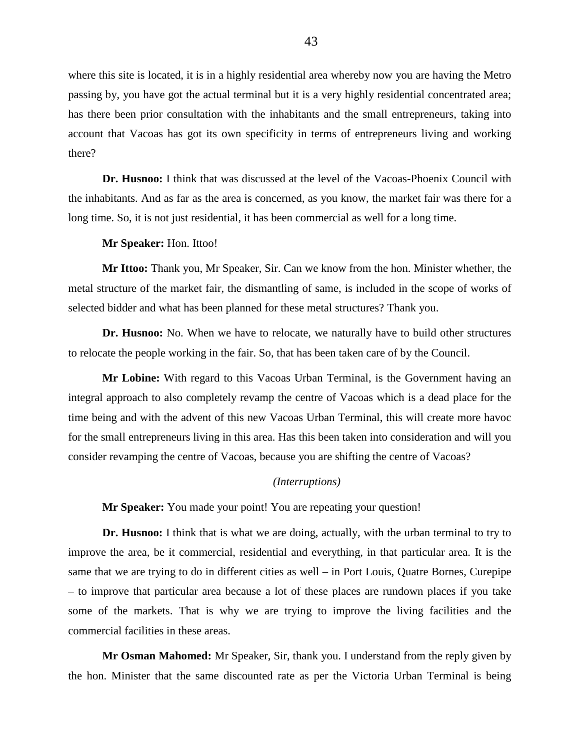where this site is located, it is in a highly residential area whereby now you are having the Metro passing by, you have got the actual terminal but it is a very highly residential concentrated area; has there been prior consultation with the inhabitants and the small entrepreneurs, taking into account that Vacoas has got its own specificity in terms of entrepreneurs living and working there?

**Dr. Husnoo:** I think that was discussed at the level of the Vacoas-Phoenix Council with the inhabitants. And as far as the area is concerned, as you know, the market fair was there for a long time. So, it is not just residential, it has been commercial as well for a long time.

#### **Mr Speaker:** Hon. Ittoo!

**Mr Ittoo:** Thank you, Mr Speaker, Sir. Can we know from the hon. Minister whether, the metal structure of the market fair, the dismantling of same, is included in the scope of works of selected bidder and what has been planned for these metal structures? Thank you.

**Dr. Husnoo:** No. When we have to relocate, we naturally have to build other structures to relocate the people working in the fair. So, that has been taken care of by the Council.

**Mr Lobine:** With regard to this Vacoas Urban Terminal, is the Government having an integral approach to also completely revamp the centre of Vacoas which is a dead place for the time being and with the advent of this new Vacoas Urban Terminal, this will create more havoc for the small entrepreneurs living in this area. Has this been taken into consideration and will you consider revamping the centre of Vacoas, because you are shifting the centre of Vacoas?

# *(Interruptions)*

**Mr Speaker:** You made your point! You are repeating your question!

**Dr. Husnoo:** I think that is what we are doing, actually, with the urban terminal to try to improve the area, be it commercial, residential and everything, in that particular area. It is the same that we are trying to do in different cities as well – in Port Louis, Quatre Bornes, Curepipe – to improve that particular area because a lot of these places are rundown places if you take some of the markets. That is why we are trying to improve the living facilities and the commercial facilities in these areas.

**Mr Osman Mahomed:** Mr Speaker, Sir, thank you. I understand from the reply given by the hon. Minister that the same discounted rate as per the Victoria Urban Terminal is being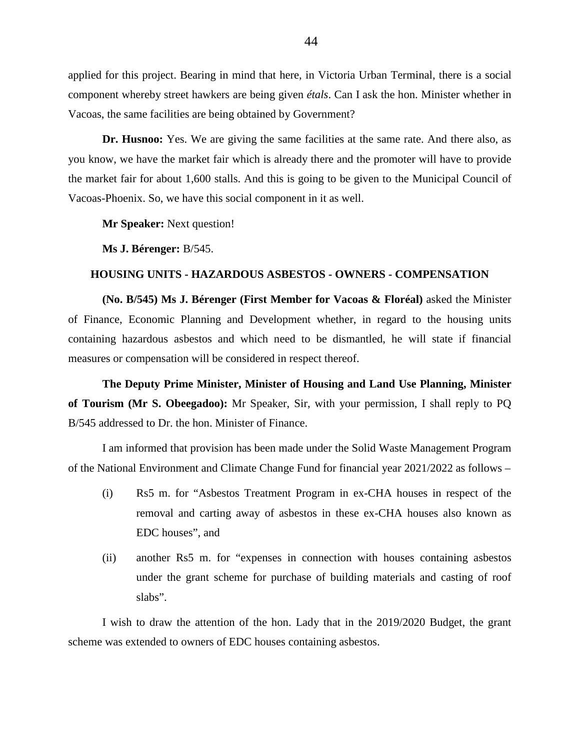applied for this project. Bearing in mind that here, in Victoria Urban Terminal, there is a social component whereby street hawkers are being given *étals*. Can I ask the hon. Minister whether in Vacoas, the same facilities are being obtained by Government?

**Dr. Husnoo:** Yes. We are giving the same facilities at the same rate. And there also, as you know, we have the market fair which is already there and the promoter will have to provide the market fair for about 1,600 stalls. And this is going to be given to the Municipal Council of Vacoas-Phoenix. So, we have this social component in it as well.

**Mr Speaker:** Next question!

**Ms J. Bérenger:** B/545.

#### **HOUSING UNITS - HAZARDOUS ASBESTOS - OWNERS - COMPENSATION**

**(No. B/545) Ms J. Bérenger (First Member for Vacoas & Floréal)** asked the Minister of Finance, Economic Planning and Development whether, in regard to the housing units containing hazardous asbestos and which need to be dismantled, he will state if financial measures or compensation will be considered in respect thereof.

**The Deputy Prime Minister, Minister of Housing and Land Use Planning, Minister of Tourism (Mr S. Obeegadoo):** Mr Speaker, Sir, with your permission, I shall reply to PQ B/545 addressed to Dr. the hon. Minister of Finance.

I am informed that provision has been made under the Solid Waste Management Program of the National Environment and Climate Change Fund for financial year 2021/2022 as follows –

- (i) Rs5 m. for "Asbestos Treatment Program in ex-CHA houses in respect of the removal and carting away of asbestos in these ex-CHA houses also known as EDC houses", and
- (ii) another Rs5 m. for "expenses in connection with houses containing asbestos under the grant scheme for purchase of building materials and casting of roof slabs".

I wish to draw the attention of the hon. Lady that in the 2019/2020 Budget, the grant scheme was extended to owners of EDC houses containing asbestos.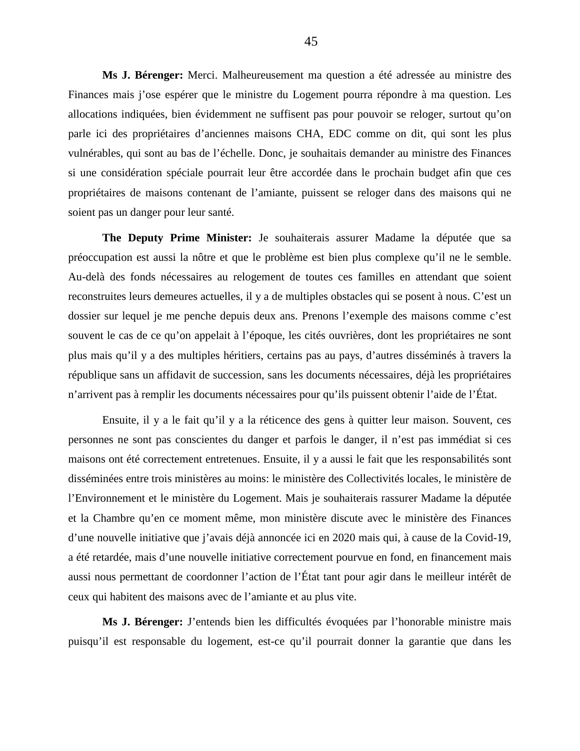**Ms J. Bérenger:** Merci. Malheureusement ma question a été adressée au ministre des Finances mais j'ose espérer que le ministre du Logement pourra répondre à ma question. Les allocations indiquées, bien évidemment ne suffisent pas pour pouvoir se reloger, surtout qu'on parle ici des propriétaires d'anciennes maisons CHA, EDC comme on dit, qui sont les plus vulnérables, qui sont au bas de l'échelle. Donc, je souhaitais demander au ministre des Finances si une considération spéciale pourrait leur être accordée dans le prochain budget afin que ces propriétaires de maisons contenant de l'amiante, puissent se reloger dans des maisons qui ne soient pas un danger pour leur santé.

**The Deputy Prime Minister:** Je souhaiterais assurer Madame la députée que sa préoccupation est aussi la nôtre et que le problème est bien plus complexe qu'il ne le semble. Au-delà des fonds nécessaires au relogement de toutes ces familles en attendant que soient reconstruites leurs demeures actuelles, il y a de multiples obstacles qui se posent à nous. C'est un dossier sur lequel je me penche depuis deux ans. Prenons l'exemple des maisons comme c'est souvent le cas de ce qu'on appelait à l'époque, les cités ouvrières, dont les propriétaires ne sont plus mais qu'il y a des multiples héritiers, certains pas au pays, d'autres disséminés à travers la république sans un affidavit de succession, sans les documents nécessaires, déjà les propriétaires n'arrivent pas à remplir les documents nécessaires pour qu'ils puissent obtenir l'aide de l'État.

Ensuite, il y a le fait qu'il y a la réticence des gens à quitter leur maison. Souvent, ces personnes ne sont pas conscientes du danger et parfois le danger, il n'est pas immédiat si ces maisons ont été correctement entretenues. Ensuite, il y a aussi le fait que les responsabilités sont disséminées entre trois ministères au moins: le ministère des Collectivités locales, le ministère de l'Environnement et le ministère du Logement. Mais je souhaiterais rassurer Madame la députée et la Chambre qu'en ce moment même, mon ministère discute avec le ministère des Finances d'une nouvelle initiative que j'avais déjà annoncée ici en 2020 mais qui, à cause de la Covid-19, a été retardée, mais d'une nouvelle initiative correctement pourvue en fond, en financement mais aussi nous permettant de coordonner l'action de l'État tant pour agir dans le meilleur intérêt de ceux qui habitent des maisons avec de l'amiante et au plus vite.

**Ms J. Bérenger:** J'entends bien les difficultés évoquées par l'honorable ministre mais puisqu'il est responsable du logement, est-ce qu'il pourrait donner la garantie que dans les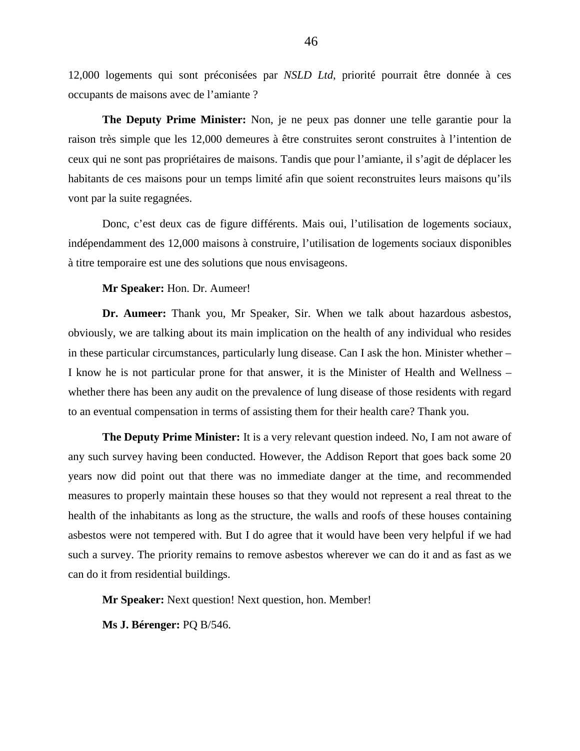12,000 logements qui sont préconisées par *NSLD Ltd*, priorité pourrait être donnée à ces occupants de maisons avec de l'amiante ?

**The Deputy Prime Minister:** Non, je ne peux pas donner une telle garantie pour la raison très simple que les 12,000 demeures à être construites seront construites à l'intention de ceux qui ne sont pas propriétaires de maisons. Tandis que pour l'amiante, il s'agit de déplacer les habitants de ces maisons pour un temps limité afin que soient reconstruites leurs maisons qu'ils vont par la suite regagnées.

Donc, c'est deux cas de figure différents. Mais oui, l'utilisation de logements sociaux, indépendamment des 12,000 maisons à construire, l'utilisation de logements sociaux disponibles à titre temporaire est une des solutions que nous envisageons.

### **Mr Speaker:** Hon. Dr. Aumeer!

**Dr. Aumeer:** Thank you, Mr Speaker, Sir. When we talk about hazardous asbestos, obviously, we are talking about its main implication on the health of any individual who resides in these particular circumstances, particularly lung disease. Can I ask the hon. Minister whether – I know he is not particular prone for that answer, it is the Minister of Health and Wellness – whether there has been any audit on the prevalence of lung disease of those residents with regard to an eventual compensation in terms of assisting them for their health care? Thank you.

**The Deputy Prime Minister:** It is a very relevant question indeed. No, I am not aware of any such survey having been conducted. However, the Addison Report that goes back some 20 years now did point out that there was no immediate danger at the time, and recommended measures to properly maintain these houses so that they would not represent a real threat to the health of the inhabitants as long as the structure, the walls and roofs of these houses containing asbestos were not tempered with. But I do agree that it would have been very helpful if we had such a survey. The priority remains to remove asbestos wherever we can do it and as fast as we can do it from residential buildings.

**Mr Speaker:** Next question! Next question, hon. Member!

**Ms J. Bérenger:** PQ B/546.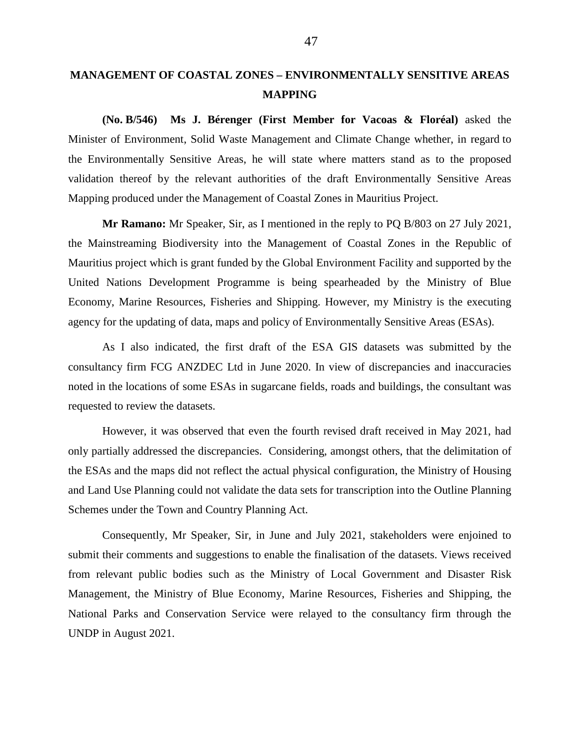# **MANAGEMENT OF COASTAL ZONES – ENVIRONMENTALLY SENSITIVE AREAS MAPPING**

**(No. B/546) Ms J. Bérenger (First Member for Vacoas & Floréal)** asked the Minister of Environment, Solid Waste Management and Climate Change whether, in regard to the Environmentally Sensitive Areas, he will state where matters stand as to the proposed validation thereof by the relevant authorities of the draft Environmentally Sensitive Areas Mapping produced under the Management of Coastal Zones in Mauritius Project.

**Mr Ramano:** Mr Speaker, Sir, as I mentioned in the reply to PQ B/803 on 27 July 2021, the Mainstreaming Biodiversity into the Management of Coastal Zones in the Republic of Mauritius project which is grant funded by the Global Environment Facility and supported by the United Nations Development Programme is being spearheaded by the Ministry of Blue Economy, Marine Resources, Fisheries and Shipping. However, my Ministry is the executing agency for the updating of data, maps and policy of Environmentally Sensitive Areas (ESAs).

As I also indicated, the first draft of the ESA GIS datasets was submitted by the consultancy firm FCG ANZDEC Ltd in June 2020. In view of discrepancies and inaccuracies noted in the locations of some ESAs in sugarcane fields, roads and buildings, the consultant was requested to review the datasets.

However, it was observed that even the fourth revised draft received in May 2021, had only partially addressed the discrepancies. Considering, amongst others, that the delimitation of the ESAs and the maps did not reflect the actual physical configuration, the Ministry of Housing and Land Use Planning could not validate the data sets for transcription into the Outline Planning Schemes under the Town and Country Planning Act.

Consequently, Mr Speaker, Sir, in June and July 2021, stakeholders were enjoined to submit their comments and suggestions to enable the finalisation of the datasets. Views received from relevant public bodies such as the Ministry of Local Government and Disaster Risk Management, the Ministry of Blue Economy, Marine Resources, Fisheries and Shipping, the National Parks and Conservation Service were relayed to the consultancy firm through the UNDP in August 2021.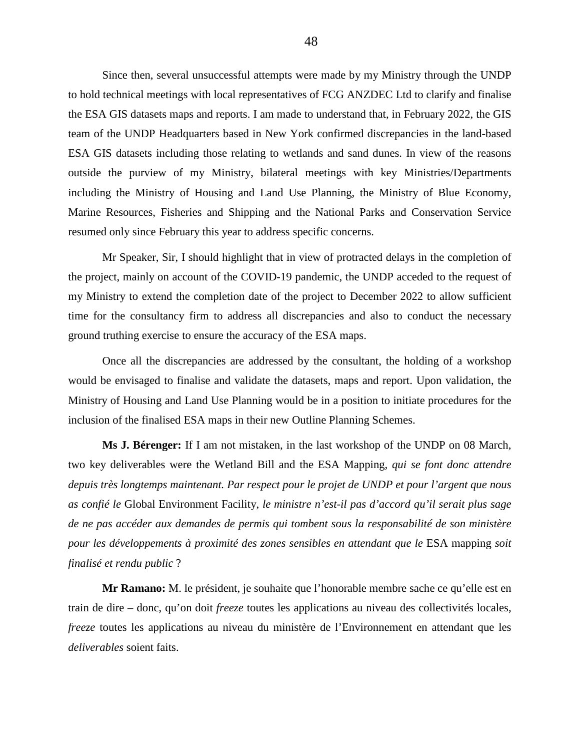Since then, several unsuccessful attempts were made by my Ministry through the UNDP to hold technical meetings with local representatives of FCG ANZDEC Ltd to clarify and finalise the ESA GIS datasets maps and reports. I am made to understand that, in February 2022, the GIS team of the UNDP Headquarters based in New York confirmed discrepancies in the land-based ESA GIS datasets including those relating to wetlands and sand dunes. In view of the reasons outside the purview of my Ministry, bilateral meetings with key Ministries/Departments including the Ministry of Housing and Land Use Planning, the Ministry of Blue Economy, Marine Resources, Fisheries and Shipping and the National Parks and Conservation Service resumed only since February this year to address specific concerns.

Mr Speaker, Sir, I should highlight that in view of protracted delays in the completion of the project, mainly on account of the COVID-19 pandemic, the UNDP acceded to the request of my Ministry to extend the completion date of the project to December 2022 to allow sufficient time for the consultancy firm to address all discrepancies and also to conduct the necessary ground truthing exercise to ensure the accuracy of the ESA maps.

Once all the discrepancies are addressed by the consultant, the holding of a workshop would be envisaged to finalise and validate the datasets, maps and report. Upon validation, the Ministry of Housing and Land Use Planning would be in a position to initiate procedures for the inclusion of the finalised ESA maps in their new Outline Planning Schemes.

**Ms J. Bérenger:** If I am not mistaken, in the last workshop of the UNDP on 08 March, two key deliverables were the Wetland Bill and the ESA Mapping, *qui se font donc attendre depuis très longtemps maintenant. Par respect pour le projet de UNDP et pour l'argent que nous as confié le* Global Environment Facility, *le ministre n'est-il pas d'accord qu'il serait plus sage de ne pas accéder aux demandes de permis qui tombent sous la responsabilité de son ministère pour les développements à proximité des zones sensibles en attendant que le* ESA mapping *soit finalisé et rendu public* ?

**Mr Ramano:** M. le président, je souhaite que l'honorable membre sache ce qu'elle est en train de dire – donc, qu'on doit *freeze* toutes les applications au niveau des collectivités locales, *freeze* toutes les applications au niveau du ministère de l'Environnement en attendant que les *deliverables* soient faits.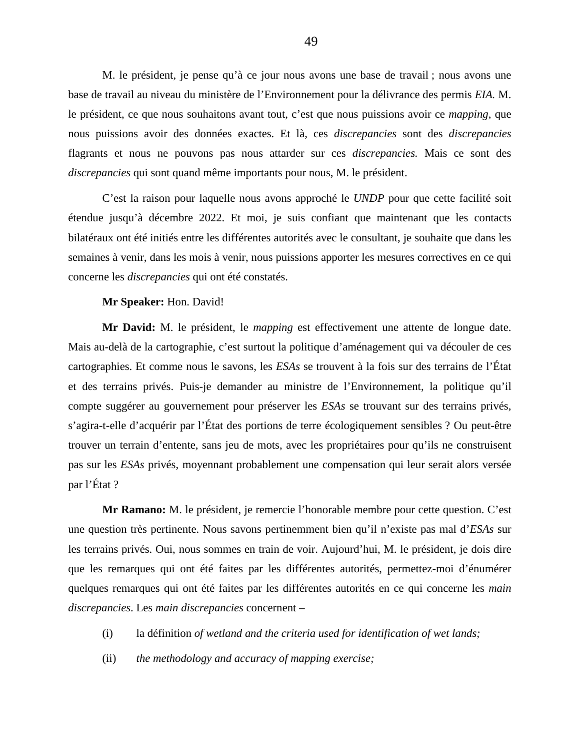M. le président, je pense qu'à ce jour nous avons une base de travail ; nous avons une base de travail au niveau du ministère de l'Environnement pour la délivrance des permis *EIA.* M. le président, ce que nous souhaitons avant tout, c'est que nous puissions avoir ce *mapping*, que nous puissions avoir des données exactes. Et là, ces *discrepancies* sont des *discrepancies*  flagrants et nous ne pouvons pas nous attarder sur ces *discrepancies.* Mais ce sont des *discrepancies* qui sont quand même importants pour nous, M. le président.

C'est la raison pour laquelle nous avons approché le *UNDP* pour que cette facilité soit étendue jusqu'à décembre 2022. Et moi, je suis confiant que maintenant que les contacts bilatéraux ont été initiés entre les différentes autorités avec le consultant, je souhaite que dans les semaines à venir, dans les mois à venir, nous puissions apporter les mesures correctives en ce qui concerne les *discrepancies* qui ont été constatés.

### **Mr Speaker:** Hon. David!

**Mr David:** M. le président, le *mapping* est effectivement une attente de longue date. Mais au-delà de la cartographie, c'est surtout la politique d'aménagement qui va découler de ces cartographies. Et comme nous le savons, les *ESAs* se trouvent à la fois sur des terrains de l'État et des terrains privés. Puis-je demander au ministre de l'Environnement, la politique qu'il compte suggérer au gouvernement pour préserver les *ESAs* se trouvant sur des terrains privés, s'agira-t-elle d'acquérir par l'État des portions de terre écologiquement sensibles ? Ou peut-être trouver un terrain d'entente, sans jeu de mots, avec les propriétaires pour qu'ils ne construisent pas sur les *ESAs* privés, moyennant probablement une compensation qui leur serait alors versée par l'État ?

**Mr Ramano:** M. le président, je remercie l'honorable membre pour cette question. C'est une question très pertinente. Nous savons pertinemment bien qu'il n'existe pas mal d'*ESAs* sur les terrains privés. Oui, nous sommes en train de voir. Aujourd'hui, M. le président, je dois dire que les remarques qui ont été faites par les différentes autorités, permettez-moi d'énumérer quelques remarques qui ont été faites par les différentes autorités en ce qui concerne les *main discrepancies*. Les *main discrepancies* concernent –

- (i) la définition *of wetland and the criteria used for identification of wet lands;*
- (ii) *the methodology and accuracy of mapping exercise;*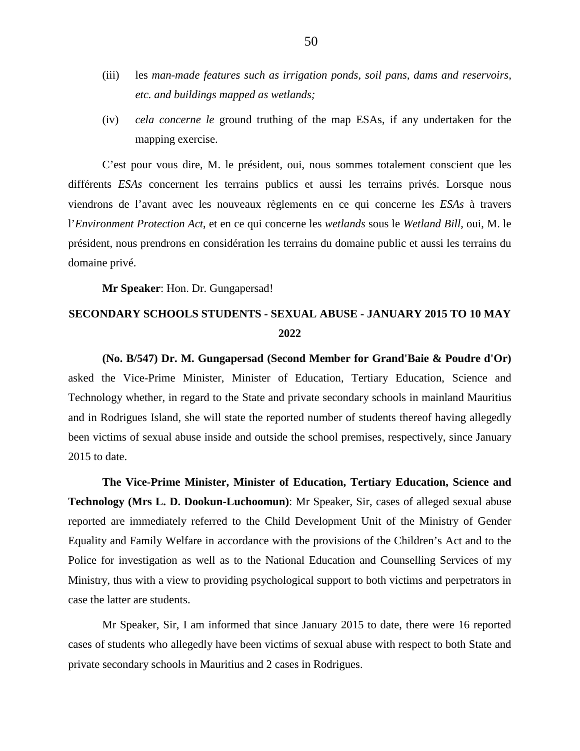- (iii) les *man-made features such as irrigation ponds, soil pans, dams and reservoirs, etc. and buildings mapped as wetlands;*
- (iv) *cela concerne le* ground truthing of the map ESAs, if any undertaken for the mapping exercise.

C'est pour vous dire, M. le président, oui, nous sommes totalement conscient que les différents *ESAs* concernent les terrains publics et aussi les terrains privés. Lorsque nous viendrons de l'avant avec les nouveaux règlements en ce qui concerne les *ESAs* à travers l'*Environment Protection Act*, et en ce qui concerne les *wetlands* sous le *Wetland Bill*, oui, M. le président, nous prendrons en considération les terrains du domaine public et aussi les terrains du domaine privé.

**Mr Speaker**: Hon. Dr. Gungapersad!

# **SECONDARY SCHOOLS STUDENTS - SEXUAL ABUSE - JANUARY 2015 TO 10 MAY 2022**

**(No. B/547) Dr. M. Gungapersad (Second Member for Grand'Baie & Poudre d'Or)** asked the Vice-Prime Minister, Minister of Education, Tertiary Education, Science and Technology whether, in regard to the State and private secondary schools in mainland Mauritius and in Rodrigues Island, she will state the reported number of students thereof having allegedly been victims of sexual abuse inside and outside the school premises, respectively, since January 2015 to date.

**The Vice-Prime Minister, Minister of Education, Tertiary Education, Science and Technology (Mrs L. D. Dookun-Luchoomun)**: Mr Speaker, Sir, cases of alleged sexual abuse reported are immediately referred to the Child Development Unit of the Ministry of Gender Equality and Family Welfare in accordance with the provisions of the Children's Act and to the Police for investigation as well as to the National Education and Counselling Services of my Ministry, thus with a view to providing psychological support to both victims and perpetrators in case the latter are students.

Mr Speaker, Sir, I am informed that since January 2015 to date, there were 16 reported cases of students who allegedly have been victims of sexual abuse with respect to both State and private secondary schools in Mauritius and 2 cases in Rodrigues.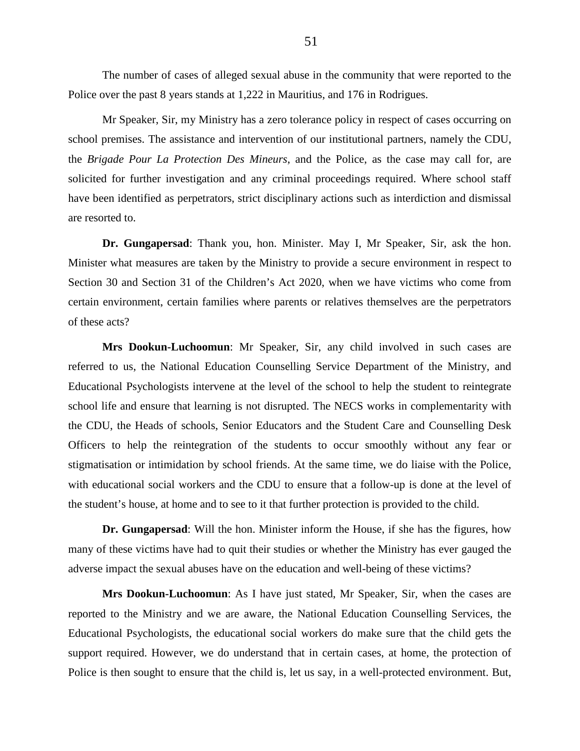The number of cases of alleged sexual abuse in the community that were reported to the Police over the past 8 years stands at 1,222 in Mauritius, and 176 in Rodrigues.

Mr Speaker, Sir, my Ministry has a zero tolerance policy in respect of cases occurring on school premises. The assistance and intervention of our institutional partners, namely the CDU, the *Brigade Pour La Protection Des Mineurs*, and the Police, as the case may call for, are solicited for further investigation and any criminal proceedings required. Where school staff have been identified as perpetrators, strict disciplinary actions such as interdiction and dismissal are resorted to.

**Dr. Gungapersad**: Thank you, hon. Minister. May I, Mr Speaker, Sir, ask the hon. Minister what measures are taken by the Ministry to provide a secure environment in respect to Section 30 and Section 31 of the Children's Act 2020, when we have victims who come from certain environment, certain families where parents or relatives themselves are the perpetrators of these acts?

**Mrs Dookun-Luchoomun**: Mr Speaker, Sir, any child involved in such cases are referred to us, the National Education Counselling Service Department of the Ministry, and Educational Psychologists intervene at the level of the school to help the student to reintegrate school life and ensure that learning is not disrupted. The NECS works in complementarity with the CDU, the Heads of schools, Senior Educators and the Student Care and Counselling Desk Officers to help the reintegration of the students to occur smoothly without any fear or stigmatisation or intimidation by school friends. At the same time, we do liaise with the Police, with educational social workers and the CDU to ensure that a follow-up is done at the level of the student's house, at home and to see to it that further protection is provided to the child.

**Dr. Gungapersad**: Will the hon. Minister inform the House, if she has the figures, how many of these victims have had to quit their studies or whether the Ministry has ever gauged the adverse impact the sexual abuses have on the education and well-being of these victims?

**Mrs Dookun-Luchoomun**: As I have just stated, Mr Speaker, Sir, when the cases are reported to the Ministry and we are aware, the National Education Counselling Services, the Educational Psychologists, the educational social workers do make sure that the child gets the support required. However, we do understand that in certain cases, at home, the protection of Police is then sought to ensure that the child is, let us say, in a well-protected environment. But,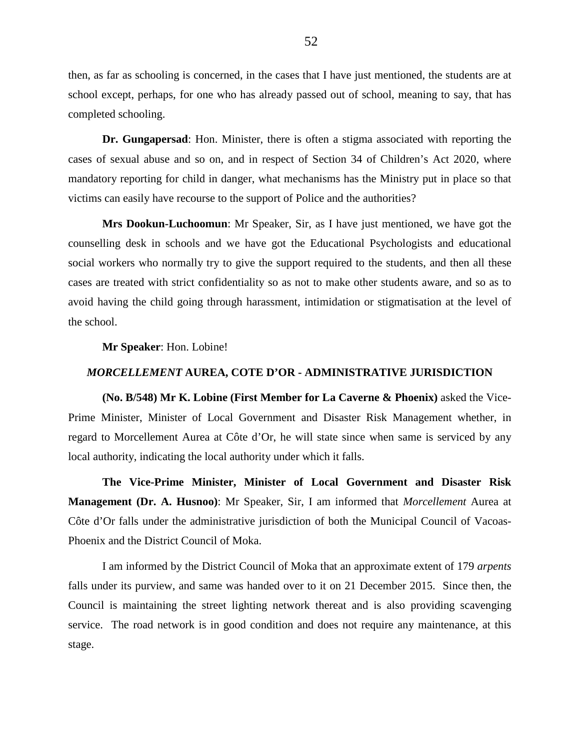then, as far as schooling is concerned, in the cases that I have just mentioned, the students are at school except, perhaps, for one who has already passed out of school, meaning to say, that has completed schooling.

**Dr. Gungapersad**: Hon. Minister, there is often a stigma associated with reporting the cases of sexual abuse and so on, and in respect of Section 34 of Children's Act 2020, where mandatory reporting for child in danger, what mechanisms has the Ministry put in place so that victims can easily have recourse to the support of Police and the authorities?

**Mrs Dookun-Luchoomun**: Mr Speaker, Sir, as I have just mentioned, we have got the counselling desk in schools and we have got the Educational Psychologists and educational social workers who normally try to give the support required to the students, and then all these cases are treated with strict confidentiality so as not to make other students aware, and so as to avoid having the child going through harassment, intimidation or stigmatisation at the level of the school.

**Mr Speaker**: Hon. Lobine!

#### *MORCELLEMENT* **AUREA, COTE D'OR - ADMINISTRATIVE JURISDICTION**

**(No. B/548) Mr K. Lobine (First Member for La Caverne & Phoenix)** asked the Vice-Prime Minister, Minister of Local Government and Disaster Risk Management whether, in regard to Morcellement Aurea at Côte d'Or, he will state since when same is serviced by any local authority, indicating the local authority under which it falls.

**The Vice-Prime Minister, Minister of Local Government and Disaster Risk Management (Dr. A. Husnoo)**: Mr Speaker, Sir, I am informed that *Morcellement* Aurea at Côte d'Or falls under the administrative jurisdiction of both the Municipal Council of Vacoas-Phoenix and the District Council of Moka.

I am informed by the District Council of Moka that an approximate extent of 179 *arpents* falls under its purview, and same was handed over to it on 21 December 2015. Since then, the Council is maintaining the street lighting network thereat and is also providing scavenging service. The road network is in good condition and does not require any maintenance, at this stage.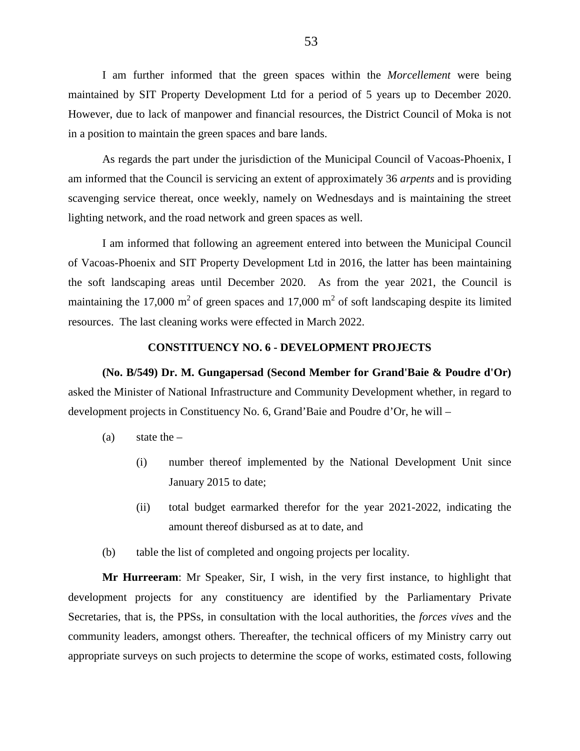I am further informed that the green spaces within the *Morcellement* were being maintained by SIT Property Development Ltd for a period of 5 years up to December 2020. However, due to lack of manpower and financial resources, the District Council of Moka is not in a position to maintain the green spaces and bare lands.

As regards the part under the jurisdiction of the Municipal Council of Vacoas-Phoenix, I am informed that the Council is servicing an extent of approximately 36 *arpents* and is providing scavenging service thereat, once weekly, namely on Wednesdays and is maintaining the street lighting network, and the road network and green spaces as well.

I am informed that following an agreement entered into between the Municipal Council of Vacoas-Phoenix and SIT Property Development Ltd in 2016, the latter has been maintaining the soft landscaping areas until December 2020. As from the year 2021, the Council is maintaining the 17,000  $m^2$  of green spaces and 17,000  $m^2$  of soft landscaping despite its limited resources. The last cleaning works were effected in March 2022.

#### **CONSTITUENCY NO. 6 - DEVELOPMENT PROJECTS**

**(No. B/549) Dr. M. Gungapersad (Second Member for Grand'Baie & Poudre d'Or)** asked the Minister of National Infrastructure and Community Development whether, in regard to development projects in Constituency No. 6, Grand'Baie and Poudre d'Or, he will –

- (a) state the  $-$ 
	- (i) number thereof implemented by the National Development Unit since January 2015 to date;
	- (ii) total budget earmarked therefor for the year 2021-2022, indicating the amount thereof disbursed as at to date, and
- (b) table the list of completed and ongoing projects per locality.

**Mr Hurreeram**: Mr Speaker, Sir, I wish, in the very first instance, to highlight that development projects for any constituency are identified by the Parliamentary Private Secretaries, that is, the PPSs, in consultation with the local authorities, the *forces vives* and the community leaders, amongst others. Thereafter, the technical officers of my Ministry carry out appropriate surveys on such projects to determine the scope of works, estimated costs, following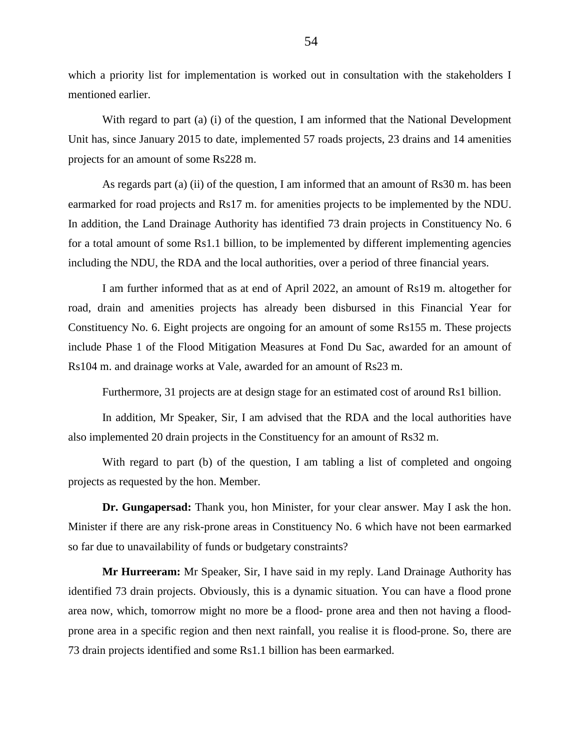which a priority list for implementation is worked out in consultation with the stakeholders I mentioned earlier.

With regard to part (a) (i) of the question, I am informed that the National Development Unit has, since January 2015 to date, implemented 57 roads projects, 23 drains and 14 amenities projects for an amount of some Rs228 m.

As regards part (a) (ii) of the question, I am informed that an amount of Rs30 m. has been earmarked for road projects and Rs17 m. for amenities projects to be implemented by the NDU. In addition, the Land Drainage Authority has identified 73 drain projects in Constituency No. 6 for a total amount of some Rs1.1 billion, to be implemented by different implementing agencies including the NDU, the RDA and the local authorities, over a period of three financial years.

I am further informed that as at end of April 2022, an amount of Rs19 m. altogether for road, drain and amenities projects has already been disbursed in this Financial Year for Constituency No. 6. Eight projects are ongoing for an amount of some Rs155 m. These projects include Phase 1 of the Flood Mitigation Measures at Fond Du Sac, awarded for an amount of Rs104 m. and drainage works at Vale, awarded for an amount of Rs23 m.

Furthermore, 31 projects are at design stage for an estimated cost of around Rs1 billion.

In addition, Mr Speaker, Sir, I am advised that the RDA and the local authorities have also implemented 20 drain projects in the Constituency for an amount of Rs32 m.

With regard to part (b) of the question, I am tabling a list of completed and ongoing projects as requested by the hon. Member.

**Dr. Gungapersad:** Thank you, hon Minister, for your clear answer. May I ask the hon. Minister if there are any risk-prone areas in Constituency No. 6 which have not been earmarked so far due to unavailability of funds or budgetary constraints?

**Mr Hurreeram:** Mr Speaker, Sir, I have said in my reply. Land Drainage Authority has identified 73 drain projects. Obviously, this is a dynamic situation. You can have a flood prone area now, which, tomorrow might no more be a flood- prone area and then not having a floodprone area in a specific region and then next rainfall, you realise it is flood-prone. So, there are 73 drain projects identified and some Rs1.1 billion has been earmarked.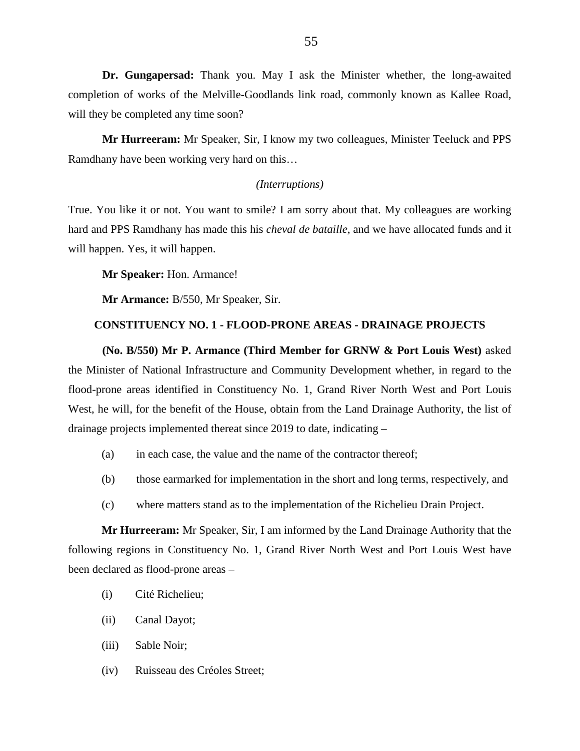**Dr. Gungapersad:** Thank you. May I ask the Minister whether, the long-awaited completion of works of the Melville-Goodlands link road, commonly known as Kallee Road, will they be completed any time soon?

**Mr Hurreeram:** Mr Speaker, Sir, I know my two colleagues, Minister Teeluck and PPS Ramdhany have been working very hard on this…

#### *(Interruptions)*

True. You like it or not. You want to smile? I am sorry about that. My colleagues are working hard and PPS Ramdhany has made this his *cheval de bataille*, and we have allocated funds and it will happen. Yes, it will happen.

**Mr Speaker:** Hon. Armance!

**Mr Armance:** B/550, Mr Speaker, Sir.

# **CONSTITUENCY NO. 1 - FLOOD-PRONE AREAS - DRAINAGE PROJECTS**

**(No. B/550) Mr P. Armance (Third Member for GRNW & Port Louis West)** asked the Minister of National Infrastructure and Community Development whether, in regard to the flood-prone areas identified in Constituency No. 1, Grand River North West and Port Louis West, he will, for the benefit of the House, obtain from the Land Drainage Authority, the list of drainage projects implemented thereat since 2019 to date, indicating –

- (a) in each case, the value and the name of the contractor thereof;
- (b) those earmarked for implementation in the short and long terms, respectively, and
- (c) where matters stand as to the implementation of the Richelieu Drain Project.

**Mr Hurreeram:** Mr Speaker, Sir, I am informed by the Land Drainage Authority that the following regions in Constituency No. 1, Grand River North West and Port Louis West have been declared as flood-prone areas –

- (i) Cité Richelieu;
- (ii) Canal Dayot;
- (iii) Sable Noir;
- (iv) Ruisseau des Créoles Street;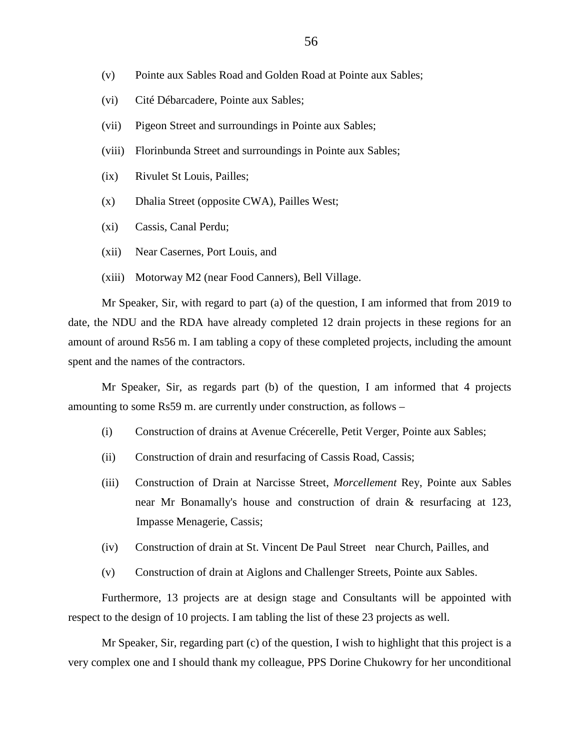- (v) Pointe aux Sables Road and Golden Road at Pointe aux Sables;
- (vi) Cité Débarcadere, Pointe aux Sables;
- (vii) Pigeon Street and surroundings in Pointe aux Sables;
- (viii) Florinbunda Street and surroundings in Pointe aux Sables;
- (ix) Rivulet St Louis, Pailles;
- (x) Dhalia Street (opposite CWA), Pailles West;
- (xi) Cassis, Canal Perdu;
- (xii) Near Casernes, Port Louis, and
- (xiii) Motorway M2 (near Food Canners), Bell Village.

Mr Speaker, Sir, with regard to part (a) of the question, I am informed that from 2019 to date, the NDU and the RDA have already completed 12 drain projects in these regions for an amount of around Rs56 m. I am tabling a copy of these completed projects, including the amount spent and the names of the contractors.

Mr Speaker, Sir, as regards part (b) of the question, I am informed that 4 projects amounting to some Rs59 m. are currently under construction, as follows –

- (i) Construction of drains at Avenue Crécerelle, Petit Verger, Pointe aux Sables;
- (ii) Construction of drain and resurfacing of Cassis Road, Cassis;
- (iii) Construction of Drain at Narcisse Street, *Morcellement* Rey, Pointe aux Sables near Mr Bonamally's house and construction of drain & resurfacing at 123, Impasse Menagerie, Cassis;
- (iv) Construction of drain at St. Vincent De Paul Street near Church, Pailles, and
- (v) Construction of drain at Aiglons and Challenger Streets, Pointe aux Sables.

Furthermore, 13 projects are at design stage and Consultants will be appointed with respect to the design of 10 projects. I am tabling the list of these 23 projects as well.

Mr Speaker, Sir, regarding part (c) of the question, I wish to highlight that this project is a very complex one and I should thank my colleague, PPS Dorine Chukowry for her unconditional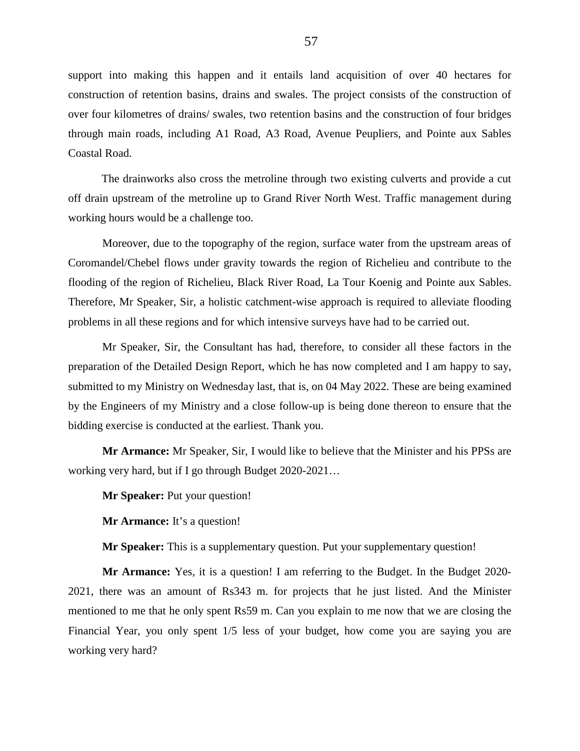support into making this happen and it entails land acquisition of over 40 hectares for construction of retention basins, drains and swales. The project consists of the construction of over four kilometres of drains/ swales, two retention basins and the construction of four bridges through main roads, including A1 Road, A3 Road, Avenue Peupliers, and Pointe aux Sables Coastal Road.

The drainworks also cross the metroline through two existing culverts and provide a cut off drain upstream of the metroline up to Grand River North West. Traffic management during working hours would be a challenge too.

Moreover, due to the topography of the region, surface water from the upstream areas of Coromandel/Chebel flows under gravity towards the region of Richelieu and contribute to the flooding of the region of Richelieu, Black River Road, La Tour Koenig and Pointe aux Sables. Therefore, Mr Speaker, Sir, a holistic catchment-wise approach is required to alleviate flooding problems in all these regions and for which intensive surveys have had to be carried out.

Mr Speaker, Sir, the Consultant has had, therefore, to consider all these factors in the preparation of the Detailed Design Report, which he has now completed and I am happy to say, submitted to my Ministry on Wednesday last, that is, on 04 May 2022. These are being examined by the Engineers of my Ministry and a close follow-up is being done thereon to ensure that the bidding exercise is conducted at the earliest. Thank you.

**Mr Armance:** Mr Speaker, Sir, I would like to believe that the Minister and his PPSs are working very hard, but if I go through Budget 2020-2021…

**Mr Speaker:** Put your question!

**Mr Armance:** It's a question!

**Mr Speaker:** This is a supplementary question. Put your supplementary question!

**Mr Armance:** Yes, it is a question! I am referring to the Budget. In the Budget 2020- 2021, there was an amount of Rs343 m. for projects that he just listed. And the Minister mentioned to me that he only spent Rs59 m. Can you explain to me now that we are closing the Financial Year, you only spent 1/5 less of your budget, how come you are saying you are working very hard?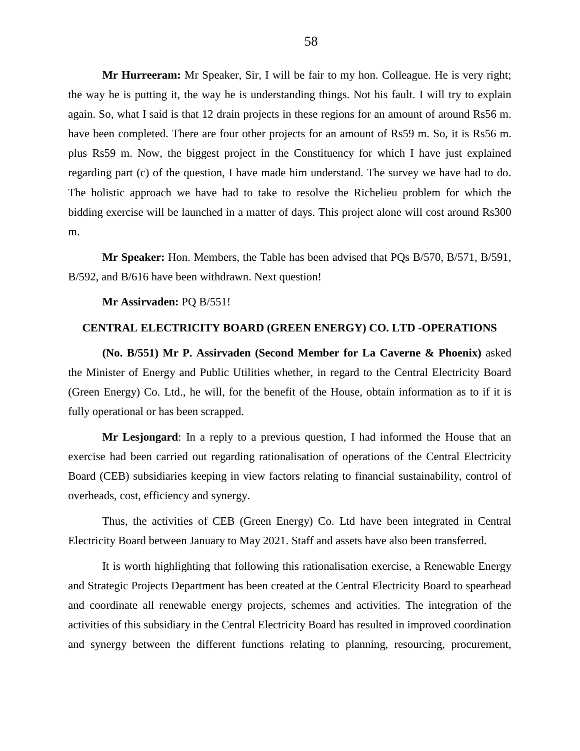**Mr Hurreeram:** Mr Speaker, Sir, I will be fair to my hon. Colleague. He is very right; the way he is putting it, the way he is understanding things. Not his fault. I will try to explain again. So, what I said is that 12 drain projects in these regions for an amount of around Rs56 m. have been completed. There are four other projects for an amount of Rs59 m. So, it is Rs56 m. plus Rs59 m. Now, the biggest project in the Constituency for which I have just explained regarding part (c) of the question, I have made him understand. The survey we have had to do. The holistic approach we have had to take to resolve the Richelieu problem for which the bidding exercise will be launched in a matter of days. This project alone will cost around Rs300 m.

**Mr Speaker:** Hon. Members, the Table has been advised that PQs B/570, B/571, B/591, B/592, and B/616 have been withdrawn. Next question!

**Mr Assirvaden:** PQ B/551!

# **CENTRAL ELECTRICITY BOARD (GREEN ENERGY) CO. LTD -OPERATIONS**

**(No. B/551) Mr P. Assirvaden (Second Member for La Caverne & Phoenix)** asked the Minister of Energy and Public Utilities whether, in regard to the Central Electricity Board (Green Energy) Co. Ltd., he will, for the benefit of the House, obtain information as to if it is fully operational or has been scrapped.

**Mr Lesjongard**: In a reply to a previous question, I had informed the House that an exercise had been carried out regarding rationalisation of operations of the Central Electricity Board (CEB) subsidiaries keeping in view factors relating to financial sustainability, control of overheads, cost, efficiency and synergy.

Thus, the activities of CEB (Green Energy) Co. Ltd have been integrated in Central Electricity Board between January to May 2021. Staff and assets have also been transferred.

It is worth highlighting that following this rationalisation exercise, a Renewable Energy and Strategic Projects Department has been created at the Central Electricity Board to spearhead and coordinate all renewable energy projects, schemes and activities. The integration of the activities of this subsidiary in the Central Electricity Board has resulted in improved coordination and synergy between the different functions relating to planning, resourcing, procurement,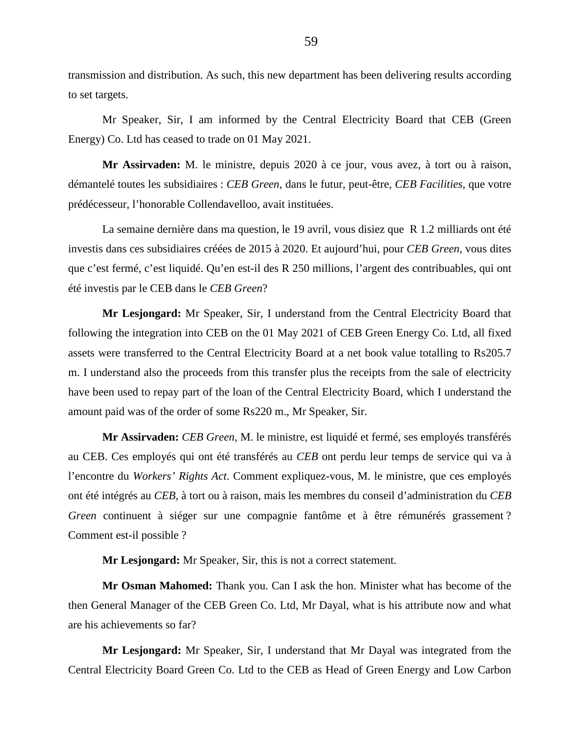transmission and distribution. As such, this new department has been delivering results according to set targets.

Mr Speaker, Sir, I am informed by the Central Electricity Board that CEB (Green Energy) Co. Ltd has ceased to trade on 01 May 2021.

**Mr Assirvaden:** M. le ministre, depuis 2020 à ce jour, vous avez, à tort ou à raison, démantelé toutes les subsidiaires : *CEB Green,* dans le futur, peut-être, *CEB Facilities*, que votre prédécesseur, l'honorable Collendavelloo, avait instituées.

La semaine dernière dans ma question, le 19 avril, vous disiez que R 1.2 milliards ont été investis dans ces subsidiaires créées de 2015 à 2020. Et aujourd'hui, pour *CEB Green*, vous dites que c'est fermé, c'est liquidé. Qu'en est-il des R 250 millions, l'argent des contribuables, qui ont été investis par le CEB dans le *CEB Green*?

**Mr Lesjongard:** Mr Speaker, Sir, I understand from the Central Electricity Board that following the integration into CEB on the 01 May 2021 of CEB Green Energy Co. Ltd, all fixed assets were transferred to the Central Electricity Board at a net book value totalling to Rs205.7 m. I understand also the proceeds from this transfer plus the receipts from the sale of electricity have been used to repay part of the loan of the Central Electricity Board, which I understand the amount paid was of the order of some Rs220 m., Mr Speaker, Sir.

**Mr Assirvaden:** *CEB Green*, M. le ministre, est liquidé et fermé, ses employés transférés au CEB. Ces employés qui ont été transférés au *CEB* ont perdu leur temps de service qui va à l'encontre du *Workers' Rights Act*. Comment expliquez-vous, M. le ministre, que ces employés ont été intégrés au *CEB*, à tort ou à raison, mais les membres du conseil d'administration du *CEB Green* continuent à siéger sur une compagnie fantôme et à être rémunérés grassement ? Comment est-il possible ?

**Mr Lesjongard:** Mr Speaker, Sir, this is not a correct statement.

**Mr Osman Mahomed:** Thank you. Can I ask the hon. Minister what has become of the then General Manager of the CEB Green Co. Ltd, Mr Dayal, what is his attribute now and what are his achievements so far?

**Mr Lesjongard:** Mr Speaker, Sir, I understand that Mr Dayal was integrated from the Central Electricity Board Green Co. Ltd to the CEB as Head of Green Energy and Low Carbon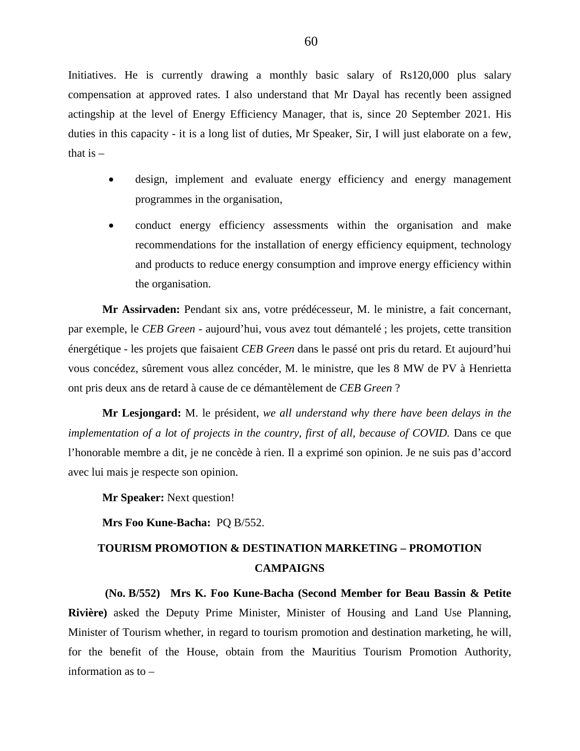Initiatives. He is currently drawing a monthly basic salary of Rs120,000 plus salary compensation at approved rates. I also understand that Mr Dayal has recently been assigned actingship at the level of Energy Efficiency Manager, that is, since 20 September 2021. His duties in this capacity - it is a long list of duties, Mr Speaker, Sir, I will just elaborate on a few, that is  $-$ 

- design, implement and evaluate energy efficiency and energy management programmes in the organisation,
- conduct energy efficiency assessments within the organisation and make recommendations for the installation of energy efficiency equipment, technology and products to reduce energy consumption and improve energy efficiency within the organisation.

**Mr Assirvaden:** Pendant six ans, votre prédécesseur, M. le ministre, a fait concernant, par exemple, le *CEB Green* - aujourd'hui, vous avez tout démantelé ; les projets, cette transition énergétique - les projets que faisaient *CEB Green* dans le passé ont pris du retard. Et aujourd'hui vous concédez, sûrement vous allez concéder, M. le ministre, que les 8 MW de PV à Henrietta ont pris deux ans de retard à cause de ce démantèlement de *CEB Green* ?

**Mr Lesjongard:** M. le président, *we all understand why there have been delays in the implementation of a lot of projects in the country, first of all, because of COVID.* Dans ce que l'honorable membre a dit, je ne concède à rien. Il a exprimé son opinion. Je ne suis pas d'accord avec lui mais je respecte son opinion.

**Mr Speaker:** Next question!

**Mrs Foo Kune-Bacha:** PQ B/552.

# **TOURISM PROMOTION & DESTINATION MARKETING – PROMOTION CAMPAIGNS**

**(No. B/552) Mrs K. Foo Kune-Bacha (Second Member for Beau Bassin & Petite Rivière)** asked the Deputy Prime Minister, Minister of Housing and Land Use Planning, Minister of Tourism whether, in regard to tourism promotion and destination marketing, he will, for the benefit of the House, obtain from the Mauritius Tourism Promotion Authority, information as to –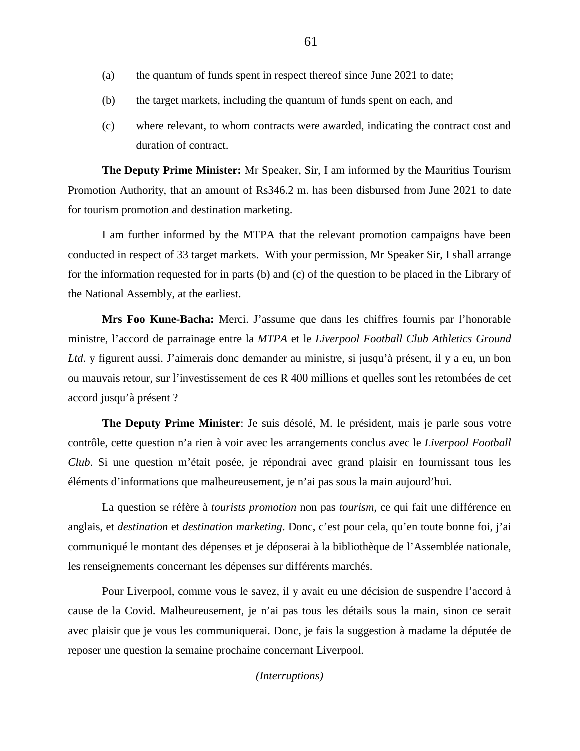- (a) the quantum of funds spent in respect thereof since June 2021 to date;
- (b) the target markets, including the quantum of funds spent on each, and
- (c) where relevant, to whom contracts were awarded, indicating the contract cost and duration of contract.

**The Deputy Prime Minister:** Mr Speaker, Sir, I am informed by the Mauritius Tourism Promotion Authority, that an amount of Rs346.2 m. has been disbursed from June 2021 to date for tourism promotion and destination marketing.

I am further informed by the MTPA that the relevant promotion campaigns have been conducted in respect of 33 target markets. With your permission, Mr Speaker Sir, I shall arrange for the information requested for in parts (b) and (c) of the question to be placed in the Library of the National Assembly, at the earliest.

**Mrs Foo Kune-Bacha:** Merci. J'assume que dans les chiffres fournis par l'honorable ministre, l'accord de parrainage entre la *MTPA* et le *Liverpool Football Club Athletics Ground Ltd*. y figurent aussi. J'aimerais donc demander au ministre, si jusqu'à présent, il y a eu, un bon ou mauvais retour, sur l'investissement de ces R 400 millions et quelles sont les retombées de cet accord jusqu'à présent ?

**The Deputy Prime Minister**: Je suis désolé, M. le président, mais je parle sous votre contrôle, cette question n'a rien à voir avec les arrangements conclus avec le *Liverpool Football Club*. Si une question m'était posée, je répondrai avec grand plaisir en fournissant tous les éléments d'informations que malheureusement, je n'ai pas sous la main aujourd'hui.

La question se réfère à *tourists promotion* non pas *tourism,* ce qui fait une différence en anglais, et *destination* et *destination marketing*. Donc, c'est pour cela, qu'en toute bonne foi, j'ai communiqué le montant des dépenses et je déposerai à la bibliothèque de l'Assemblée nationale, les renseignements concernant les dépenses sur différents marchés.

Pour Liverpool, comme vous le savez, il y avait eu une décision de suspendre l'accord à cause de la Covid. Malheureusement, je n'ai pas tous les détails sous la main, sinon ce serait avec plaisir que je vous les communiquerai. Donc, je fais la suggestion à madame la députée de reposer une question la semaine prochaine concernant Liverpool.

*(Interruptions)*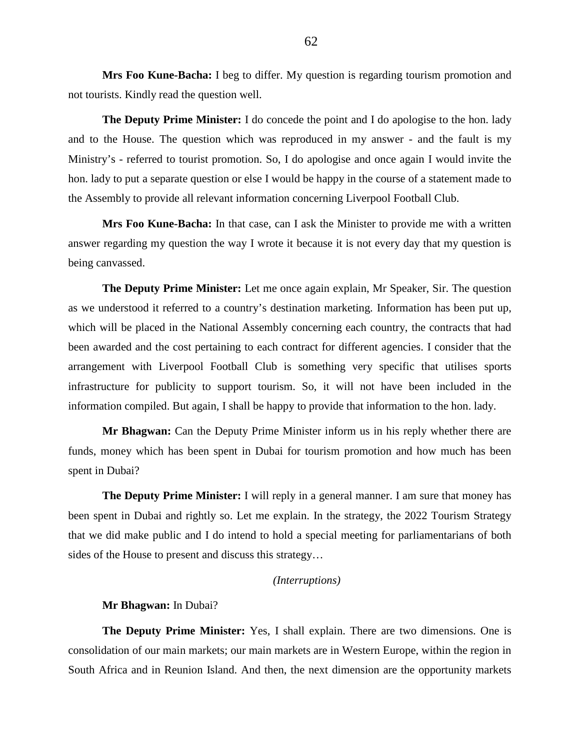**Mrs Foo Kune-Bacha:** I beg to differ. My question is regarding tourism promotion and not tourists. Kindly read the question well.

**The Deputy Prime Minister:** I do concede the point and I do apologise to the hon. lady and to the House. The question which was reproduced in my answer - and the fault is my Ministry's - referred to tourist promotion. So, I do apologise and once again I would invite the hon. lady to put a separate question or else I would be happy in the course of a statement made to the Assembly to provide all relevant information concerning Liverpool Football Club.

**Mrs Foo Kune-Bacha:** In that case, can I ask the Minister to provide me with a written answer regarding my question the way I wrote it because it is not every day that my question is being canvassed.

**The Deputy Prime Minister:** Let me once again explain, Mr Speaker, Sir. The question as we understood it referred to a country's destination marketing. Information has been put up, which will be placed in the National Assembly concerning each country, the contracts that had been awarded and the cost pertaining to each contract for different agencies. I consider that the arrangement with Liverpool Football Club is something very specific that utilises sports infrastructure for publicity to support tourism. So, it will not have been included in the information compiled. But again, I shall be happy to provide that information to the hon. lady.

**Mr Bhagwan:** Can the Deputy Prime Minister inform us in his reply whether there are funds, money which has been spent in Dubai for tourism promotion and how much has been spent in Dubai?

**The Deputy Prime Minister:** I will reply in a general manner. I am sure that money has been spent in Dubai and rightly so. Let me explain. In the strategy, the 2022 Tourism Strategy that we did make public and I do intend to hold a special meeting for parliamentarians of both sides of the House to present and discuss this strategy…

# *(Interruptions)*

# **Mr Bhagwan:** In Dubai?

**The Deputy Prime Minister:** Yes, I shall explain. There are two dimensions. One is consolidation of our main markets; our main markets are in Western Europe, within the region in South Africa and in Reunion Island. And then, the next dimension are the opportunity markets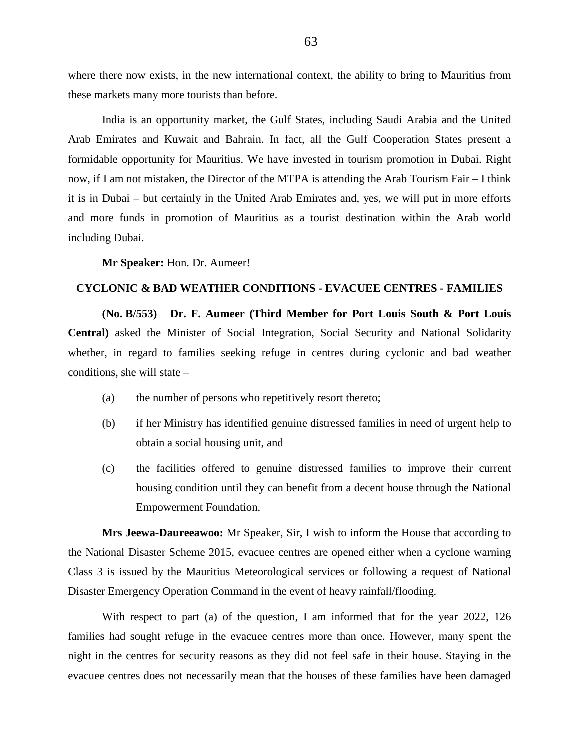where there now exists, in the new international context, the ability to bring to Mauritius from these markets many more tourists than before.

India is an opportunity market, the Gulf States, including Saudi Arabia and the United Arab Emirates and Kuwait and Bahrain. In fact, all the Gulf Cooperation States present a formidable opportunity for Mauritius. We have invested in tourism promotion in Dubai. Right now, if I am not mistaken, the Director of the MTPA is attending the Arab Tourism Fair – I think it is in Dubai – but certainly in the United Arab Emirates and, yes, we will put in more efforts and more funds in promotion of Mauritius as a tourist destination within the Arab world including Dubai.

**Mr Speaker:** Hon. Dr. Aumeer!

# **CYCLONIC & BAD WEATHER CONDITIONS - EVACUEE CENTRES - FAMILIES**

**(No. B/553) Dr. F. Aumeer (Third Member for Port Louis South & Port Louis Central)** asked the Minister of Social Integration, Social Security and National Solidarity whether, in regard to families seeking refuge in centres during cyclonic and bad weather conditions, she will state –

- (a) the number of persons who repetitively resort thereto;
- (b) if her Ministry has identified genuine distressed families in need of urgent help to obtain a social housing unit, and
- (c) the facilities offered to genuine distressed families to improve their current housing condition until they can benefit from a decent house through the National Empowerment Foundation.

**Mrs Jeewa-Daureeawoo:** Mr Speaker, Sir, I wish to inform the House that according to the National Disaster Scheme 2015, evacuee centres are opened either when a cyclone warning Class 3 is issued by the Mauritius Meteorological services or following a request of National Disaster Emergency Operation Command in the event of heavy rainfall/flooding.

With respect to part (a) of the question, I am informed that for the year 2022, 126 families had sought refuge in the evacuee centres more than once. However, many spent the night in the centres for security reasons as they did not feel safe in their house. Staying in the evacuee centres does not necessarily mean that the houses of these families have been damaged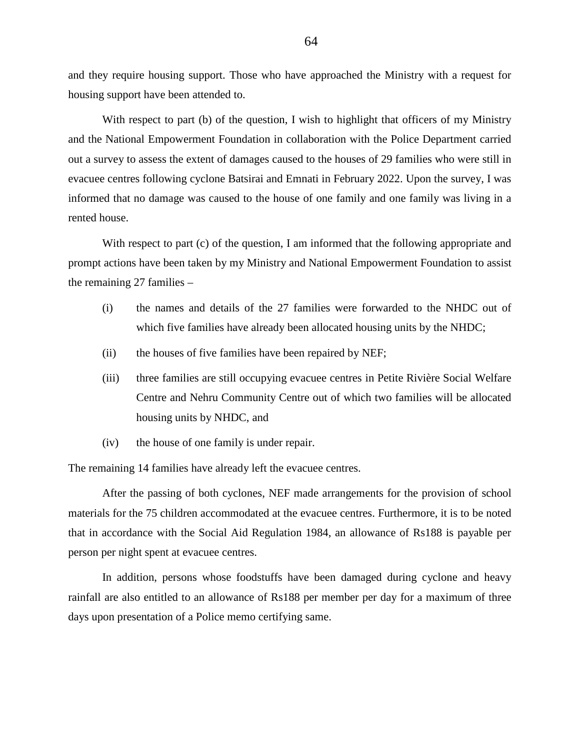and they require housing support. Those who have approached the Ministry with a request for housing support have been attended to.

With respect to part (b) of the question, I wish to highlight that officers of my Ministry and the National Empowerment Foundation in collaboration with the Police Department carried out a survey to assess the extent of damages caused to the houses of 29 families who were still in evacuee centres following cyclone Batsirai and Emnati in February 2022. Upon the survey, I was informed that no damage was caused to the house of one family and one family was living in a rented house.

With respect to part (c) of the question, I am informed that the following appropriate and prompt actions have been taken by my Ministry and National Empowerment Foundation to assist the remaining 27 families –

- (i) the names and details of the 27 families were forwarded to the NHDC out of which five families have already been allocated housing units by the NHDC;
- (ii) the houses of five families have been repaired by NEF;
- (iii) three families are still occupying evacuee centres in Petite Rivière Social Welfare Centre and Nehru Community Centre out of which two families will be allocated housing units by NHDC, and
- (iv) the house of one family is under repair.

The remaining 14 families have already left the evacuee centres.

After the passing of both cyclones, NEF made arrangements for the provision of school materials for the 75 children accommodated at the evacuee centres. Furthermore, it is to be noted that in accordance with the Social Aid Regulation 1984, an allowance of Rs188 is payable per person per night spent at evacuee centres.

In addition, persons whose foodstuffs have been damaged during cyclone and heavy rainfall are also entitled to an allowance of Rs188 per member per day for a maximum of three days upon presentation of a Police memo certifying same.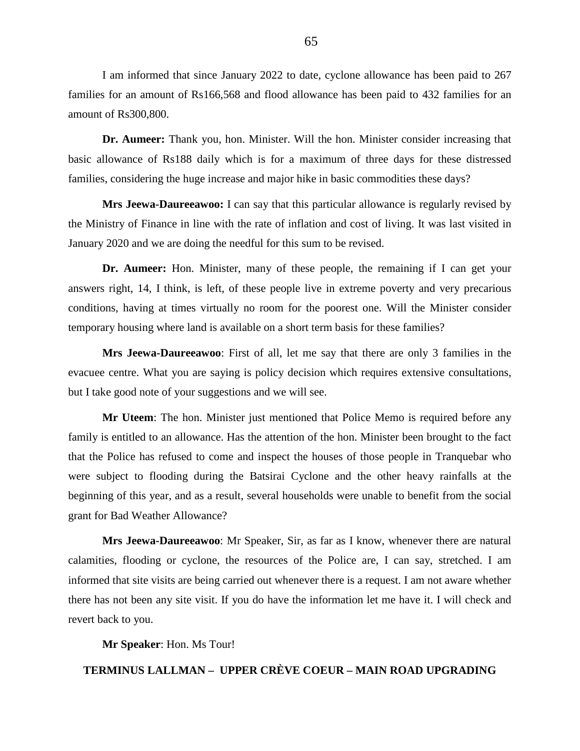I am informed that since January 2022 to date, cyclone allowance has been paid to 267 families for an amount of Rs166,568 and flood allowance has been paid to 432 families for an amount of Rs300,800.

**Dr. Aumeer:** Thank you, hon. Minister. Will the hon. Minister consider increasing that basic allowance of Rs188 daily which is for a maximum of three days for these distressed families, considering the huge increase and major hike in basic commodities these days?

**Mrs Jeewa-Daureeawoo:** I can say that this particular allowance is regularly revised by the Ministry of Finance in line with the rate of inflation and cost of living. It was last visited in January 2020 and we are doing the needful for this sum to be revised.

**Dr. Aumeer:** Hon. Minister, many of these people, the remaining if I can get your answers right, 14, I think, is left, of these people live in extreme poverty and very precarious conditions, having at times virtually no room for the poorest one. Will the Minister consider temporary housing where land is available on a short term basis for these families?

**Mrs Jeewa-Daureeawoo**: First of all, let me say that there are only 3 families in the evacuee centre. What you are saying is policy decision which requires extensive consultations, but I take good note of your suggestions and we will see.

**Mr Uteem**: The hon. Minister just mentioned that Police Memo is required before any family is entitled to an allowance. Has the attention of the hon. Minister been brought to the fact that the Police has refused to come and inspect the houses of those people in Tranquebar who were subject to flooding during the Batsirai Cyclone and the other heavy rainfalls at the beginning of this year, and as a result, several households were unable to benefit from the social grant for Bad Weather Allowance?

**Mrs Jeewa-Daureeawoo**: Mr Speaker, Sir, as far as I know, whenever there are natural calamities, flooding or cyclone, the resources of the Police are, I can say, stretched. I am informed that site visits are being carried out whenever there is a request. I am not aware whether there has not been any site visit. If you do have the information let me have it. I will check and revert back to you.

**Mr Speaker**: Hon. Ms Tour!

# **TERMINUS LALLMAN – UPPER CRÈVE COEUR – MAIN ROAD UPGRADING**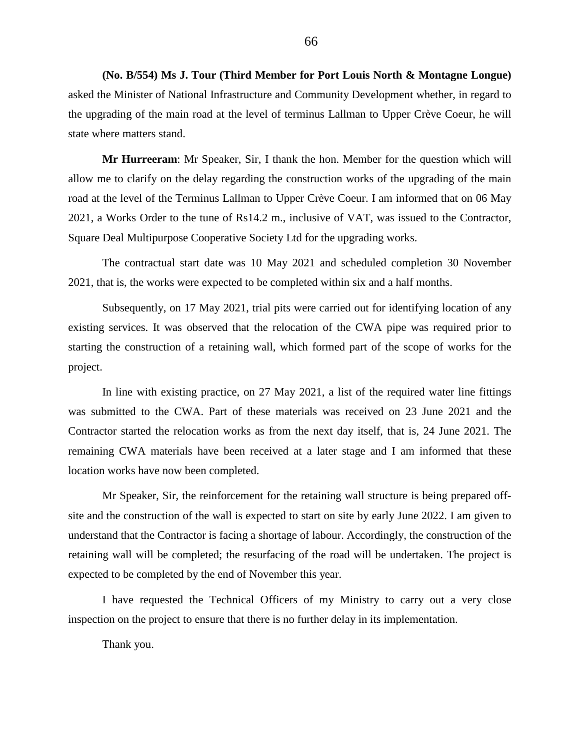**(No. B/554) Ms J. Tour (Third Member for Port Louis North & Montagne Longue)**  asked the Minister of National Infrastructure and Community Development whether, in regard to the upgrading of the main road at the level of terminus Lallman to Upper Crève Coeur, he will state where matters stand.

**Mr Hurreeram**: Mr Speaker, Sir, I thank the hon. Member for the question which will allow me to clarify on the delay regarding the construction works of the upgrading of the main road at the level of the Terminus Lallman to Upper Crève Coeur. I am informed that on 06 May 2021, a Works Order to the tune of Rs14.2 m., inclusive of VAT, was issued to the Contractor, Square Deal Multipurpose Cooperative Society Ltd for the upgrading works.

The contractual start date was 10 May 2021 and scheduled completion 30 November 2021, that is, the works were expected to be completed within six and a half months.

Subsequently, on 17 May 2021, trial pits were carried out for identifying location of any existing services. It was observed that the relocation of the CWA pipe was required prior to starting the construction of a retaining wall, which formed part of the scope of works for the project.

In line with existing practice, on 27 May 2021, a list of the required water line fittings was submitted to the CWA. Part of these materials was received on 23 June 2021 and the Contractor started the relocation works as from the next day itself, that is, 24 June 2021. The remaining CWA materials have been received at a later stage and I am informed that these location works have now been completed.

Mr Speaker, Sir, the reinforcement for the retaining wall structure is being prepared offsite and the construction of the wall is expected to start on site by early June 2022. I am given to understand that the Contractor is facing a shortage of labour. Accordingly, the construction of the retaining wall will be completed; the resurfacing of the road will be undertaken. The project is expected to be completed by the end of November this year.

I have requested the Technical Officers of my Ministry to carry out a very close inspection on the project to ensure that there is no further delay in its implementation.

Thank you.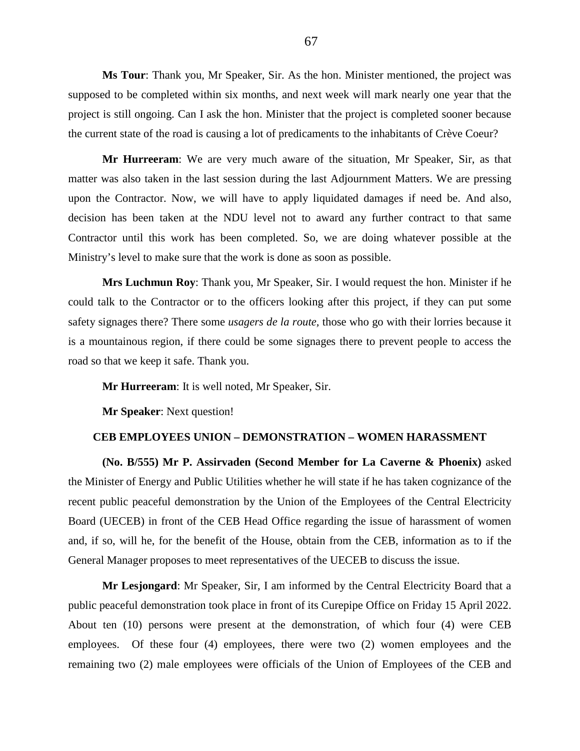**Ms Tour**: Thank you, Mr Speaker, Sir. As the hon. Minister mentioned, the project was supposed to be completed within six months, and next week will mark nearly one year that the project is still ongoing. Can I ask the hon. Minister that the project is completed sooner because the current state of the road is causing a lot of predicaments to the inhabitants of Crève Coeur?

**Mr Hurreeram**: We are very much aware of the situation, Mr Speaker, Sir, as that matter was also taken in the last session during the last Adjournment Matters. We are pressing upon the Contractor. Now, we will have to apply liquidated damages if need be. And also, decision has been taken at the NDU level not to award any further contract to that same Contractor until this work has been completed. So, we are doing whatever possible at the Ministry's level to make sure that the work is done as soon as possible.

**Mrs Luchmun Roy**: Thank you, Mr Speaker, Sir. I would request the hon. Minister if he could talk to the Contractor or to the officers looking after this project, if they can put some safety signages there? There some *usagers de la route,* those who go with their lorries because it is a mountainous region, if there could be some signages there to prevent people to access the road so that we keep it safe. Thank you.

**Mr Hurreeram**: It is well noted, Mr Speaker, Sir.

**Mr Speaker**: Next question!

## **CEB EMPLOYEES UNION – DEMONSTRATION – WOMEN HARASSMENT**

**(No. B/555) Mr P. Assirvaden (Second Member for La Caverne & Phoenix)** asked the Minister of Energy and Public Utilities whether he will state if he has taken cognizance of the recent public peaceful demonstration by the Union of the Employees of the Central Electricity Board (UECEB) in front of the CEB Head Office regarding the issue of harassment of women and, if so, will he, for the benefit of the House, obtain from the CEB, information as to if the General Manager proposes to meet representatives of the UECEB to discuss the issue.

**Mr Lesjongard**: Mr Speaker, Sir, I am informed by the Central Electricity Board that a public peaceful demonstration took place in front of its Curepipe Office on Friday 15 April 2022. About ten (10) persons were present at the demonstration, of which four (4) were CEB employees. Of these four (4) employees, there were two (2) women employees and the remaining two (2) male employees were officials of the Union of Employees of the CEB and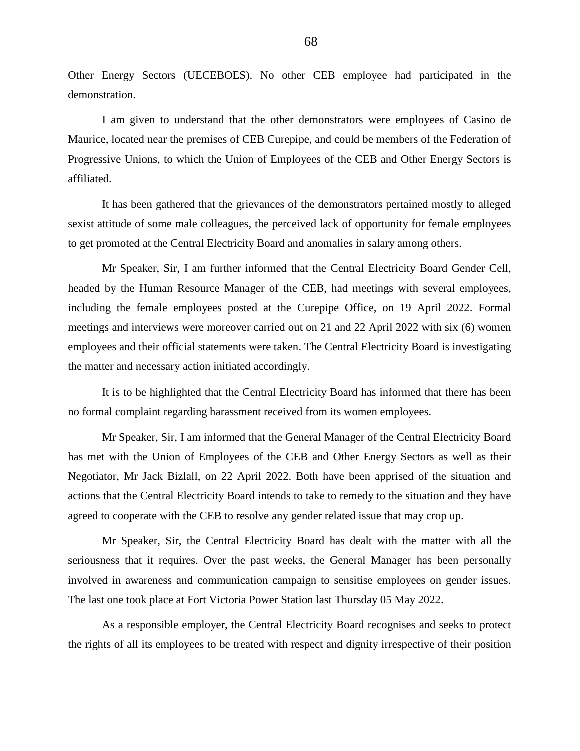Other Energy Sectors (UECEBOES). No other CEB employee had participated in the demonstration.

I am given to understand that the other demonstrators were employees of Casino de Maurice, located near the premises of CEB Curepipe, and could be members of the Federation of Progressive Unions, to which the Union of Employees of the CEB and Other Energy Sectors is affiliated.

It has been gathered that the grievances of the demonstrators pertained mostly to alleged sexist attitude of some male colleagues, the perceived lack of opportunity for female employees to get promoted at the Central Electricity Board and anomalies in salary among others.

Mr Speaker, Sir, I am further informed that the Central Electricity Board Gender Cell, headed by the Human Resource Manager of the CEB, had meetings with several employees, including the female employees posted at the Curepipe Office, on 19 April 2022. Formal meetings and interviews were moreover carried out on 21 and 22 April 2022 with six (6) women employees and their official statements were taken. The Central Electricity Board is investigating the matter and necessary action initiated accordingly.

It is to be highlighted that the Central Electricity Board has informed that there has been no formal complaint regarding harassment received from its women employees.

Mr Speaker, Sir, I am informed that the General Manager of the Central Electricity Board has met with the Union of Employees of the CEB and Other Energy Sectors as well as their Negotiator, Mr Jack Bizlall, on 22 April 2022. Both have been apprised of the situation and actions that the Central Electricity Board intends to take to remedy to the situation and they have agreed to cooperate with the CEB to resolve any gender related issue that may crop up.

Mr Speaker, Sir, the Central Electricity Board has dealt with the matter with all the seriousness that it requires. Over the past weeks, the General Manager has been personally involved in awareness and communication campaign to sensitise employees on gender issues. The last one took place at Fort Victoria Power Station last Thursday 05 May 2022.

As a responsible employer, the Central Electricity Board recognises and seeks to protect the rights of all its employees to be treated with respect and dignity irrespective of their position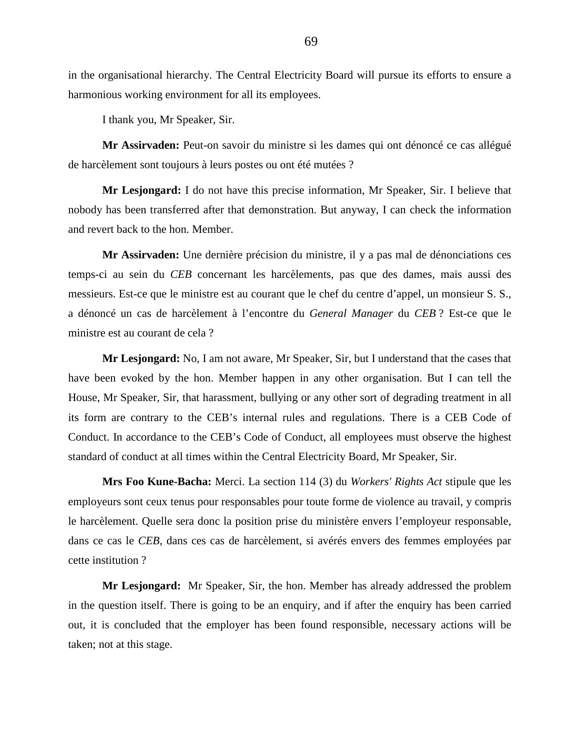in the organisational hierarchy. The Central Electricity Board will pursue its efforts to ensure a harmonious working environment for all its employees.

I thank you, Mr Speaker, Sir.

**Mr Assirvaden:** Peut-on savoir du ministre si les dames qui ont dénoncé ce cas allégué de harcèlement sont toujours à leurs postes ou ont été mutées ?

**Mr Lesjongard:** I do not have this precise information, Mr Speaker, Sir. I believe that nobody has been transferred after that demonstration. But anyway, I can check the information and revert back to the hon. Member.

**Mr Assirvaden:** Une dernière précision du ministre, il y a pas mal de dénonciations ces temps-ci au sein du *CEB* concernant les harcèlements, pas que des dames, mais aussi des messieurs. Est-ce que le ministre est au courant que le chef du centre d'appel, un monsieur S. S., a dénoncé un cas de harcèlement à l'encontre du *General Manager* du *CEB* ? Est-ce que le ministre est au courant de cela ?

**Mr Lesjongard:** No, I am not aware, Mr Speaker, Sir, but I understand that the cases that have been evoked by the hon. Member happen in any other organisation. But I can tell the House, Mr Speaker, Sir, that harassment, bullying or any other sort of degrading treatment in all its form are contrary to the CEB's internal rules and regulations. There is a CEB Code of Conduct. In accordance to the CEB's Code of Conduct, all employees must observe the highest standard of conduct at all times within the Central Electricity Board, Mr Speaker, Sir.

**Mrs Foo Kune-Bacha:** Merci. La section 114 (3) du *Workers' Rights Act* stipule que les employeurs sont ceux tenus pour responsables pour toute forme de violence au travail, y compris le harcèlement. Quelle sera donc la position prise du ministère envers l'employeur responsable, dans ce cas le *CEB*, dans ces cas de harcèlement, si avérés envers des femmes employées par cette institution ?

**Mr Lesjongard:** Mr Speaker, Sir, the hon. Member has already addressed the problem in the question itself. There is going to be an enquiry, and if after the enquiry has been carried out, it is concluded that the employer has been found responsible, necessary actions will be taken; not at this stage.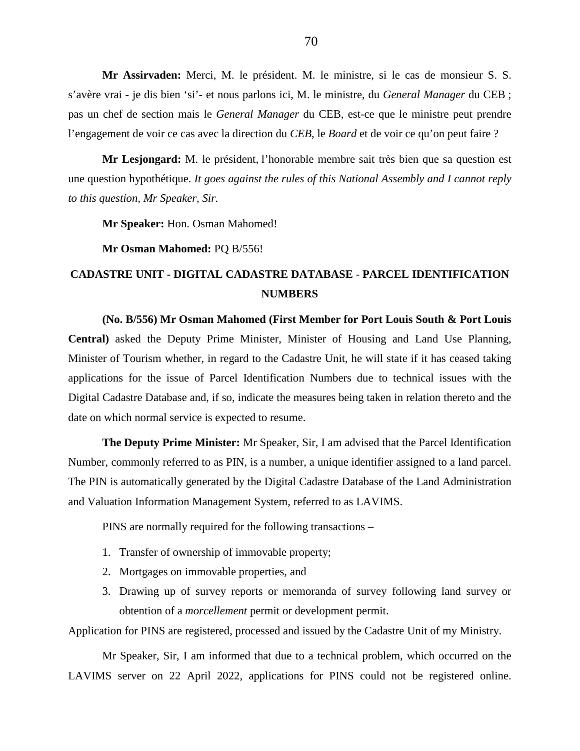**Mr Assirvaden:** Merci, M. le président. M. le ministre, si le cas de monsieur S. S. s'avère vrai - je dis bien 'si'- et nous parlons ici, M. le ministre, du *General Manager* du CEB ; pas un chef de section mais le *General Manager* du CEB, est-ce que le ministre peut prendre l'engagement de voir ce cas avec la direction du *CEB*, le *Board* et de voir ce qu'on peut faire ?

**Mr Lesjongard:** M. le président, l'honorable membre sait très bien que sa question est une question hypothétique. *It goes against the rules of this National Assembly and I cannot reply to this question, Mr Speaker, Sir.*

**Mr Speaker:** Hon. Osman Mahomed!

**Mr Osman Mahomed:** PQ B/556!

# **CADASTRE UNIT - DIGITAL CADASTRE DATABASE** - **PARCEL IDENTIFICATION NUMBERS**

**(No. B/556) Mr Osman Mahomed (First Member for Port Louis South & Port Louis Central)** asked the Deputy Prime Minister, Minister of Housing and Land Use Planning, Minister of Tourism whether, in regard to the Cadastre Unit, he will state if it has ceased taking applications for the issue of Parcel Identification Numbers due to technical issues with the Digital Cadastre Database and, if so, indicate the measures being taken in relation thereto and the date on which normal service is expected to resume.

**The Deputy Prime Minister:** Mr Speaker, Sir, I am advised that the Parcel Identification Number, commonly referred to as PIN, is a number, a unique identifier assigned to a land parcel. The PIN is automatically generated by the Digital Cadastre Database of the Land Administration and Valuation Information Management System, referred to as LAVIMS.

PINS are normally required for the following transactions –

- 1. Transfer of ownership of immovable property;
- 2. Mortgages on immovable properties, and
- 3. Drawing up of survey reports or memoranda of survey following land survey or obtention of a *morcellement* permit or development permit.

Application for PINS are registered, processed and issued by the Cadastre Unit of my Ministry.

Mr Speaker, Sir, I am informed that due to a technical problem, which occurred on the LAVIMS server on 22 April 2022, applications for PINS could not be registered online.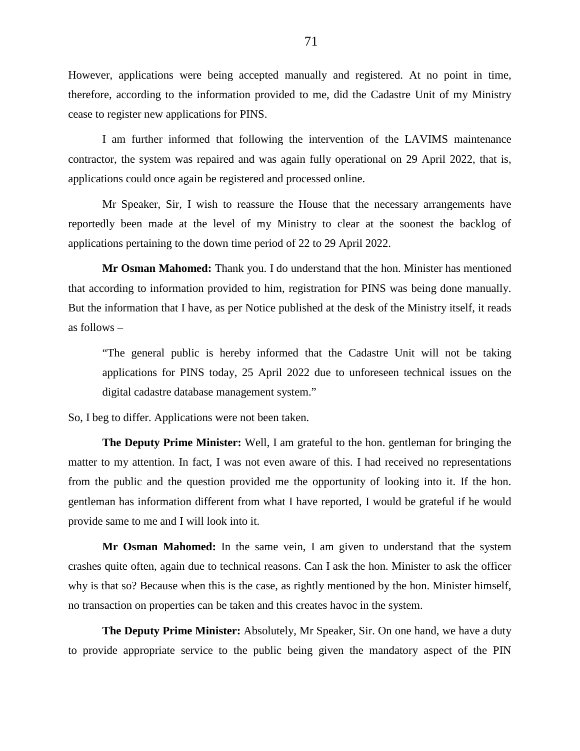However, applications were being accepted manually and registered. At no point in time, therefore, according to the information provided to me, did the Cadastre Unit of my Ministry cease to register new applications for PINS.

I am further informed that following the intervention of the LAVIMS maintenance contractor, the system was repaired and was again fully operational on 29 April 2022, that is, applications could once again be registered and processed online.

Mr Speaker, Sir, I wish to reassure the House that the necessary arrangements have reportedly been made at the level of my Ministry to clear at the soonest the backlog of applications pertaining to the down time period of 22 to 29 April 2022.

**Mr Osman Mahomed:** Thank you. I do understand that the hon. Minister has mentioned that according to information provided to him, registration for PINS was being done manually. But the information that I have, as per Notice published at the desk of the Ministry itself, it reads as follows –

"The general public is hereby informed that the Cadastre Unit will not be taking applications for PINS today, 25 April 2022 due to unforeseen technical issues on the digital cadastre database management system."

So, I beg to differ. Applications were not been taken.

**The Deputy Prime Minister:** Well, I am grateful to the hon. gentleman for bringing the matter to my attention. In fact, I was not even aware of this. I had received no representations from the public and the question provided me the opportunity of looking into it. If the hon. gentleman has information different from what I have reported, I would be grateful if he would provide same to me and I will look into it.

**Mr Osman Mahomed:** In the same vein, I am given to understand that the system crashes quite often, again due to technical reasons. Can I ask the hon. Minister to ask the officer why is that so? Because when this is the case, as rightly mentioned by the hon. Minister himself, no transaction on properties can be taken and this creates havoc in the system.

**The Deputy Prime Minister:** Absolutely, Mr Speaker, Sir. On one hand, we have a duty to provide appropriate service to the public being given the mandatory aspect of the PIN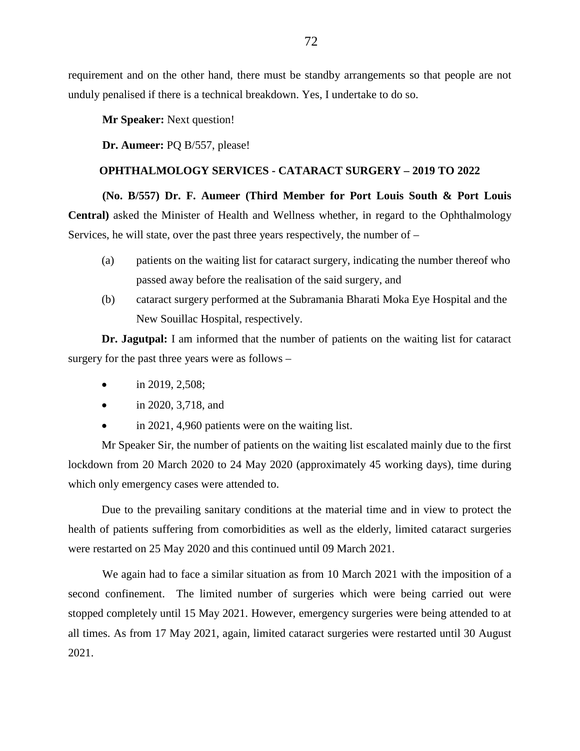requirement and on the other hand, there must be standby arrangements so that people are not unduly penalised if there is a technical breakdown. Yes, I undertake to do so.

**Mr Speaker:** Next question!

**Dr. Aumeer:** PQ B/557, please!

# **OPHTHALMOLOGY SERVICES - CATARACT SURGERY – 2019 TO 2022**

**(No. B/557) Dr. F. Aumeer (Third Member for Port Louis South & Port Louis Central)** asked the Minister of Health and Wellness whether, in regard to the Ophthalmology Services, he will state, over the past three years respectively, the number of –

- (a) patients on the waiting list for cataract surgery, indicating the number thereof who passed away before the realisation of the said surgery, and
- (b) cataract surgery performed at the Subramania Bharati Moka Eye Hospital and the New Souillac Hospital, respectively.

**Dr. Jagutpal:** I am informed that the number of patients on the waiting list for cataract surgery for the past three years were as follows –

- in 2019, 2,508;
- in 2020, 3,718, and
- in 2021, 4,960 patients were on the waiting list.

Mr Speaker Sir, the number of patients on the waiting list escalated mainly due to the first lockdown from 20 March 2020 to 24 May 2020 (approximately 45 working days), time during which only emergency cases were attended to.

Due to the prevailing sanitary conditions at the material time and in view to protect the health of patients suffering from comorbidities as well as the elderly, limited cataract surgeries were restarted on 25 May 2020 and this continued until 09 March 2021.

We again had to face a similar situation as from 10 March 2021 with the imposition of a second confinement. The limited number of surgeries which were being carried out were stopped completely until 15 May 2021. However, emergency surgeries were being attended to at all times. As from 17 May 2021, again, limited cataract surgeries were restarted until 30 August 2021.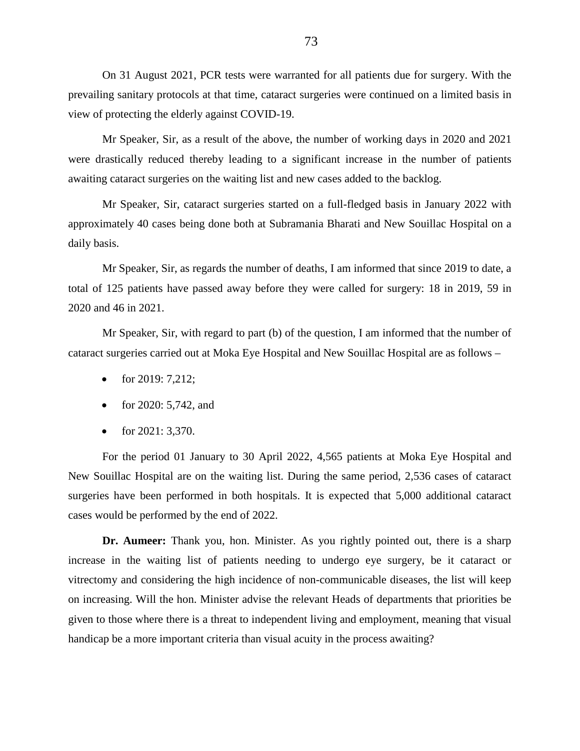On 31 August 2021, PCR tests were warranted for all patients due for surgery. With the prevailing sanitary protocols at that time, cataract surgeries were continued on a limited basis in view of protecting the elderly against COVID-19.

Mr Speaker, Sir, as a result of the above, the number of working days in 2020 and 2021 were drastically reduced thereby leading to a significant increase in the number of patients awaiting cataract surgeries on the waiting list and new cases added to the backlog.

Mr Speaker, Sir, cataract surgeries started on a full-fledged basis in January 2022 with approximately 40 cases being done both at Subramania Bharati and New Souillac Hospital on a daily basis.

Mr Speaker, Sir, as regards the number of deaths, I am informed that since 2019 to date, a total of 125 patients have passed away before they were called for surgery: 18 in 2019, 59 in 2020 and 46 in 2021.

Mr Speaker, Sir, with regard to part (b) of the question, I am informed that the number of cataract surgeries carried out at Moka Eye Hospital and New Souillac Hospital are as follows –

- for 2019:  $7,212$ ;
- for 2020: 5,742, and
- for  $2021: 3,370$ .

For the period 01 January to 30 April 2022, 4,565 patients at Moka Eye Hospital and New Souillac Hospital are on the waiting list. During the same period, 2,536 cases of cataract surgeries have been performed in both hospitals. It is expected that 5,000 additional cataract cases would be performed by the end of 2022.

**Dr. Aumeer:** Thank you, hon. Minister. As you rightly pointed out, there is a sharp increase in the waiting list of patients needing to undergo eye surgery, be it cataract or vitrectomy and considering the high incidence of non-communicable diseases, the list will keep on increasing. Will the hon. Minister advise the relevant Heads of departments that priorities be given to those where there is a threat to independent living and employment, meaning that visual handicap be a more important criteria than visual acuity in the process awaiting?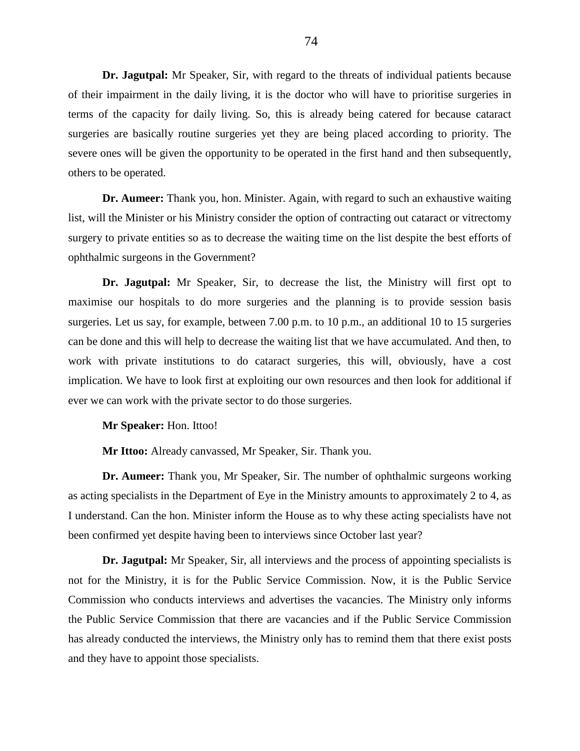**Dr. Jagutpal:** Mr Speaker, Sir, with regard to the threats of individual patients because of their impairment in the daily living, it is the doctor who will have to prioritise surgeries in terms of the capacity for daily living. So, this is already being catered for because cataract surgeries are basically routine surgeries yet they are being placed according to priority. The severe ones will be given the opportunity to be operated in the first hand and then subsequently, others to be operated.

**Dr. Aumeer:** Thank you, hon. Minister. Again, with regard to such an exhaustive waiting list, will the Minister or his Ministry consider the option of contracting out cataract or vitrectomy surgery to private entities so as to decrease the waiting time on the list despite the best efforts of ophthalmic surgeons in the Government?

**Dr. Jagutpal:** Mr Speaker, Sir, to decrease the list, the Ministry will first opt to maximise our hospitals to do more surgeries and the planning is to provide session basis surgeries. Let us say, for example, between 7.00 p.m. to 10 p.m., an additional 10 to 15 surgeries can be done and this will help to decrease the waiting list that we have accumulated. And then, to work with private institutions to do cataract surgeries, this will, obviously, have a cost implication. We have to look first at exploiting our own resources and then look for additional if ever we can work with the private sector to do those surgeries.

**Mr Speaker:** Hon. Ittoo!

**Mr Ittoo:** Already canvassed, Mr Speaker, Sir. Thank you.

**Dr. Aumeer:** Thank you, Mr Speaker, Sir. The number of ophthalmic surgeons working as acting specialists in the Department of Eye in the Ministry amounts to approximately 2 to 4, as I understand. Can the hon. Minister inform the House as to why these acting specialists have not been confirmed yet despite having been to interviews since October last year?

**Dr. Jagutpal:** Mr Speaker, Sir, all interviews and the process of appointing specialists is not for the Ministry, it is for the Public Service Commission. Now, it is the Public Service Commission who conducts interviews and advertises the vacancies. The Ministry only informs the Public Service Commission that there are vacancies and if the Public Service Commission has already conducted the interviews, the Ministry only has to remind them that there exist posts and they have to appoint those specialists.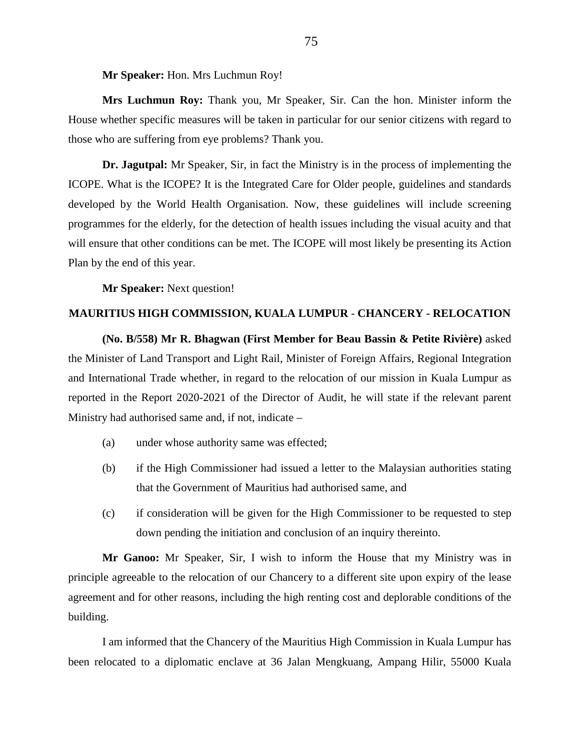**Mr Speaker:** Hon. Mrs Luchmun Roy!

**Mrs Luchmun Roy:** Thank you, Mr Speaker, Sir. Can the hon. Minister inform the House whether specific measures will be taken in particular for our senior citizens with regard to those who are suffering from eye problems? Thank you.

**Dr. Jagutpal:** Mr Speaker, Sir, in fact the Ministry is in the process of implementing the ICOPE. What is the ICOPE? It is the Integrated Care for Older people, guidelines and standards developed by the World Health Organisation. Now, these guidelines will include screening programmes for the elderly, for the detection of health issues including the visual acuity and that will ensure that other conditions can be met. The ICOPE will most likely be presenting its Action Plan by the end of this year.

**Mr Speaker:** Next question!

### **MAURITIUS HIGH COMMISSION, KUALA LUMPUR** - **CHANCERY - RELOCATION**

**(No. B/558) Mr R. Bhagwan (First Member for Beau Bassin & Petite Rivière)** asked the Minister of Land Transport and Light Rail, Minister of Foreign Affairs, Regional Integration and International Trade whether, in regard to the relocation of our mission in Kuala Lumpur as reported in the Report 2020-2021 of the Director of Audit, he will state if the relevant parent Ministry had authorised same and, if not, indicate –

- (a) under whose authority same was effected;
- (b) if the High Commissioner had issued a letter to the Malaysian authorities stating that the Government of Mauritius had authorised same, and
- (c) if consideration will be given for the High Commissioner to be requested to step down pending the initiation and conclusion of an inquiry thereinto.

**Mr Ganoo:** Mr Speaker, Sir, I wish to inform the House that my Ministry was in principle agreeable to the relocation of our Chancery to a different site upon expiry of the lease agreement and for other reasons, including the high renting cost and deplorable conditions of the building.

I am informed that the Chancery of the Mauritius High Commission in Kuala Lumpur has been relocated to a diplomatic enclave at 36 Jalan Mengkuang, Ampang Hilir, 55000 Kuala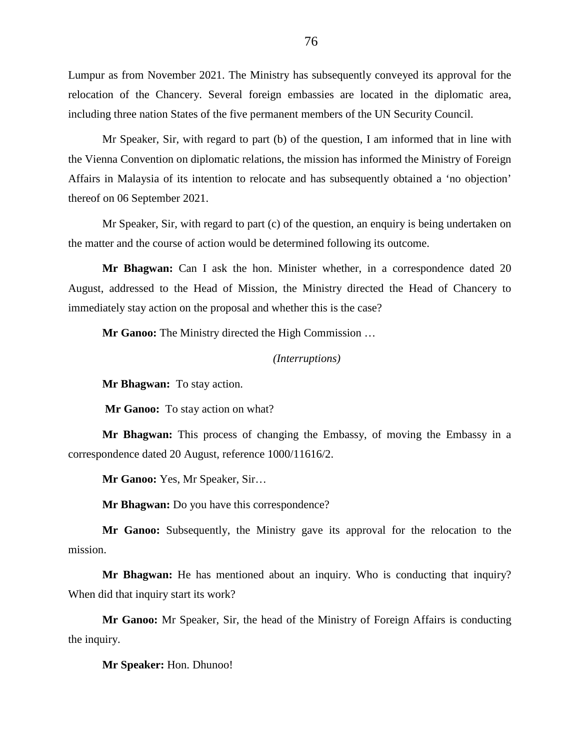Lumpur as from November 2021. The Ministry has subsequently conveyed its approval for the relocation of the Chancery. Several foreign embassies are located in the diplomatic area, including three nation States of the five permanent members of the UN Security Council.

Mr Speaker, Sir, with regard to part (b) of the question, I am informed that in line with the Vienna Convention on diplomatic relations, the mission has informed the Ministry of Foreign Affairs in Malaysia of its intention to relocate and has subsequently obtained a 'no objection' thereof on 06 September 2021.

Mr Speaker, Sir, with regard to part (c) of the question, an enquiry is being undertaken on the matter and the course of action would be determined following its outcome.

**Mr Bhagwan:** Can I ask the hon. Minister whether, in a correspondence dated 20 August, addressed to the Head of Mission, the Ministry directed the Head of Chancery to immediately stay action on the proposal and whether this is the case?

**Mr Ganoo:** The Ministry directed the High Commission …

*(Interruptions)*

**Mr Bhagwan:** To stay action.

Mr Ganoo: To stay action on what?

**Mr Bhagwan:** This process of changing the Embassy, of moving the Embassy in a correspondence dated 20 August, reference 1000/11616/2.

**Mr Ganoo:** Yes, Mr Speaker, Sir…

**Mr Bhagwan:** Do you have this correspondence?

**Mr Ganoo:** Subsequently, the Ministry gave its approval for the relocation to the mission.

**Mr Bhagwan:** He has mentioned about an inquiry. Who is conducting that inquiry? When did that inquiry start its work?

**Mr Ganoo:** Mr Speaker, Sir, the head of the Ministry of Foreign Affairs is conducting the inquiry.

**Mr Speaker:** Hon. Dhunoo!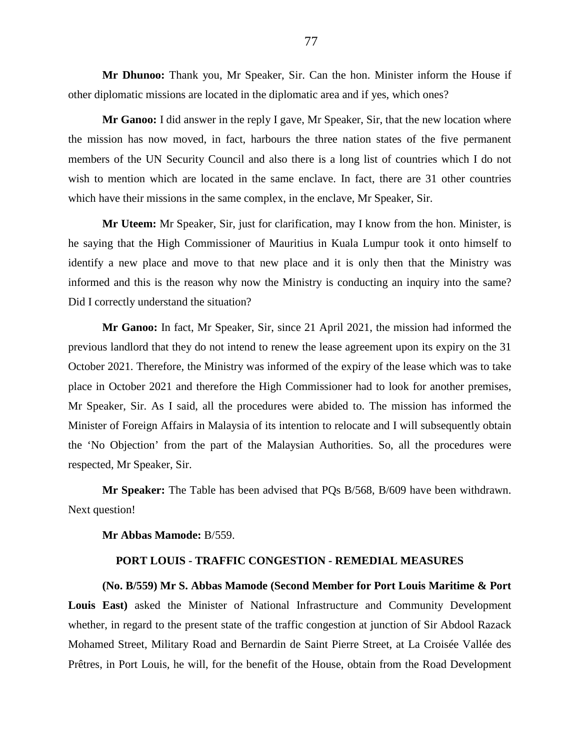**Mr Dhunoo:** Thank you, Mr Speaker, Sir. Can the hon. Minister inform the House if other diplomatic missions are located in the diplomatic area and if yes, which ones?

**Mr Ganoo:** I did answer in the reply I gave, Mr Speaker, Sir, that the new location where the mission has now moved, in fact, harbours the three nation states of the five permanent members of the UN Security Council and also there is a long list of countries which I do not wish to mention which are located in the same enclave. In fact, there are 31 other countries which have their missions in the same complex, in the enclave, Mr Speaker, Sir.

**Mr Uteem:** Mr Speaker, Sir, just for clarification, may I know from the hon. Minister, is he saying that the High Commissioner of Mauritius in Kuala Lumpur took it onto himself to identify a new place and move to that new place and it is only then that the Ministry was informed and this is the reason why now the Ministry is conducting an inquiry into the same? Did I correctly understand the situation?

**Mr Ganoo:** In fact, Mr Speaker, Sir, since 21 April 2021, the mission had informed the previous landlord that they do not intend to renew the lease agreement upon its expiry on the 31 October 2021. Therefore, the Ministry was informed of the expiry of the lease which was to take place in October 2021 and therefore the High Commissioner had to look for another premises, Mr Speaker, Sir. As I said, all the procedures were abided to. The mission has informed the Minister of Foreign Affairs in Malaysia of its intention to relocate and I will subsequently obtain the 'No Objection' from the part of the Malaysian Authorities. So, all the procedures were respected, Mr Speaker, Sir.

**Mr Speaker:** The Table has been advised that PQs B/568, B/609 have been withdrawn. Next question!

#### **Mr Abbas Mamode:** B/559.

### **PORT LOUIS - TRAFFIC CONGESTION - REMEDIAL MEASURES**

**(No. B/559) Mr S. Abbas Mamode (Second Member for Port Louis Maritime & Port Louis East)** asked the Minister of National Infrastructure and Community Development whether, in regard to the present state of the traffic congestion at junction of Sir Abdool Razack Mohamed Street, Military Road and Bernardin de Saint Pierre Street, at La Croisée Vallée des Prêtres, in Port Louis, he will, for the benefit of the House, obtain from the Road Development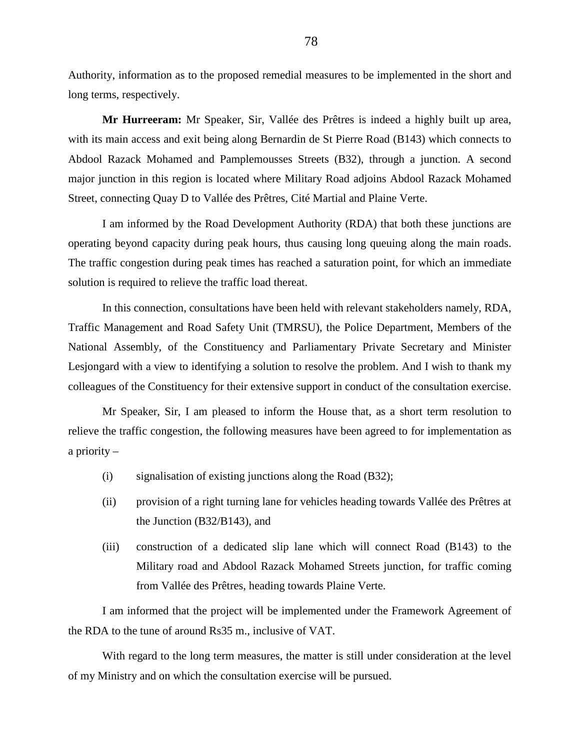Authority, information as to the proposed remedial measures to be implemented in the short and long terms, respectively.

**Mr Hurreeram:** Mr Speaker, Sir, Vallée des Prêtres is indeed a highly built up area, with its main access and exit being along Bernardin de St Pierre Road (B143) which connects to Abdool Razack Mohamed and Pamplemousses Streets (B32), through a junction. A second major junction in this region is located where Military Road adjoins Abdool Razack Mohamed Street, connecting Quay D to Vallée des Prêtres, Cité Martial and Plaine Verte.

I am informed by the Road Development Authority (RDA) that both these junctions are operating beyond capacity during peak hours, thus causing long queuing along the main roads. The traffic congestion during peak times has reached a saturation point, for which an immediate solution is required to relieve the traffic load thereat.

In this connection, consultations have been held with relevant stakeholders namely, RDA, Traffic Management and Road Safety Unit (TMRSU), the Police Department, Members of the National Assembly, of the Constituency and Parliamentary Private Secretary and Minister Lesjongard with a view to identifying a solution to resolve the problem. And I wish to thank my colleagues of the Constituency for their extensive support in conduct of the consultation exercise.

Mr Speaker, Sir, I am pleased to inform the House that, as a short term resolution to relieve the traffic congestion, the following measures have been agreed to for implementation as a priority –

- (i) signalisation of existing junctions along the Road (B32);
- (ii) provision of a right turning lane for vehicles heading towards Vallée des Prêtres at the Junction (B32/B143), and
- (iii) construction of a dedicated slip lane which will connect Road (B143) to the Military road and Abdool Razack Mohamed Streets junction, for traffic coming from Vallée des Prêtres, heading towards Plaine Verte.

I am informed that the project will be implemented under the Framework Agreement of the RDA to the tune of around Rs35 m., inclusive of VAT.

With regard to the long term measures, the matter is still under consideration at the level of my Ministry and on which the consultation exercise will be pursued.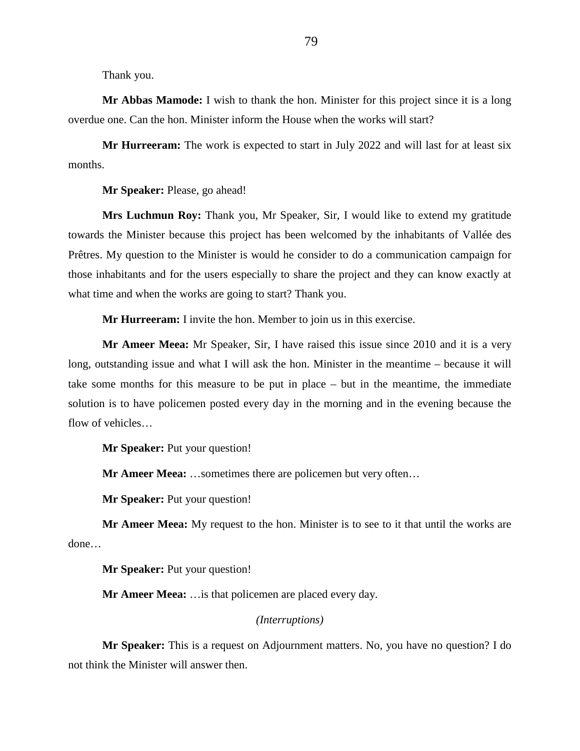Thank you.

**Mr Abbas Mamode:** I wish to thank the hon. Minister for this project since it is a long overdue one. Can the hon. Minister inform the House when the works will start?

**Mr Hurreeram:** The work is expected to start in July 2022 and will last for at least six months.

**Mr Speaker:** Please, go ahead!

**Mrs Luchmun Roy:** Thank you, Mr Speaker, Sir, I would like to extend my gratitude towards the Minister because this project has been welcomed by the inhabitants of Vallée des Prêtres. My question to the Minister is would he consider to do a communication campaign for those inhabitants and for the users especially to share the project and they can know exactly at what time and when the works are going to start? Thank you.

**Mr Hurreeram:** I invite the hon. Member to join us in this exercise.

**Mr Ameer Meea:** Mr Speaker, Sir, I have raised this issue since 2010 and it is a very long, outstanding issue and what I will ask the hon. Minister in the meantime – because it will take some months for this measure to be put in place – but in the meantime, the immediate solution is to have policemen posted every day in the morning and in the evening because the flow of vehicles…

**Mr Speaker:** Put your question!

**Mr Ameer Meea:** …sometimes there are policemen but very often…

**Mr Speaker:** Put your question!

**Mr Ameer Meea:** My request to the hon. Minister is to see to it that until the works are done…

**Mr Speaker:** Put your question!

**Mr Ameer Meea:** …is that policemen are placed every day.

# *(Interruptions)*

**Mr Speaker:** This is a request on Adjournment matters. No, you have no question? I do not think the Minister will answer then.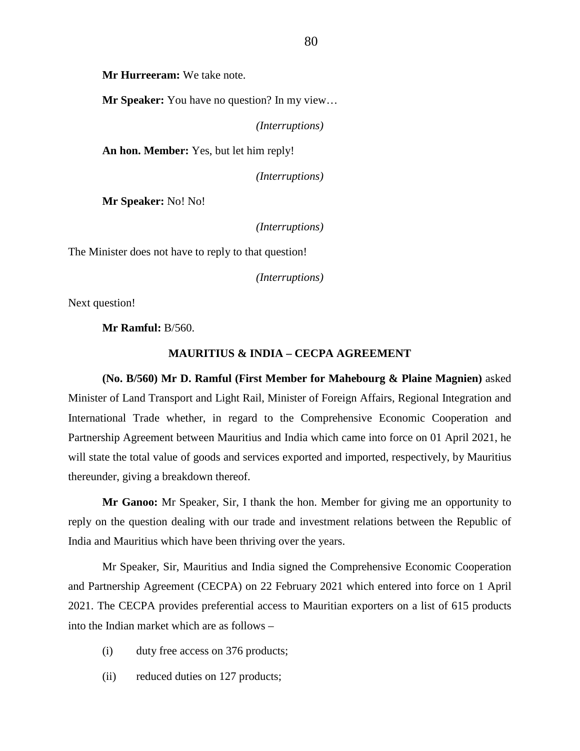**Mr Hurreeram:** We take note.

**Mr Speaker:** You have no question? In my view…

*(Interruptions)*

**An hon. Member:** Yes, but let him reply!

*(Interruptions)*

**Mr Speaker:** No! No!

*(Interruptions)*

The Minister does not have to reply to that question!

*(Interruptions)*

Next question!

**Mr Ramful:** B/560.

#### **MAURITIUS & INDIA – CECPA AGREEMENT**

**(No. B/560) Mr D. Ramful (First Member for Mahebourg & Plaine Magnien)** asked Minister of Land Transport and Light Rail, Minister of Foreign Affairs, Regional Integration and International Trade whether, in regard to the Comprehensive Economic Cooperation and Partnership Agreement between Mauritius and India which came into force on 01 April 2021, he will state the total value of goods and services exported and imported, respectively, by Mauritius thereunder, giving a breakdown thereof.

**Mr Ganoo:** Mr Speaker, Sir, I thank the hon. Member for giving me an opportunity to reply on the question dealing with our trade and investment relations between the Republic of India and Mauritius which have been thriving over the years.

Mr Speaker, Sir, Mauritius and India signed the Comprehensive Economic Cooperation and Partnership Agreement (CECPA) on 22 February 2021 which entered into force on 1 April 2021. The CECPA provides preferential access to Mauritian exporters on a list of 615 products into the Indian market which are as follows –

- (i) duty free access on 376 products;
- (ii) reduced duties on 127 products;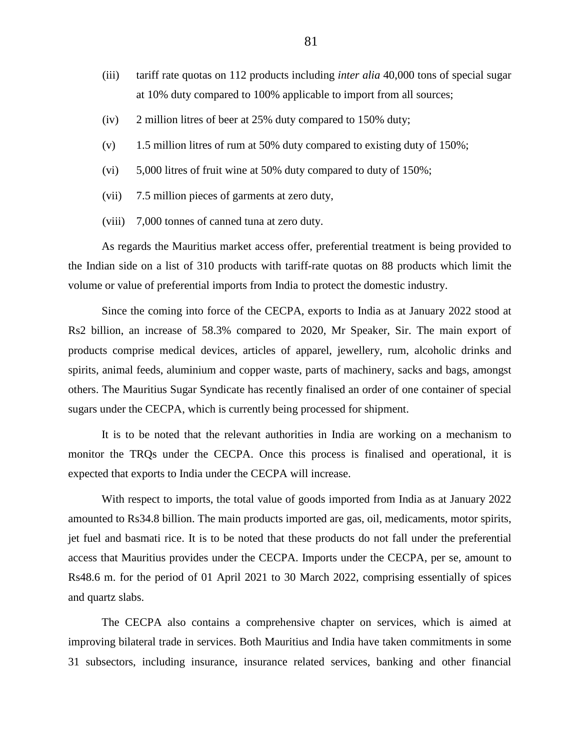- (iii) tariff rate quotas on 112 products including *inter alia* 40,000 tons of special sugar at 10% duty compared to 100% applicable to import from all sources;
- (iv) 2 million litres of beer at 25% duty compared to 150% duty;
- (v) 1.5 million litres of rum at 50% duty compared to existing duty of  $150\%$ ;
- (vi) 5,000 litres of fruit wine at 50% duty compared to duty of 150%;
- (vii) 7.5 million pieces of garments at zero duty,
- (viii) 7,000 tonnes of canned tuna at zero duty.

As regards the Mauritius market access offer, preferential treatment is being provided to the Indian side on a list of 310 products with tariff-rate quotas on 88 products which limit the volume or value of preferential imports from India to protect the domestic industry.

Since the coming into force of the CECPA, exports to India as at January 2022 stood at Rs2 billion, an increase of 58.3% compared to 2020, Mr Speaker, Sir. The main export of products comprise medical devices, articles of apparel, jewellery, rum, alcoholic drinks and spirits, animal feeds, aluminium and copper waste, parts of machinery, sacks and bags, amongst others. The Mauritius Sugar Syndicate has recently finalised an order of one container of special sugars under the CECPA, which is currently being processed for shipment.

It is to be noted that the relevant authorities in India are working on a mechanism to monitor the TRQs under the CECPA. Once this process is finalised and operational, it is expected that exports to India under the CECPA will increase.

With respect to imports, the total value of goods imported from India as at January 2022 amounted to Rs34.8 billion. The main products imported are gas, oil, medicaments, motor spirits, jet fuel and basmati rice. It is to be noted that these products do not fall under the preferential access that Mauritius provides under the CECPA. Imports under the CECPA, per se, amount to Rs48.6 m. for the period of 01 April 2021 to 30 March 2022, comprising essentially of spices and quartz slabs.

The CECPA also contains a comprehensive chapter on services, which is aimed at improving bilateral trade in services. Both Mauritius and India have taken commitments in some 31 subsectors, including insurance, insurance related services, banking and other financial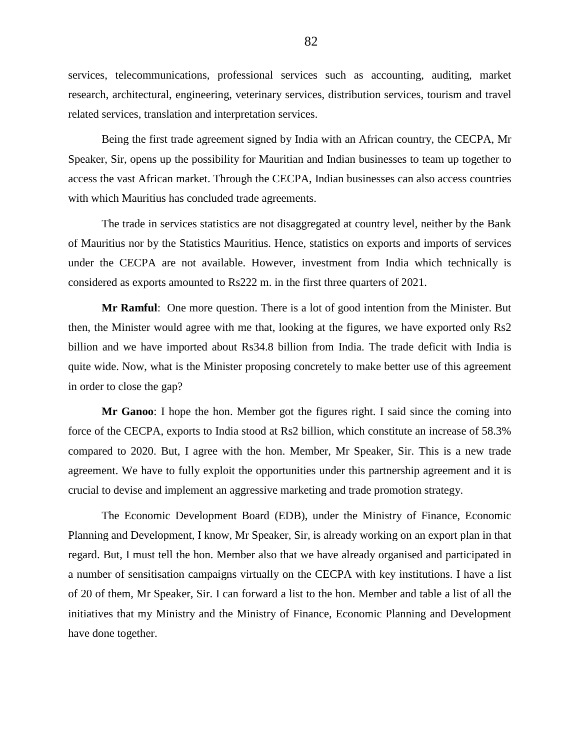services, telecommunications, professional services such as accounting, auditing, market research, architectural, engineering, veterinary services, distribution services, tourism and travel related services, translation and interpretation services.

Being the first trade agreement signed by India with an African country, the CECPA, Mr Speaker, Sir, opens up the possibility for Mauritian and Indian businesses to team up together to access the vast African market. Through the CECPA, Indian businesses can also access countries with which Mauritius has concluded trade agreements.

The trade in services statistics are not disaggregated at country level, neither by the Bank of Mauritius nor by the Statistics Mauritius. Hence, statistics on exports and imports of services under the CECPA are not available. However, investment from India which technically is considered as exports amounted to Rs222 m. in the first three quarters of 2021.

**Mr Ramful**: One more question. There is a lot of good intention from the Minister. But then, the Minister would agree with me that, looking at the figures, we have exported only Rs2 billion and we have imported about Rs34.8 billion from India. The trade deficit with India is quite wide. Now, what is the Minister proposing concretely to make better use of this agreement in order to close the gap?

**Mr Ganoo**: I hope the hon. Member got the figures right. I said since the coming into force of the CECPA, exports to India stood at Rs2 billion, which constitute an increase of 58.3% compared to 2020. But, I agree with the hon. Member, Mr Speaker, Sir. This is a new trade agreement. We have to fully exploit the opportunities under this partnership agreement and it is crucial to devise and implement an aggressive marketing and trade promotion strategy.

The Economic Development Board (EDB), under the Ministry of Finance, Economic Planning and Development, I know, Mr Speaker, Sir, is already working on an export plan in that regard. But, I must tell the hon. Member also that we have already organised and participated in a number of sensitisation campaigns virtually on the CECPA with key institutions. I have a list of 20 of them, Mr Speaker, Sir. I can forward a list to the hon. Member and table a list of all the initiatives that my Ministry and the Ministry of Finance, Economic Planning and Development have done together.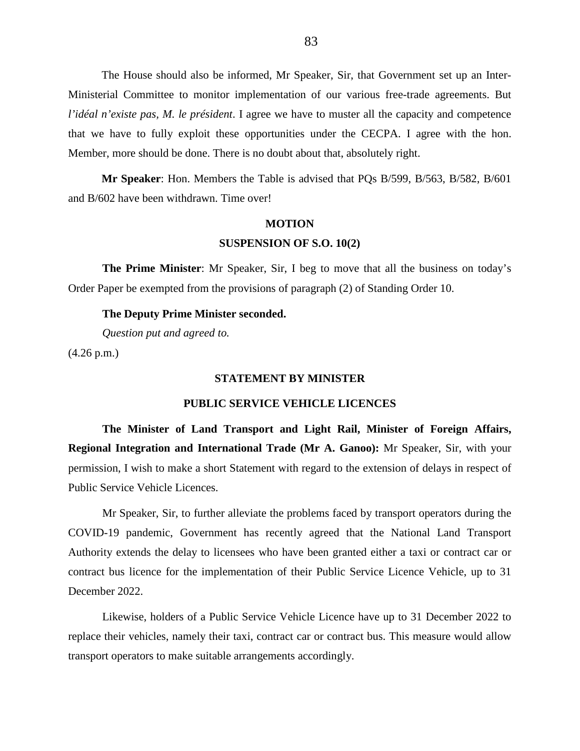The House should also be informed, Mr Speaker, Sir, that Government set up an Inter-Ministerial Committee to monitor implementation of our various free-trade agreements. But *l'idéal n'existe pas, M. le président*. I agree we have to muster all the capacity and competence that we have to fully exploit these opportunities under the CECPA. I agree with the hon. Member, more should be done. There is no doubt about that, absolutely right.

**Mr Speaker**: Hon. Members the Table is advised that PQs B/599, B/563, B/582, B/601 and B/602 have been withdrawn. Time over!

#### **MOTION**

#### **SUSPENSION OF S.O. 10(2)**

**The Prime Minister**: Mr Speaker, Sir, I beg to move that all the business on today's Order Paper be exempted from the provisions of paragraph (2) of Standing Order 10.

### **The Deputy Prime Minister seconded.**

*Question put and agreed to.* 

(4.26 p.m.)

#### **STATEMENT BY MINISTER**

## **PUBLIC SERVICE VEHICLE LICENCES**

**The Minister of Land Transport and Light Rail, Minister of Foreign Affairs, Regional Integration and International Trade (Mr A. Ganoo):** Mr Speaker, Sir, with your permission, I wish to make a short Statement with regard to the extension of delays in respect of Public Service Vehicle Licences.

Mr Speaker, Sir, to further alleviate the problems faced by transport operators during the COVID-19 pandemic, Government has recently agreed that the National Land Transport Authority extends the delay to licensees who have been granted either a taxi or contract car or contract bus licence for the implementation of their Public Service Licence Vehicle, up to 31 December 2022.

Likewise, holders of a Public Service Vehicle Licence have up to 31 December 2022 to replace their vehicles, namely their taxi, contract car or contract bus. This measure would allow transport operators to make suitable arrangements accordingly.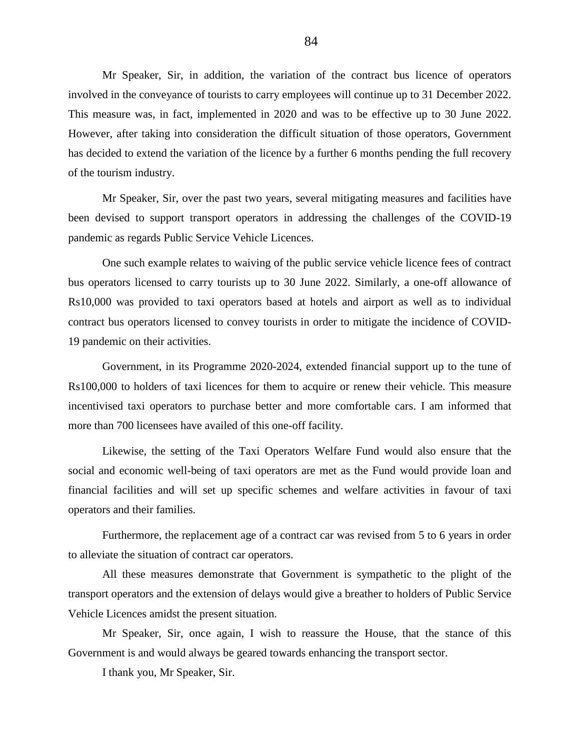Mr Speaker, Sir, in addition, the variation of the contract bus licence of operators involved in the conveyance of tourists to carry employees will continue up to 31 December 2022. This measure was, in fact, implemented in 2020 and was to be effective up to 30 June 2022. However, after taking into consideration the difficult situation of those operators, Government has decided to extend the variation of the licence by a further 6 months pending the full recovery of the tourism industry.

Mr Speaker, Sir, over the past two years, several mitigating measures and facilities have been devised to support transport operators in addressing the challenges of the COVID-19 pandemic as regards Public Service Vehicle Licences.

One such example relates to waiving of the public service vehicle licence fees of contract bus operators licensed to carry tourists up to 30 June 2022. Similarly, a one-off allowance of Rs10,000 was provided to taxi operators based at hotels and airport as well as to individual contract bus operators licensed to convey tourists in order to mitigate the incidence of COVID-19 pandemic on their activities.

Government, in its Programme 2020-2024, extended financial support up to the tune of Rs100,000 to holders of taxi licences for them to acquire or renew their vehicle. This measure incentivised taxi operators to purchase better and more comfortable cars. I am informed that more than 700 licensees have availed of this one-off facility.

Likewise, the setting of the Taxi Operators Welfare Fund would also ensure that the social and economic well-being of taxi operators are met as the Fund would provide loan and financial facilities and will set up specific schemes and welfare activities in favour of taxi operators and their families.

Furthermore, the replacement age of a contract car was revised from 5 to 6 years in order to alleviate the situation of contract car operators.

All these measures demonstrate that Government is sympathetic to the plight of the transport operators and the extension of delays would give a breather to holders of Public Service Vehicle Licences amidst the present situation.

Mr Speaker, Sir, once again, I wish to reassure the House, that the stance of this Government is and would always be geared towards enhancing the transport sector.

I thank you, Mr Speaker, Sir.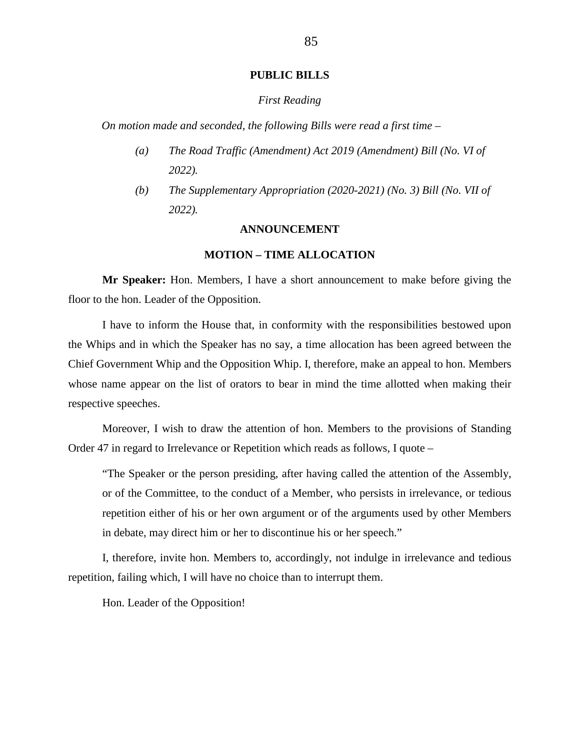### **PUBLIC BILLS**

# *First Reading*

*On motion made and seconded, the following Bills were read a first time –*

- *(a) The Road Traffic (Amendment) Act 2019 (Amendment) Bill (No. VI of 2022).*
- *(b) The Supplementary Appropriation (2020-2021) (No. 3) Bill (No. VII of 2022).*

# **ANNOUNCEMENT**

# **MOTION – TIME ALLOCATION**

**Mr Speaker:** Hon. Members, I have a short announcement to make before giving the floor to the hon. Leader of the Opposition.

I have to inform the House that, in conformity with the responsibilities bestowed upon the Whips and in which the Speaker has no say, a time allocation has been agreed between the Chief Government Whip and the Opposition Whip. I, therefore, make an appeal to hon. Members whose name appear on the list of orators to bear in mind the time allotted when making their respective speeches.

Moreover, I wish to draw the attention of hon. Members to the provisions of Standing Order 47 in regard to Irrelevance or Repetition which reads as follows, I quote –

"The Speaker or the person presiding, after having called the attention of the Assembly, or of the Committee, to the conduct of a Member, who persists in irrelevance, or tedious repetition either of his or her own argument or of the arguments used by other Members in debate, may direct him or her to discontinue his or her speech."

I, therefore, invite hon. Members to, accordingly, not indulge in irrelevance and tedious repetition, failing which, I will have no choice than to interrupt them.

Hon. Leader of the Opposition!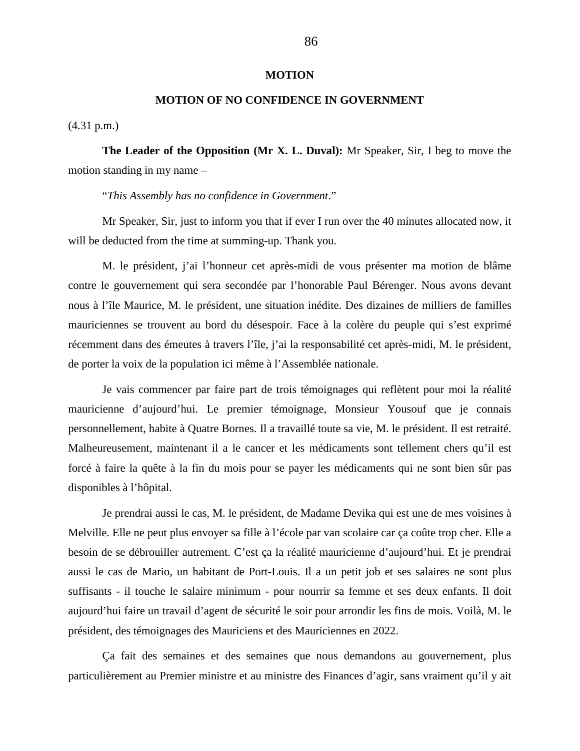#### **MOTION**

# **MOTION OF NO CONFIDENCE IN GOVERNMENT**

(4.31 p.m.)

**The Leader of the Opposition (Mr X. L. Duval):** Mr Speaker, Sir, I beg to move the motion standing in my name –

# "*This Assembly has no confidence in Government*."

Mr Speaker, Sir, just to inform you that if ever I run over the 40 minutes allocated now, it will be deducted from the time at summing-up. Thank you.

M. le président, j'ai l'honneur cet après-midi de vous présenter ma motion de blâme contre le gouvernement qui sera secondée par l'honorable Paul Bérenger. Nous avons devant nous à l'île Maurice, M. le président, une situation inédite. Des dizaines de milliers de familles mauriciennes se trouvent au bord du désespoir. Face à la colère du peuple qui s'est exprimé récemment dans des émeutes à travers l'île, j'ai la responsabilité cet après-midi, M. le président, de porter la voix de la population ici même à l'Assemblée nationale.

Je vais commencer par faire part de trois témoignages qui reflètent pour moi la réalité mauricienne d'aujourd'hui. Le premier témoignage, Monsieur Yousouf que je connais personnellement, habite à Quatre Bornes. Il a travaillé toute sa vie, M. le président. Il est retraité. Malheureusement, maintenant il a le cancer et les médicaments sont tellement chers qu'il est forcé à faire la quête à la fin du mois pour se payer les médicaments qui ne sont bien sûr pas disponibles à l'hôpital.

Je prendrai aussi le cas, M. le président, de Madame Devika qui est une de mes voisines à Melville. Elle ne peut plus envoyer sa fille à l'école par van scolaire car ça coûte trop cher. Elle a besoin de se débrouiller autrement. C'est ça la réalité mauricienne d'aujourd'hui. Et je prendrai aussi le cas de Mario, un habitant de Port-Louis. Il a un petit job et ses salaires ne sont plus suffisants - il touche le salaire minimum - pour nourrir sa femme et ses deux enfants. Il doit aujourd'hui faire un travail d'agent de sécurité le soir pour arrondir les fins de mois. Voilà, M. le président, des témoignages des Mauriciens et des Mauriciennes en 2022.

Ça fait des semaines et des semaines que nous demandons au gouvernement, plus particulièrement au Premier ministre et au ministre des Finances d'agir, sans vraiment qu'il y ait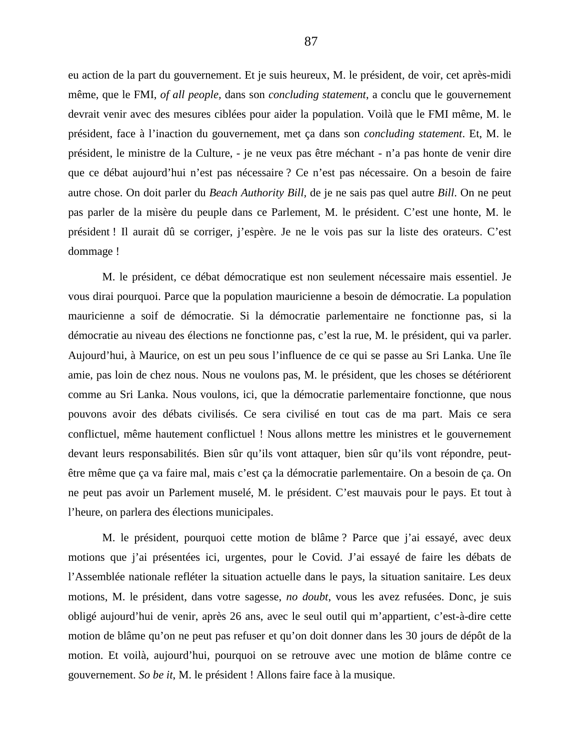eu action de la part du gouvernement. Et je suis heureux, M. le président, de voir, cet après-midi même, que le FMI, *of all people,* dans son *concluding statement*, a conclu que le gouvernement devrait venir avec des mesures ciblées pour aider la population. Voilà que le FMI même, M. le président, face à l'inaction du gouvernement, met ça dans son *concluding statement*. Et, M. le président, le ministre de la Culture, - je ne veux pas être méchant - n'a pas honte de venir dire que ce débat aujourd'hui n'est pas nécessaire ? Ce n'est pas nécessaire. On a besoin de faire autre chose. On doit parler du *Beach Authority Bill,* de je ne sais pas quel autre *Bill*. On ne peut pas parler de la misère du peuple dans ce Parlement, M. le président. C'est une honte, M. le président ! Il aurait dû se corriger, j'espère. Je ne le vois pas sur la liste des orateurs. C'est dommage !

M. le président, ce débat démocratique est non seulement nécessaire mais essentiel. Je vous dirai pourquoi. Parce que la population mauricienne a besoin de démocratie. La population mauricienne a soif de démocratie. Si la démocratie parlementaire ne fonctionne pas, si la démocratie au niveau des élections ne fonctionne pas, c'est la rue, M. le président, qui va parler. Aujourd'hui, à Maurice, on est un peu sous l'influence de ce qui se passe au Sri Lanka. Une île amie, pas loin de chez nous. Nous ne voulons pas, M. le président, que les choses se détériorent comme au Sri Lanka. Nous voulons, ici, que la démocratie parlementaire fonctionne, que nous pouvons avoir des débats civilisés. Ce sera civilisé en tout cas de ma part. Mais ce sera conflictuel, même hautement conflictuel ! Nous allons mettre les ministres et le gouvernement devant leurs responsabilités. Bien sûr qu'ils vont attaquer, bien sûr qu'ils vont répondre, peutêtre même que ça va faire mal, mais c'est ça la démocratie parlementaire. On a besoin de ça. On ne peut pas avoir un Parlement muselé, M. le président. C'est mauvais pour le pays. Et tout à l'heure, on parlera des élections municipales.

M. le président, pourquoi cette motion de blâme ? Parce que j'ai essayé, avec deux motions que j'ai présentées ici, urgentes, pour le Covid. J'ai essayé de faire les débats de l'Assemblée nationale refléter la situation actuelle dans le pays, la situation sanitaire. Les deux motions, M. le président, dans votre sagesse, *no doubt*, vous les avez refusées. Donc, je suis obligé aujourd'hui de venir, après 26 ans, avec le seul outil qui m'appartient, c'est-à-dire cette motion de blâme qu'on ne peut pas refuser et qu'on doit donner dans les 30 jours de dépôt de la motion. Et voilà, aujourd'hui, pourquoi on se retrouve avec une motion de blâme contre ce gouvernement. *So be it*, M. le président ! Allons faire face à la musique.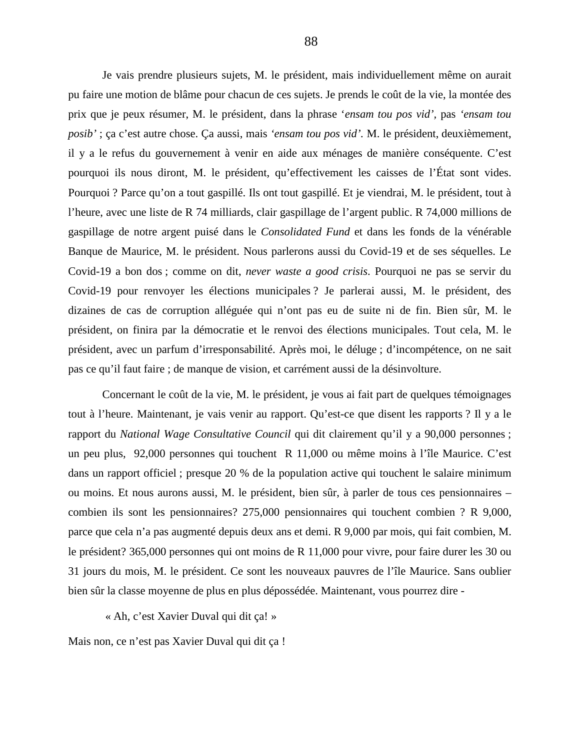Je vais prendre plusieurs sujets, M. le président, mais individuellement même on aurait pu faire une motion de blâme pour chacun de ces sujets. Je prends le coût de la vie, la montée des prix que je peux résumer, M. le président, dans la phrase '*ensam tou pos vid',* pas *'ensam tou posib'* ; ça c'est autre chose. Ça aussi, mais *'ensam tou pos vid'.* M. le président, deuxièmement, il y a le refus du gouvernement à venir en aide aux ménages de manière conséquente. C'est pourquoi ils nous diront, M. le président, qu'effectivement les caisses de l'État sont vides. Pourquoi ? Parce qu'on a tout gaspillé. Ils ont tout gaspillé. Et je viendrai, M. le président, tout à l'heure, avec une liste de R 74 milliards, clair gaspillage de l'argent public. R 74,000 millions de gaspillage de notre argent puisé dans le *Consolidated Fund* et dans les fonds de la vénérable Banque de Maurice, M. le président. Nous parlerons aussi du Covid-19 et de ses séquelles. Le Covid-19 a bon dos ; comme on dit, *never waste a good crisis*. Pourquoi ne pas se servir du Covid-19 pour renvoyer les élections municipales ? Je parlerai aussi, M. le président, des dizaines de cas de corruption alléguée qui n'ont pas eu de suite ni de fin. Bien sûr, M. le président, on finira par la démocratie et le renvoi des élections municipales. Tout cela, M. le président, avec un parfum d'irresponsabilité. Après moi, le déluge ; d'incompétence, on ne sait pas ce qu'il faut faire ; de manque de vision, et carrément aussi de la désinvolture.

Concernant le coût de la vie, M. le président, je vous ai fait part de quelques témoignages tout à l'heure. Maintenant, je vais venir au rapport. Qu'est-ce que disent les rapports ? Il y a le rapport du *National Wage Consultative Council* qui dit clairement qu'il y a 90,000 personnes ; un peu plus, 92,000 personnes qui touchent R 11,000 ou même moins à l'île Maurice. C'est dans un rapport officiel ; presque 20 % de la population active qui touchent le salaire minimum ou moins. Et nous aurons aussi, M. le président, bien sûr, à parler de tous ces pensionnaires – combien ils sont les pensionnaires? 275,000 pensionnaires qui touchent combien ? R 9,000, parce que cela n'a pas augmenté depuis deux ans et demi. R 9,000 par mois, qui fait combien, M. le président? 365,000 personnes qui ont moins de R 11,000 pour vivre, pour faire durer les 30 ou 31 jours du mois, M. le président. Ce sont les nouveaux pauvres de l'île Maurice. Sans oublier bien sûr la classe moyenne de plus en plus dépossédée. Maintenant, vous pourrez dire -

« Ah, c'est Xavier Duval qui dit ça! »

Mais non, ce n'est pas Xavier Duval qui dit ça !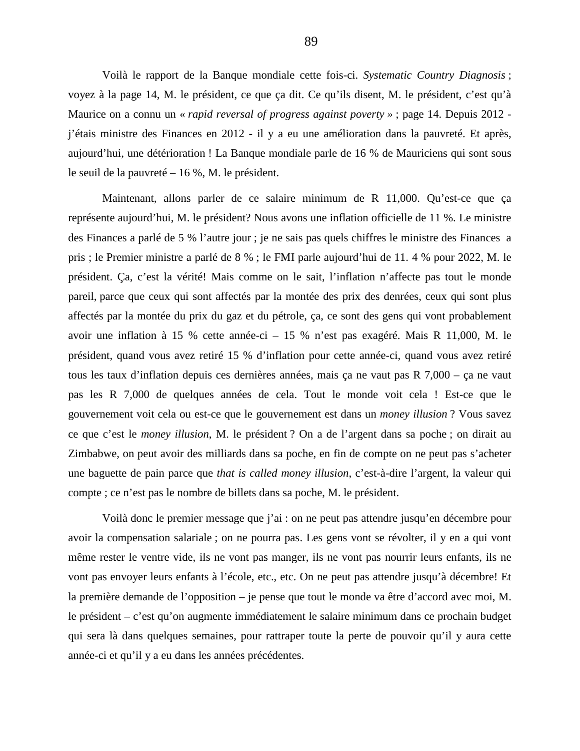Voilà le rapport de la Banque mondiale cette fois-ci. *Systematic Country Diagnosis* ; voyez à la page 14, M. le président, ce que ça dit. Ce qu'ils disent, M. le président, c'est qu'à Maurice on a connu un « *rapid reversal of progress against poverty »* ; page 14. Depuis 2012 j'étais ministre des Finances en 2012 - il y a eu une amélioration dans la pauvreté. Et après, aujourd'hui, une détérioration ! La Banque mondiale parle de 16 % de Mauriciens qui sont sous le seuil de la pauvreté – 16 %, M. le président.

Maintenant, allons parler de ce salaire minimum de R 11,000. Qu'est-ce que ça représente aujourd'hui, M. le président? Nous avons une inflation officielle de 11 %. Le ministre des Finances a parlé de 5 % l'autre jour ; je ne sais pas quels chiffres le ministre des Finances a pris ; le Premier ministre a parlé de 8 % ; le FMI parle aujourd'hui de 11. 4 % pour 2022, M. le président. Ça, c'est la vérité! Mais comme on le sait, l'inflation n'affecte pas tout le monde pareil, parce que ceux qui sont affectés par la montée des prix des denrées, ceux qui sont plus affectés par la montée du prix du gaz et du pétrole, ça, ce sont des gens qui vont probablement avoir une inflation à 15 % cette année-ci – 15 % n'est pas exagéré. Mais R 11,000, M. le président, quand vous avez retiré 15 % d'inflation pour cette année-ci, quand vous avez retiré tous les taux d'inflation depuis ces dernières années, mais ça ne vaut pas R 7,000 – ça ne vaut pas les R 7,000 de quelques années de cela. Tout le monde voit cela ! Est-ce que le gouvernement voit cela ou est-ce que le gouvernement est dans un *money illusion* ? Vous savez ce que c'est le *money illusion*, M. le président ? On a de l'argent dans sa poche ; on dirait au Zimbabwe, on peut avoir des milliards dans sa poche, en fin de compte on ne peut pas s'acheter une baguette de pain parce que *that is called money illusion*, c'est-à-dire l'argent, la valeur qui compte ; ce n'est pas le nombre de billets dans sa poche, M. le président.

Voilà donc le premier message que j'ai : on ne peut pas attendre jusqu'en décembre pour avoir la compensation salariale ; on ne pourra pas. Les gens vont se révolter, il y en a qui vont même rester le ventre vide, ils ne vont pas manger, ils ne vont pas nourrir leurs enfants, ils ne vont pas envoyer leurs enfants à l'école, etc., etc. On ne peut pas attendre jusqu'à décembre! Et la première demande de l'opposition – je pense que tout le monde va être d'accord avec moi, M. le président – c'est qu'on augmente immédiatement le salaire minimum dans ce prochain budget qui sera là dans quelques semaines, pour rattraper toute la perte de pouvoir qu'il y aura cette année-ci et qu'il y a eu dans les années précédentes.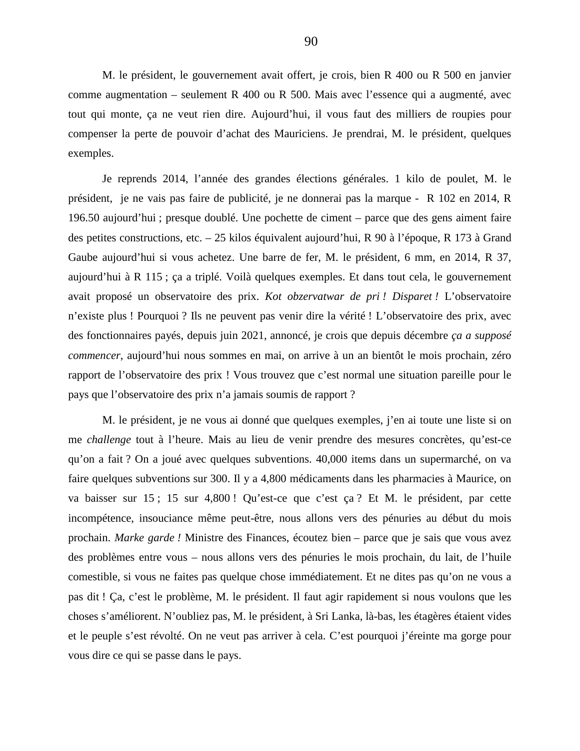M. le président, le gouvernement avait offert, je crois, bien R 400 ou R 500 en janvier comme augmentation – seulement R 400 ou R 500. Mais avec l'essence qui a augmenté, avec tout qui monte, ça ne veut rien dire. Aujourd'hui, il vous faut des milliers de roupies pour compenser la perte de pouvoir d'achat des Mauriciens. Je prendrai, M. le président, quelques exemples.

Je reprends 2014, l'année des grandes élections générales. 1 kilo de poulet, M. le président, je ne vais pas faire de publicité, je ne donnerai pas la marque - R 102 en 2014, R 196.50 aujourd'hui ; presque doublé. Une pochette de ciment – parce que des gens aiment faire des petites constructions, etc. – 25 kilos équivalent aujourd'hui, R 90 à l'époque, R 173 à Grand Gaube aujourd'hui si vous achetez. Une barre de fer, M. le président, 6 mm, en 2014, R 37, aujourd'hui à R 115 ; ça a triplé. Voilà quelques exemples. Et dans tout cela, le gouvernement avait proposé un observatoire des prix. *Kot obzervatwar de pri ! Disparet !* L'observatoire n'existe plus ! Pourquoi ? Ils ne peuvent pas venir dire la vérité ! L'observatoire des prix, avec des fonctionnaires payés, depuis juin 2021, annoncé, je crois que depuis décembre *ça a supposé commencer*, aujourd'hui nous sommes en mai, on arrive à un an bientôt le mois prochain, zéro rapport de l'observatoire des prix ! Vous trouvez que c'est normal une situation pareille pour le pays que l'observatoire des prix n'a jamais soumis de rapport ?

M. le président, je ne vous ai donné que quelques exemples, j'en ai toute une liste si on me *challenge* tout à l'heure. Mais au lieu de venir prendre des mesures concrètes, qu'est-ce qu'on a fait ? On a joué avec quelques subventions. 40,000 items dans un supermarché, on va faire quelques subventions sur 300. Il y a 4,800 médicaments dans les pharmacies à Maurice, on va baisser sur 15 ; 15 sur 4,800 ! Qu'est-ce que c'est ça ? Et M. le président, par cette incompétence, insouciance même peut-être, nous allons vers des pénuries au début du mois prochain. *Marke garde !* Ministre des Finances, écoutez bien – parce que je sais que vous avez des problèmes entre vous – nous allons vers des pénuries le mois prochain, du lait, de l'huile comestible, si vous ne faites pas quelque chose immédiatement. Et ne dites pas qu'on ne vous a pas dit ! Ça, c'est le problème, M. le président. Il faut agir rapidement si nous voulons que les choses s'améliorent. N'oubliez pas, M. le président, à Sri Lanka, là-bas, les étagères étaient vides et le peuple s'est révolté. On ne veut pas arriver à cela. C'est pourquoi j'éreinte ma gorge pour vous dire ce qui se passe dans le pays.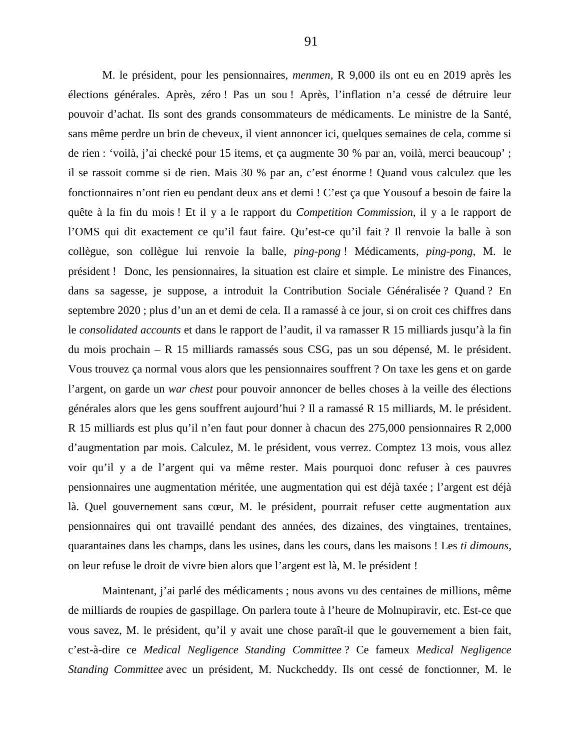M. le président, pour les pensionnaires, *menmen,* R 9,000 ils ont eu en 2019 après les élections générales. Après, zéro ! Pas un sou ! Après, l'inflation n'a cessé de détruire leur pouvoir d'achat. Ils sont des grands consommateurs de médicaments. Le ministre de la Santé, sans même perdre un brin de cheveux, il vient annoncer ici, quelques semaines de cela, comme si de rien : 'voilà, j'ai checké pour 15 items, et ça augmente 30 % par an, voilà, merci beaucoup' ; il se rassoit comme si de rien. Mais 30 % par an, c'est énorme ! Quand vous calculez que les fonctionnaires n'ont rien eu pendant deux ans et demi ! C'est ça que Yousouf a besoin de faire la quête à la fin du mois ! Et il y a le rapport du *Competition Commission*, il y a le rapport de l'OMS qui dit exactement ce qu'il faut faire. Qu'est-ce qu'il fait ? Il renvoie la balle à son collègue, son collègue lui renvoie la balle, *ping-pong* ! Médicaments, *ping-pong*, M. le président ! Donc, les pensionnaires, la situation est claire et simple. Le ministre des Finances, dans sa sagesse, je suppose, a introduit la Contribution Sociale Généralisée ? Quand ? En septembre 2020 ; plus d'un an et demi de cela. Il a ramassé à ce jour, si on croit ces chiffres dans le *consolidated accounts* et dans le rapport de l'audit, il va ramasser R 15 milliards jusqu'à la fin du mois prochain – R 15 milliards ramassés sous CSG, pas un sou dépensé, M. le président. Vous trouvez ça normal vous alors que les pensionnaires souffrent ? On taxe les gens et on garde l'argent, on garde un *war chest* pour pouvoir annoncer de belles choses à la veille des élections générales alors que les gens souffrent aujourd'hui ? Il a ramassé R 15 milliards, M. le président. R 15 milliards est plus qu'il n'en faut pour donner à chacun des 275,000 pensionnaires R 2,000 d'augmentation par mois. Calculez, M. le président, vous verrez. Comptez 13 mois, vous allez voir qu'il y a de l'argent qui va même rester. Mais pourquoi donc refuser à ces pauvres pensionnaires une augmentation méritée, une augmentation qui est déjà taxée ; l'argent est déjà là. Quel gouvernement sans cœur, M. le président, pourrait refuser cette augmentation aux pensionnaires qui ont travaillé pendant des années, des dizaines, des vingtaines, trentaines, quarantaines dans les champs, dans les usines, dans les cours, dans les maisons ! Les *ti dimouns,*  on leur refuse le droit de vivre bien alors que l'argent est là, M. le président !

Maintenant, j'ai parlé des médicaments ; nous avons vu des centaines de millions, même de milliards de roupies de gaspillage. On parlera toute à l'heure de Molnupiravir, etc. Est-ce que vous savez, M. le président, qu'il y avait une chose paraît-il que le gouvernement a bien fait, c'est-à-dire ce *Medical Negligence Standing Committee* ? Ce fameux *Medical Negligence Standing Committee* avec un président, M. Nuckcheddy. Ils ont cessé de fonctionner, M. le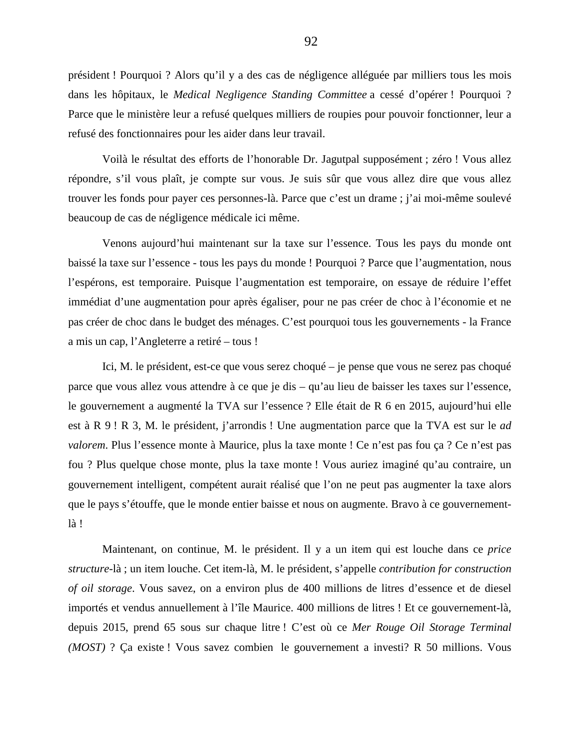président ! Pourquoi ? Alors qu'il y a des cas de négligence alléguée par milliers tous les mois dans les hôpitaux, le *Medical Negligence Standing Committee* a cessé d'opérer ! Pourquoi ? Parce que le ministère leur a refusé quelques milliers de roupies pour pouvoir fonctionner, leur a refusé des fonctionnaires pour les aider dans leur travail.

Voilà le résultat des efforts de l'honorable Dr. Jagutpal supposément ; zéro ! Vous allez répondre, s'il vous plaît, je compte sur vous. Je suis sûr que vous allez dire que vous allez trouver les fonds pour payer ces personnes-là. Parce que c'est un drame ; j'ai moi-même soulevé beaucoup de cas de négligence médicale ici même.

Venons aujourd'hui maintenant sur la taxe sur l'essence. Tous les pays du monde ont baissé la taxe sur l'essence - tous les pays du monde ! Pourquoi ? Parce que l'augmentation, nous l'espérons, est temporaire. Puisque l'augmentation est temporaire, on essaye de réduire l'effet immédiat d'une augmentation pour après égaliser, pour ne pas créer de choc à l'économie et ne pas créer de choc dans le budget des ménages. C'est pourquoi tous les gouvernements - la France a mis un cap, l'Angleterre a retiré – tous !

Ici, M. le président, est-ce que vous serez choqué – je pense que vous ne serez pas choqué parce que vous allez vous attendre à ce que je dis – qu'au lieu de baisser les taxes sur l'essence, le gouvernement a augmenté la TVA sur l'essence ? Elle était de R 6 en 2015, aujourd'hui elle est à R 9 ! R 3, M. le président, j'arrondis ! Une augmentation parce que la TVA est sur le *ad valorem*. Plus l'essence monte à Maurice, plus la taxe monte ! Ce n'est pas fou ça ? Ce n'est pas fou ? Plus quelque chose monte, plus la taxe monte ! Vous auriez imaginé qu'au contraire, un gouvernement intelligent, compétent aurait réalisé que l'on ne peut pas augmenter la taxe alors que le pays s'étouffe, que le monde entier baisse et nous on augmente. Bravo à ce gouvernementlà !

Maintenant, on continue, M. le président. Il y a un item qui est louche dans ce *price structure*-là ; un item louche. Cet item-là, M. le président, s'appelle *contribution for construction of oil storage*. Vous savez, on a environ plus de 400 millions de litres d'essence et de diesel importés et vendus annuellement à l'île Maurice. 400 millions de litres ! Et ce gouvernement-là, depuis 2015, prend 65 sous sur chaque litre ! C'est où ce *Mer Rouge Oil Storage Terminal (MOST)* ? Ça existe ! Vous savez combien le gouvernement a investi? R 50 millions. Vous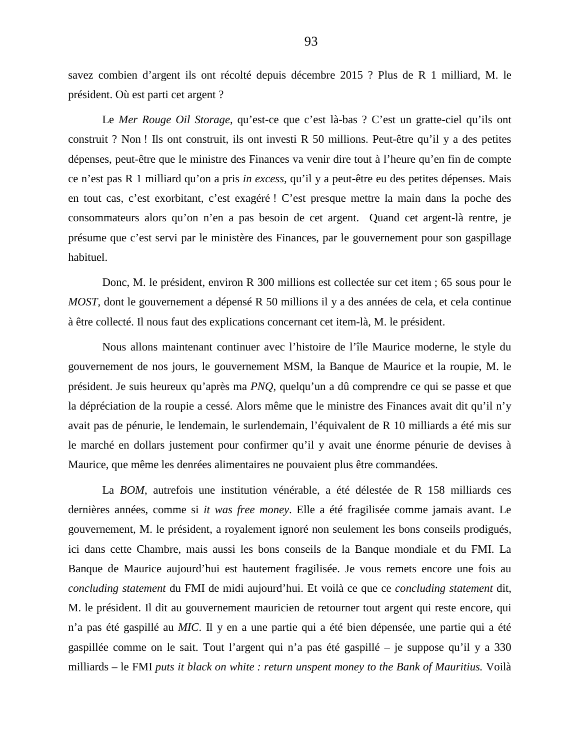savez combien d'argent ils ont récolté depuis décembre 2015 ? Plus de R 1 milliard, M. le président. Où est parti cet argent ?

Le *Mer Rouge Oil Storage*, qu'est-ce que c'est là-bas ? C'est un gratte-ciel qu'ils ont construit ? Non ! Ils ont construit, ils ont investi R 50 millions. Peut-être qu'il y a des petites dépenses, peut-être que le ministre des Finances va venir dire tout à l'heure qu'en fin de compte ce n'est pas R 1 milliard qu'on a pris *in excess,* qu'il y a peut-être eu des petites dépenses. Mais en tout cas, c'est exorbitant, c'est exagéré ! C'est presque mettre la main dans la poche des consommateurs alors qu'on n'en a pas besoin de cet argent. Quand cet argent-là rentre, je présume que c'est servi par le ministère des Finances, par le gouvernement pour son gaspillage habituel.

Donc, M. le président, environ R 300 millions est collectée sur cet item ; 65 sous pour le *MOST*, dont le gouvernement a dépensé R 50 millions il y a des années de cela, et cela continue à être collecté. Il nous faut des explications concernant cet item-là, M. le président.

Nous allons maintenant continuer avec l'histoire de l'île Maurice moderne, le style du gouvernement de nos jours, le gouvernement MSM, la Banque de Maurice et la roupie, M. le président. Je suis heureux qu'après ma *PNQ,* quelqu'un a dû comprendre ce qui se passe et que la dépréciation de la roupie a cessé. Alors même que le ministre des Finances avait dit qu'il n'y avait pas de pénurie, le lendemain, le surlendemain, l'équivalent de R 10 milliards a été mis sur le marché en dollars justement pour confirmer qu'il y avait une énorme pénurie de devises à Maurice, que même les denrées alimentaires ne pouvaient plus être commandées.

La *BOM*, autrefois une institution vénérable, a été délestée de R 158 milliards ces dernières années, comme si *it was free money*. Elle a été fragilisée comme jamais avant. Le gouvernement, M. le président, a royalement ignoré non seulement les bons conseils prodigués, ici dans cette Chambre, mais aussi les bons conseils de la Banque mondiale et du FMI. La Banque de Maurice aujourd'hui est hautement fragilisée. Je vous remets encore une fois au *concluding statement* du FMI de midi aujourd'hui. Et voilà ce que ce *concluding statement* dit, M. le président. Il dit au gouvernement mauricien de retourner tout argent qui reste encore, qui n'a pas été gaspillé au *MIC*. Il y en a une partie qui a été bien dépensée, une partie qui a été gaspillée comme on le sait. Tout l'argent qui n'a pas été gaspillé – je suppose qu'il y a 330 milliards – le FMI *puts it black on white : return unspent money to the Bank of Mauritius.* Voilà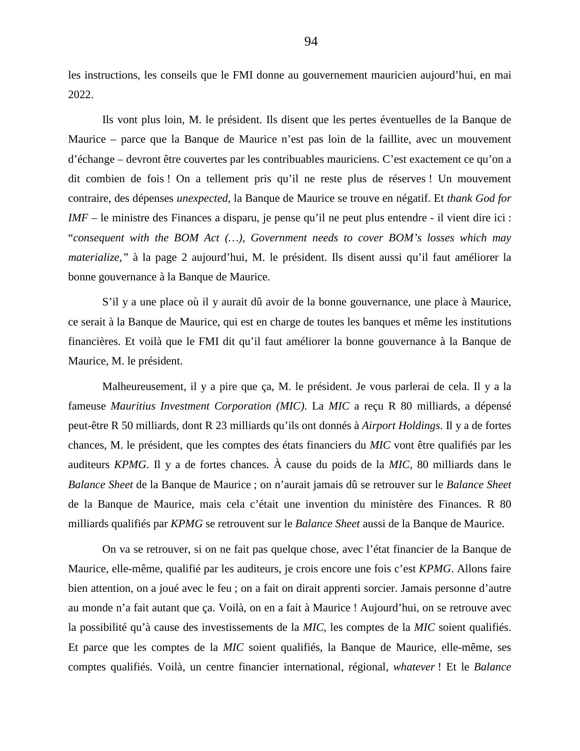les instructions, les conseils que le FMI donne au gouvernement mauricien aujourd'hui, en mai 2022.

Ils vont plus loin, M. le président. Ils disent que les pertes éventuelles de la Banque de Maurice – parce que la Banque de Maurice n'est pas loin de la faillite, avec un mouvement d'échange – devront être couvertes par les contribuables mauriciens. C'est exactement ce qu'on a dit combien de fois ! On a tellement pris qu'il ne reste plus de réserves ! Un mouvement contraire, des dépenses *unexpected,* la Banque de Maurice se trouve en négatif. Et *thank God for IMF* – le ministre des Finances a disparu, je pense qu'il ne peut plus entendre - il vient dire ici : "*consequent with the BOM Act (…), Government needs to cover BOM's losses which may materialize,"* à la page 2 aujourd'hui, M. le président. Ils disent aussi qu'il faut améliorer la bonne gouvernance à la Banque de Maurice.

S'il y a une place où il y aurait dû avoir de la bonne gouvernance, une place à Maurice, ce serait à la Banque de Maurice, qui est en charge de toutes les banques et même les institutions financières. Et voilà que le FMI dit qu'il faut améliorer la bonne gouvernance à la Banque de Maurice, M. le président.

Malheureusement, il y a pire que ça, M. le président. Je vous parlerai de cela. Il y a la fameuse *Mauritius Investment Corporation (MIC)*. La *MIC* a reçu R 80 milliards, a dépensé peut-être R 50 milliards, dont R 23 milliards qu'ils ont donnés à *Airport Holdings*. Il y a de fortes chances, M. le président, que les comptes des états financiers du *MIC* vont être qualifiés par les auditeurs *KPMG*. Il y a de fortes chances. À cause du poids de la *MIC,* 80 milliards dans le *Balance Sheet* de la Banque de Maurice ; on n'aurait jamais dû se retrouver sur le *Balance Sheet*  de la Banque de Maurice, mais cela c'était une invention du ministère des Finances. R 80 milliards qualifiés par *KPMG* se retrouvent sur le *Balance Sheet* aussi de la Banque de Maurice.

On va se retrouver, si on ne fait pas quelque chose, avec l'état financier de la Banque de Maurice, elle-même, qualifié par les auditeurs, je crois encore une fois c'est *KPMG*. Allons faire bien attention, on a joué avec le feu ; on a fait on dirait apprenti sorcier. Jamais personne d'autre au monde n'a fait autant que ça. Voilà, on en a fait à Maurice ! Aujourd'hui, on se retrouve avec la possibilité qu'à cause des investissements de la *MIC*, les comptes de la *MIC* soient qualifiés. Et parce que les comptes de la *MIC* soient qualifiés, la Banque de Maurice, elle-même, ses comptes qualifiés. Voilà, un centre financier international, régional, *whatever* ! Et le *Balance*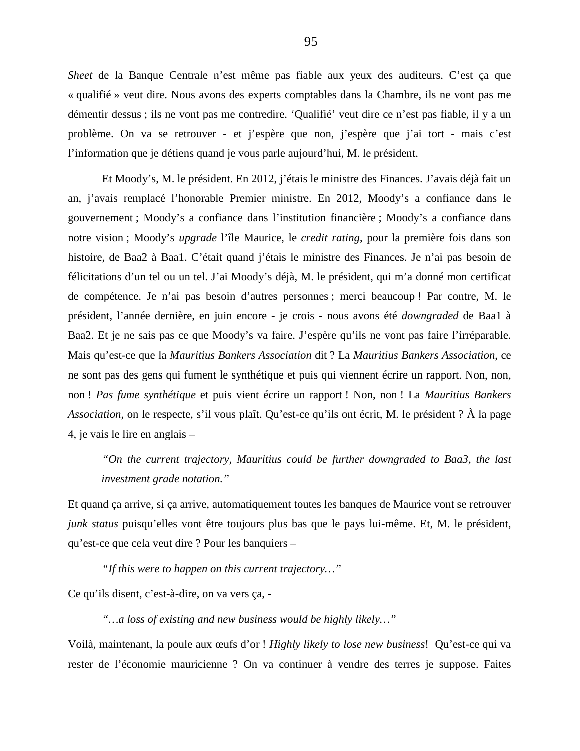*Sheet* de la Banque Centrale n'est même pas fiable aux yeux des auditeurs. C'est ça que « qualifié » veut dire. Nous avons des experts comptables dans la Chambre, ils ne vont pas me démentir dessus ; ils ne vont pas me contredire. 'Qualifié' veut dire ce n'est pas fiable, il y a un problème. On va se retrouver - et j'espère que non, j'espère que j'ai tort - mais c'est l'information que je détiens quand je vous parle aujourd'hui, M. le président.

Et Moody's, M. le président. En 2012, j'étais le ministre des Finances. J'avais déjà fait un an, j'avais remplacé l'honorable Premier ministre. En 2012, Moody's a confiance dans le gouvernement ; Moody's a confiance dans l'institution financière ; Moody's a confiance dans notre vision ; Moody's *upgrade* l'île Maurice, le *credit rating*, pour la première fois dans son histoire, de Baa2 à Baa1. C'était quand j'étais le ministre des Finances. Je n'ai pas besoin de félicitations d'un tel ou un tel. J'ai Moody's déjà, M. le président, qui m'a donné mon certificat de compétence. Je n'ai pas besoin d'autres personnes ; merci beaucoup ! Par contre, M. le président, l'année dernière, en juin encore - je crois - nous avons été *downgraded* de Baa1 à Baa2. Et je ne sais pas ce que Moody's va faire. J'espère qu'ils ne vont pas faire l'irréparable. Mais qu'est-ce que la *Mauritius Bankers Association* dit ? La *Mauritius Bankers Association*, ce ne sont pas des gens qui fument le synthétique et puis qui viennent écrire un rapport. Non, non, non ! *Pas fume synthétique* et puis vient écrire un rapport ! Non, non ! La *Mauritius Bankers Association*, on le respecte, s'il vous plaît. Qu'est-ce qu'ils ont écrit, M. le président ? À la page 4, je vais le lire en anglais –

*"On the current trajectory, Mauritius could be further downgraded to Baa3, the last investment grade notation."*

Et quand ça arrive, si ça arrive, automatiquement toutes les banques de Maurice vont se retrouver *junk status* puisqu'elles vont être toujours plus bas que le pays lui-même. Et, M. le président, qu'est-ce que cela veut dire ? Pour les banquiers –

*"If this were to happen on this current trajectory…"* 

Ce qu'ils disent, c'est-à-dire, on va vers ça, -

*"…a loss of existing and new business would be highly likely…"*

Voilà, maintenant, la poule aux œufs d'or ! *Highly likely to lose new business*! Qu'est-ce qui va rester de l'économie mauricienne ? On va continuer à vendre des terres je suppose. Faites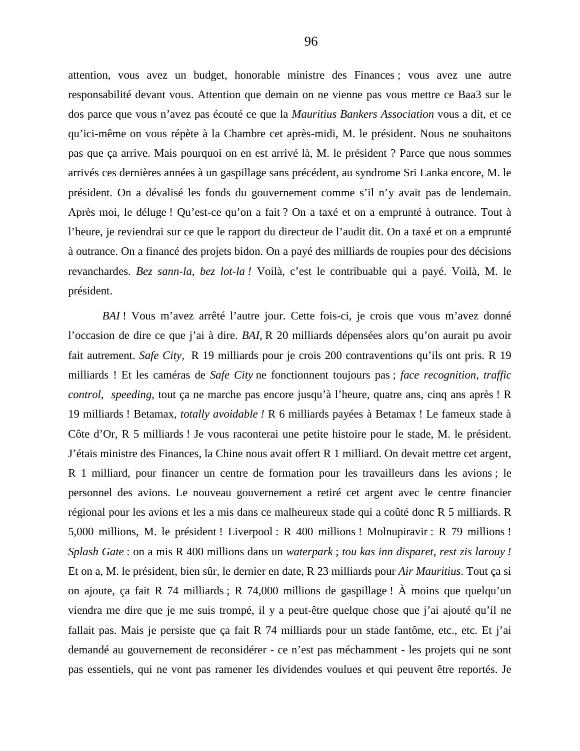attention, vous avez un budget, honorable ministre des Finances ; vous avez une autre responsabilité devant vous. Attention que demain on ne vienne pas vous mettre ce Baa3 sur le dos parce que vous n'avez pas écouté ce que la *Mauritius Bankers Association* vous a dit, et ce qu'ici-même on vous répète à la Chambre cet après-midi, M. le président. Nous ne souhaitons pas que ça arrive. Mais pourquoi on en est arrivé là, M. le président ? Parce que nous sommes arrivés ces dernières années à un gaspillage sans précédent, au syndrome Sri Lanka encore, M. le président. On a dévalisé les fonds du gouvernement comme s'il n'y avait pas de lendemain. Après moi, le déluge ! Qu'est-ce qu'on a fait ? On a taxé et on a emprunté à outrance. Tout à l'heure, je reviendrai sur ce que le rapport du directeur de l'audit dit. On a taxé et on a emprunté à outrance. On a financé des projets bidon. On a payé des milliards de roupies pour des décisions revanchardes. *Bez sann-la, bez lot-la !* Voilà, c'est le contribuable qui a payé. Voilà, M. le président.

*BAI* ! Vous m'avez arrêté l'autre jour. Cette fois-ci, je crois que vous m'avez donné l'occasion de dire ce que j'ai à dire. *BAI*, R 20 milliards dépensées alors qu'on aurait pu avoir fait autrement. *Safe City,* R 19 milliards pour je crois 200 contraventions qu'ils ont pris. R 19 milliards ! Et les caméras de *Safe City* ne fonctionnent toujours pas ; *face recognition, traffic control*, *speeding*, tout ça ne marche pas encore jusqu'à l'heure, quatre ans, cinq ans après ! R 19 milliards ! Betamax*, totally avoidable !* R 6 milliards payées à Betamax ! Le fameux stade à Côte d'Or, R 5 milliards ! Je vous raconterai une petite histoire pour le stade, M. le président. J'étais ministre des Finances, la Chine nous avait offert R 1 milliard. On devait mettre cet argent, R 1 milliard, pour financer un centre de formation pour les travailleurs dans les avions ; le personnel des avions. Le nouveau gouvernement a retiré cet argent avec le centre financier régional pour les avions et les a mis dans ce malheureux stade qui a coûté donc R 5 milliards. R 5,000 millions, M. le président ! Liverpool : R 400 millions ! Molnupiravir : R 79 millions ! *Splash Gate* : on a mis R 400 millions dans un *waterpark* ; *tou kas inn disparet, rest zis larouy !* Et on a, M. le président, bien sûr, le dernier en date, R 23 milliards pour *Air Mauritius*. Tout ça si on ajoute, ça fait R 74 milliards ; R 74,000 millions de gaspillage ! À moins que quelqu'un viendra me dire que je me suis trompé, il y a peut-être quelque chose que j'ai ajouté qu'il ne fallait pas. Mais je persiste que ça fait R 74 milliards pour un stade fantôme, etc., etc. Et j'ai demandé au gouvernement de reconsidérer - ce n'est pas méchamment - les projets qui ne sont pas essentiels, qui ne vont pas ramener les dividendes voulues et qui peuvent être reportés. Je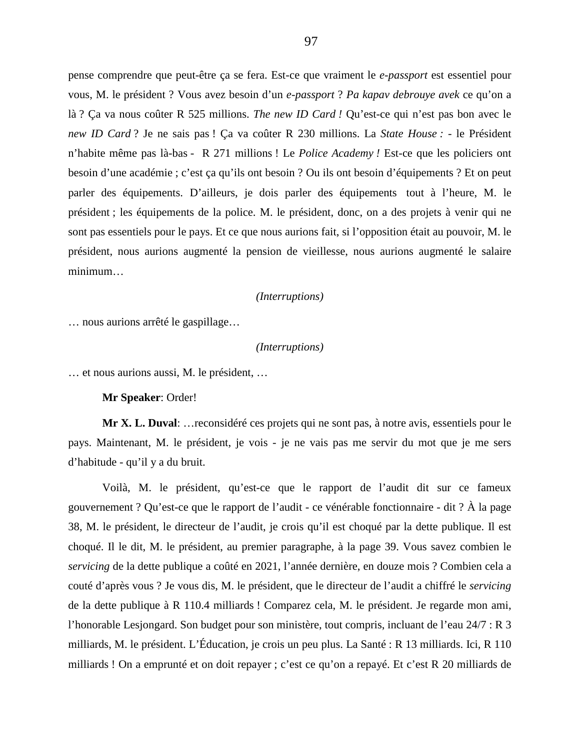pense comprendre que peut-être ça se fera. Est-ce que vraiment le *e-passport* est essentiel pour vous, M. le président ? Vous avez besoin d'un *e-passport* ? *Pa kapav debrouye avek* ce qu'on a là ? Ça va nous coûter R 525 millions. *The new ID Card !* Qu'est-ce qui n'est pas bon avec le *new ID Card* ? Je ne sais pas ! Ça va coûter R 230 millions. La *State House : -* le Président n'habite même pas là-bas - R 271 millions ! Le *Police Academy !* Est-ce que les policiers ont besoin d'une académie ; c'est ça qu'ils ont besoin ? Ou ils ont besoin d'équipements ? Et on peut parler des équipements. D'ailleurs, je dois parler des équipements tout à l'heure, M. le président ; les équipements de la police. M. le président, donc, on a des projets à venir qui ne sont pas essentiels pour le pays. Et ce que nous aurions fait, si l'opposition était au pouvoir, M. le président, nous aurions augmenté la pension de vieillesse, nous aurions augmenté le salaire minimum…

# *(Interruptions)*

… nous aurions arrêté le gaspillage…

# *(Interruptions)*

… et nous aurions aussi, M. le président, …

### **Mr Speaker**: Order!

**Mr X. L. Duval**: …reconsidéré ces projets qui ne sont pas, à notre avis, essentiels pour le pays. Maintenant, M. le président, je vois - je ne vais pas me servir du mot que je me sers d'habitude - qu'il y a du bruit.

Voilà, M. le président, qu'est-ce que le rapport de l'audit dit sur ce fameux gouvernement ? Qu'est-ce que le rapport de l'audit - ce vénérable fonctionnaire - dit ? À la page 38, M. le président, le directeur de l'audit, je crois qu'il est choqué par la dette publique. Il est choqué. Il le dit, M. le président, au premier paragraphe, à la page 39. Vous savez combien le *servicing* de la dette publique a coûté en 2021, l'année dernière, en douze mois ? Combien cela a couté d'après vous ? Je vous dis, M. le président, que le directeur de l'audit a chiffré le *servicing*  de la dette publique à R 110.4 milliards ! Comparez cela, M. le président. Je regarde mon ami, l'honorable Lesjongard. Son budget pour son ministère, tout compris, incluant de l'eau 24/7 : R 3 milliards, M. le président. L'Éducation, je crois un peu plus. La Santé : R 13 milliards. Ici, R 110 milliards ! On a emprunté et on doit repayer ; c'est ce qu'on a repayé. Et c'est R 20 milliards de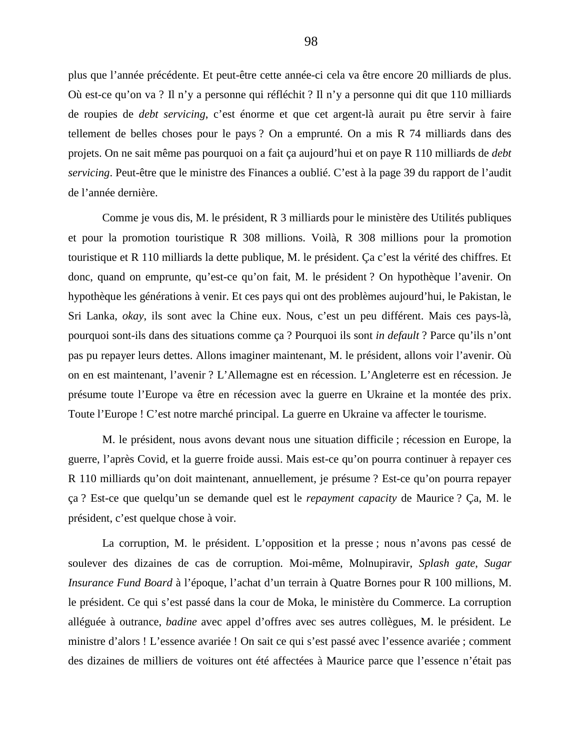plus que l'année précédente. Et peut-être cette année-ci cela va être encore 20 milliards de plus. Où est-ce qu'on va ? Il n'y a personne qui réfléchit ? Il n'y a personne qui dit que 110 milliards de roupies de *debt servicing*, c'est énorme et que cet argent-là aurait pu être servir à faire tellement de belles choses pour le pays ? On a emprunté. On a mis R 74 milliards dans des projets. On ne sait même pas pourquoi on a fait ça aujourd'hui et on paye R 110 milliards de *debt servicing*. Peut-être que le ministre des Finances a oublié. C'est à la page 39 du rapport de l'audit de l'année dernière.

Comme je vous dis, M. le président, R 3 milliards pour le ministère des Utilités publiques et pour la promotion touristique R 308 millions. Voilà, R 308 millions pour la promotion touristique et R 110 milliards la dette publique, M. le président. Ça c'est la vérité des chiffres. Et donc, quand on emprunte, qu'est-ce qu'on fait, M. le président ? On hypothèque l'avenir. On hypothèque les générations à venir. Et ces pays qui ont des problèmes aujourd'hui, le Pakistan, le Sri Lanka, *okay*, ils sont avec la Chine eux. Nous, c'est un peu différent. Mais ces pays-là, pourquoi sont-ils dans des situations comme ça ? Pourquoi ils sont *in default* ? Parce qu'ils n'ont pas pu repayer leurs dettes. Allons imaginer maintenant, M. le président, allons voir l'avenir. Où on en est maintenant, l'avenir ? L'Allemagne est en récession. L'Angleterre est en récession. Je présume toute l'Europe va être en récession avec la guerre en Ukraine et la montée des prix. Toute l'Europe ! C'est notre marché principal. La guerre en Ukraine va affecter le tourisme.

M. le président, nous avons devant nous une situation difficile ; récession en Europe, la guerre, l'après Covid, et la guerre froide aussi. Mais est-ce qu'on pourra continuer à repayer ces R 110 milliards qu'on doit maintenant, annuellement, je présume ? Est-ce qu'on pourra repayer ça ? Est-ce que quelqu'un se demande quel est le *repayment capacity* de Maurice ? Ça, M. le président, c'est quelque chose à voir.

La corruption, M. le président. L'opposition et la presse ; nous n'avons pas cessé de soulever des dizaines de cas de corruption. Moi-même, Molnupiravir, *Splash gate*, *Sugar Insurance Fund Board* à l'époque, l'achat d'un terrain à Quatre Bornes pour R 100 millions, M. le président. Ce qui s'est passé dans la cour de Moka, le ministère du Commerce. La corruption alléguée à outrance, *badine* avec appel d'offres avec ses autres collègues, M. le président. Le ministre d'alors ! L'essence avariée ! On sait ce qui s'est passé avec l'essence avariée ; comment des dizaines de milliers de voitures ont été affectées à Maurice parce que l'essence n'était pas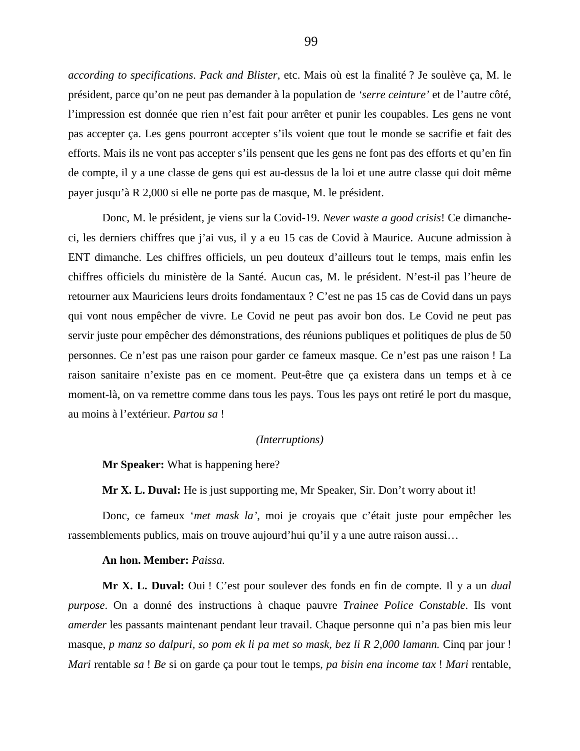*according to specifications*. *Pack and Blister*, etc. Mais où est la finalité ? Je soulève ça, M. le président, parce qu'on ne peut pas demander à la population de *'serre ceinture'* et de l'autre côté, l'impression est donnée que rien n'est fait pour arrêter et punir les coupables. Les gens ne vont pas accepter ça. Les gens pourront accepter s'ils voient que tout le monde se sacrifie et fait des efforts. Mais ils ne vont pas accepter s'ils pensent que les gens ne font pas des efforts et qu'en fin de compte, il y a une classe de gens qui est au-dessus de la loi et une autre classe qui doit même payer jusqu'à R 2,000 si elle ne porte pas de masque, M. le président.

Donc, M. le président, je viens sur la Covid-19. *Never waste a good crisis*! Ce dimancheci, les derniers chiffres que j'ai vus, il y a eu 15 cas de Covid à Maurice. Aucune admission à ENT dimanche. Les chiffres officiels, un peu douteux d'ailleurs tout le temps, mais enfin les chiffres officiels du ministère de la Santé. Aucun cas, M. le président. N'est-il pas l'heure de retourner aux Mauriciens leurs droits fondamentaux ? C'est ne pas 15 cas de Covid dans un pays qui vont nous empêcher de vivre. Le Covid ne peut pas avoir bon dos. Le Covid ne peut pas servir juste pour empêcher des démonstrations, des réunions publiques et politiques de plus de 50 personnes. Ce n'est pas une raison pour garder ce fameux masque. Ce n'est pas une raison ! La raison sanitaire n'existe pas en ce moment. Peut-être que ça existera dans un temps et à ce moment-là, on va remettre comme dans tous les pays. Tous les pays ont retiré le port du masque, au moins à l'extérieur. *Partou sa* !

# *(Interruptions)*

**Mr Speaker:** What is happening here?

**Mr X. L. Duval:** He is just supporting me, Mr Speaker, Sir. Don't worry about it!

Donc, ce fameux '*met mask la'*, moi je croyais que c'était juste pour empêcher les rassemblements publics, mais on trouve aujourd'hui qu'il y a une autre raison aussi…

# **An hon. Member:** *Paissa.*

**Mr X. L. Duval:** Oui ! C'est pour soulever des fonds en fin de compte. Il y a un *dual purpose*. On a donné des instructions à chaque pauvre *Trainee Police Constable*. Ils vont *amerder* les passants maintenant pendant leur travail. Chaque personne qui n'a pas bien mis leur masque, *p manz so dalpuri, so pom ek li pa met so mask, bez li R 2,000 lamann.* Cinq par jour ! *Mari* rentable *sa* ! *Be* si on garde ça pour tout le temps, *pa bisin ena income tax* ! *Mari* rentable,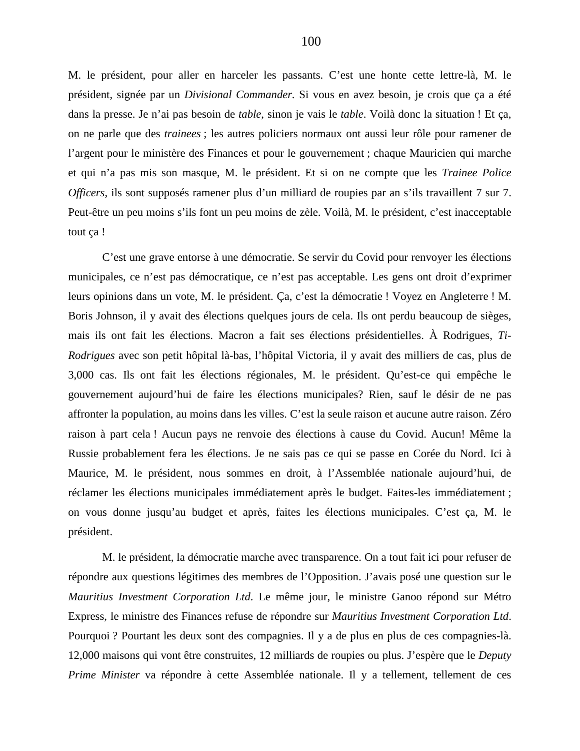M. le président, pour aller en harceler les passants. C'est une honte cette lettre-là, M. le président, signée par un *Divisional Commander.* Si vous en avez besoin, je crois que ça a été dans la presse. Je n'ai pas besoin de *table*, sinon je vais le *table*. Voilà donc la situation ! Et ça, on ne parle que des *trainees* ; les autres policiers normaux ont aussi leur rôle pour ramener de l'argent pour le ministère des Finances et pour le gouvernement ; chaque Mauricien qui marche et qui n'a pas mis son masque, M. le président. Et si on ne compte que les *Trainee Police Officers*, ils sont supposés ramener plus d'un milliard de roupies par an s'ils travaillent 7 sur 7. Peut-être un peu moins s'ils font un peu moins de zèle. Voilà, M. le président, c'est inacceptable tout ça !

C'est une grave entorse à une démocratie. Se servir du Covid pour renvoyer les élections municipales, ce n'est pas démocratique, ce n'est pas acceptable. Les gens ont droit d'exprimer leurs opinions dans un vote, M. le président. Ça, c'est la démocratie ! Voyez en Angleterre ! M. Boris Johnson, il y avait des élections quelques jours de cela. Ils ont perdu beaucoup de sièges, mais ils ont fait les élections. Macron a fait ses élections présidentielles. À Rodrigues, *Ti-Rodrigues* avec son petit hôpital là-bas, l'hôpital Victoria, il y avait des milliers de cas, plus de 3,000 cas. Ils ont fait les élections régionales, M. le président. Qu'est-ce qui empêche le gouvernement aujourd'hui de faire les élections municipales? Rien, sauf le désir de ne pas affronter la population, au moins dans les villes. C'est la seule raison et aucune autre raison. Zéro raison à part cela ! Aucun pays ne renvoie des élections à cause du Covid. Aucun! Même la Russie probablement fera les élections. Je ne sais pas ce qui se passe en Corée du Nord. Ici à Maurice, M. le président, nous sommes en droit, à l'Assemblée nationale aujourd'hui, de réclamer les élections municipales immédiatement après le budget. Faites-les immédiatement ; on vous donne jusqu'au budget et après, faites les élections municipales. C'est ça, M. le président.

M. le président, la démocratie marche avec transparence. On a tout fait ici pour refuser de répondre aux questions légitimes des membres de l'Opposition. J'avais posé une question sur le *Mauritius Investment Corporation Ltd*. Le même jour, le ministre Ganoo répond sur Métro Express, le ministre des Finances refuse de répondre sur *Mauritius Investment Corporation Ltd*. Pourquoi ? Pourtant les deux sont des compagnies. Il y a de plus en plus de ces compagnies-là. 12,000 maisons qui vont être construites, 12 milliards de roupies ou plus. J'espère que le *Deputy Prime Minister* va répondre à cette Assemblée nationale. Il y a tellement, tellement de ces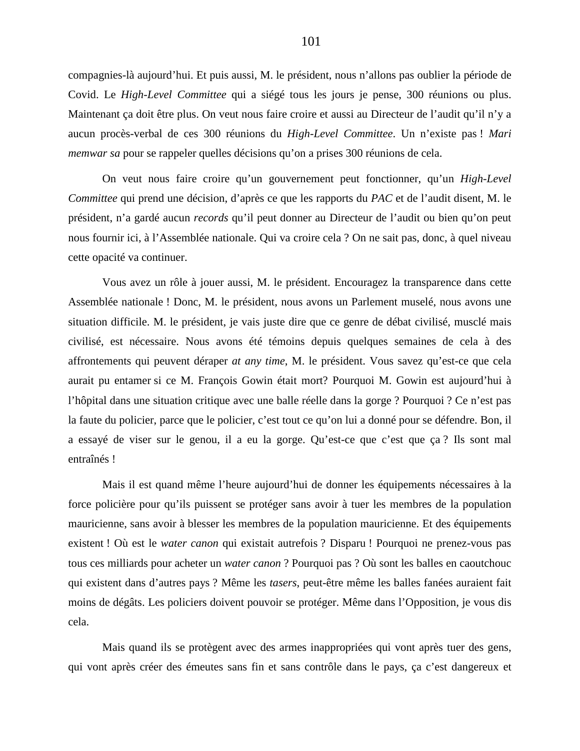compagnies-là aujourd'hui. Et puis aussi, M. le président, nous n'allons pas oublier la période de Covid. Le *High-Level Committee* qui a siégé tous les jours je pense, 300 réunions ou plus. Maintenant ça doit être plus. On veut nous faire croire et aussi au Directeur de l'audit qu'il n'y a aucun procès-verbal de ces 300 réunions du *High-Level Committee*. Un n'existe pas ! *Mari memwar sa* pour se rappeler quelles décisions qu'on a prises 300 réunions de cela.

On veut nous faire croire qu'un gouvernement peut fonctionner, qu'un *High-Level Committee* qui prend une décision, d'après ce que les rapports du *PAC* et de l'audit disent, M. le président, n'a gardé aucun *records* qu'il peut donner au Directeur de l'audit ou bien qu'on peut nous fournir ici, à l'Assemblée nationale. Qui va croire cela ? On ne sait pas, donc, à quel niveau cette opacité va continuer.

Vous avez un rôle à jouer aussi, M. le président. Encouragez la transparence dans cette Assemblée nationale ! Donc, M. le président, nous avons un Parlement muselé, nous avons une situation difficile. M. le président, je vais juste dire que ce genre de débat civilisé, musclé mais civilisé, est nécessaire. Nous avons été témoins depuis quelques semaines de cela à des affrontements qui peuvent déraper *at any time*, M. le président. Vous savez qu'est-ce que cela aurait pu entamer si ce M. François Gowin était mort? Pourquoi M. Gowin est aujourd'hui à l'hôpital dans une situation critique avec une balle réelle dans la gorge ? Pourquoi ? Ce n'est pas la faute du policier, parce que le policier, c'est tout ce qu'on lui a donné pour se défendre. Bon, il a essayé de viser sur le genou, il a eu la gorge. Qu'est-ce que c'est que ça ? Ils sont mal entraînés !

Mais il est quand même l'heure aujourd'hui de donner les équipements nécessaires à la force policière pour qu'ils puissent se protéger sans avoir à tuer les membres de la population mauricienne, sans avoir à blesser les membres de la population mauricienne. Et des équipements existent ! Où est le *water canon* qui existait autrefois ? Disparu ! Pourquoi ne prenez-vous pas tous ces milliards pour acheter un *water canon* ? Pourquoi pas ? Où sont les balles en caoutchouc qui existent dans d'autres pays ? Même les *tasers*, peut-être même les balles fanées auraient fait moins de dégâts. Les policiers doivent pouvoir se protéger. Même dans l'Opposition, je vous dis cela.

Mais quand ils se protègent avec des armes inappropriées qui vont après tuer des gens, qui vont après créer des émeutes sans fin et sans contrôle dans le pays, ça c'est dangereux et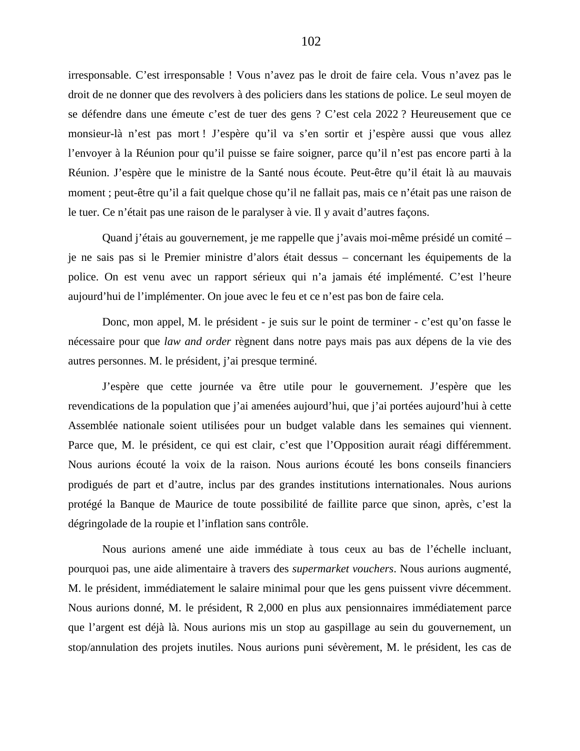irresponsable. C'est irresponsable ! Vous n'avez pas le droit de faire cela. Vous n'avez pas le droit de ne donner que des revolvers à des policiers dans les stations de police. Le seul moyen de se défendre dans une émeute c'est de tuer des gens ? C'est cela 2022 ? Heureusement que ce monsieur-là n'est pas mort ! J'espère qu'il va s'en sortir et j'espère aussi que vous allez l'envoyer à la Réunion pour qu'il puisse se faire soigner, parce qu'il n'est pas encore parti à la Réunion. J'espère que le ministre de la Santé nous écoute. Peut-être qu'il était là au mauvais moment ; peut-être qu'il a fait quelque chose qu'il ne fallait pas, mais ce n'était pas une raison de le tuer. Ce n'était pas une raison de le paralyser à vie. Il y avait d'autres façons.

Quand j'étais au gouvernement, je me rappelle que j'avais moi-même présidé un comité – je ne sais pas si le Premier ministre d'alors était dessus – concernant les équipements de la police. On est venu avec un rapport sérieux qui n'a jamais été implémenté. C'est l'heure aujourd'hui de l'implémenter. On joue avec le feu et ce n'est pas bon de faire cela.

Donc, mon appel, M. le président - je suis sur le point de terminer - c'est qu'on fasse le nécessaire pour que *law and order* règnent dans notre pays mais pas aux dépens de la vie des autres personnes. M. le président, j'ai presque terminé.

J'espère que cette journée va être utile pour le gouvernement. J'espère que les revendications de la population que j'ai amenées aujourd'hui, que j'ai portées aujourd'hui à cette Assemblée nationale soient utilisées pour un budget valable dans les semaines qui viennent. Parce que, M. le président, ce qui est clair, c'est que l'Opposition aurait réagi différemment. Nous aurions écouté la voix de la raison. Nous aurions écouté les bons conseils financiers prodigués de part et d'autre, inclus par des grandes institutions internationales. Nous aurions protégé la Banque de Maurice de toute possibilité de faillite parce que sinon, après, c'est la dégringolade de la roupie et l'inflation sans contrôle.

Nous aurions amené une aide immédiate à tous ceux au bas de l'échelle incluant, pourquoi pas, une aide alimentaire à travers des *supermarket vouchers*. Nous aurions augmenté, M. le président, immédiatement le salaire minimal pour que les gens puissent vivre décemment. Nous aurions donné, M. le président, R 2,000 en plus aux pensionnaires immédiatement parce que l'argent est déjà là. Nous aurions mis un stop au gaspillage au sein du gouvernement, un stop/annulation des projets inutiles. Nous aurions puni sévèrement, M. le président, les cas de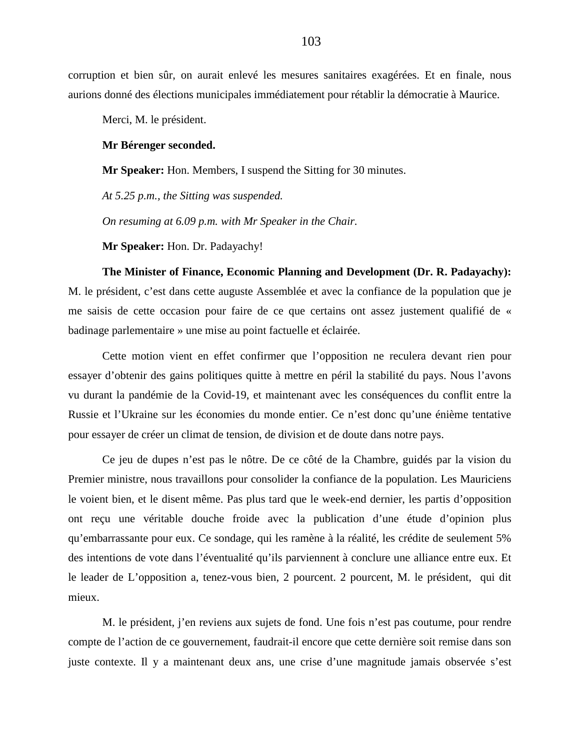corruption et bien sûr, on aurait enlevé les mesures sanitaires exagérées. Et en finale, nous aurions donné des élections municipales immédiatement pour rétablir la démocratie à Maurice.

Merci, M. le président.

### **Mr Bérenger seconded.**

**Mr Speaker:** Hon. Members, I suspend the Sitting for 30 minutes.

*At 5.25 p.m., the Sitting was suspended.*

*On resuming at 6.09 p.m. with Mr Speaker in the Chair.*

**Mr Speaker:** Hon. Dr. Padayachy!

**The Minister of Finance, Economic Planning and Development (Dr. R. Padayachy):** M. le président, c'est dans cette auguste Assemblée et avec la confiance de la population que je me saisis de cette occasion pour faire de ce que certains ont assez justement qualifié de « badinage parlementaire » une mise au point factuelle et éclairée.

Cette motion vient en effet confirmer que l'opposition ne reculera devant rien pour essayer d'obtenir des gains politiques quitte à mettre en péril la stabilité du pays. Nous l'avons vu durant la pandémie de la Covid-19, et maintenant avec les conséquences du conflit entre la Russie et l'Ukraine sur les économies du monde entier. Ce n'est donc qu'une énième tentative pour essayer de créer un climat de tension, de division et de doute dans notre pays.

Ce jeu de dupes n'est pas le nôtre. De ce côté de la Chambre, guidés par la vision du Premier ministre, nous travaillons pour consolider la confiance de la population. Les Mauriciens le voient bien, et le disent même. Pas plus tard que le week-end dernier, les partis d'opposition ont reçu une véritable douche froide avec la publication d'une étude d'opinion plus qu'embarrassante pour eux. Ce sondage, qui les ramène à la réalité, les crédite de seulement 5% des intentions de vote dans l'éventualité qu'ils parviennent à conclure une alliance entre eux. Et le leader de L'opposition a, tenez-vous bien, 2 pourcent. 2 pourcent, M. le président, qui dit mieux.

M. le président, j'en reviens aux sujets de fond. Une fois n'est pas coutume, pour rendre compte de l'action de ce gouvernement, faudrait-il encore que cette dernière soit remise dans son juste contexte. Il y a maintenant deux ans, une crise d'une magnitude jamais observée s'est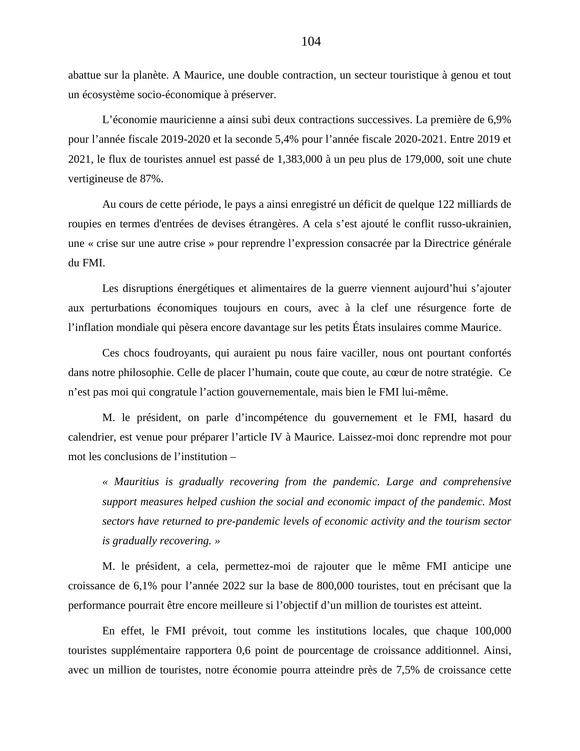abattue sur la planète. A Maurice, une double contraction, un secteur touristique à genou et tout un écosystème socio-économique à préserver.

L'économie mauricienne a ainsi subi deux contractions successives. La première de 6,9% pour l'année fiscale 2019-2020 et la seconde 5,4% pour l'année fiscale 2020-2021. Entre 2019 et 2021, le flux de touristes annuel est passé de 1,383,000 à un peu plus de 179,000, soit une chute vertigineuse de 87%.

Au cours de cette période, le pays a ainsi enregistré un déficit de quelque 122 milliards de roupies en termes d'entrées de devises étrangères. A cela s'est ajouté le conflit russo-ukrainien, une « crise sur une autre crise » pour reprendre l'expression consacrée par la Directrice générale du FMI.

Les disruptions énergétiques et alimentaires de la guerre viennent aujourd'hui s'ajouter aux perturbations économiques toujours en cours, avec à la clef une résurgence forte de l'inflation mondiale qui pèsera encore davantage sur les petits États insulaires comme Maurice.

Ces chocs foudroyants, qui auraient pu nous faire vaciller, nous ont pourtant confortés dans notre philosophie. Celle de placer l'humain, coute que coute, au cœur de notre stratégie. Ce n'est pas moi qui congratule l'action gouvernementale, mais bien le FMI lui-même.

M. le président, on parle d'incompétence du gouvernement et le FMI, hasard du calendrier, est venue pour préparer l'article IV à Maurice. Laissez-moi donc reprendre mot pour mot les conclusions de l'institution –

*« Mauritius is gradually recovering from the pandemic. Large and comprehensive support measures helped cushion the social and economic impact of the pandemic. Most sectors have returned to pre-pandemic levels of economic activity and the tourism sector is gradually recovering. »*

M. le président, a cela, permettez-moi de rajouter que le même FMI anticipe une croissance de 6,1% pour l'année 2022 sur la base de 800,000 touristes, tout en précisant que la performance pourrait être encore meilleure si l'objectif d'un million de touristes est atteint.

En effet, le FMI prévoit, tout comme les institutions locales, que chaque 100,000 touristes supplémentaire rapportera 0,6 point de pourcentage de croissance additionnel. Ainsi, avec un million de touristes, notre économie pourra atteindre près de 7,5% de croissance cette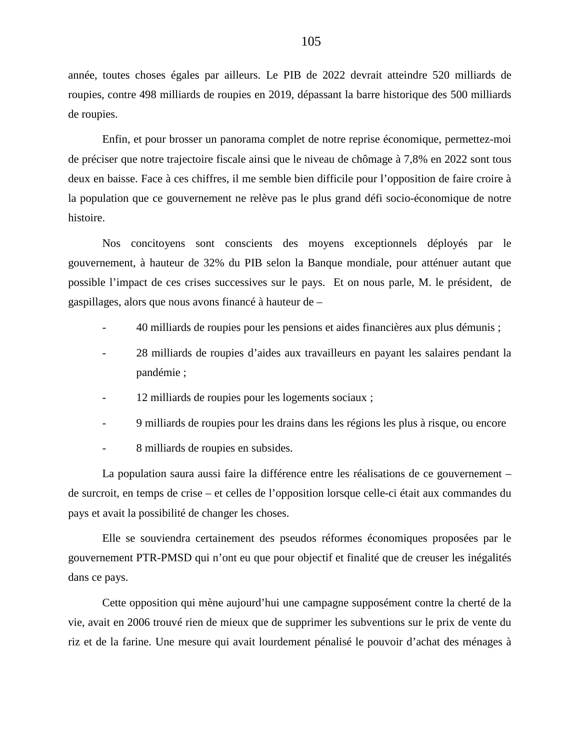année, toutes choses égales par ailleurs. Le PIB de 2022 devrait atteindre 520 milliards de roupies, contre 498 milliards de roupies en 2019, dépassant la barre historique des 500 milliards de roupies.

Enfin, et pour brosser un panorama complet de notre reprise économique, permettez-moi de préciser que notre trajectoire fiscale ainsi que le niveau de chômage à 7,8% en 2022 sont tous deux en baisse. Face à ces chiffres, il me semble bien difficile pour l'opposition de faire croire à la population que ce gouvernement ne relève pas le plus grand défi socio-économique de notre histoire.

Nos concitoyens sont conscients des moyens exceptionnels déployés par le gouvernement, à hauteur de 32% du PIB selon la Banque mondiale, pour atténuer autant que possible l'impact de ces crises successives sur le pays. Et on nous parle, M. le président, de gaspillages, alors que nous avons financé à hauteur de –

- 40 milliards de roupies pour les pensions et aides financières aux plus démunis ;
- 28 milliards de roupies d'aides aux travailleurs en payant les salaires pendant la pandémie ;
- 12 milliards de roupies pour les logements sociaux ;
- 9 milliards de roupies pour les drains dans les régions les plus à risque, ou encore
- 8 milliards de roupies en subsides.

La population saura aussi faire la différence entre les réalisations de ce gouvernement – de surcroit, en temps de crise – et celles de l'opposition lorsque celle-ci était aux commandes du pays et avait la possibilité de changer les choses.

Elle se souviendra certainement des pseudos réformes économiques proposées par le gouvernement PTR-PMSD qui n'ont eu que pour objectif et finalité que de creuser les inégalités dans ce pays.

Cette opposition qui mène aujourd'hui une campagne supposément contre la cherté de la vie, avait en 2006 trouvé rien de mieux que de supprimer les subventions sur le prix de vente du riz et de la farine. Une mesure qui avait lourdement pénalisé le pouvoir d'achat des ménages à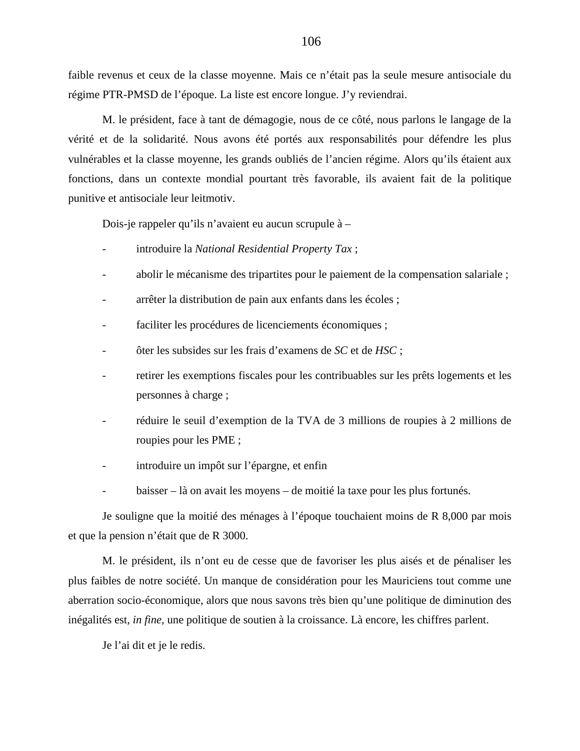faible revenus et ceux de la classe moyenne. Mais ce n'était pas la seule mesure antisociale du régime PTR-PMSD de l'époque. La liste est encore longue. J'y reviendrai.

M. le président, face à tant de démagogie, nous de ce côté, nous parlons le langage de la vérité et de la solidarité. Nous avons été portés aux responsabilités pour défendre les plus vulnérables et la classe moyenne, les grands oubliés de l'ancien régime. Alors qu'ils étaient aux fonctions, dans un contexte mondial pourtant très favorable, ils avaient fait de la politique punitive et antisociale leur leitmotiv.

Dois-je rappeler qu'ils n'avaient eu aucun scrupule à –

- introduire la *National Residential Property Tax*;
- abolir le mécanisme des tripartites pour le paiement de la compensation salariale ;
- arrêter la distribution de pain aux enfants dans les écoles ;
- faciliter les procédures de licenciements économiques ;
- ôter les subsides sur les frais d'examens de *SC* et de *HSC* ;
- retirer les exemptions fiscales pour les contribuables sur les prêts logements et les personnes à charge ;
- réduire le seuil d'exemption de la TVA de 3 millions de roupies à 2 millions de roupies pour les PME ;
- introduire un impôt sur l'épargne, et enfin
- baisser là on avait les moyens de moitié la taxe pour les plus fortunés.

Je souligne que la moitié des ménages à l'époque touchaient moins de R 8,000 par mois et que la pension n'était que de R 3000.

M. le président, ils n'ont eu de cesse que de favoriser les plus aisés et de pénaliser les plus faibles de notre société. Un manque de considération pour les Mauriciens tout comme une aberration socio-économique, alors que nous savons très bien qu'une politique de diminution des inégalités est, *in fine*, une politique de soutien à la croissance. Là encore, les chiffres parlent.

Je l'ai dit et je le redis.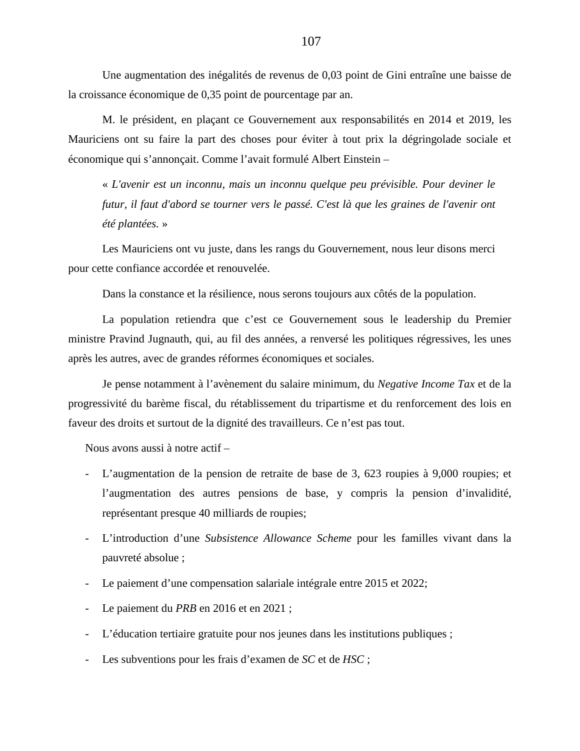Une augmentation des inégalités de revenus de 0,03 point de Gini entraîne une baisse de la croissance économique de 0,35 point de pourcentage par an.

M. le président, en plaçant ce Gouvernement aux responsabilités en 2014 et 2019, les Mauriciens ont su faire la part des choses pour éviter à tout prix la dégringolade sociale et économique qui s'annonçait. Comme l'avait formulé Albert Einstein –

« *L'avenir est un inconnu, mais un inconnu quelque peu prévisible. Pour deviner le futur, il faut d'abord se tourner vers le passé. C'est là que les graines de l'avenir ont été plantées.* »

Les Mauriciens ont vu juste, dans les rangs du Gouvernement, nous leur disons merci pour cette confiance accordée et renouvelée.

Dans la constance et la résilience, nous serons toujours aux côtés de la population.

La population retiendra que c'est ce Gouvernement sous le leadership du Premier ministre Pravind Jugnauth, qui, au fil des années, a renversé les politiques régressives, les unes après les autres, avec de grandes réformes économiques et sociales.

Je pense notamment à l'avènement du salaire minimum, du *Negative Income Tax* et de la progressivité du barème fiscal, du rétablissement du tripartisme et du renforcement des lois en faveur des droits et surtout de la dignité des travailleurs. Ce n'est pas tout.

Nous avons aussi à notre actif –

- L'augmentation de la pension de retraite de base de 3, 623 roupies à 9,000 roupies; et l'augmentation des autres pensions de base, y compris la pension d'invalidité, représentant presque 40 milliards de roupies;
- L'introduction d'une *Subsistence Allowance Scheme* pour les familles vivant dans la pauvreté absolue ;
- Le paiement d'une compensation salariale intégrale entre 2015 et 2022;
- Le paiement du *PRB* en 2016 et en 2021 ;
- L'éducation tertiaire gratuite pour nos jeunes dans les institutions publiques ;
- Les subventions pour les frais d'examen de *SC* et de *HSC* ;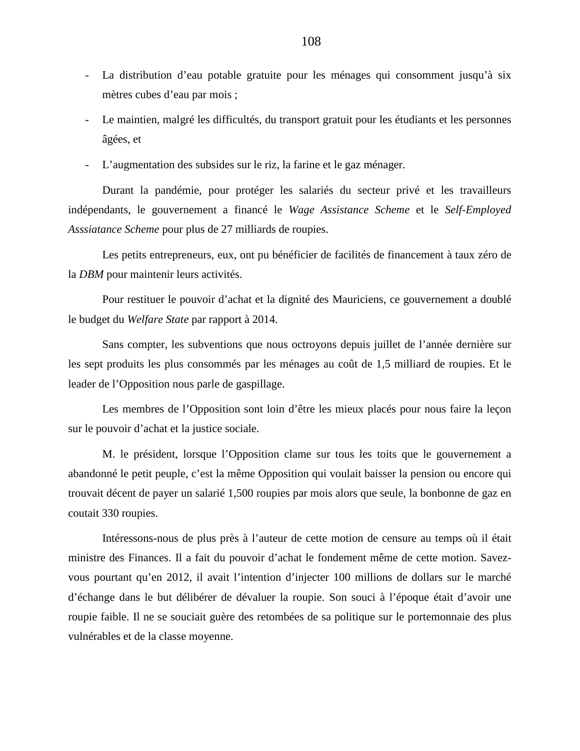- La distribution d'eau potable gratuite pour les ménages qui consomment jusqu'à six mètres cubes d'eau par mois ;
- Le maintien, malgré les difficultés, du transport gratuit pour les étudiants et les personnes âgées, et
- L'augmentation des subsides sur le riz, la farine et le gaz ménager.

Durant la pandémie, pour protéger les salariés du secteur privé et les travailleurs indépendants, le gouvernement a financé le *Wage Assistance Scheme* et le *Self-Employed Asssiatance Scheme* pour plus de 27 milliards de roupies.

Les petits entrepreneurs, eux, ont pu bénéficier de facilités de financement à taux zéro de la *DBM* pour maintenir leurs activités.

Pour restituer le pouvoir d'achat et la dignité des Mauriciens, ce gouvernement a doublé le budget du *Welfare State* par rapport à 2014.

Sans compter, les subventions que nous octroyons depuis juillet de l'année dernière sur les sept produits les plus consommés par les ménages au coût de 1,5 milliard de roupies. Et le leader de l'Opposition nous parle de gaspillage.

Les membres de l'Opposition sont loin d'être les mieux placés pour nous faire la leçon sur le pouvoir d'achat et la justice sociale.

M. le président, lorsque l'Opposition clame sur tous les toits que le gouvernement a abandonné le petit peuple, c'est la même Opposition qui voulait baisser la pension ou encore qui trouvait décent de payer un salarié 1,500 roupies par mois alors que seule, la bonbonne de gaz en coutait 330 roupies.

Intéressons-nous de plus près à l'auteur de cette motion de censure au temps où il était ministre des Finances. Il a fait du pouvoir d'achat le fondement même de cette motion. Savezvous pourtant qu'en 2012, il avait l'intention d'injecter 100 millions de dollars sur le marché d'échange dans le but délibérer de dévaluer la roupie. Son souci à l'époque était d'avoir une roupie faible. Il ne se souciait guère des retombées de sa politique sur le portemonnaie des plus vulnérables et de la classe moyenne.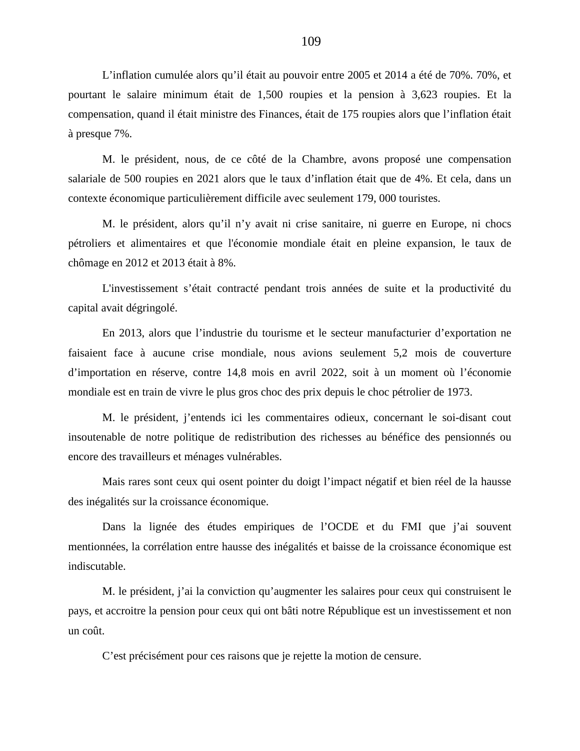L'inflation cumulée alors qu'il était au pouvoir entre 2005 et 2014 a été de 70%. 70%, et pourtant le salaire minimum était de 1,500 roupies et la pension à 3,623 roupies. Et la compensation, quand il était ministre des Finances, était de 175 roupies alors que l'inflation était à presque 7%.

M. le président, nous, de ce côté de la Chambre, avons proposé une compensation salariale de 500 roupies en 2021 alors que le taux d'inflation était que de 4%. Et cela, dans un contexte économique particulièrement difficile avec seulement 179, 000 touristes.

M. le président, alors qu'il n'y avait ni crise sanitaire, ni guerre en Europe, ni chocs pétroliers et alimentaires et que l'économie mondiale était en pleine expansion, le taux de chômage en 2012 et 2013 était à 8%.

L'investissement s'était contracté pendant trois années de suite et la productivité du capital avait dégringolé.

En 2013, alors que l'industrie du tourisme et le secteur manufacturier d'exportation ne faisaient face à aucune crise mondiale, nous avions seulement 5,2 mois de couverture d'importation en réserve, contre 14,8 mois en avril 2022, soit à un moment où l'économie mondiale est en train de vivre le plus gros choc des prix depuis le choc pétrolier de 1973.

M. le président, j'entends ici les commentaires odieux, concernant le soi-disant cout insoutenable de notre politique de redistribution des richesses au bénéfice des pensionnés ou encore des travailleurs et ménages vulnérables.

Mais rares sont ceux qui osent pointer du doigt l'impact négatif et bien réel de la hausse des inégalités sur la croissance économique.

Dans la lignée des études empiriques de l'OCDE et du FMI que j'ai souvent mentionnées, la corrélation entre hausse des inégalités et baisse de la croissance économique est indiscutable.

M. le président, j'ai la conviction qu'augmenter les salaires pour ceux qui construisent le pays, et accroitre la pension pour ceux qui ont bâti notre République est un investissement et non un coût.

C'est précisément pour ces raisons que je rejette la motion de censure.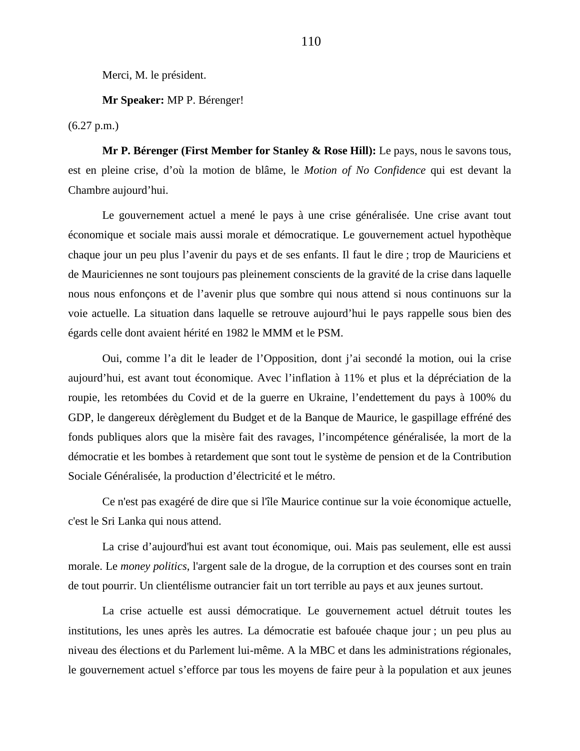Merci, M. le président.

**Mr Speaker:** MP P. Bérenger!

 $(6.27 \text{ p.m.})$ 

**Mr P. Bérenger (First Member for Stanley & Rose Hill):** Le pays, nous le savons tous, est en pleine crise, d'où la motion de blâme, le *Motion of No Confidence* qui est devant la Chambre aujourd'hui.

Le gouvernement actuel a mené le pays à une crise généralisée. Une crise avant tout économique et sociale mais aussi morale et démocratique. Le gouvernement actuel hypothèque chaque jour un peu plus l'avenir du pays et de ses enfants. Il faut le dire ; trop de Mauriciens et de Mauriciennes ne sont toujours pas pleinement conscients de la gravité de la crise dans laquelle nous nous enfonçons et de l'avenir plus que sombre qui nous attend si nous continuons sur la voie actuelle. La situation dans laquelle se retrouve aujourd'hui le pays rappelle sous bien des égards celle dont avaient hérité en 1982 le MMM et le PSM.

Oui, comme l'a dit le leader de l'Opposition, dont j'ai secondé la motion, oui la crise aujourd'hui, est avant tout économique. Avec l'inflation à 11% et plus et la dépréciation de la roupie, les retombées du Covid et de la guerre en Ukraine, l'endettement du pays à 100% du GDP, le dangereux dérèglement du Budget et de la Banque de Maurice, le gaspillage effréné des fonds publiques alors que la misère fait des ravages, l'incompétence généralisée, la mort de la démocratie et les bombes à retardement que sont tout le système de pension et de la Contribution Sociale Généralisée, la production d'électricité et le métro.

Ce n'est pas exagéré de dire que si l'île Maurice continue sur la voie économique actuelle, c'est le Sri Lanka qui nous attend.

La crise d'aujourd'hui est avant tout économique, oui. Mais pas seulement, elle est aussi morale. Le *money politics*, l'argent sale de la drogue, de la corruption et des courses sont en train de tout pourrir. Un clientélisme outrancier fait un tort terrible au pays et aux jeunes surtout.

La crise actuelle est aussi démocratique. Le gouvernement actuel détruit toutes les institutions, les unes après les autres. La démocratie est bafouée chaque jour ; un peu plus au niveau des élections et du Parlement lui-même. A la MBC et dans les administrations régionales, le gouvernement actuel s'efforce par tous les moyens de faire peur à la population et aux jeunes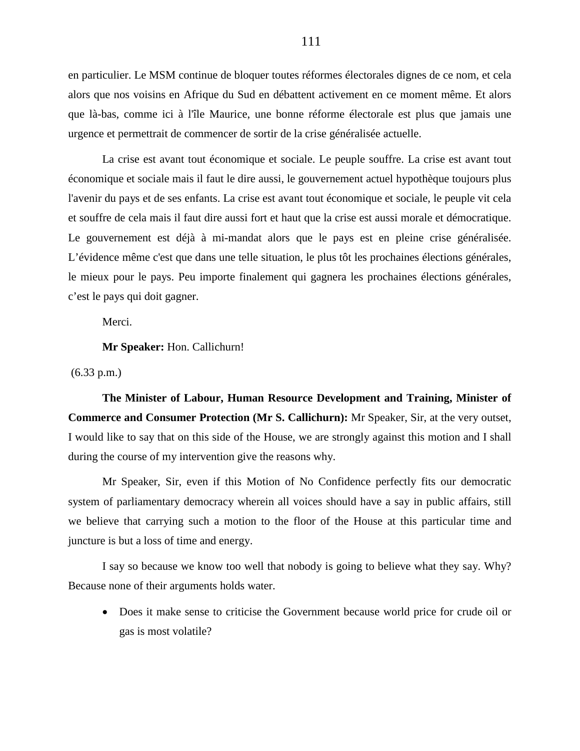en particulier. Le MSM continue de bloquer toutes réformes électorales dignes de ce nom, et cela alors que nos voisins en Afrique du Sud en débattent activement en ce moment même. Et alors que là-bas, comme ici à l'île Maurice, une bonne réforme électorale est plus que jamais une urgence et permettrait de commencer de sortir de la crise généralisée actuelle.

La crise est avant tout économique et sociale. Le peuple souffre. La crise est avant tout économique et sociale mais il faut le dire aussi, le gouvernement actuel hypothèque toujours plus l'avenir du pays et de ses enfants. La crise est avant tout économique et sociale, le peuple vit cela et souffre de cela mais il faut dire aussi fort et haut que la crise est aussi morale et démocratique. Le gouvernement est déjà à mi-mandat alors que le pays est en pleine crise généralisée. L'évidence même c'est que dans une telle situation, le plus tôt les prochaines élections générales, le mieux pour le pays. Peu importe finalement qui gagnera les prochaines élections générales, c'est le pays qui doit gagner.

Merci.

**Mr Speaker:** Hon. Callichurn!

 $(6.33 \text{ p.m.})$ 

**The Minister of Labour, Human Resource Development and Training, Minister of Commerce and Consumer Protection (Mr S. Callichurn):** Mr Speaker, Sir, at the very outset, I would like to say that on this side of the House, we are strongly against this motion and I shall during the course of my intervention give the reasons why.

Mr Speaker, Sir, even if this Motion of No Confidence perfectly fits our democratic system of parliamentary democracy wherein all voices should have a say in public affairs, still we believe that carrying such a motion to the floor of the House at this particular time and juncture is but a loss of time and energy.

I say so because we know too well that nobody is going to believe what they say. Why? Because none of their arguments holds water.

• Does it make sense to criticise the Government because world price for crude oil or gas is most volatile?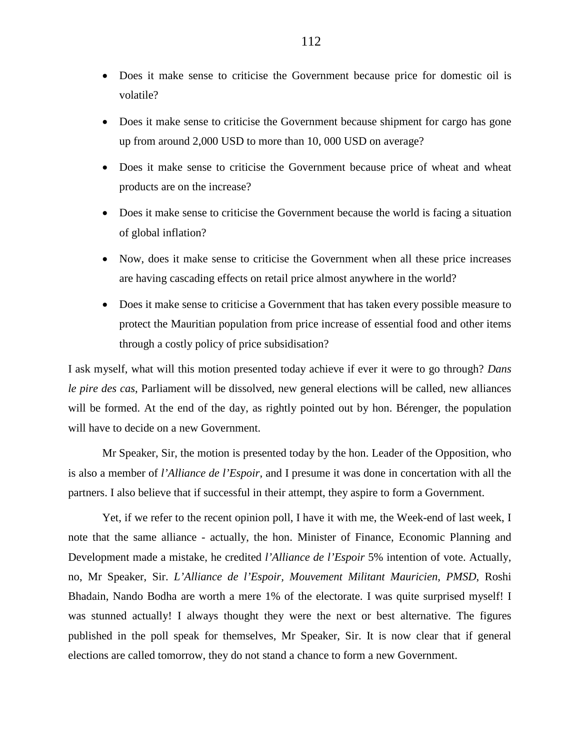- Does it make sense to criticise the Government because price for domestic oil is volatile?
- Does it make sense to criticise the Government because shipment for cargo has gone up from around 2,000 USD to more than 10, 000 USD on average?
- Does it make sense to criticise the Government because price of wheat and wheat products are on the increase?
- Does it make sense to criticise the Government because the world is facing a situation of global inflation?
- Now, does it make sense to criticise the Government when all these price increases are having cascading effects on retail price almost anywhere in the world?
- Does it make sense to criticise a Government that has taken every possible measure to protect the Mauritian population from price increase of essential food and other items through a costly policy of price subsidisation?

I ask myself, what will this motion presented today achieve if ever it were to go through? *Dans le pire des cas*, Parliament will be dissolved, new general elections will be called, new alliances will be formed. At the end of the day, as rightly pointed out by hon. Bérenger, the population will have to decide on a new Government.

Mr Speaker, Sir, the motion is presented today by the hon. Leader of the Opposition, who is also a member of *l'Alliance de l'Espoir,* and I presume it was done in concertation with all the partners. I also believe that if successful in their attempt, they aspire to form a Government.

Yet, if we refer to the recent opinion poll, I have it with me, the Week-end of last week, I note that the same alliance - actually, the hon. Minister of Finance, Economic Planning and Development made a mistake, he credited *l'Alliance de l'Espoir* 5% intention of vote. Actually, no, Mr Speaker, Sir. *L'Alliance de l'Espoir, Mouvement Militant Mauricien, PMSD*, Roshi Bhadain, Nando Bodha are worth a mere 1% of the electorate. I was quite surprised myself! I was stunned actually! I always thought they were the next or best alternative. The figures published in the poll speak for themselves, Mr Speaker, Sir. It is now clear that if general elections are called tomorrow, they do not stand a chance to form a new Government.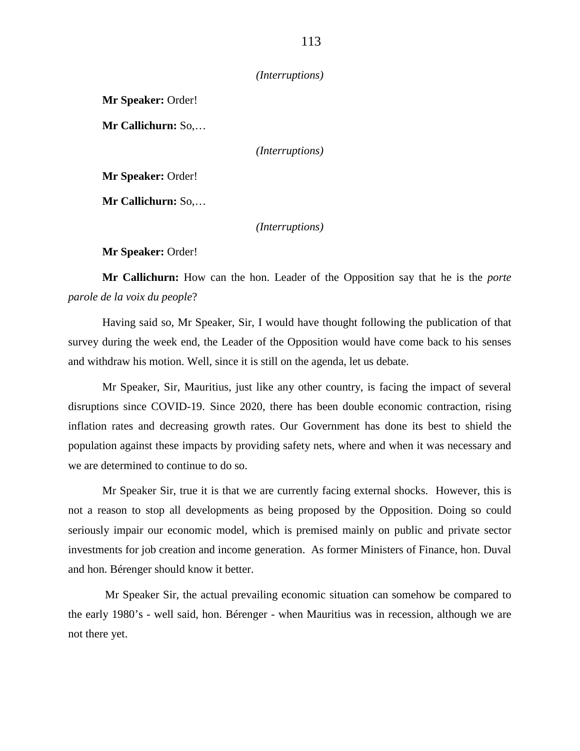### *(Interruptions)*

**Mr Speaker:** Order!

**Mr Callichurn:** So,…

*(Interruptions)*

**Mr Speaker:** Order!

**Mr Callichurn:** So,…

*(Interruptions)*

**Mr Speaker:** Order!

**Mr Callichurn:** How can the hon. Leader of the Opposition say that he is the *porte parole de la voix du people*?

Having said so, Mr Speaker, Sir, I would have thought following the publication of that survey during the week end, the Leader of the Opposition would have come back to his senses and withdraw his motion. Well, since it is still on the agenda, let us debate.

Mr Speaker, Sir, Mauritius, just like any other country, is facing the impact of several disruptions since COVID-19. Since 2020, there has been double economic contraction, rising inflation rates and decreasing growth rates. Our Government has done its best to shield the population against these impacts by providing safety nets, where and when it was necessary and we are determined to continue to do so.

Mr Speaker Sir, true it is that we are currently facing external shocks. However, this is not a reason to stop all developments as being proposed by the Opposition. Doing so could seriously impair our economic model, which is premised mainly on public and private sector investments for job creation and income generation. As former Ministers of Finance, hon. Duval and hon. Bérenger should know it better.

Mr Speaker Sir, the actual prevailing economic situation can somehow be compared to the early 1980's - well said, hon. Bérenger - when Mauritius was in recession, although we are not there yet.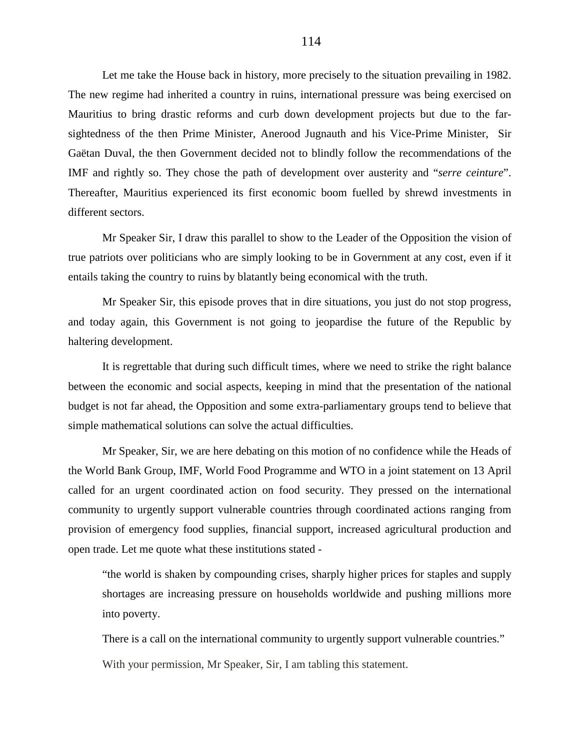Let me take the House back in history, more precisely to the situation prevailing in 1982. The new regime had inherited a country in ruins, international pressure was being exercised on Mauritius to bring drastic reforms and curb down development projects but due to the farsightedness of the then Prime Minister, Anerood Jugnauth and his Vice-Prime Minister, Sir Gaëtan Duval, the then Government decided not to blindly follow the recommendations of the IMF and rightly so. They chose the path of development over austerity and "*serre ceinture*". Thereafter, Mauritius experienced its first economic boom fuelled by shrewd investments in different sectors.

Mr Speaker Sir, I draw this parallel to show to the Leader of the Opposition the vision of true patriots over politicians who are simply looking to be in Government at any cost, even if it entails taking the country to ruins by blatantly being economical with the truth.

Mr Speaker Sir, this episode proves that in dire situations, you just do not stop progress, and today again, this Government is not going to jeopardise the future of the Republic by haltering development.

It is regrettable that during such difficult times, where we need to strike the right balance between the economic and social aspects, keeping in mind that the presentation of the national budget is not far ahead, the Opposition and some extra-parliamentary groups tend to believe that simple mathematical solutions can solve the actual difficulties.

Mr Speaker, Sir, we are here debating on this motion of no confidence while the Heads of the World Bank Group, IMF, World Food Programme and WTO in a joint statement on 13 April called for an urgent coordinated action on food security. They pressed on the international community to urgently support vulnerable countries through coordinated actions ranging from provision of emergency food supplies, financial support, increased agricultural production and open trade. Let me quote what these institutions stated -

"the world is shaken by compounding crises, sharply higher prices for staples and supply shortages are increasing pressure on households worldwide and pushing millions more into poverty.

There is a call on the international community to urgently support vulnerable countries." With your permission, Mr Speaker, Sir, I am tabling this statement.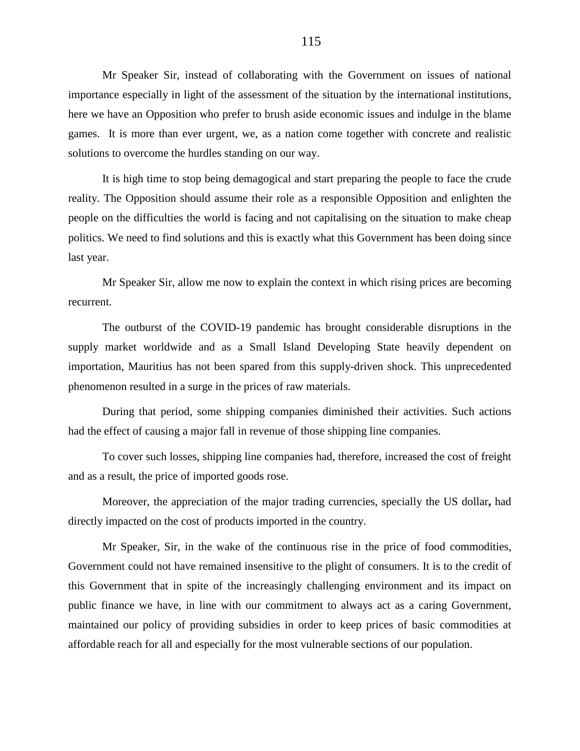Mr Speaker Sir, instead of collaborating with the Government on issues of national importance especially in light of the assessment of the situation by the international institutions, here we have an Opposition who prefer to brush aside economic issues and indulge in the blame games. It is more than ever urgent, we, as a nation come together with concrete and realistic solutions to overcome the hurdles standing on our way.

It is high time to stop being demagogical and start preparing the people to face the crude reality. The Opposition should assume their role as a responsible Opposition and enlighten the people on the difficulties the world is facing and not capitalising on the situation to make cheap politics. We need to find solutions and this is exactly what this Government has been doing since last year.

Mr Speaker Sir, allow me now to explain the context in which rising prices are becoming recurrent.

The outburst of the COVID-19 pandemic has brought considerable disruptions in the supply market worldwide and as a Small Island Developing State heavily dependent on importation, Mauritius has not been spared from this supply-driven shock. This unprecedented phenomenon resulted in a surge in the prices of raw materials.

During that period, some shipping companies diminished their activities. Such actions had the effect of causing a major fall in revenue of those shipping line companies.

To cover such losses, shipping line companies had, therefore, increased the cost of freight and as a result, the price of imported goods rose.

Moreover, the appreciation of the major trading currencies, specially the US dollar**,** had directly impacted on the cost of products imported in the country.

Mr Speaker, Sir, in the wake of the continuous rise in the price of food commodities, Government could not have remained insensitive to the plight of consumers. It is to the credit of this Government that in spite of the increasingly challenging environment and its impact on public finance we have, in line with our commitment to always act as a caring Government, maintained our policy of providing subsidies in order to keep prices of basic commodities at affordable reach for all and especially for the most vulnerable sections of our population.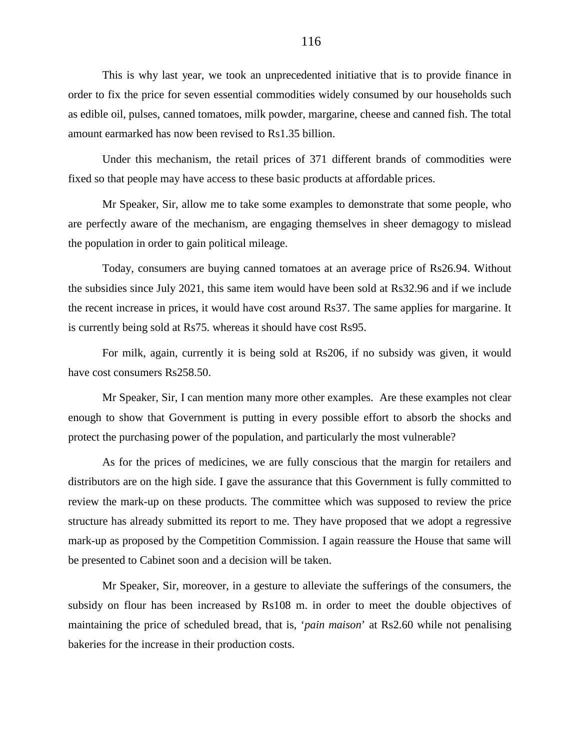This is why last year, we took an unprecedented initiative that is to provide finance in order to fix the price for seven essential commodities widely consumed by our households such as edible oil, pulses, canned tomatoes, milk powder, margarine, cheese and canned fish. The total amount earmarked has now been revised to Rs1.35 billion.

Under this mechanism, the retail prices of 371 different brands of commodities were fixed so that people may have access to these basic products at affordable prices.

Mr Speaker, Sir, allow me to take some examples to demonstrate that some people, who are perfectly aware of the mechanism, are engaging themselves in sheer demagogy to mislead the population in order to gain political mileage.

Today, consumers are buying canned tomatoes at an average price of Rs26.94. Without the subsidies since July 2021, this same item would have been sold at Rs32.96 and if we include the recent increase in prices, it would have cost around Rs37. The same applies for margarine. It is currently being sold at Rs75. whereas it should have cost Rs95.

For milk, again, currently it is being sold at Rs206, if no subsidy was given, it would have cost consumers Rs258.50.

Mr Speaker, Sir, I can mention many more other examples. Are these examples not clear enough to show that Government is putting in every possible effort to absorb the shocks and protect the purchasing power of the population, and particularly the most vulnerable?

As for the prices of medicines, we are fully conscious that the margin for retailers and distributors are on the high side. I gave the assurance that this Government is fully committed to review the mark-up on these products. The committee which was supposed to review the price structure has already submitted its report to me. They have proposed that we adopt a regressive mark-up as proposed by the Competition Commission. I again reassure the House that same will be presented to Cabinet soon and a decision will be taken.

Mr Speaker, Sir, moreover, in a gesture to alleviate the sufferings of the consumers, the subsidy on flour has been increased by Rs108 m. in order to meet the double objectives of maintaining the price of scheduled bread, that is, '*pain maison*' at Rs2.60 while not penalising bakeries for the increase in their production costs.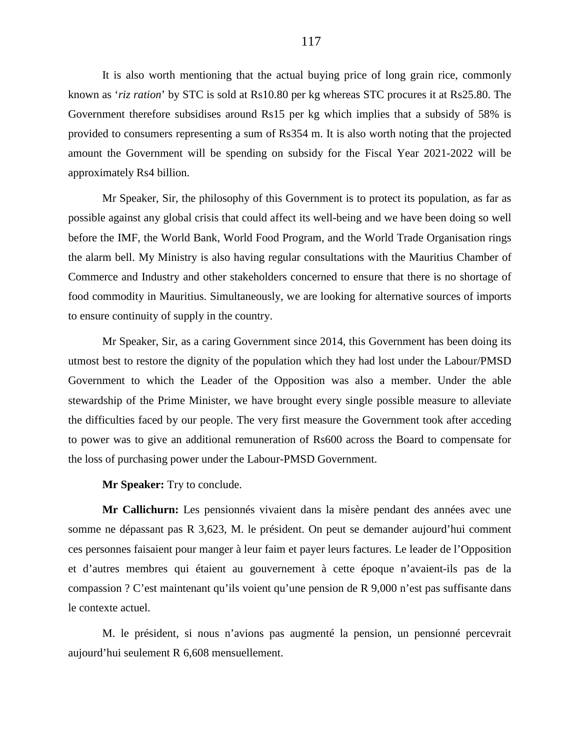It is also worth mentioning that the actual buying price of long grain rice, commonly known as '*riz ration*' by STC is sold at Rs10.80 per kg whereas STC procures it at Rs25.80. The Government therefore subsidises around Rs15 per kg which implies that a subsidy of 58% is provided to consumers representing a sum of Rs354 m. It is also worth noting that the projected amount the Government will be spending on subsidy for the Fiscal Year 2021-2022 will be approximately Rs4 billion.

Mr Speaker, Sir, the philosophy of this Government is to protect its population, as far as possible against any global crisis that could affect its well-being and we have been doing so well before the IMF, the World Bank, World Food Program, and the World Trade Organisation rings the alarm bell. My Ministry is also having regular consultations with the Mauritius Chamber of Commerce and Industry and other stakeholders concerned to ensure that there is no shortage of food commodity in Mauritius. Simultaneously, we are looking for alternative sources of imports to ensure continuity of supply in the country.

Mr Speaker, Sir, as a caring Government since 2014, this Government has been doing its utmost best to restore the dignity of the population which they had lost under the Labour/PMSD Government to which the Leader of the Opposition was also a member. Under the able stewardship of the Prime Minister, we have brought every single possible measure to alleviate the difficulties faced by our people. The very first measure the Government took after acceding to power was to give an additional remuneration of Rs600 across the Board to compensate for the loss of purchasing power under the Labour-PMSD Government.

**Mr Speaker:** Try to conclude.

**Mr Callichurn:** Les pensionnés vivaient dans la misère pendant des années avec une somme ne dépassant pas R 3,623, M. le président. On peut se demander aujourd'hui comment ces personnes faisaient pour manger à leur faim et payer leurs factures. Le leader de l'Opposition et d'autres membres qui étaient au gouvernement à cette époque n'avaient-ils pas de la compassion ? C'est maintenant qu'ils voient qu'une pension de R 9,000 n'est pas suffisante dans le contexte actuel.

M. le président, si nous n'avions pas augmenté la pension, un pensionné percevrait aujourd'hui seulement R 6,608 mensuellement.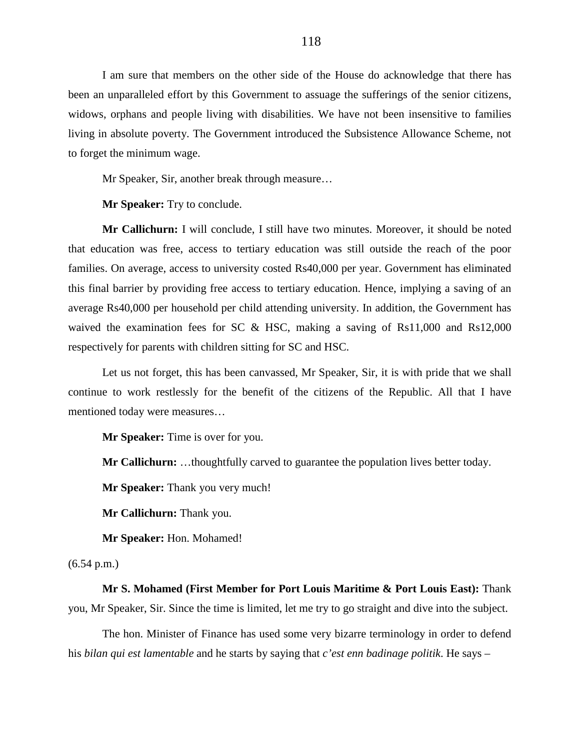I am sure that members on the other side of the House do acknowledge that there has been an unparalleled effort by this Government to assuage the sufferings of the senior citizens, widows, orphans and people living with disabilities. We have not been insensitive to families living in absolute poverty. The Government introduced the Subsistence Allowance Scheme, not to forget the minimum wage.

Mr Speaker, Sir, another break through measure…

**Mr Speaker:** Try to conclude.

**Mr Callichurn:** I will conclude, I still have two minutes. Moreover, it should be noted that education was free, access to tertiary education was still outside the reach of the poor families. On average, access to university costed Rs40,000 per year. Government has eliminated this final barrier by providing free access to tertiary education. Hence, implying a saving of an average Rs40,000 per household per child attending university. In addition, the Government has waived the examination fees for SC & HSC, making a saving of Rs11,000 and Rs12,000 respectively for parents with children sitting for SC and HSC.

Let us not forget, this has been canvassed, Mr Speaker, Sir, it is with pride that we shall continue to work restlessly for the benefit of the citizens of the Republic. All that I have mentioned today were measures…

**Mr Speaker:** Time is over for you.

**Mr Callichurn:** …thoughtfully carved to guarantee the population lives better today.

**Mr Speaker:** Thank you very much!

**Mr Callichurn:** Thank you.

**Mr Speaker:** Hon. Mohamed!

(6.54 p.m.)

**Mr S. Mohamed (First Member for Port Louis Maritime & Port Louis East):** Thank you, Mr Speaker, Sir. Since the time is limited, let me try to go straight and dive into the subject.

The hon. Minister of Finance has used some very bizarre terminology in order to defend his *bilan qui est lamentable* and he starts by saying that *c'est enn badinage politik*. He says –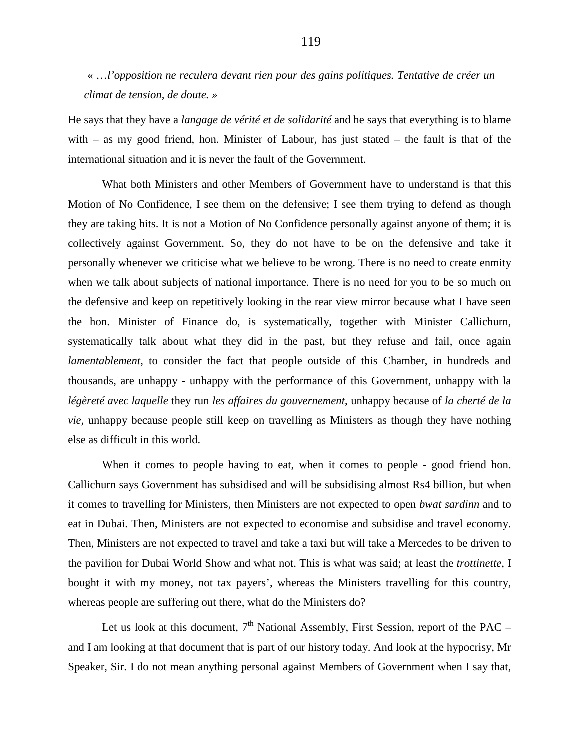« …*l'opposition ne reculera devant rien pour des gains politiques. Tentative de créer un climat de tension, de doute. »*

He says that they have a *langage de vérité et de solidarité* and he says that everything is to blame with – as my good friend, hon. Minister of Labour, has just stated – the fault is that of the international situation and it is never the fault of the Government.

What both Ministers and other Members of Government have to understand is that this Motion of No Confidence, I see them on the defensive; I see them trying to defend as though they are taking hits. It is not a Motion of No Confidence personally against anyone of them; it is collectively against Government. So, they do not have to be on the defensive and take it personally whenever we criticise what we believe to be wrong. There is no need to create enmity when we talk about subjects of national importance. There is no need for you to be so much on the defensive and keep on repetitively looking in the rear view mirror because what I have seen the hon. Minister of Finance do, is systematically, together with Minister Callichurn, systematically talk about what they did in the past, but they refuse and fail, once again *lamentablement*, to consider the fact that people outside of this Chamber, in hundreds and thousands, are unhappy - unhappy with the performance of this Government, unhappy with la *légèreté avec laquelle* they run *les affaires du gouvernement*, unhappy because of *la cherté de la vie,* unhappy because people still keep on travelling as Ministers as though they have nothing else as difficult in this world.

When it comes to people having to eat, when it comes to people - good friend hon. Callichurn says Government has subsidised and will be subsidising almost Rs4 billion, but when it comes to travelling for Ministers, then Ministers are not expected to open *bwat sardinn* and to eat in Dubai. Then, Ministers are not expected to economise and subsidise and travel economy. Then, Ministers are not expected to travel and take a taxi but will take a Mercedes to be driven to the pavilion for Dubai World Show and what not. This is what was said; at least the *trottinette*, I bought it with my money, not tax payers', whereas the Ministers travelling for this country, whereas people are suffering out there, what do the Ministers do?

Let us look at this document,  $7<sup>th</sup>$  National Assembly, First Session, report of the PAC – and I am looking at that document that is part of our history today. And look at the hypocrisy, Mr Speaker, Sir. I do not mean anything personal against Members of Government when I say that,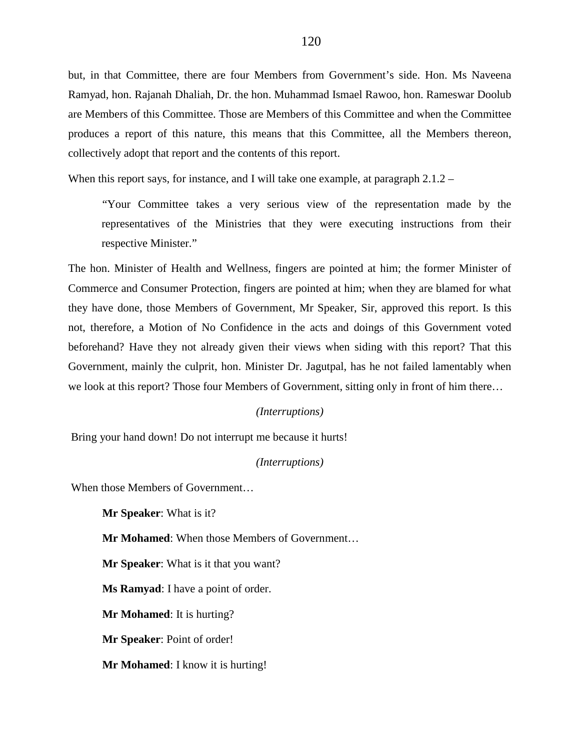but, in that Committee, there are four Members from Government's side. Hon. Ms Naveena Ramyad, hon. Rajanah Dhaliah, Dr. the hon. Muhammad Ismael Rawoo, hon. Rameswar Doolub are Members of this Committee. Those are Members of this Committee and when the Committee produces a report of this nature, this means that this Committee, all the Members thereon, collectively adopt that report and the contents of this report.

When this report says, for instance, and I will take one example, at paragraph  $2.1.2 -$ 

"Your Committee takes a very serious view of the representation made by the representatives of the Ministries that they were executing instructions from their respective Minister."

The hon. Minister of Health and Wellness, fingers are pointed at him; the former Minister of Commerce and Consumer Protection, fingers are pointed at him; when they are blamed for what they have done, those Members of Government, Mr Speaker, Sir, approved this report. Is this not, therefore, a Motion of No Confidence in the acts and doings of this Government voted beforehand? Have they not already given their views when siding with this report? That this Government, mainly the culprit, hon. Minister Dr. Jagutpal, has he not failed lamentably when we look at this report? Those four Members of Government, sitting only in front of him there…

## *(Interruptions)*

Bring your hand down! Do not interrupt me because it hurts!

## *(Interruptions)*

When those Members of Government…

**Mr Speaker**: What is it? **Mr Mohamed**: When those Members of Government… **Mr Speaker**: What is it that you want? **Ms Ramyad**: I have a point of order. **Mr Mohamed**: It is hurting? **Mr Speaker**: Point of order! **Mr Mohamed**: I know it is hurting!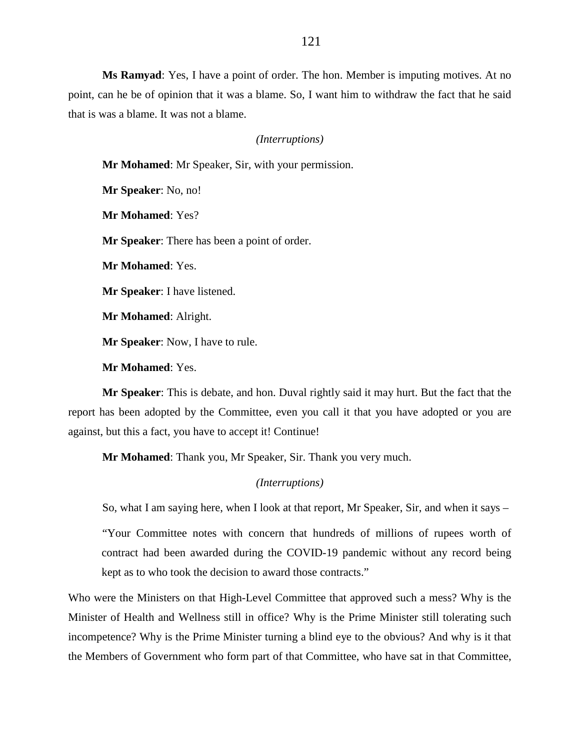**Ms Ramyad**: Yes, I have a point of order. The hon. Member is imputing motives. At no point, can he be of opinion that it was a blame. So, I want him to withdraw the fact that he said that is was a blame. It was not a blame.

#### *(Interruptions)*

**Mr Mohamed**: Mr Speaker, Sir, with your permission.

**Mr Speaker**: No, no!

**Mr Mohamed**: Yes?

**Mr Speaker**: There has been a point of order.

**Mr Mohamed**: Yes.

**Mr Speaker**: I have listened.

**Mr Mohamed**: Alright.

**Mr Speaker**: Now, I have to rule.

**Mr Mohamed**: Yes.

**Mr Speaker**: This is debate, and hon. Duval rightly said it may hurt. But the fact that the report has been adopted by the Committee, even you call it that you have adopted or you are against, but this a fact, you have to accept it! Continue!

**Mr Mohamed**: Thank you, Mr Speaker, Sir. Thank you very much.

## *(Interruptions)*

So, what I am saying here, when I look at that report, Mr Speaker, Sir, and when it says –

"Your Committee notes with concern that hundreds of millions of rupees worth of contract had been awarded during the COVID-19 pandemic without any record being kept as to who took the decision to award those contracts."

Who were the Ministers on that High-Level Committee that approved such a mess? Why is the Minister of Health and Wellness still in office? Why is the Prime Minister still tolerating such incompetence? Why is the Prime Minister turning a blind eye to the obvious? And why is it that the Members of Government who form part of that Committee, who have sat in that Committee,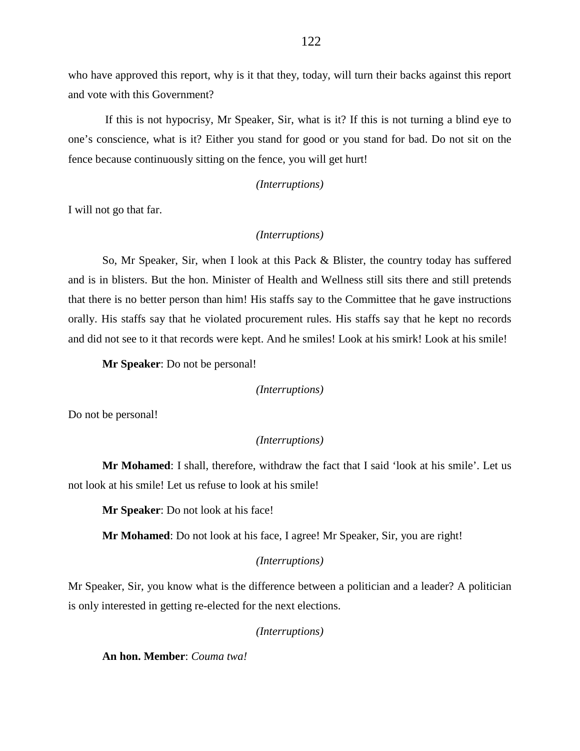who have approved this report, why is it that they, today, will turn their backs against this report and vote with this Government?

If this is not hypocrisy, Mr Speaker, Sir, what is it? If this is not turning a blind eye to one's conscience, what is it? Either you stand for good or you stand for bad. Do not sit on the fence because continuously sitting on the fence, you will get hurt!

*(Interruptions)*

I will not go that far.

## *(Interruptions)*

So, Mr Speaker, Sir, when I look at this Pack & Blister, the country today has suffered and is in blisters. But the hon. Minister of Health and Wellness still sits there and still pretends that there is no better person than him! His staffs say to the Committee that he gave instructions orally. His staffs say that he violated procurement rules. His staffs say that he kept no records and did not see to it that records were kept. And he smiles! Look at his smirk! Look at his smile!

**Mr Speaker**: Do not be personal!

### *(Interruptions)*

Do not be personal!

#### *(Interruptions)*

**Mr Mohamed**: I shall, therefore, withdraw the fact that I said 'look at his smile'. Let us not look at his smile! Let us refuse to look at his smile!

**Mr Speaker**: Do not look at his face!

**Mr Mohamed**: Do not look at his face, I agree! Mr Speaker, Sir, you are right!

### *(Interruptions)*

Mr Speaker, Sir, you know what is the difference between a politician and a leader? A politician is only interested in getting re-elected for the next elections.

*(Interruptions)*

**An hon. Member**: *Couma twa!*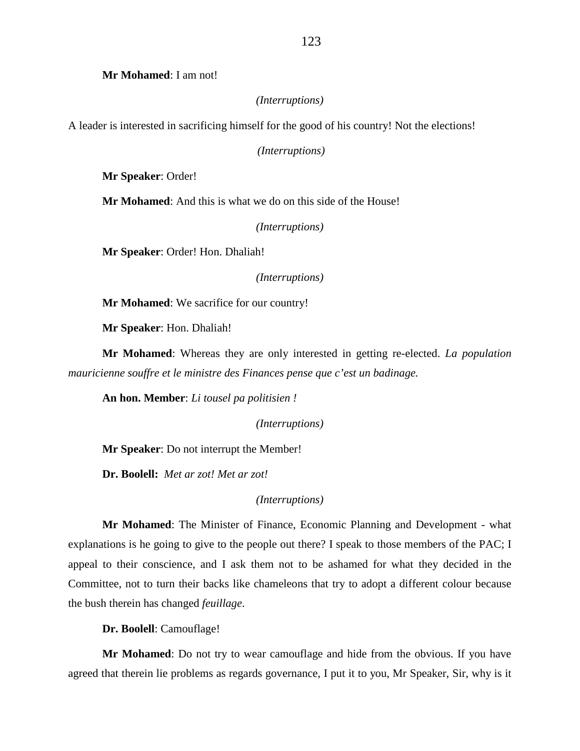**Mr Mohamed**: I am not!

## *(Interruptions)*

A leader is interested in sacrificing himself for the good of his country! Not the elections!

*(Interruptions)*

**Mr Speaker**: Order!

**Mr Mohamed**: And this is what we do on this side of the House!

*(Interruptions)*

**Mr Speaker**: Order! Hon. Dhaliah!

*(Interruptions)*

**Mr Mohamed**: We sacrifice for our country!

**Mr Speaker**: Hon. Dhaliah!

**Mr Mohamed**: Whereas they are only interested in getting re-elected. *La population mauricienne souffre et le ministre des Finances pense que c'est un badinage.*

**An hon. Member**: *Li tousel pa politisien !*

*(Interruptions)*

**Mr Speaker**: Do not interrupt the Member!

**Dr. Boolell:** *Met ar zot! Met ar zot!*

*(Interruptions)*

**Mr Mohamed**: The Minister of Finance, Economic Planning and Development - what explanations is he going to give to the people out there? I speak to those members of the PAC; I appeal to their conscience, and I ask them not to be ashamed for what they decided in the Committee, not to turn their backs like chameleons that try to adopt a different colour because the bush therein has changed *feuillage*.

**Dr. Boolell**: Camouflage!

**Mr Mohamed**: Do not try to wear camouflage and hide from the obvious. If you have agreed that therein lie problems as regards governance, I put it to you, Mr Speaker, Sir, why is it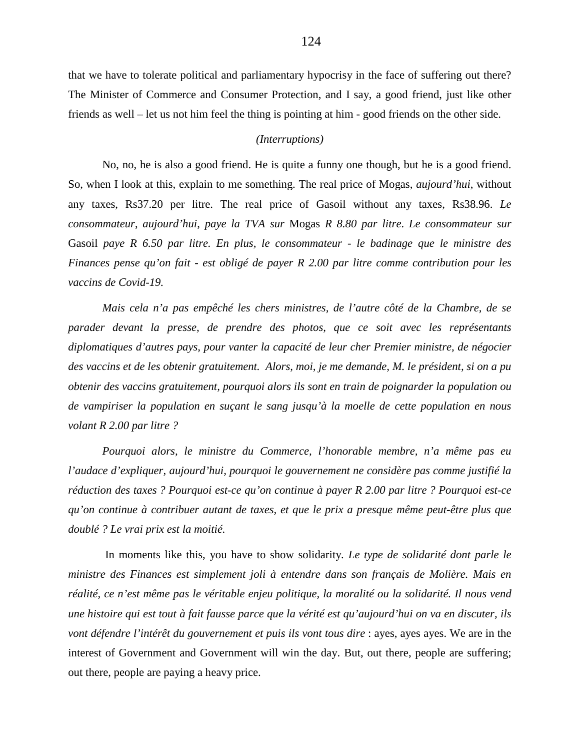that we have to tolerate political and parliamentary hypocrisy in the face of suffering out there? The Minister of Commerce and Consumer Protection, and I say, a good friend, just like other friends as well – let us not him feel the thing is pointing at him - good friends on the other side.

## *(Interruptions)*

No, no, he is also a good friend. He is quite a funny one though, but he is a good friend. So, when I look at this, explain to me something. The real price of Mogas, *aujourd'hui*, without any taxes, Rs37.20 per litre. The real price of Gasoil without any taxes, Rs38.96. *Le consommateur*, *aujourd'hui*, *paye la TVA sur* Mogas *R 8.80 par litre*. *Le consommateur sur* Gasoil *paye R 6.50 par litre. En plus, le consommateur - le badinage que le ministre des Finances pense qu'on fait - est obligé de payer R 2.00 par litre comme contribution pour les vaccins de Covid-19.*

*Mais cela n'a pas empêché les chers ministres, de l'autre côté de la Chambre, de se parader devant la presse, de prendre des photos, que ce soit avec les représentants diplomatiques d'autres pays, pour vanter la capacité de leur cher Premier ministre, de négocier des vaccins et de les obtenir gratuitement. Alors, moi, je me demande, M. le président, si on a pu obtenir des vaccins gratuitement, pourquoi alors ils sont en train de poignarder la population ou de vampiriser la population en suçant le sang jusqu'à la moelle de cette population en nous volant R 2.00 par litre ?* 

*Pourquoi alors, le ministre du Commerce, l'honorable membre, n'a même pas eu l'audace d'expliquer, aujourd'hui, pourquoi le gouvernement ne considère pas comme justifié la réduction des taxes ? Pourquoi est-ce qu'on continue à payer R 2.00 par litre ? Pourquoi est-ce qu'on continue à contribuer autant de taxes, et que le prix a presque même peut-être plus que doublé ? Le vrai prix est la moitié.*

In moments like this, you have to show solidarity*. Le type de solidarité dont parle le ministre des Finances est simplement joli à entendre dans son français de Molière. Mais en réalité, ce n'est même pas le véritable enjeu politique, la moralité ou la solidarité. Il nous vend une histoire qui est tout à fait fausse parce que la vérité est qu'aujourd'hui on va en discuter, ils vont défendre l'intérêt du gouvernement et puis ils vont tous dire* : ayes, ayes ayes. We are in the interest of Government and Government will win the day. But, out there, people are suffering; out there, people are paying a heavy price.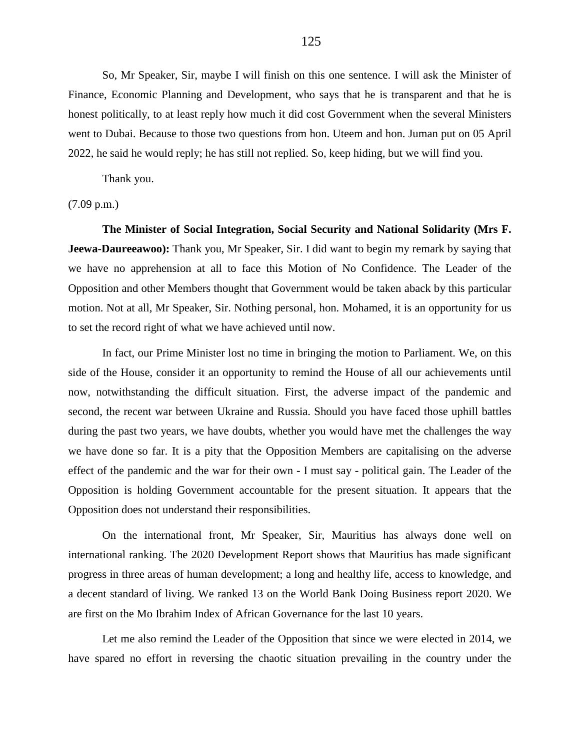So, Mr Speaker, Sir, maybe I will finish on this one sentence. I will ask the Minister of Finance, Economic Planning and Development, who says that he is transparent and that he is honest politically, to at least reply how much it did cost Government when the several Ministers went to Dubai. Because to those two questions from hon. Uteem and hon. Juman put on 05 April 2022, he said he would reply; he has still not replied. So, keep hiding, but we will find you.

Thank you.

 $(7.09 \text{ p.m.})$ 

**The Minister of Social Integration, Social Security and National Solidarity (Mrs F. Jeewa-Daureeawoo):** Thank you, Mr Speaker, Sir. I did want to begin my remark by saying that we have no apprehension at all to face this Motion of No Confidence. The Leader of the Opposition and other Members thought that Government would be taken aback by this particular motion. Not at all, Mr Speaker, Sir. Nothing personal, hon. Mohamed, it is an opportunity for us to set the record right of what we have achieved until now.

In fact, our Prime Minister lost no time in bringing the motion to Parliament. We, on this side of the House, consider it an opportunity to remind the House of all our achievements until now, notwithstanding the difficult situation. First, the adverse impact of the pandemic and second, the recent war between Ukraine and Russia. Should you have faced those uphill battles during the past two years, we have doubts, whether you would have met the challenges the way we have done so far. It is a pity that the Opposition Members are capitalising on the adverse effect of the pandemic and the war for their own - I must say - political gain. The Leader of the Opposition is holding Government accountable for the present situation. It appears that the Opposition does not understand their responsibilities.

On the international front, Mr Speaker, Sir, Mauritius has always done well on international ranking. The 2020 Development Report shows that Mauritius has made significant progress in three areas of human development; a long and healthy life, access to knowledge, and a decent standard of living. We ranked 13 on the World Bank Doing Business report 2020. We are first on the Mo Ibrahim Index of African Governance for the last 10 years.

Let me also remind the Leader of the Opposition that since we were elected in 2014, we have spared no effort in reversing the chaotic situation prevailing in the country under the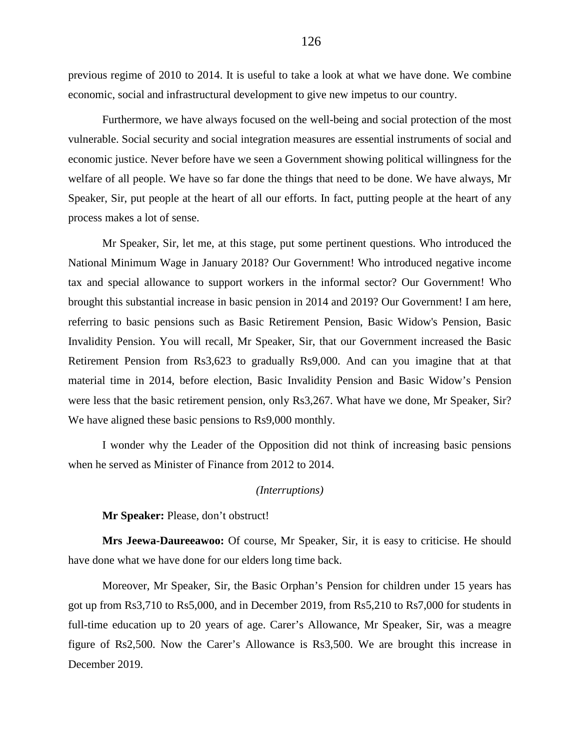previous regime of 2010 to 2014. It is useful to take a look at what we have done. We combine economic, social and infrastructural development to give new impetus to our country.

Furthermore, we have always focused on the well-being and social protection of the most vulnerable. Social security and social integration measures are essential instruments of social and economic justice. Never before have we seen a Government showing political willingness for the welfare of all people. We have so far done the things that need to be done. We have always, Mr Speaker, Sir, put people at the heart of all our efforts. In fact, putting people at the heart of any process makes a lot of sense.

Mr Speaker, Sir, let me, at this stage, put some pertinent questions. Who introduced the National Minimum Wage in January 2018? Our Government! Who introduced negative income tax and special allowance to support workers in the informal sector? Our Government! Who brought this substantial increase in basic pension in 2014 and 2019? Our Government! I am here, referring to basic pensions such as Basic Retirement Pension, Basic Widow's Pension, Basic Invalidity Pension. You will recall, Mr Speaker, Sir, that our Government increased the Basic Retirement Pension from Rs3,623 to gradually Rs9,000. And can you imagine that at that material time in 2014, before election, Basic Invalidity Pension and Basic Widow's Pension were less that the basic retirement pension, only Rs3,267. What have we done, Mr Speaker, Sir? We have aligned these basic pensions to Rs9,000 monthly.

I wonder why the Leader of the Opposition did not think of increasing basic pensions when he served as Minister of Finance from 2012 to 2014.

## *(Interruptions)*

**Mr Speaker:** Please, don't obstruct!

**Mrs Jeewa-Daureeawoo:** Of course, Mr Speaker, Sir, it is easy to criticise. He should have done what we have done for our elders long time back.

Moreover, Mr Speaker, Sir, the Basic Orphan's Pension for children under 15 years has got up from Rs3,710 to Rs5,000, and in December 2019, from Rs5,210 to Rs7,000 for students in full-time education up to 20 years of age. Carer's Allowance, Mr Speaker, Sir, was a meagre figure of Rs2,500. Now the Carer's Allowance is Rs3,500. We are brought this increase in December 2019.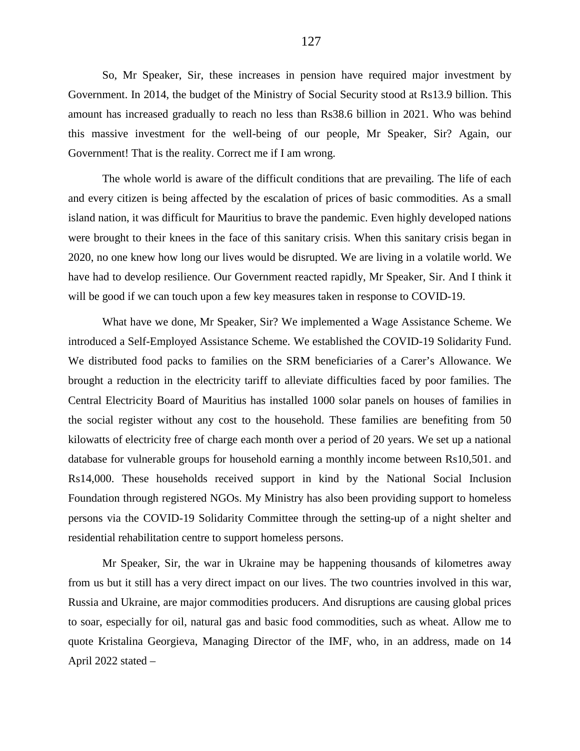So, Mr Speaker, Sir, these increases in pension have required major investment by Government. In 2014, the budget of the Ministry of Social Security stood at Rs13.9 billion. This amount has increased gradually to reach no less than Rs38.6 billion in 2021. Who was behind this massive investment for the well-being of our people, Mr Speaker, Sir? Again, our Government! That is the reality. Correct me if I am wrong.

The whole world is aware of the difficult conditions that are prevailing. The life of each and every citizen is being affected by the escalation of prices of basic commodities. As a small island nation, it was difficult for Mauritius to brave the pandemic. Even highly developed nations were brought to their knees in the face of this sanitary crisis. When this sanitary crisis began in 2020, no one knew how long our lives would be disrupted. We are living in a volatile world. We have had to develop resilience. Our Government reacted rapidly, Mr Speaker, Sir. And I think it will be good if we can touch upon a few key measures taken in response to COVID-19.

What have we done, Mr Speaker, Sir? We implemented a Wage Assistance Scheme. We introduced a Self-Employed Assistance Scheme. We established the COVID-19 Solidarity Fund. We distributed food packs to families on the SRM beneficiaries of a Carer's Allowance. We brought a reduction in the electricity tariff to alleviate difficulties faced by poor families. The Central Electricity Board of Mauritius has installed 1000 solar panels on houses of families in the social register without any cost to the household. These families are benefiting from 50 kilowatts of electricity free of charge each month over a period of 20 years. We set up a national database for vulnerable groups for household earning a monthly income between Rs10,501. and Rs14,000. These households received support in kind by the National Social Inclusion Foundation through registered NGOs. My Ministry has also been providing support to homeless persons via the COVID-19 Solidarity Committee through the setting-up of a night shelter and residential rehabilitation centre to support homeless persons.

Mr Speaker, Sir, the war in Ukraine may be happening thousands of kilometres away from us but it still has a very direct impact on our lives. The two countries involved in this war, Russia and Ukraine, are major commodities producers. And disruptions are causing global prices to soar, especially for oil, natural gas and basic food commodities, such as wheat. Allow me to quote Kristalina Georgieva, Managing Director of the IMF, who, in an address, made on 14 April 2022 stated –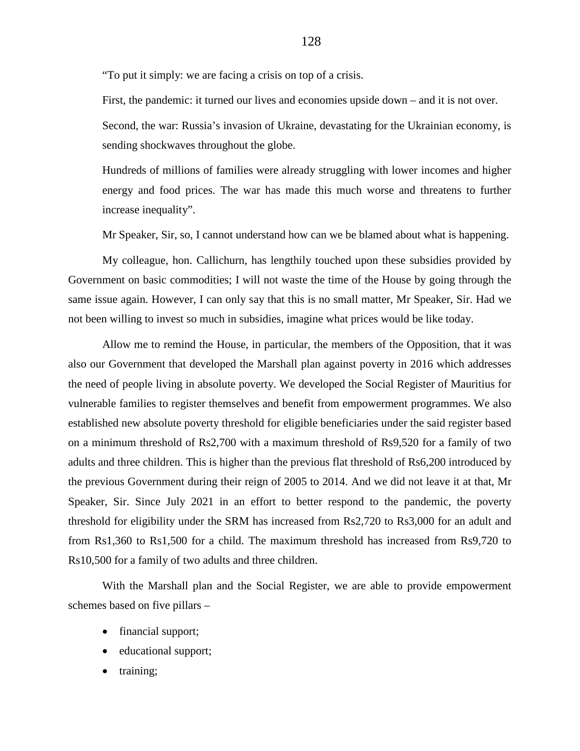"To put it simply: we are facing a crisis on top of a crisis.

First, the pandemic: it turned our lives and economies upside down – and it is not over.

Second, the war: Russia's invasion of Ukraine, devastating for the Ukrainian economy, is sending shockwaves throughout the globe.

Hundreds of millions of families were already struggling with lower incomes and higher energy and food prices. The war has made this much worse and threatens to further increase inequality".

Mr Speaker, Sir, so, I cannot understand how can we be blamed about what is happening.

My colleague, hon. Callichurn, has lengthily touched upon these subsidies provided by Government on basic commodities; I will not waste the time of the House by going through the same issue again. However, I can only say that this is no small matter, Mr Speaker, Sir. Had we not been willing to invest so much in subsidies, imagine what prices would be like today.

Allow me to remind the House, in particular, the members of the Opposition, that it was also our Government that developed the Marshall plan against poverty in 2016 which addresses the need of people living in absolute poverty. We developed the Social Register of Mauritius for vulnerable families to register themselves and benefit from empowerment programmes. We also established new absolute poverty threshold for eligible beneficiaries under the said register based on a minimum threshold of Rs2,700 with a maximum threshold of Rs9,520 for a family of two adults and three children. This is higher than the previous flat threshold of Rs6,200 introduced by the previous Government during their reign of 2005 to 2014. And we did not leave it at that, Mr Speaker, Sir. Since July 2021 in an effort to better respond to the pandemic, the poverty threshold for eligibility under the SRM has increased from Rs2,720 to Rs3,000 for an adult and from Rs1,360 to Rs1,500 for a child. The maximum threshold has increased from Rs9,720 to Rs10,500 for a family of two adults and three children.

With the Marshall plan and the Social Register, we are able to provide empowerment schemes based on five pillars –

- financial support;
- educational support;
- training;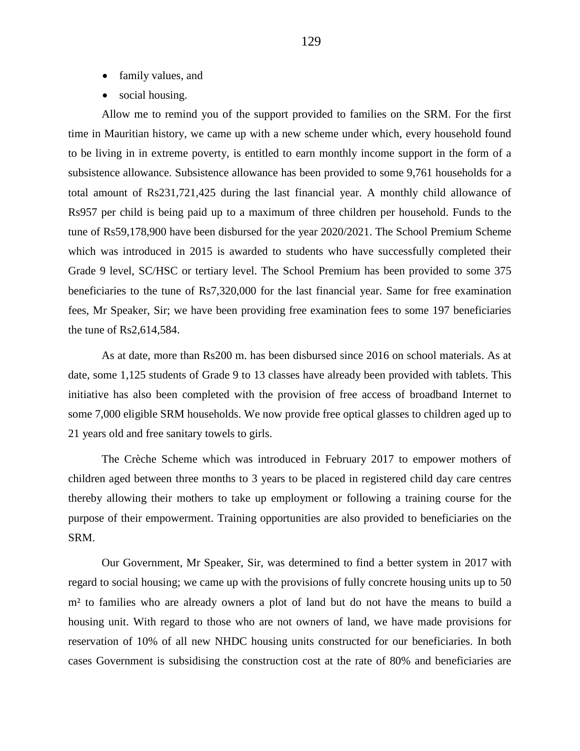- family values, and
- social housing.

Allow me to remind you of the support provided to families on the SRM. For the first time in Mauritian history, we came up with a new scheme under which, every household found to be living in in extreme poverty, is entitled to earn monthly income support in the form of a subsistence allowance. Subsistence allowance has been provided to some 9,761 households for a total amount of Rs231,721,425 during the last financial year. A monthly child allowance of Rs957 per child is being paid up to a maximum of three children per household. Funds to the tune of Rs59,178,900 have been disbursed for the year 2020/2021. The School Premium Scheme which was introduced in 2015 is awarded to students who have successfully completed their Grade 9 level, SC/HSC or tertiary level. The School Premium has been provided to some 375 beneficiaries to the tune of Rs7,320,000 for the last financial year. Same for free examination fees, Mr Speaker, Sir; we have been providing free examination fees to some 197 beneficiaries the tune of Rs2,614,584.

As at date, more than Rs200 m. has been disbursed since 2016 on school materials. As at date, some 1,125 students of Grade 9 to 13 classes have already been provided with tablets. This initiative has also been completed with the provision of free access of broadband Internet to some 7,000 eligible SRM households. We now provide free optical glasses to children aged up to 21 years old and free sanitary towels to girls.

The Crèche Scheme which was introduced in February 2017 to empower mothers of children aged between three months to 3 years to be placed in registered child day care centres thereby allowing their mothers to take up employment or following a training course for the purpose of their empowerment. Training opportunities are also provided to beneficiaries on the SRM.

Our Government, Mr Speaker, Sir, was determined to find a better system in 2017 with regard to social housing; we came up with the provisions of fully concrete housing units up to 50 m<sup>2</sup> to families who are already owners a plot of land but do not have the means to build a housing unit. With regard to those who are not owners of land, we have made provisions for reservation of 10% of all new NHDC housing units constructed for our beneficiaries. In both cases Government is subsidising the construction cost at the rate of 80% and beneficiaries are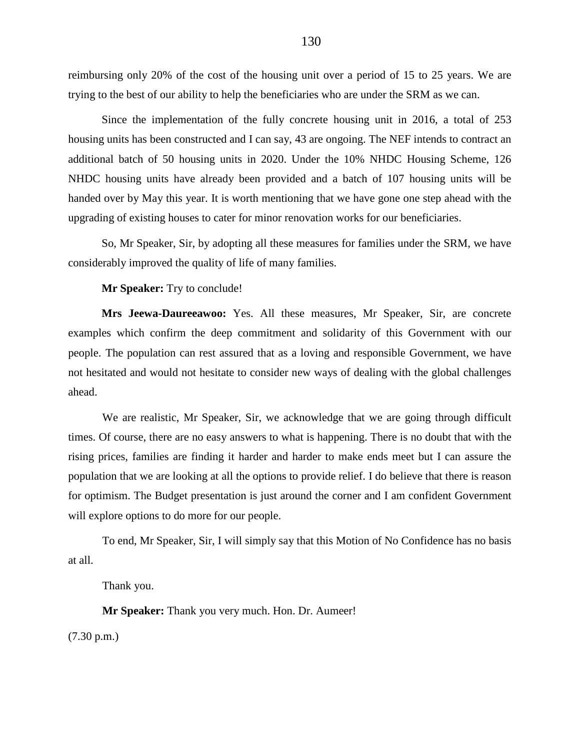reimbursing only 20% of the cost of the housing unit over a period of 15 to 25 years. We are trying to the best of our ability to help the beneficiaries who are under the SRM as we can.

Since the implementation of the fully concrete housing unit in 2016, a total of 253 housing units has been constructed and I can say, 43 are ongoing. The NEF intends to contract an additional batch of 50 housing units in 2020. Under the 10% NHDC Housing Scheme, 126 NHDC housing units have already been provided and a batch of 107 housing units will be handed over by May this year. It is worth mentioning that we have gone one step ahead with the upgrading of existing houses to cater for minor renovation works for our beneficiaries.

So, Mr Speaker, Sir, by adopting all these measures for families under the SRM, we have considerably improved the quality of life of many families.

**Mr Speaker:** Try to conclude!

**Mrs Jeewa-Daureeawoo:** Yes. All these measures, Mr Speaker, Sir, are concrete examples which confirm the deep commitment and solidarity of this Government with our people. The population can rest assured that as a loving and responsible Government, we have not hesitated and would not hesitate to consider new ways of dealing with the global challenges ahead.

We are realistic, Mr Speaker, Sir, we acknowledge that we are going through difficult times. Of course, there are no easy answers to what is happening. There is no doubt that with the rising prices, families are finding it harder and harder to make ends meet but I can assure the population that we are looking at all the options to provide relief. I do believe that there is reason for optimism. The Budget presentation is just around the corner and I am confident Government will explore options to do more for our people.

To end, Mr Speaker, Sir, I will simply say that this Motion of No Confidence has no basis at all.

Thank you.

**Mr Speaker:** Thank you very much. Hon. Dr. Aumeer!

(7.30 p.m.)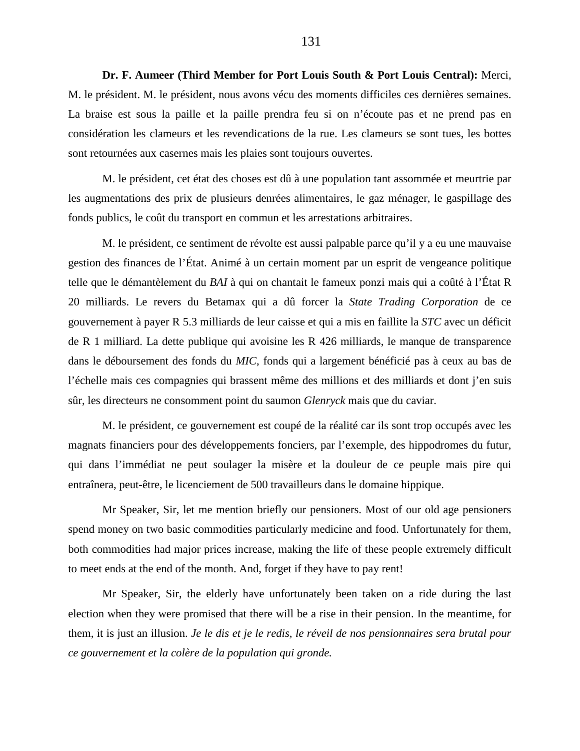**Dr. F. Aumeer (Third Member for Port Louis South & Port Louis Central):** Merci, M. le président. M. le président, nous avons vécu des moments difficiles ces dernières semaines. La braise est sous la paille et la paille prendra feu si on n'écoute pas et ne prend pas en considération les clameurs et les revendications de la rue. Les clameurs se sont tues, les bottes sont retournées aux casernes mais les plaies sont toujours ouvertes.

M. le président, cet état des choses est dû à une population tant assommée et meurtrie par les augmentations des prix de plusieurs denrées alimentaires, le gaz ménager, le gaspillage des fonds publics, le coût du transport en commun et les arrestations arbitraires.

M. le président, ce sentiment de révolte est aussi palpable parce qu'il y a eu une mauvaise gestion des finances de l'État. Animé à un certain moment par un esprit de vengeance politique telle que le démantèlement du *BAI* à qui on chantait le fameux ponzi mais qui a coûté à l'État R 20 milliards. Le revers du Betamax qui a dû forcer la *State Trading Corporation* de ce gouvernement à payer R 5.3 milliards de leur caisse et qui a mis en faillite la *STC* avec un déficit de R 1 milliard. La dette publique qui avoisine les R 426 milliards, le manque de transparence dans le déboursement des fonds du *MIC*, fonds qui a largement bénéficié pas à ceux au bas de l'échelle mais ces compagnies qui brassent même des millions et des milliards et dont j'en suis sûr, les directeurs ne consomment point du saumon *Glenryck* mais que du caviar.

M. le président, ce gouvernement est coupé de la réalité car ils sont trop occupés avec les magnats financiers pour des développements fonciers, par l'exemple, des hippodromes du futur, qui dans l'immédiat ne peut soulager la misère et la douleur de ce peuple mais pire qui entraînera, peut-être, le licenciement de 500 travailleurs dans le domaine hippique.

Mr Speaker, Sir, let me mention briefly our pensioners. Most of our old age pensioners spend money on two basic commodities particularly medicine and food. Unfortunately for them, both commodities had major prices increase, making the life of these people extremely difficult to meet ends at the end of the month. And, forget if they have to pay rent!

Mr Speaker, Sir, the elderly have unfortunately been taken on a ride during the last election when they were promised that there will be a rise in their pension. In the meantime, for them, it is just an illusion. *Je le dis et je le redis, le réveil de nos pensionnaires sera brutal pour ce gouvernement et la colère de la population qui gronde.*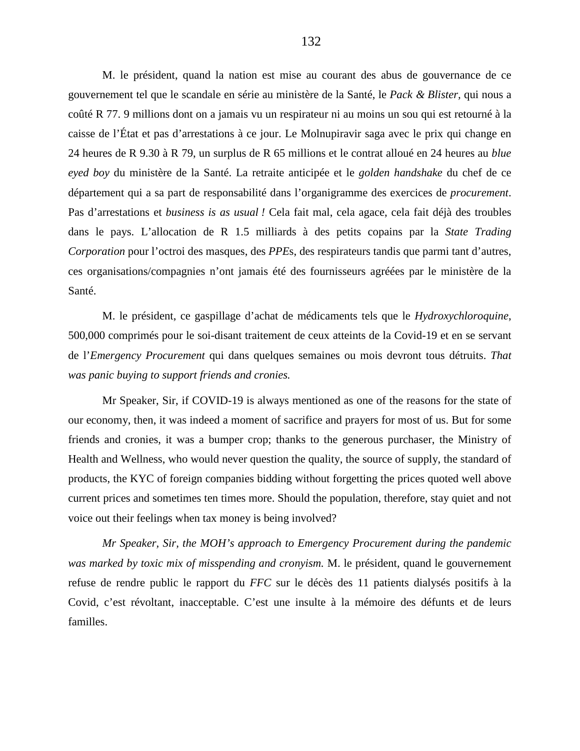M. le président, quand la nation est mise au courant des abus de gouvernance de ce gouvernement tel que le scandale en série au ministère de la Santé, le *Pack & Blister,* qui nous a coûté R 77. 9 millions dont on a jamais vu un respirateur ni au moins un sou qui est retourné à la caisse de l'État et pas d'arrestations à ce jour. Le Molnupiravir saga avec le prix qui change en 24 heures de R 9.30 à R 79, un surplus de R 65 millions et le contrat alloué en 24 heures au *blue eyed boy* du ministère de la Santé. La retraite anticipée et le *golden handshake* du chef de ce département qui a sa part de responsabilité dans l'organigramme des exercices de *procurement*. Pas d'arrestations et *business is as usual !* Cela fait mal, cela agace, cela fait déjà des troubles dans le pays. L'allocation de R 1.5 milliards à des petits copains par la *State Trading Corporation* pour l'octroi des masques, des *PPE*s, des respirateurs tandis que parmi tant d'autres, ces organisations/compagnies n'ont jamais été des fournisseurs agréées par le ministère de la Santé.

M. le président, ce gaspillage d'achat de médicaments tels que le *Hydroxychloroquine*, 500,000 comprimés pour le soi-disant traitement de ceux atteints de la Covid-19 et en se servant de l'*Emergency Procurement* qui dans quelques semaines ou mois devront tous détruits. *That was panic buying to support friends and cronies.*

Mr Speaker, Sir, if COVID-19 is always mentioned as one of the reasons for the state of our economy, then, it was indeed a moment of sacrifice and prayers for most of us. But for some friends and cronies, it was a bumper crop; thanks to the generous purchaser, the Ministry of Health and Wellness, who would never question the quality, the source of supply, the standard of products, the KYC of foreign companies bidding without forgetting the prices quoted well above current prices and sometimes ten times more. Should the population, therefore, stay quiet and not voice out their feelings when tax money is being involved?

*Mr Speaker, Sir, the MOH's approach to Emergency Procurement during the pandemic was marked by toxic mix of misspending and cronyism.* M. le président, quand le gouvernement refuse de rendre public le rapport du *FFC* sur le décès des 11 patients dialysés positifs à la Covid, c'est révoltant, inacceptable. C'est une insulte à la mémoire des défunts et de leurs familles.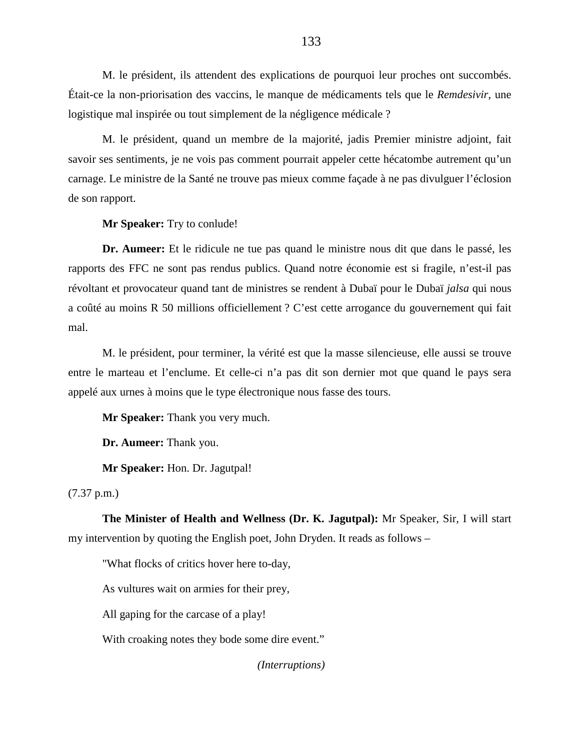M. le président, ils attendent des explications de pourquoi leur proches ont succombés. Était-ce la non-priorisation des vaccins, le manque de médicaments tels que le *Remdesivir*, une logistique mal inspirée ou tout simplement de la négligence médicale ?

M. le président, quand un membre de la majorité, jadis Premier ministre adjoint, fait savoir ses sentiments, je ne vois pas comment pourrait appeler cette hécatombe autrement qu'un carnage. Le ministre de la Santé ne trouve pas mieux comme façade à ne pas divulguer l'éclosion de son rapport.

**Mr Speaker:** Try to conlude!

**Dr. Aumeer:** Et le ridicule ne tue pas quand le ministre nous dit que dans le passé, les rapports des FFC ne sont pas rendus publics. Quand notre économie est si fragile, n'est-il pas révoltant et provocateur quand tant de ministres se rendent à Dubaï pour le Dubaï *jalsa* qui nous a coûté au moins R 50 millions officiellement ? C'est cette arrogance du gouvernement qui fait mal.

M. le président, pour terminer, la vérité est que la masse silencieuse, elle aussi se trouve entre le marteau et l'enclume. Et celle-ci n'a pas dit son dernier mot que quand le pays sera appelé aux urnes à moins que le type électronique nous fasse des tours.

**Mr Speaker:** Thank you very much.

**Dr. Aumeer:** Thank you.

**Mr Speaker:** Hon. Dr. Jagutpal!

(7.37 p.m.)

**The Minister of Health and Wellness (Dr. K. Jagutpal):** Mr Speaker, Sir, I will start my intervention by quoting the English poet, John Dryden. It reads as follows –

"What flocks of critics hover here to-day,

As vultures wait on armies for their prey,

All gaping for the carcase of a play!

With croaking notes they bode some dire event."

*(Interruptions)*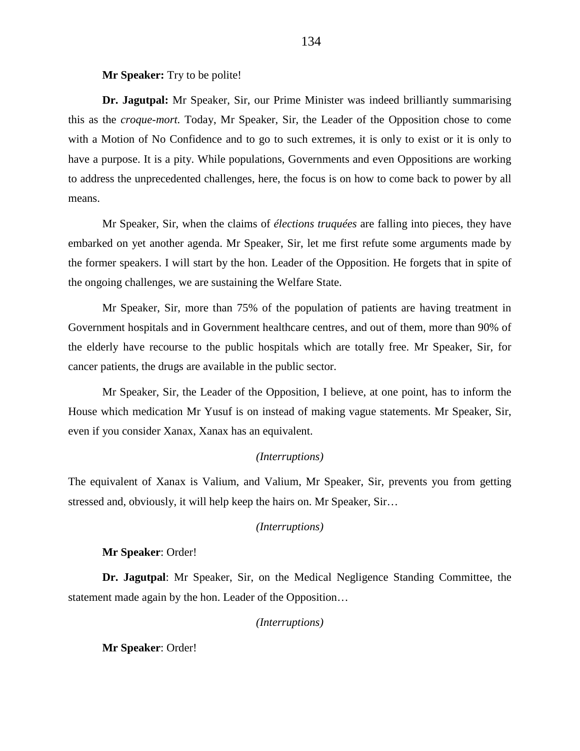**Mr Speaker:** Try to be polite!

**Dr. Jagutpal:** Mr Speaker, Sir, our Prime Minister was indeed brilliantly summarising this as the *croque-mort.* Today, Mr Speaker, Sir, the Leader of the Opposition chose to come with a Motion of No Confidence and to go to such extremes, it is only to exist or it is only to have a purpose. It is a pity. While populations, Governments and even Oppositions are working to address the unprecedented challenges, here, the focus is on how to come back to power by all means.

Mr Speaker, Sir, when the claims of *élections truquées* are falling into pieces, they have embarked on yet another agenda. Mr Speaker, Sir, let me first refute some arguments made by the former speakers. I will start by the hon. Leader of the Opposition. He forgets that in spite of the ongoing challenges, we are sustaining the Welfare State.

Mr Speaker, Sir, more than 75% of the population of patients are having treatment in Government hospitals and in Government healthcare centres, and out of them, more than 90% of the elderly have recourse to the public hospitals which are totally free. Mr Speaker, Sir, for cancer patients, the drugs are available in the public sector.

Mr Speaker, Sir, the Leader of the Opposition, I believe, at one point, has to inform the House which medication Mr Yusuf is on instead of making vague statements. Mr Speaker, Sir, even if you consider Xanax, Xanax has an equivalent.

### *(Interruptions)*

The equivalent of Xanax is Valium, and Valium, Mr Speaker, Sir, prevents you from getting stressed and, obviously, it will help keep the hairs on. Mr Speaker, Sir…

# *(Interruptions)*

# **Mr Speaker**: Order!

**Dr. Jagutpal**: Mr Speaker, Sir, on the Medical Negligence Standing Committee, the statement made again by the hon. Leader of the Opposition…

## *(Interruptions)*

**Mr Speaker**: Order!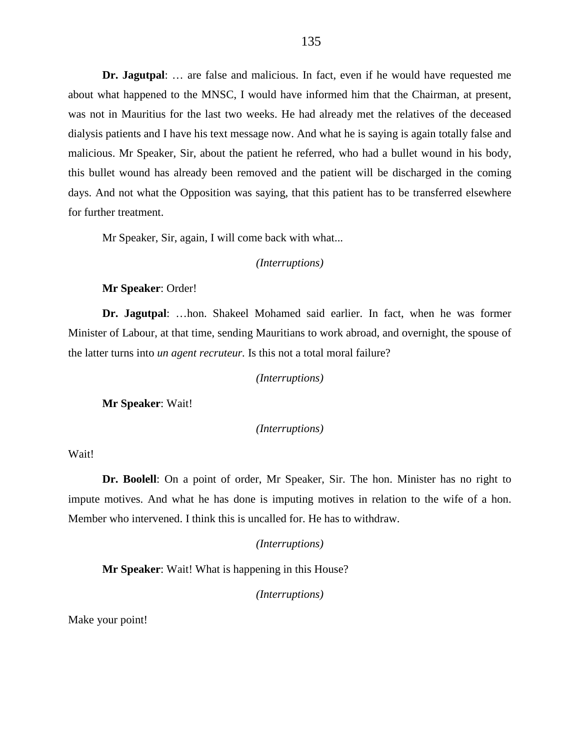**Dr. Jagutpal**: … are false and malicious. In fact, even if he would have requested me about what happened to the MNSC, I would have informed him that the Chairman, at present, was not in Mauritius for the last two weeks. He had already met the relatives of the deceased dialysis patients and I have his text message now. And what he is saying is again totally false and malicious. Mr Speaker, Sir, about the patient he referred, who had a bullet wound in his body, this bullet wound has already been removed and the patient will be discharged in the coming days. And not what the Opposition was saying, that this patient has to be transferred elsewhere for further treatment.

Mr Speaker, Sir, again, I will come back with what...

# *(Interruptions)*

### **Mr Speaker**: Order!

**Dr. Jagutpal**: …hon. Shakeel Mohamed said earlier. In fact, when he was former Minister of Labour, at that time, sending Mauritians to work abroad, and overnight, the spouse of the latter turns into *un agent recruteur.* Is this not a total moral failure?

*(Interruptions)*

**Mr Speaker**: Wait!

*(Interruptions)*

Wait!

**Dr. Boolell**: On a point of order, Mr Speaker, Sir. The hon. Minister has no right to impute motives. And what he has done is imputing motives in relation to the wife of a hon. Member who intervened. I think this is uncalled for. He has to withdraw.

*(Interruptions)*

**Mr Speaker**: Wait! What is happening in this House?

*(Interruptions)*

Make your point!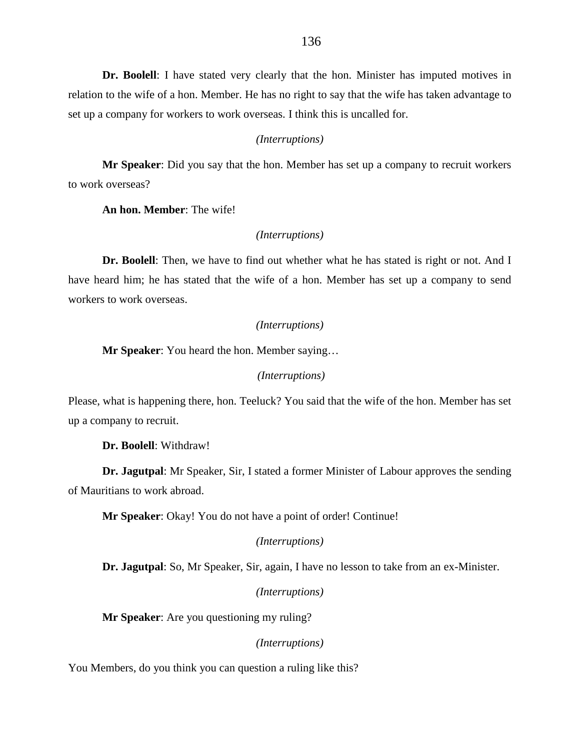**Dr. Boolell**: I have stated very clearly that the hon. Minister has imputed motives in relation to the wife of a hon. Member. He has no right to say that the wife has taken advantage to set up a company for workers to work overseas. I think this is uncalled for.

#### *(Interruptions)*

**Mr Speaker**: Did you say that the hon. Member has set up a company to recruit workers to work overseas?

**An hon. Member**: The wife!

## *(Interruptions)*

**Dr. Boolell**: Then, we have to find out whether what he has stated is right or not. And I have heard him; he has stated that the wife of a hon. Member has set up a company to send workers to work overseas.

### *(Interruptions)*

**Mr Speaker**: You heard the hon. Member saying…

### *(Interruptions)*

Please, what is happening there, hon. Teeluck? You said that the wife of the hon. Member has set up a company to recruit.

**Dr. Boolell**: Withdraw!

**Dr. Jagutpal**: Mr Speaker, Sir, I stated a former Minister of Labour approves the sending of Mauritians to work abroad.

**Mr Speaker**: Okay! You do not have a point of order! Continue!

# *(Interruptions)*

**Dr. Jagutpal**: So, Mr Speaker, Sir, again, I have no lesson to take from an ex-Minister.

## *(Interruptions)*

**Mr Speaker**: Are you questioning my ruling?

## *(Interruptions)*

You Members, do you think you can question a ruling like this?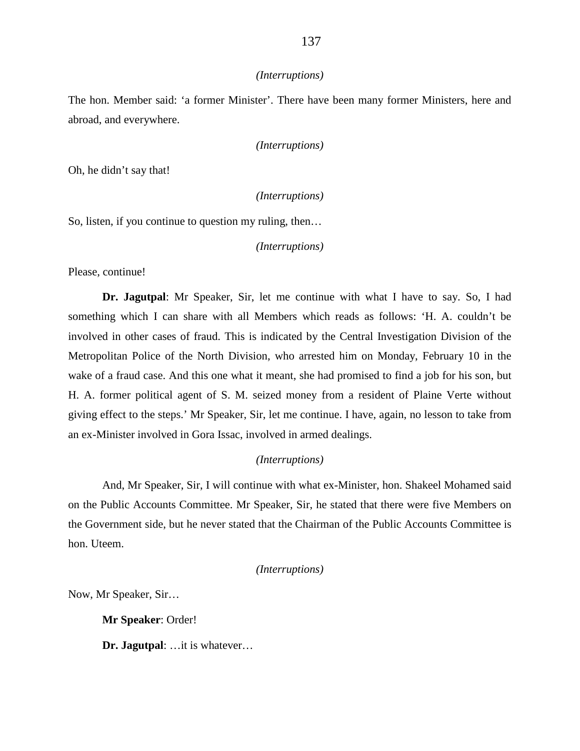### *(Interruptions)*

The hon. Member said: 'a former Minister'. There have been many former Ministers, here and abroad, and everywhere.

### *(Interruptions)*

Oh, he didn't say that!

*(Interruptions)*

So, listen, if you continue to question my ruling, then…

*(Interruptions)*

Please, continue!

**Dr. Jagutpal**: Mr Speaker, Sir, let me continue with what I have to say. So, I had something which I can share with all Members which reads as follows: 'H. A. couldn't be involved in other cases of fraud. This is indicated by the Central Investigation Division of the Metropolitan Police of the North Division, who arrested him on Monday, February 10 in the wake of a fraud case. And this one what it meant, she had promised to find a job for his son, but H. A. former political agent of S. M. seized money from a resident of Plaine Verte without giving effect to the steps.' Mr Speaker, Sir, let me continue. I have, again, no lesson to take from an ex-Minister involved in Gora Issac, involved in armed dealings.

# *(Interruptions)*

And, Mr Speaker, Sir, I will continue with what ex-Minister, hon. Shakeel Mohamed said on the Public Accounts Committee. Mr Speaker, Sir, he stated that there were five Members on the Government side, but he never stated that the Chairman of the Public Accounts Committee is hon. Uteem.

*(Interruptions)*

Now, Mr Speaker, Sir…

**Mr Speaker**: Order!

**Dr. Jagutpal**: …it is whatever…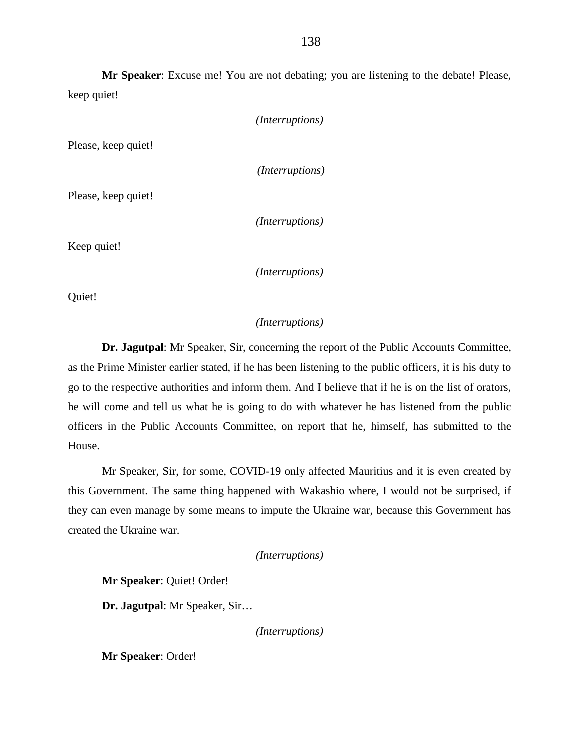**Mr Speaker**: Excuse me! You are not debating; you are listening to the debate! Please, keep quiet!

| ( <i>Interruptions</i> ) |
|--------------------------|
|                          |
|                          |

Please, keep quiet!

Please, keep quiet!

*(Interruptions)*

*(Interruptions)*

Keep quiet!

*(Interruptions)*

Quiet!

# *(Interruptions)*

**Dr. Jagutpal**: Mr Speaker, Sir, concerning the report of the Public Accounts Committee, as the Prime Minister earlier stated, if he has been listening to the public officers, it is his duty to go to the respective authorities and inform them. And I believe that if he is on the list of orators, he will come and tell us what he is going to do with whatever he has listened from the public officers in the Public Accounts Committee, on report that he, himself, has submitted to the House.

Mr Speaker, Sir, for some, COVID-19 only affected Mauritius and it is even created by this Government. The same thing happened with Wakashio where, I would not be surprised, if they can even manage by some means to impute the Ukraine war, because this Government has created the Ukraine war.

*(Interruptions)*

**Mr Speaker**: Quiet! Order!

**Dr. Jagutpal**: Mr Speaker, Sir…

*(Interruptions)*

**Mr Speaker**: Order!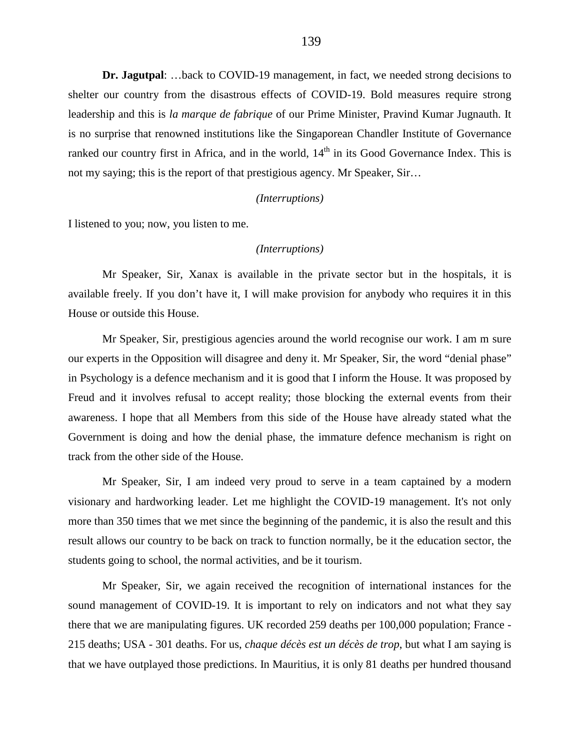**Dr. Jagutpal**: …back to COVID-19 management, in fact, we needed strong decisions to shelter our country from the disastrous effects of COVID-19. Bold measures require strong leadership and this is *la marque de fabrique* of our Prime Minister, Pravind Kumar Jugnauth. It is no surprise that renowned institutions like the Singaporean Chandler Institute of Governance ranked our country first in Africa, and in the world,  $14<sup>th</sup>$  in its Good Governance Index. This is not my saying; this is the report of that prestigious agency. Mr Speaker, Sir…

# *(Interruptions)*

I listened to you; now, you listen to me.

### *(Interruptions)*

Mr Speaker, Sir, Xanax is available in the private sector but in the hospitals, it is available freely. If you don't have it, I will make provision for anybody who requires it in this House or outside this House.

Mr Speaker, Sir, prestigious agencies around the world recognise our work. I am m sure our experts in the Opposition will disagree and deny it. Mr Speaker, Sir, the word "denial phase" in Psychology is a defence mechanism and it is good that I inform the House. It was proposed by Freud and it involves refusal to accept reality; those blocking the external events from their awareness. I hope that all Members from this side of the House have already stated what the Government is doing and how the denial phase, the immature defence mechanism is right on track from the other side of the House.

Mr Speaker, Sir, I am indeed very proud to serve in a team captained by a modern visionary and hardworking leader. Let me highlight the COVID-19 management. It's not only more than 350 times that we met since the beginning of the pandemic, it is also the result and this result allows our country to be back on track to function normally, be it the education sector, the students going to school, the normal activities, and be it tourism.

Mr Speaker, Sir, we again received the recognition of international instances for the sound management of COVID-19. It is important to rely on indicators and not what they say there that we are manipulating figures. UK recorded 259 deaths per 100,000 population; France - 215 deaths; USA - 301 deaths. For us, *chaque décès est un décès de trop*, but what I am saying is that we have outplayed those predictions. In Mauritius, it is only 81 deaths per hundred thousand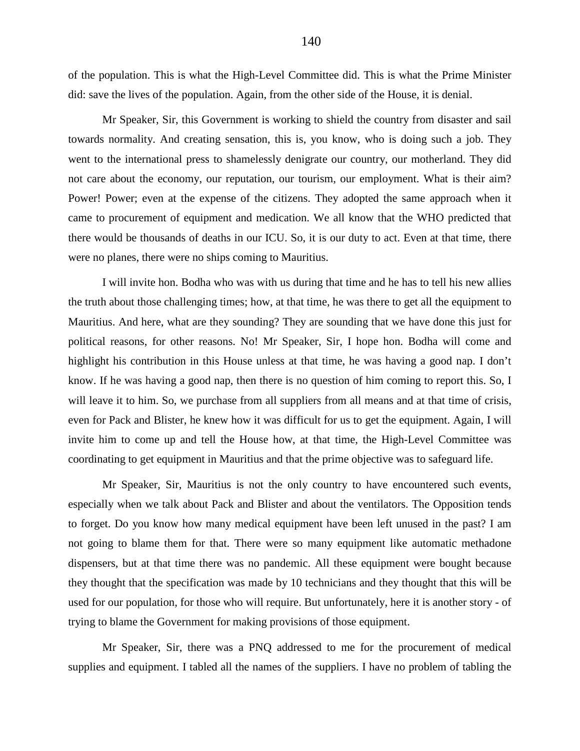of the population. This is what the High-Level Committee did. This is what the Prime Minister did: save the lives of the population. Again, from the other side of the House, it is denial.

Mr Speaker, Sir, this Government is working to shield the country from disaster and sail towards normality. And creating sensation, this is, you know, who is doing such a job. They went to the international press to shamelessly denigrate our country, our motherland. They did not care about the economy, our reputation, our tourism, our employment. What is their aim? Power! Power; even at the expense of the citizens. They adopted the same approach when it came to procurement of equipment and medication. We all know that the WHO predicted that there would be thousands of deaths in our ICU. So, it is our duty to act. Even at that time, there were no planes, there were no ships coming to Mauritius.

I will invite hon. Bodha who was with us during that time and he has to tell his new allies the truth about those challenging times; how, at that time, he was there to get all the equipment to Mauritius. And here, what are they sounding? They are sounding that we have done this just for political reasons, for other reasons. No! Mr Speaker, Sir, I hope hon. Bodha will come and highlight his contribution in this House unless at that time, he was having a good nap. I don't know. If he was having a good nap, then there is no question of him coming to report this. So, I will leave it to him. So, we purchase from all suppliers from all means and at that time of crisis, even for Pack and Blister, he knew how it was difficult for us to get the equipment. Again, I will invite him to come up and tell the House how, at that time, the High-Level Committee was coordinating to get equipment in Mauritius and that the prime objective was to safeguard life.

Mr Speaker, Sir, Mauritius is not the only country to have encountered such events, especially when we talk about Pack and Blister and about the ventilators. The Opposition tends to forget. Do you know how many medical equipment have been left unused in the past? I am not going to blame them for that. There were so many equipment like automatic methadone dispensers, but at that time there was no pandemic. All these equipment were bought because they thought that the specification was made by 10 technicians and they thought that this will be used for our population, for those who will require. But unfortunately, here it is another story - of trying to blame the Government for making provisions of those equipment.

Mr Speaker, Sir, there was a PNQ addressed to me for the procurement of medical supplies and equipment. I tabled all the names of the suppliers. I have no problem of tabling the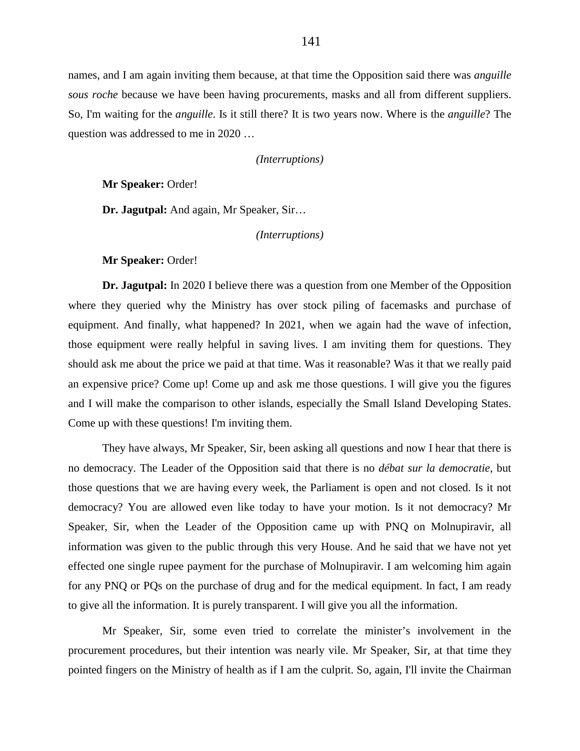names, and I am again inviting them because, at that time the Opposition said there was *anguille sous roche* because we have been having procurements, masks and all from different suppliers. So, I'm waiting for the *anguille*. Is it still there? It is two years now. Where is the *anguille*? The question was addressed to me in 2020 …

#### *(Interruptions)*

**Mr Speaker:** Order!

**Dr. Jagutpal:** And again, Mr Speaker, Sir…

## *(Interruptions)*

**Mr Speaker:** Order!

**Dr. Jagutpal:** In 2020 I believe there was a question from one Member of the Opposition where they queried why the Ministry has over stock piling of facemasks and purchase of equipment. And finally, what happened? In 2021, when we again had the wave of infection, those equipment were really helpful in saving lives. I am inviting them for questions. They should ask me about the price we paid at that time. Was it reasonable? Was it that we really paid an expensive price? Come up! Come up and ask me those questions. I will give you the figures and I will make the comparison to other islands, especially the Small Island Developing States. Come up with these questions! I'm inviting them.

They have always, Mr Speaker, Sir, been asking all questions and now I hear that there is no democracy. The Leader of the Opposition said that there is no *débat sur la democratie*, but those questions that we are having every week, the Parliament is open and not closed. Is it not democracy? You are allowed even like today to have your motion. Is it not democracy? Mr Speaker, Sir, when the Leader of the Opposition came up with PNQ on Molnupiravir, all information was given to the public through this very House. And he said that we have not yet effected one single rupee payment for the purchase of Molnupiravir. I am welcoming him again for any PNQ or PQs on the purchase of drug and for the medical equipment. In fact, I am ready to give all the information. It is purely transparent. I will give you all the information.

Mr Speaker, Sir, some even tried to correlate the minister's involvement in the procurement procedures, but their intention was nearly vile. Mr Speaker, Sir, at that time they pointed fingers on the Ministry of health as if I am the culprit. So, again, I'll invite the Chairman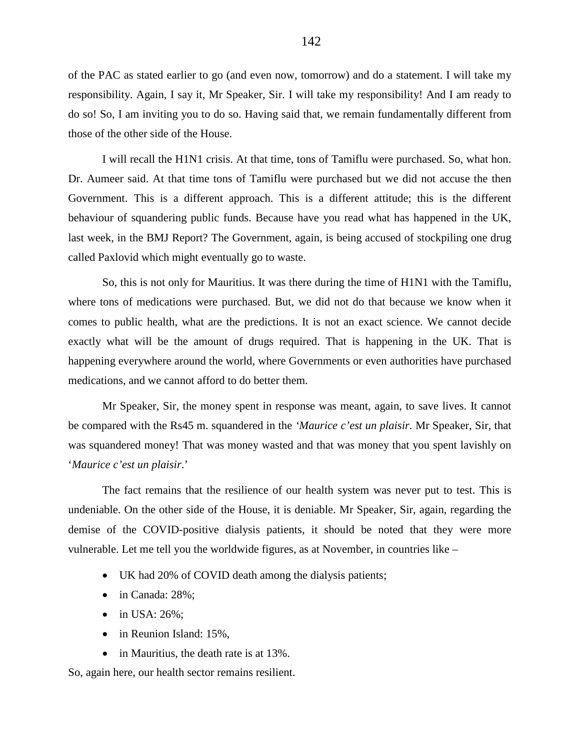of the PAC as stated earlier to go (and even now, tomorrow) and do a statement. I will take my responsibility. Again, I say it, Mr Speaker, Sir. I will take my responsibility! And I am ready to do so! So, I am inviting you to do so. Having said that, we remain fundamentally different from those of the other side of the House.

I will recall the H1N1 crisis. At that time, tons of Tamiflu were purchased. So, what hon. Dr. Aumeer said. At that time tons of Tamiflu were purchased but we did not accuse the then Government. This is a different approach. This is a different attitude; this is the different behaviour of squandering public funds. Because have you read what has happened in the UK, last week, in the BMJ Report? The Government, again, is being accused of stockpiling one drug called Paxlovid which might eventually go to waste.

So, this is not only for Mauritius. It was there during the time of H1N1 with the Tamiflu, where tons of medications were purchased. But, we did not do that because we know when it comes to public health, what are the predictions. It is not an exact science. We cannot decide exactly what will be the amount of drugs required. That is happening in the UK. That is happening everywhere around the world, where Governments or even authorities have purchased medications, and we cannot afford to do better them.

Mr Speaker, Sir, the money spent in response was meant, again, to save lives. It cannot be compared with the Rs45 m. squandered in the *'Maurice c'est un plaisir.* Mr Speaker, Sir, that was squandered money! That was money wasted and that was money that you spent lavishly on '*Maurice c'est un plaisir*.'

The fact remains that the resilience of our health system was never put to test. This is undeniable. On the other side of the House, it is deniable. Mr Speaker, Sir, again, regarding the demise of the COVID-positive dialysis patients, it should be noted that they were more vulnerable. Let me tell you the worldwide figures, as at November, in countries like –

- UK had 20% of COVID death among the dialysis patients;
- in Canada: 28%;
- $\bullet$  in USA: 26%;
- in Reunion Island: 15%,
- in Mauritius, the death rate is at 13%.

So, again here, our health sector remains resilient.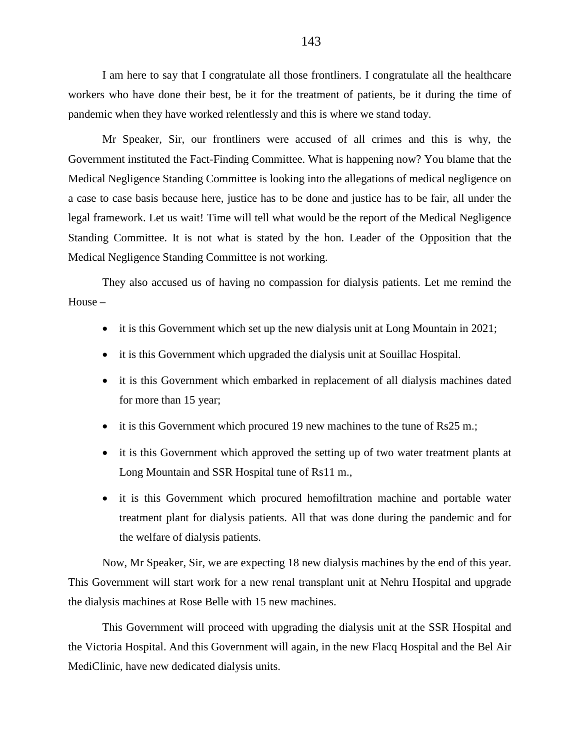I am here to say that I congratulate all those frontliners. I congratulate all the healthcare workers who have done their best, be it for the treatment of patients, be it during the time of pandemic when they have worked relentlessly and this is where we stand today.

Mr Speaker, Sir, our frontliners were accused of all crimes and this is why, the Government instituted the Fact-Finding Committee. What is happening now? You blame that the Medical Negligence Standing Committee is looking into the allegations of medical negligence on a case to case basis because here, justice has to be done and justice has to be fair, all under the legal framework. Let us wait! Time will tell what would be the report of the Medical Negligence Standing Committee. It is not what is stated by the hon. Leader of the Opposition that the Medical Negligence Standing Committee is not working.

They also accused us of having no compassion for dialysis patients. Let me remind the House –

- it is this Government which set up the new dialysis unit at Long Mountain in 2021;
- it is this Government which upgraded the dialysis unit at Souillac Hospital.
- it is this Government which embarked in replacement of all dialysis machines dated for more than 15 year;
- it is this Government which procured 19 new machines to the tune of Rs25 m.;
- it is this Government which approved the setting up of two water treatment plants at Long Mountain and SSR Hospital tune of Rs11 m.,
- it is this Government which procured hemofiltration machine and portable water treatment plant for dialysis patients. All that was done during the pandemic and for the welfare of dialysis patients.

Now, Mr Speaker, Sir, we are expecting 18 new dialysis machines by the end of this year. This Government will start work for a new renal transplant unit at Nehru Hospital and upgrade the dialysis machines at Rose Belle with 15 new machines.

This Government will proceed with upgrading the dialysis unit at the SSR Hospital and the Victoria Hospital. And this Government will again, in the new Flacq Hospital and the Bel Air MediClinic, have new dedicated dialysis units.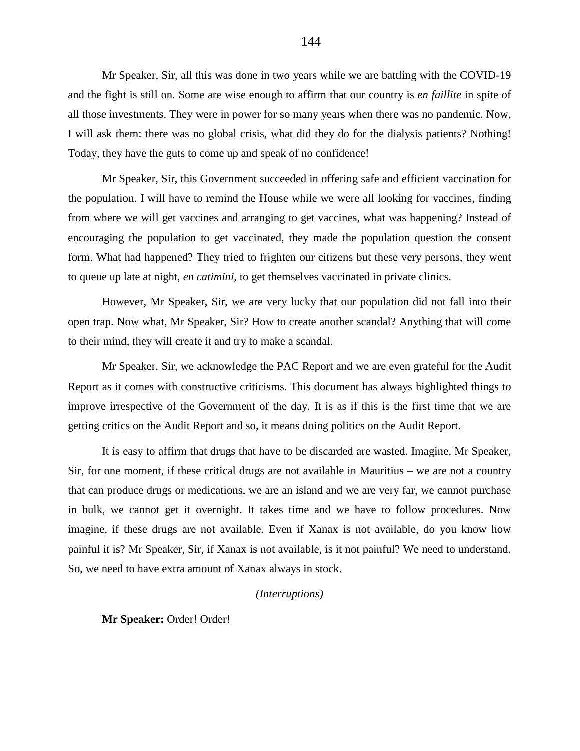Mr Speaker, Sir, all this was done in two years while we are battling with the COVID-19 and the fight is still on. Some are wise enough to affirm that our country is *en faillite* in spite of all those investments. They were in power for so many years when there was no pandemic. Now, I will ask them: there was no global crisis, what did they do for the dialysis patients? Nothing! Today, they have the guts to come up and speak of no confidence!

Mr Speaker, Sir, this Government succeeded in offering safe and efficient vaccination for the population. I will have to remind the House while we were all looking for vaccines, finding from where we will get vaccines and arranging to get vaccines, what was happening? Instead of encouraging the population to get vaccinated, they made the population question the consent form. What had happened? They tried to frighten our citizens but these very persons, they went to queue up late at night, *en catimini,* to get themselves vaccinated in private clinics.

However, Mr Speaker, Sir, we are very lucky that our population did not fall into their open trap. Now what, Mr Speaker, Sir? How to create another scandal? Anything that will come to their mind, they will create it and try to make a scandal.

Mr Speaker, Sir, we acknowledge the PAC Report and we are even grateful for the Audit Report as it comes with constructive criticisms. This document has always highlighted things to improve irrespective of the Government of the day. It is as if this is the first time that we are getting critics on the Audit Report and so, it means doing politics on the Audit Report.

It is easy to affirm that drugs that have to be discarded are wasted. Imagine, Mr Speaker, Sir, for one moment, if these critical drugs are not available in Mauritius – we are not a country that can produce drugs or medications, we are an island and we are very far, we cannot purchase in bulk, we cannot get it overnight. It takes time and we have to follow procedures. Now imagine, if these drugs are not available. Even if Xanax is not available, do you know how painful it is? Mr Speaker, Sir, if Xanax is not available, is it not painful? We need to understand. So, we need to have extra amount of Xanax always in stock.

# *(Interruptions)*

**Mr Speaker:** Order! Order!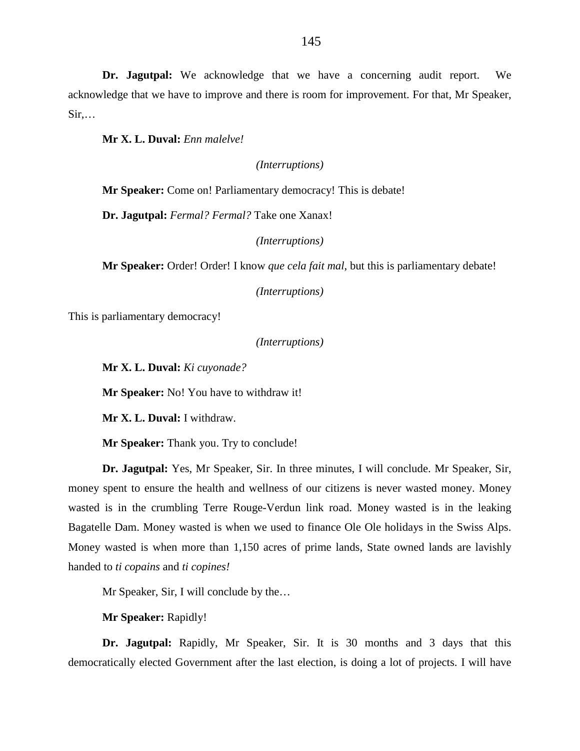**Dr. Jagutpal:** We acknowledge that we have a concerning audit report. We acknowledge that we have to improve and there is room for improvement. For that, Mr Speaker, Sir,…

**Mr X. L. Duval:** *Enn malelve!*

*(Interruptions)*

**Mr Speaker:** Come on! Parliamentary democracy! This is debate!

**Dr. Jagutpal:** *Fermal? Fermal?* Take one Xanax!

*(Interruptions)*

**Mr Speaker:** Order! Order! I know *que cela fait mal*, but this is parliamentary debate!

*(Interruptions)*

This is parliamentary democracy!

*(Interruptions)*

**Mr X. L. Duval:** *Ki cuyonade?*

**Mr Speaker:** No! You have to withdraw it!

**Mr X. L. Duval:** I withdraw.

**Mr Speaker:** Thank you. Try to conclude!

**Dr. Jagutpal:** Yes, Mr Speaker, Sir. In three minutes, I will conclude. Mr Speaker, Sir, money spent to ensure the health and wellness of our citizens is never wasted money. Money wasted is in the crumbling Terre Rouge-Verdun link road. Money wasted is in the leaking Bagatelle Dam. Money wasted is when we used to finance Ole Ole holidays in the Swiss Alps. Money wasted is when more than 1,150 acres of prime lands, State owned lands are lavishly handed to *ti copains* and *ti copines!*

Mr Speaker, Sir, I will conclude by the…

**Mr Speaker:** Rapidly!

**Dr. Jagutpal:** Rapidly, Mr Speaker, Sir. It is 30 months and 3 days that this democratically elected Government after the last election, is doing a lot of projects. I will have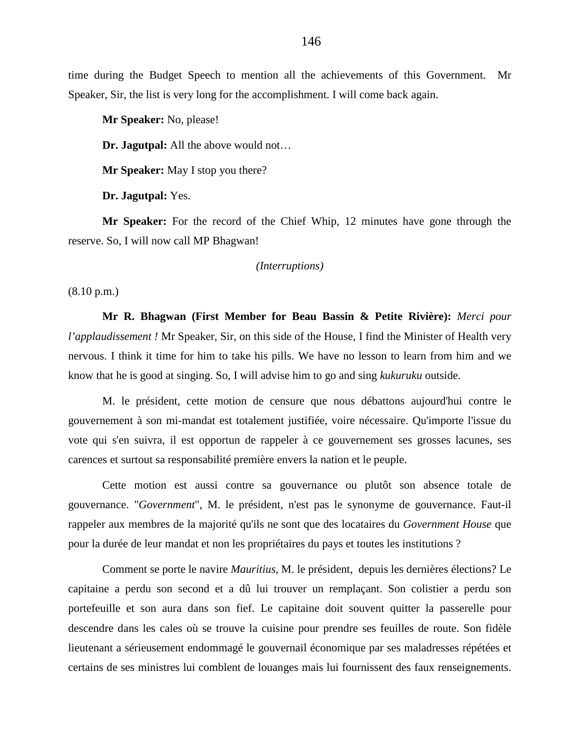time during the Budget Speech to mention all the achievements of this Government. Mr Speaker, Sir, the list is very long for the accomplishment. I will come back again.

**Mr Speaker:** No, please!

**Dr. Jagutpal:** All the above would not…

**Mr Speaker:** May I stop you there?

**Dr. Jagutpal:** Yes.

**Mr Speaker:** For the record of the Chief Whip, 12 minutes have gone through the reserve. So, I will now call MP Bhagwan!

### *(Interruptions)*

(8.10 p.m.)

**Mr R. Bhagwan (First Member for Beau Bassin & Petite Rivière):** *Merci pour l'applaudissement !* Mr Speaker, Sir, on this side of the House, I find the Minister of Health very nervous. I think it time for him to take his pills. We have no lesson to learn from him and we know that he is good at singing. So, I will advise him to go and sing *kukuruku* outside.

M. le président, cette motion de censure que nous débattons aujourd'hui contre le gouvernement à son mi-mandat est totalement justifiée, voire nécessaire. Qu'importe l'issue du vote qui s'en suivra, il est opportun de rappeler à ce gouvernement ses grosses lacunes, ses carences et surtout sa responsabilité première envers la nation et le peuple.

Cette motion est aussi contre sa gouvernance ou plutôt son absence totale de gouvernance. "*Government*", M. le président, n'est pas le synonyme de gouvernance. Faut-il rappeler aux membres de la majorité qu'ils ne sont que des locataires du *Government House* que pour la durée de leur mandat et non les propriétaires du pays et toutes les institutions ?

Comment se porte le navire *Mauritius*, M. le président, depuis les dernières élections? Le capitaine a perdu son second et a dû lui trouver un remplaçant. Son colistier a perdu son portefeuille et son aura dans son fief. Le capitaine doit souvent quitter la passerelle pour descendre dans les cales où se trouve la cuisine pour prendre ses feuilles de route. Son fidèle lieutenant a sérieusement endommagé le gouvernail économique par ses maladresses répétées et certains de ses ministres lui comblent de louanges mais lui fournissent des faux renseignements.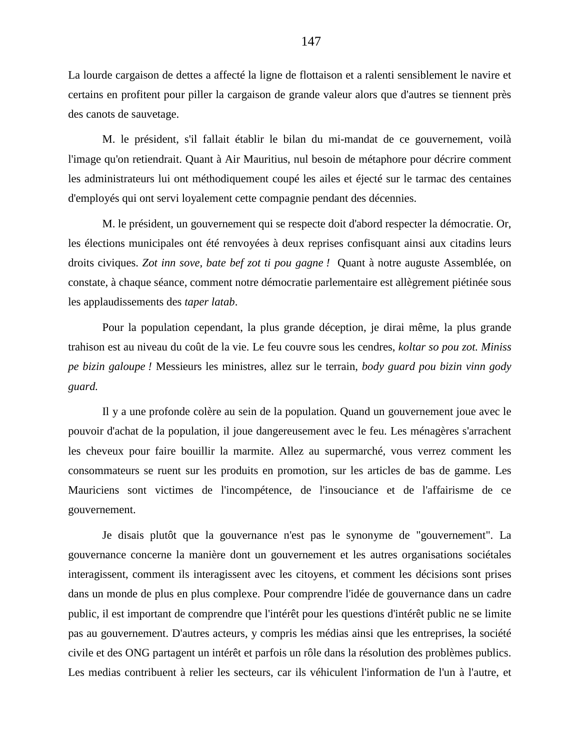La lourde cargaison de dettes a affecté la ligne de flottaison et a ralenti sensiblement le navire et certains en profitent pour piller la cargaison de grande valeur alors que d'autres se tiennent près des canots de sauvetage.

M. le président, s'il fallait établir le bilan du mi-mandat de ce gouvernement, voilà l'image qu'on retiendrait. Quant à Air Mauritius, nul besoin de métaphore pour décrire comment les administrateurs lui ont méthodiquement coupé les ailes et éjecté sur le tarmac des centaines d'employés qui ont servi loyalement cette compagnie pendant des décennies.

M. le président, un gouvernement qui se respecte doit d'abord respecter la démocratie. Or, les élections municipales ont été renvoyées à deux reprises confisquant ainsi aux citadins leurs droits civiques. *Zot inn sove, bate bef zot ti pou gagne !* Quant à notre auguste Assemblée, on constate, à chaque séance, comment notre démocratie parlementaire est allègrement piétinée sous les applaudissements des *taper latab*.

Pour la population cependant, la plus grande déception, je dirai même, la plus grande trahison est au niveau du coût de la vie. Le feu couvre sous les cendres, *koltar so pou zot. Miniss pe bizin galoupe !* Messieurs les ministres, allez sur le terrain, *body guard pou bizin vinn gody guard.*

Il y a une profonde colère au sein de la population. Quand un gouvernement joue avec le pouvoir d'achat de la population, il joue dangereusement avec le feu. Les ménagères s'arrachent les cheveux pour faire bouillir la marmite. Allez au supermarché, vous verrez comment les consommateurs se ruent sur les produits en promotion, sur les articles de bas de gamme. Les Mauriciens sont victimes de l'incompétence, de l'insouciance et de l'affairisme de ce gouvernement.

Je disais plutôt que la gouvernance n'est pas le synonyme de "gouvernement". La gouvernance concerne la manière dont un gouvernement et les autres organisations sociétales interagissent, comment ils interagissent avec les citoyens, et comment les décisions sont prises dans un monde de plus en plus complexe. Pour comprendre l'idée de gouvernance dans un cadre public, il est important de comprendre que l'intérêt pour les questions d'intérêt public ne se limite pas au gouvernement. D'autres acteurs, y compris les médias ainsi que les entreprises, la société civile et des ONG partagent un intérêt et parfois un rôle dans la résolution des problèmes publics. Les medias contribuent à relier les secteurs, car ils véhiculent l'information de l'un à l'autre, et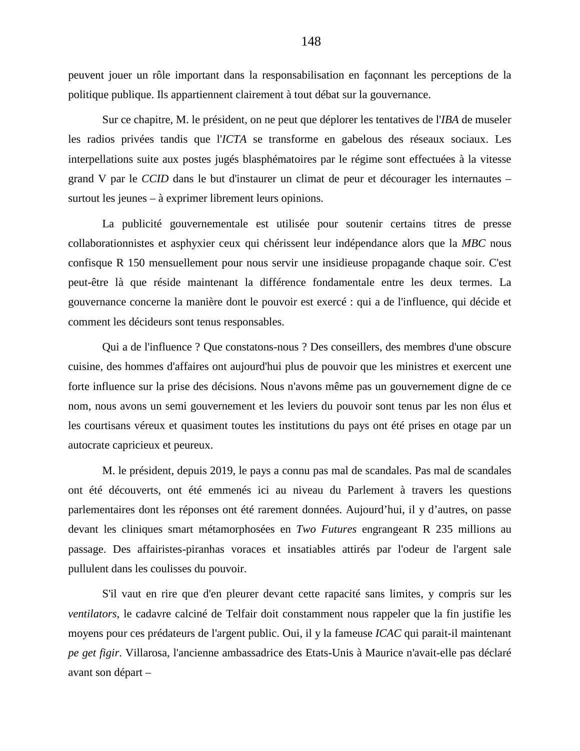peuvent jouer un rôle important dans la responsabilisation en façonnant les perceptions de la politique publique. Ils appartiennent clairement à tout débat sur la gouvernance.

Sur ce chapitre, M. le président, on ne peut que déplorer les tentatives de l'*IBA* de museler les radios privées tandis que l'*ICTA* se transforme en gabelous des réseaux sociaux. Les interpellations suite aux postes jugés blasphématoires par le régime sont effectuées à la vitesse grand V par le *CCID* dans le but d'instaurer un climat de peur et décourager les internautes – surtout les jeunes – à exprimer librement leurs opinions.

La publicité gouvernementale est utilisée pour soutenir certains titres de presse collaborationnistes et asphyxier ceux qui chérissent leur indépendance alors que la *MBC* nous confisque R 150 mensuellement pour nous servir une insidieuse propagande chaque soir. C'est peut-être là que réside maintenant la différence fondamentale entre les deux termes. La gouvernance concerne la manière dont le pouvoir est exercé : qui a de l'influence, qui décide et comment les décideurs sont tenus responsables.

Qui a de l'influence ? Que constatons-nous ? Des conseillers, des membres d'une obscure cuisine, des hommes d'affaires ont aujourd'hui plus de pouvoir que les ministres et exercent une forte influence sur la prise des décisions. Nous n'avons même pas un gouvernement digne de ce nom, nous avons un semi gouvernement et les leviers du pouvoir sont tenus par les non élus et les courtisans véreux et quasiment toutes les institutions du pays ont été prises en otage par un autocrate capricieux et peureux.

M. le président, depuis 2019, le pays a connu pas mal de scandales. Pas mal de scandales ont été découverts, ont été emmenés ici au niveau du Parlement à travers les questions parlementaires dont les réponses ont été rarement données. Aujourd'hui, il y d'autres, on passe devant les cliniques smart métamorphosées en *Two Futures* engrangeant R 235 millions au passage. Des affairistes-piranhas voraces et insatiables attirés par l'odeur de l'argent sale pullulent dans les coulisses du pouvoir.

S'il vaut en rire que d'en pleurer devant cette rapacité sans limites, y compris sur les *ventilators*, le cadavre calciné de Telfair doit constamment nous rappeler que la fin justifie les moyens pour ces prédateurs de l'argent public. Oui, il y la fameuse *ICAC* qui parait-il maintenant *pe get figir*. Villarosa, l'ancienne ambassadrice des Etats-Unis à Maurice n'avait-elle pas déclaré avant son départ –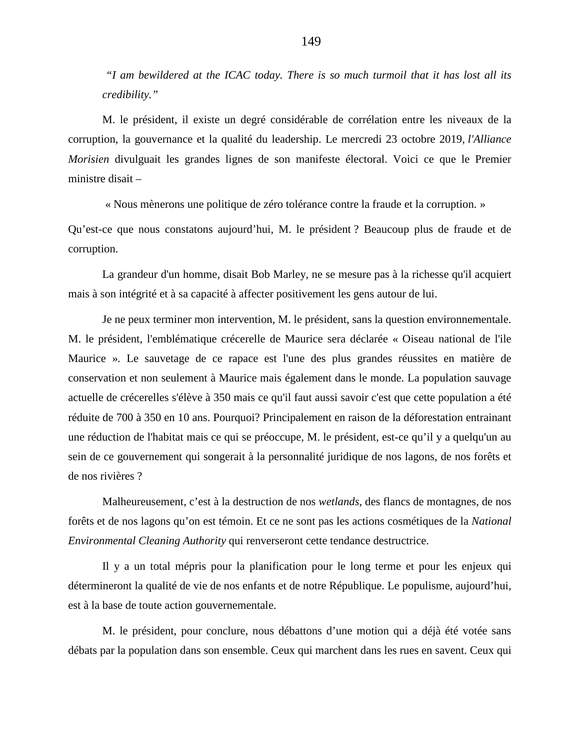*"I am bewildered at the ICAC today. There is so much turmoil that it has lost all its credibility."*

M. le président, il existe un degré considérable de corrélation entre les niveaux de la corruption, la gouvernance et la qualité du leadership. Le mercredi 23 octobre 2019, *l'Alliance Morisien* divulguait les grandes lignes de son manifeste électoral. Voici ce que le Premier ministre disait –

« Nous mènerons une politique de zéro tolérance contre la fraude et la corruption. »

Qu'est-ce que nous constatons aujourd'hui, M. le président ? Beaucoup plus de fraude et de corruption.

La grandeur d'un homme, disait Bob Marley, ne se mesure pas à la richesse qu'il acquiert mais à son intégrité et à sa capacité à affecter positivement les gens autour de lui.

Je ne peux terminer mon intervention, M. le président, sans la question environnementale. M. le président, l'emblématique crécerelle de Maurice sera déclarée « Oiseau national de l'ile Maurice ». Le sauvetage de ce rapace est l'une des plus grandes réussites en matière de conservation et non seulement à Maurice mais également dans le monde. La population sauvage actuelle de crécerelles s'élève à 350 mais ce qu'il faut aussi savoir c'est que cette population a été réduite de 700 à 350 en 10 ans. Pourquoi? Principalement en raison de la déforestation entrainant une réduction de l'habitat mais ce qui se préoccupe, M. le président, est-ce qu'il y a quelqu'un au sein de ce gouvernement qui songerait à la personnalité juridique de nos lagons, de nos forêts et de nos rivières ?

Malheureusement, c'est à la destruction de nos *wetlands*, des flancs de montagnes, de nos forêts et de nos lagons qu'on est témoin. Et ce ne sont pas les actions cosmétiques de la *National Environmental Cleaning Authority* qui renverseront cette tendance destructrice.

Il y a un total mépris pour la planification pour le long terme et pour les enjeux qui détermineront la qualité de vie de nos enfants et de notre République. Le populisme, aujourd'hui, est à la base de toute action gouvernementale.

M. le président, pour conclure, nous débattons d'une motion qui a déjà été votée sans débats par la population dans son ensemble. Ceux qui marchent dans les rues en savent. Ceux qui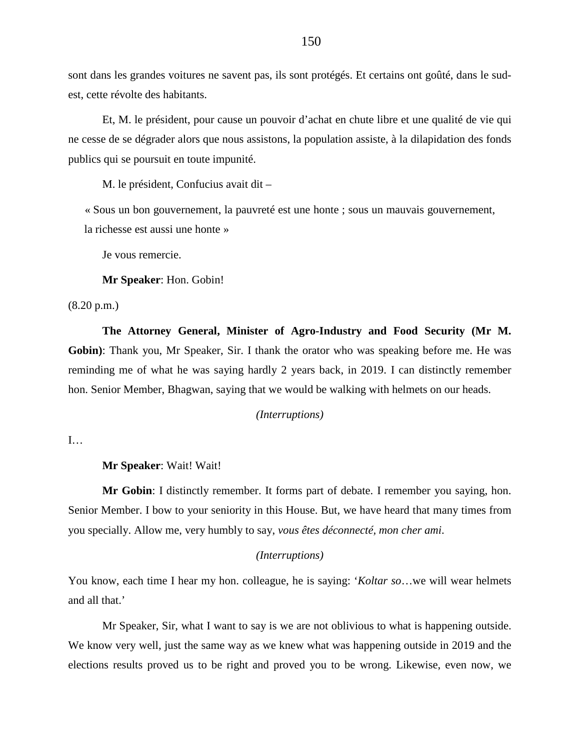sont dans les grandes voitures ne savent pas, ils sont protégés. Et certains ont goûté, dans le sudest, cette révolte des habitants.

Et, M. le président, pour cause un pouvoir d'achat en chute libre et une qualité de vie qui ne cesse de se dégrader alors que nous assistons, la population assiste, à la dilapidation des fonds publics qui se poursuit en toute impunité.

M. le président, Confucius avait dit –

« Sous un bon gouvernement, la pauvreté est une honte ; sous un mauvais gouvernement, la richesse est aussi une honte »

Je vous remercie.

**Mr Speaker**: Hon. Gobin!

(8.20 p.m.)

**The Attorney General, Minister of Agro-Industry and Food Security (Mr M. Gobin)**: Thank you, Mr Speaker, Sir. I thank the orator who was speaking before me. He was reminding me of what he was saying hardly 2 years back, in 2019. I can distinctly remember hon. Senior Member, Bhagwan, saying that we would be walking with helmets on our heads.

### *(Interruptions)*

I…

**Mr Speaker**: Wait! Wait!

**Mr Gobin**: I distinctly remember. It forms part of debate. I remember you saying, hon. Senior Member. I bow to your seniority in this House. But, we have heard that many times from you specially. Allow me, very humbly to say, *vous êtes déconnecté, mon cher ami*.

*(Interruptions)*

You know, each time I hear my hon. colleague, he is saying: '*Koltar so*…we will wear helmets and all that.'

Mr Speaker, Sir, what I want to say is we are not oblivious to what is happening outside. We know very well, just the same way as we knew what was happening outside in 2019 and the elections results proved us to be right and proved you to be wrong. Likewise, even now, we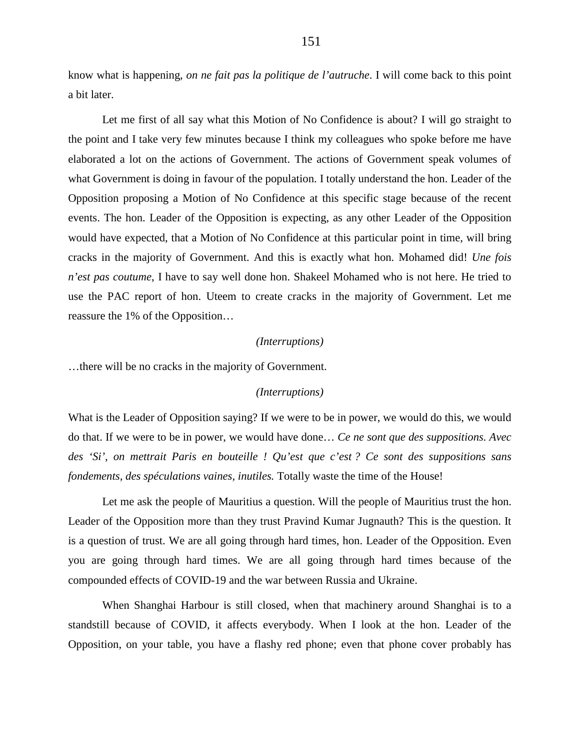know what is happening, *on ne fait pas la politique de l'autruche*. I will come back to this point a bit later.

Let me first of all say what this Motion of No Confidence is about? I will go straight to the point and I take very few minutes because I think my colleagues who spoke before me have elaborated a lot on the actions of Government. The actions of Government speak volumes of what Government is doing in favour of the population. I totally understand the hon. Leader of the Opposition proposing a Motion of No Confidence at this specific stage because of the recent events. The hon. Leader of the Opposition is expecting, as any other Leader of the Opposition would have expected, that a Motion of No Confidence at this particular point in time, will bring cracks in the majority of Government. And this is exactly what hon. Mohamed did! *Une fois n'est pas coutume*, I have to say well done hon. Shakeel Mohamed who is not here. He tried to use the PAC report of hon. Uteem to create cracks in the majority of Government. Let me reassure the 1% of the Opposition…

### *(Interruptions)*

…there will be no cracks in the majority of Government.

#### *(Interruptions)*

What is the Leader of Opposition saying? If we were to be in power, we would do this, we would do that. If we were to be in power, we would have done… *Ce ne sont que des suppositions. Avec des 'Si', on mettrait Paris en bouteille ! Qu'est que c'est ? Ce sont des suppositions sans fondements, des spéculations vaines, inutiles.* Totally waste the time of the House!

Let me ask the people of Mauritius a question. Will the people of Mauritius trust the hon. Leader of the Opposition more than they trust Pravind Kumar Jugnauth? This is the question. It is a question of trust. We are all going through hard times, hon. Leader of the Opposition. Even you are going through hard times. We are all going through hard times because of the compounded effects of COVID-19 and the war between Russia and Ukraine.

When Shanghai Harbour is still closed, when that machinery around Shanghai is to a standstill because of COVID, it affects everybody. When I look at the hon. Leader of the Opposition, on your table, you have a flashy red phone; even that phone cover probably has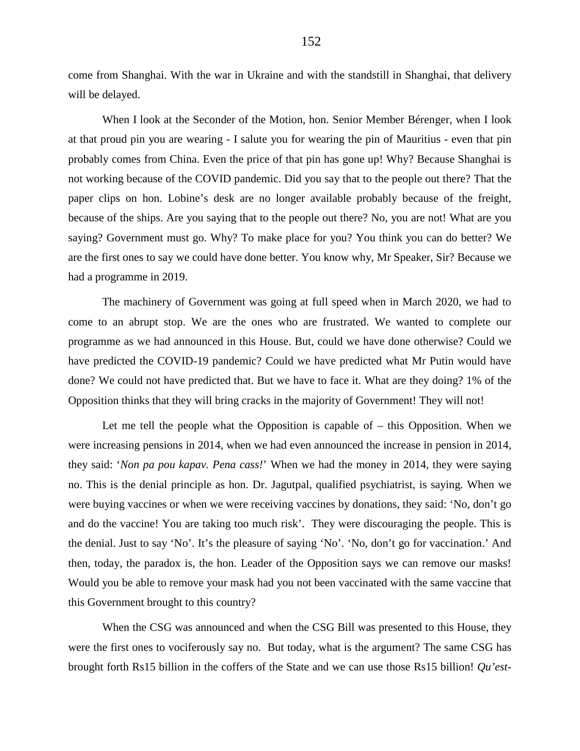come from Shanghai. With the war in Ukraine and with the standstill in Shanghai, that delivery will be delayed.

When I look at the Seconder of the Motion, hon. Senior Member Bérenger, when I look at that proud pin you are wearing - I salute you for wearing the pin of Mauritius - even that pin probably comes from China. Even the price of that pin has gone up! Why? Because Shanghai is not working because of the COVID pandemic. Did you say that to the people out there? That the paper clips on hon. Lobine's desk are no longer available probably because of the freight, because of the ships. Are you saying that to the people out there? No, you are not! What are you saying? Government must go. Why? To make place for you? You think you can do better? We are the first ones to say we could have done better. You know why, Mr Speaker, Sir? Because we had a programme in 2019.

The machinery of Government was going at full speed when in March 2020, we had to come to an abrupt stop. We are the ones who are frustrated. We wanted to complete our programme as we had announced in this House. But, could we have done otherwise? Could we have predicted the COVID-19 pandemic? Could we have predicted what Mr Putin would have done? We could not have predicted that. But we have to face it. What are they doing? 1% of the Opposition thinks that they will bring cracks in the majority of Government! They will not!

Let me tell the people what the Opposition is capable of – this Opposition. When we were increasing pensions in 2014, when we had even announced the increase in pension in 2014, they said: '*Non pa pou kapav. Pena cass!*' When we had the money in 2014, they were saying no. This is the denial principle as hon. Dr. Jagutpal, qualified psychiatrist, is saying. When we were buying vaccines or when we were receiving vaccines by donations, they said: 'No, don't go and do the vaccine! You are taking too much risk'. They were discouraging the people. This is the denial. Just to say 'No'. It's the pleasure of saying 'No'. 'No, don't go for vaccination.' And then, today, the paradox is, the hon. Leader of the Opposition says we can remove our masks! Would you be able to remove your mask had you not been vaccinated with the same vaccine that this Government brought to this country?

When the CSG was announced and when the CSG Bill was presented to this House, they were the first ones to vociferously say no. But today, what is the argument? The same CSG has brought forth Rs15 billion in the coffers of the State and we can use those Rs15 billion! *Qu'est-*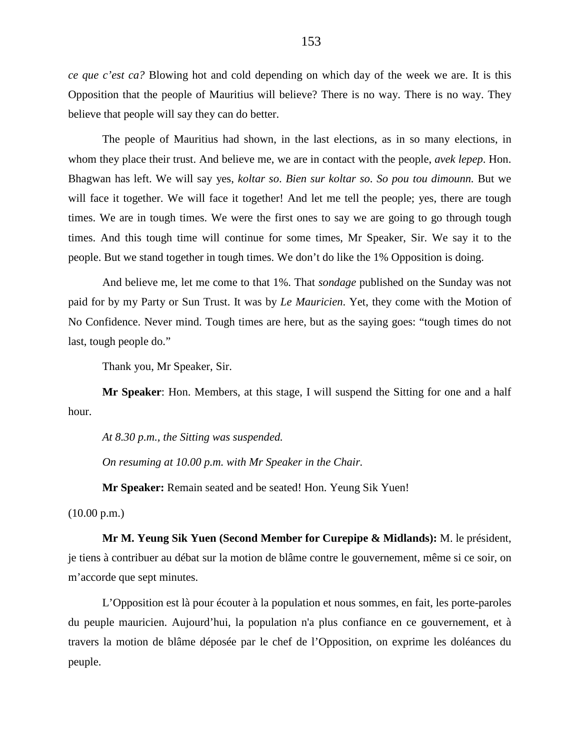*ce que c'est ca?* Blowing hot and cold depending on which day of the week we are. It is this Opposition that the people of Mauritius will believe? There is no way. There is no way. They believe that people will say they can do better.

The people of Mauritius had shown, in the last elections, as in so many elections, in whom they place their trust. And believe me, we are in contact with the people, *avek lepep*. Hon. Bhagwan has left. We will say yes, *koltar so*. *Bien sur koltar so*. *So pou tou dimounn.* But we will face it together. We will face it together! And let me tell the people; yes, there are tough times. We are in tough times. We were the first ones to say we are going to go through tough times. And this tough time will continue for some times, Mr Speaker, Sir. We say it to the people. But we stand together in tough times. We don't do like the 1% Opposition is doing.

And believe me, let me come to that 1%. That *sondage* published on the Sunday was not paid for by my Party or Sun Trust. It was by *Le Mauricien*. Yet, they come with the Motion of No Confidence. Never mind. Tough times are here, but as the saying goes: "tough times do not last, tough people do."

Thank you, Mr Speaker, Sir.

**Mr Speaker**: Hon. Members, at this stage, I will suspend the Sitting for one and a half hour.

*At 8.30 p.m., the Sitting was suspended.*

*On resuming at 10.00 p.m. with Mr Speaker in the Chair.*

**Mr Speaker:** Remain seated and be seated! Hon. Yeung Sik Yuen!

(10.00 p.m.)

**Mr M. Yeung Sik Yuen (Second Member for Curepipe & Midlands):** M. le président, je tiens à contribuer au débat sur la motion de blâme contre le gouvernement, même si ce soir, on m'accorde que sept minutes.

L'Opposition est là pour écouter à la population et nous sommes, en fait, les porte-paroles du peuple mauricien. Aujourd'hui, la population n'a plus confiance en ce gouvernement, et à travers la motion de blâme déposée par le chef de l'Opposition, on exprime les doléances du peuple.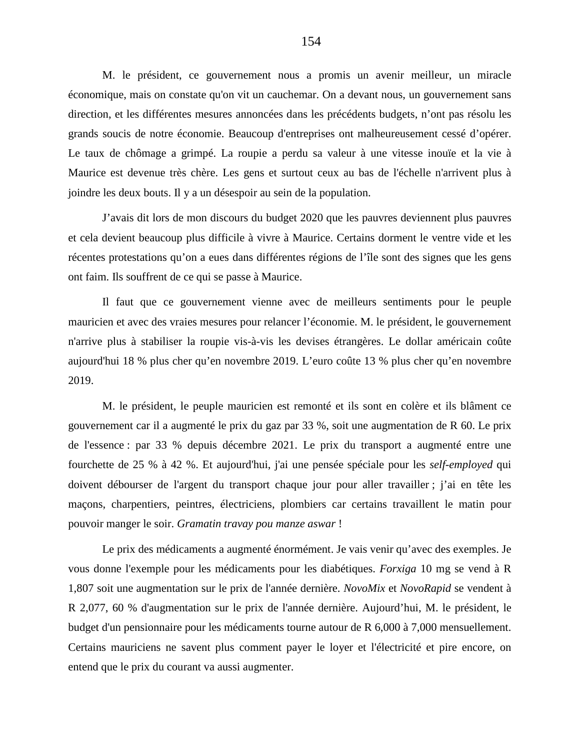M. le président, ce gouvernement nous a promis un avenir meilleur, un miracle économique, mais on constate qu'on vit un cauchemar. On a devant nous, un gouvernement sans direction, et les différentes mesures annoncées dans les précédents budgets, n'ont pas résolu les grands soucis de notre économie. Beaucoup d'entreprises ont malheureusement cessé d'opérer. Le taux de chômage a grimpé. La roupie a perdu sa valeur à une vitesse inouïe et la vie à Maurice est devenue très chère. Les gens et surtout ceux au bas de l'échelle n'arrivent plus à joindre les deux bouts. Il y a un désespoir au sein de la population.

J'avais dit lors de mon discours du budget 2020 que les pauvres deviennent plus pauvres et cela devient beaucoup plus difficile à vivre à Maurice. Certains dorment le ventre vide et les récentes protestations qu'on a eues dans différentes régions de l'île sont des signes que les gens ont faim. Ils souffrent de ce qui se passe à Maurice.

Il faut que ce gouvernement vienne avec de meilleurs sentiments pour le peuple mauricien et avec des vraies mesures pour relancer l'économie. M. le président, le gouvernement n'arrive plus à stabiliser la roupie vis-à-vis les devises étrangères. Le dollar américain coûte aujourd'hui 18 % plus cher qu'en novembre 2019. L'euro coûte 13 % plus cher qu'en novembre 2019.

M. le président, le peuple mauricien est remonté et ils sont en colère et ils blâment ce gouvernement car il a augmenté le prix du gaz par 33 %, soit une augmentation de R 60. Le prix de l'essence : par 33 % depuis décembre 2021. Le prix du transport a augmenté entre une fourchette de 25 % à 42 %. Et aujourd'hui, j'ai une pensée spéciale pour les *self-employed* qui doivent débourser de l'argent du transport chaque jour pour aller travailler ; j'ai en tête les maçons, charpentiers, peintres, électriciens, plombiers car certains travaillent le matin pour pouvoir manger le soir. *Gramatin travay pou manze aswar* !

Le prix des médicaments a augmenté énormément. Je vais venir qu'avec des exemples. Je vous donne l'exemple pour les médicaments pour les diabétiques. *Forxiga* 10 mg se vend à R 1,807 soit une augmentation sur le prix de l'année dernière. *NovoMix* et *NovoRapid* se vendent à R 2,077, 60 % d'augmentation sur le prix de l'année dernière. Aujourd'hui, M. le président, le budget d'un pensionnaire pour les médicaments tourne autour de R 6,000 à 7,000 mensuellement. Certains mauriciens ne savent plus comment payer le loyer et l'électricité et pire encore, on entend que le prix du courant va aussi augmenter.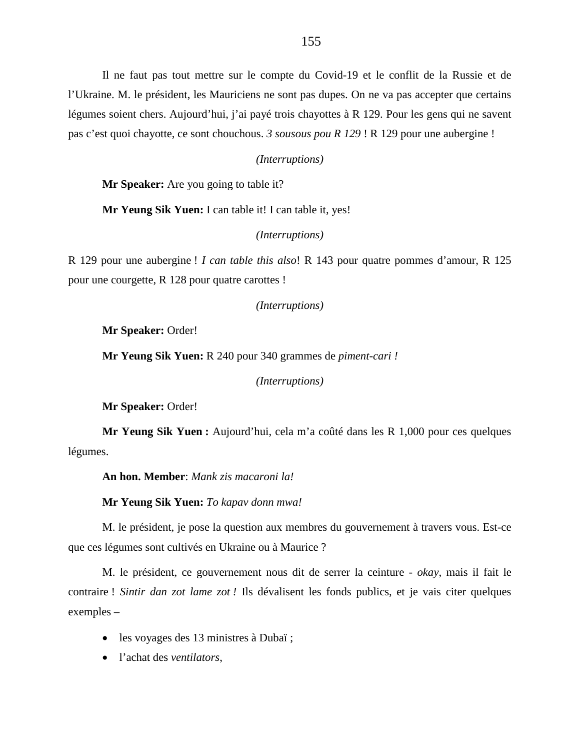Il ne faut pas tout mettre sur le compte du Covid-19 et le conflit de la Russie et de l'Ukraine. M. le président, les Mauriciens ne sont pas dupes. On ne va pas accepter que certains légumes soient chers. Aujourd'hui, j'ai payé trois chayottes à R 129. Pour les gens qui ne savent pas c'est quoi chayotte, ce sont chouchous. *3 sousous pou R 129* ! R 129 pour une aubergine !

#### *(Interruptions)*

**Mr Speaker:** Are you going to table it?

**Mr Yeung Sik Yuen:** I can table it! I can table it, yes!

*(Interruptions)*

R 129 pour une aubergine ! *I can table this also*! R 143 pour quatre pommes d'amour, R 125 pour une courgette, R 128 pour quatre carottes !

*(Interruptions)*

**Mr Speaker:** Order!

**Mr Yeung Sik Yuen:** R 240 pour 340 grammes de *piment-cari !*

*(Interruptions)*

**Mr Speaker:** Order!

**Mr Yeung Sik Yuen :** Aujourd'hui, cela m'a coûté dans les R 1,000 pour ces quelques légumes.

**An hon. Member**: *Mank zis macaroni la!*

**Mr Yeung Sik Yuen:** *To kapav donn mwa!*

M. le président, je pose la question aux membres du gouvernement à travers vous. Est-ce que ces légumes sont cultivés en Ukraine ou à Maurice ?

M. le président, ce gouvernement nous dit de serrer la ceinture - *okay*, mais il fait le contraire ! *Sintir dan zot lame zot !* Ils dévalisent les fonds publics, et je vais citer quelques exemples –

- les voyages des 13 ministres à Dubaï ;
- l'achat des *ventilators*,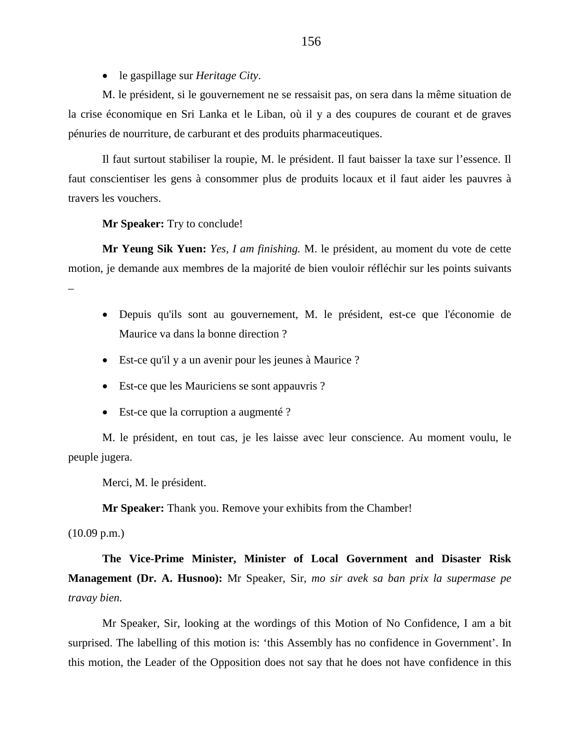• le gaspillage sur *Heritage City*.

M. le président, si le gouvernement ne se ressaisit pas, on sera dans la même situation de la crise économique en Sri Lanka et le Liban, où il y a des coupures de courant et de graves pénuries de nourriture, de carburant et des produits pharmaceutiques.

Il faut surtout stabiliser la roupie, M. le président. Il faut baisser la taxe sur l'essence. Il faut conscientiser les gens à consommer plus de produits locaux et il faut aider les pauvres à travers les vouchers.

**Mr Speaker:** Try to conclude!

**Mr Yeung Sik Yuen:** *Yes, I am finishing.* M. le président, au moment du vote de cette motion, je demande aux membres de la majorité de bien vouloir réfléchir sur les points suivants –

- Depuis qu'ils sont au gouvernement, M. le président, est-ce que l'économie de Maurice va dans la bonne direction ?
- Est-ce qu'il y a un avenir pour les jeunes à Maurice ?
- Est-ce que les Mauriciens se sont appauvris ?
- Est-ce que la corruption a augmenté ?

M. le président, en tout cas, je les laisse avec leur conscience. Au moment voulu, le peuple jugera.

Merci, M. le président.

**Mr Speaker:** Thank you. Remove your exhibits from the Chamber!

(10.09 p.m.)

**The Vice-Prime Minister, Minister of Local Government and Disaster Risk Management (Dr. A. Husnoo):** Mr Speaker, Sir, *mo sir avek sa ban prix la supermase pe travay bien.*

Mr Speaker, Sir, looking at the wordings of this Motion of No Confidence, I am a bit surprised. The labelling of this motion is: 'this Assembly has no confidence in Government'. In this motion, the Leader of the Opposition does not say that he does not have confidence in this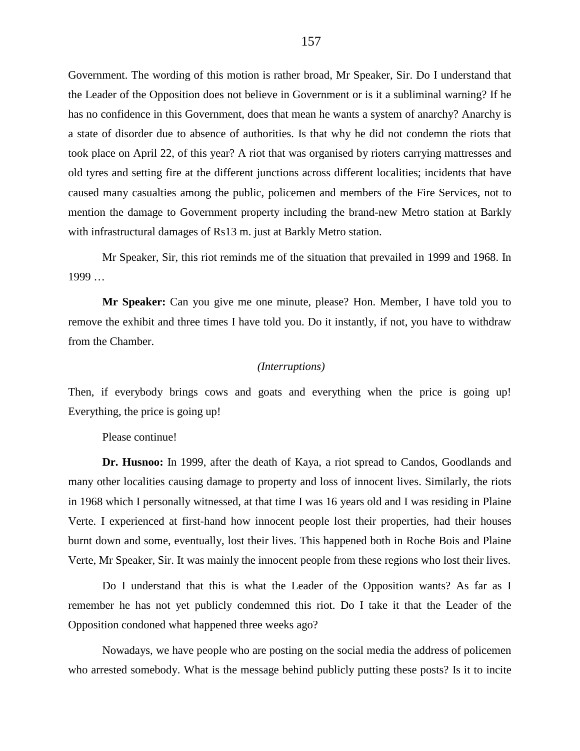Government. The wording of this motion is rather broad, Mr Speaker, Sir. Do I understand that the Leader of the Opposition does not believe in Government or is it a subliminal warning? If he has no confidence in this Government, does that mean he wants a system of anarchy? Anarchy is a state of disorder due to absence of authorities. Is that why he did not condemn the riots that took place on April 22, of this year? A riot that was organised by rioters carrying mattresses and old tyres and setting fire at the different junctions across different localities; incidents that have caused many casualties among the public, policemen and members of the Fire Services, not to mention the damage to Government property including the brand-new Metro station at Barkly with infrastructural damages of Rs13 m. just at Barkly Metro station.

Mr Speaker, Sir, this riot reminds me of the situation that prevailed in 1999 and 1968. In 1999 …

**Mr Speaker:** Can you give me one minute, please? Hon. Member, I have told you to remove the exhibit and three times I have told you. Do it instantly, if not, you have to withdraw from the Chamber.

#### *(Interruptions)*

Then, if everybody brings cows and goats and everything when the price is going up! Everything, the price is going up!

Please continue!

**Dr. Husnoo:** In 1999, after the death of Kaya, a riot spread to Candos, Goodlands and many other localities causing damage to property and loss of innocent lives. Similarly, the riots in 1968 which I personally witnessed, at that time I was 16 years old and I was residing in Plaine Verte. I experienced at first-hand how innocent people lost their properties, had their houses burnt down and some, eventually, lost their lives. This happened both in Roche Bois and Plaine Verte, Mr Speaker, Sir. It was mainly the innocent people from these regions who lost their lives.

Do I understand that this is what the Leader of the Opposition wants? As far as I remember he has not yet publicly condemned this riot. Do I take it that the Leader of the Opposition condoned what happened three weeks ago?

Nowadays, we have people who are posting on the social media the address of policemen who arrested somebody. What is the message behind publicly putting these posts? Is it to incite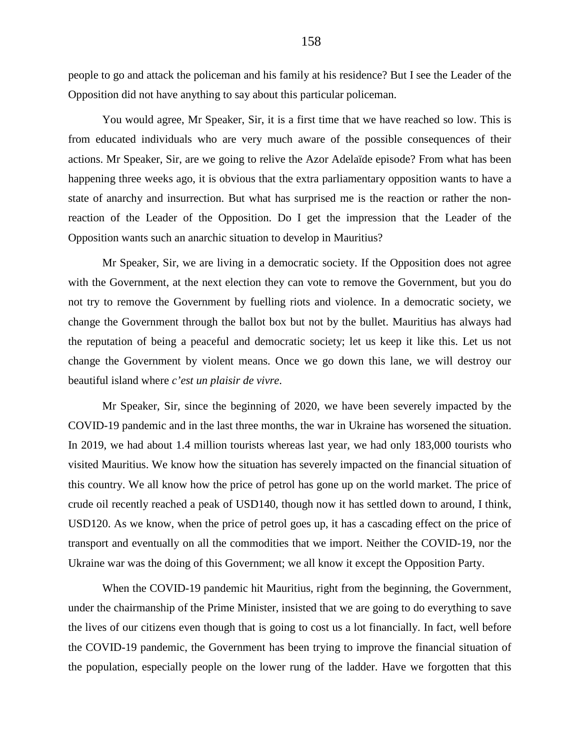people to go and attack the policeman and his family at his residence? But I see the Leader of the Opposition did not have anything to say about this particular policeman.

You would agree, Mr Speaker, Sir, it is a first time that we have reached so low. This is from educated individuals who are very much aware of the possible consequences of their actions. Mr Speaker, Sir, are we going to relive the Azor Adelaïde episode? From what has been happening three weeks ago, it is obvious that the extra parliamentary opposition wants to have a state of anarchy and insurrection. But what has surprised me is the reaction or rather the nonreaction of the Leader of the Opposition. Do I get the impression that the Leader of the Opposition wants such an anarchic situation to develop in Mauritius?

Mr Speaker, Sir, we are living in a democratic society. If the Opposition does not agree with the Government, at the next election they can vote to remove the Government, but you do not try to remove the Government by fuelling riots and violence. In a democratic society, we change the Government through the ballot box but not by the bullet. Mauritius has always had the reputation of being a peaceful and democratic society; let us keep it like this. Let us not change the Government by violent means. Once we go down this lane, we will destroy our beautiful island where *c'est un plaisir de vivre*.

Mr Speaker, Sir, since the beginning of 2020, we have been severely impacted by the COVID-19 pandemic and in the last three months, the war in Ukraine has worsened the situation. In 2019, we had about 1.4 million tourists whereas last year, we had only 183,000 tourists who visited Mauritius. We know how the situation has severely impacted on the financial situation of this country. We all know how the price of petrol has gone up on the world market. The price of crude oil recently reached a peak of USD140, though now it has settled down to around, I think, USD120. As we know, when the price of petrol goes up, it has a cascading effect on the price of transport and eventually on all the commodities that we import. Neither the COVID-19, nor the Ukraine war was the doing of this Government; we all know it except the Opposition Party.

When the COVID-19 pandemic hit Mauritius, right from the beginning, the Government, under the chairmanship of the Prime Minister, insisted that we are going to do everything to save the lives of our citizens even though that is going to cost us a lot financially. In fact, well before the COVID-19 pandemic, the Government has been trying to improve the financial situation of the population, especially people on the lower rung of the ladder. Have we forgotten that this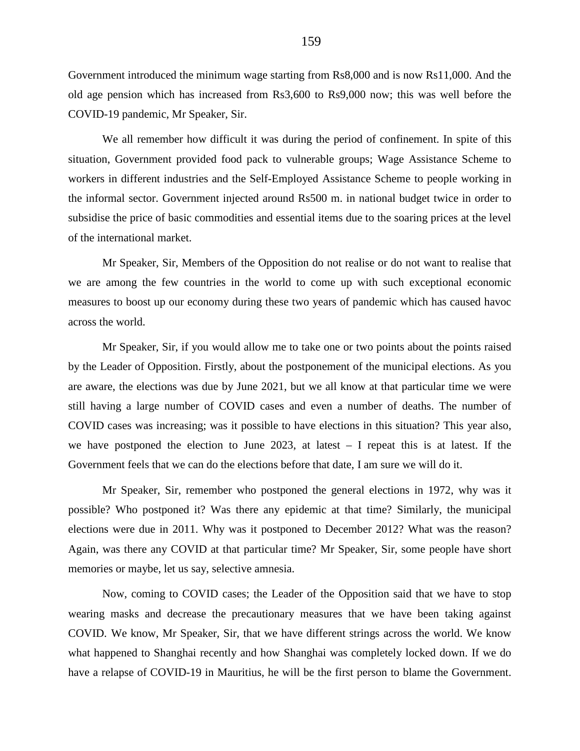Government introduced the minimum wage starting from Rs8,000 and is now Rs11,000. And the old age pension which has increased from Rs3,600 to Rs9,000 now; this was well before the COVID-19 pandemic, Mr Speaker, Sir.

We all remember how difficult it was during the period of confinement. In spite of this situation, Government provided food pack to vulnerable groups; Wage Assistance Scheme to workers in different industries and the Self-Employed Assistance Scheme to people working in the informal sector. Government injected around Rs500 m. in national budget twice in order to subsidise the price of basic commodities and essential items due to the soaring prices at the level of the international market.

Mr Speaker, Sir, Members of the Opposition do not realise or do not want to realise that we are among the few countries in the world to come up with such exceptional economic measures to boost up our economy during these two years of pandemic which has caused havoc across the world.

Mr Speaker, Sir, if you would allow me to take one or two points about the points raised by the Leader of Opposition. Firstly, about the postponement of the municipal elections. As you are aware, the elections was due by June 2021, but we all know at that particular time we were still having a large number of COVID cases and even a number of deaths. The number of COVID cases was increasing; was it possible to have elections in this situation? This year also, we have postponed the election to June 2023, at latest  $-$  I repeat this is at latest. If the Government feels that we can do the elections before that date, I am sure we will do it.

Mr Speaker, Sir, remember who postponed the general elections in 1972, why was it possible? Who postponed it? Was there any epidemic at that time? Similarly, the municipal elections were due in 2011. Why was it postponed to December 2012? What was the reason? Again, was there any COVID at that particular time? Mr Speaker, Sir, some people have short memories or maybe, let us say, selective amnesia.

Now, coming to COVID cases; the Leader of the Opposition said that we have to stop wearing masks and decrease the precautionary measures that we have been taking against COVID. We know, Mr Speaker, Sir, that we have different strings across the world. We know what happened to Shanghai recently and how Shanghai was completely locked down. If we do have a relapse of COVID-19 in Mauritius, he will be the first person to blame the Government.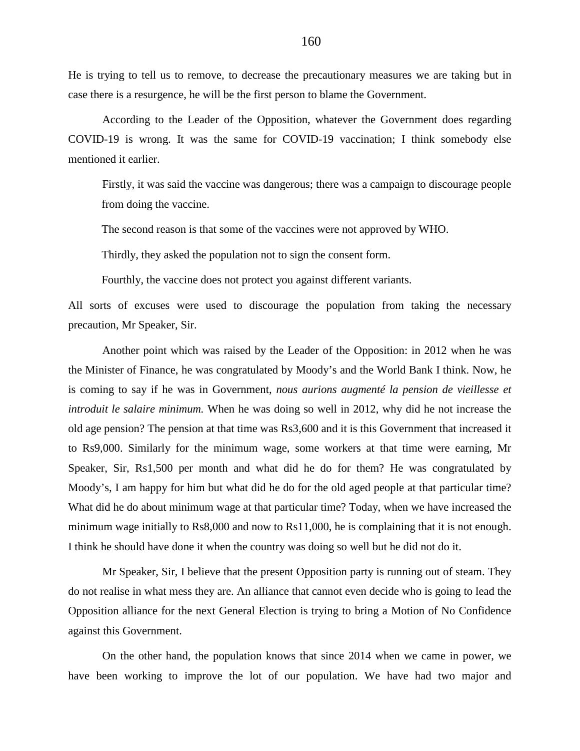He is trying to tell us to remove, to decrease the precautionary measures we are taking but in case there is a resurgence, he will be the first person to blame the Government.

According to the Leader of the Opposition, whatever the Government does regarding COVID-19 is wrong. It was the same for COVID-19 vaccination; I think somebody else mentioned it earlier.

Firstly, it was said the vaccine was dangerous; there was a campaign to discourage people from doing the vaccine.

The second reason is that some of the vaccines were not approved by WHO.

Thirdly, they asked the population not to sign the consent form.

Fourthly, the vaccine does not protect you against different variants.

All sorts of excuses were used to discourage the population from taking the necessary precaution, Mr Speaker, Sir.

Another point which was raised by the Leader of the Opposition: in 2012 when he was the Minister of Finance, he was congratulated by Moody's and the World Bank I think. Now, he is coming to say if he was in Government, *nous aurions augmenté la pension de vieillesse et introduit le salaire minimum.* When he was doing so well in 2012, why did he not increase the old age pension? The pension at that time was Rs3,600 and it is this Government that increased it to Rs9,000. Similarly for the minimum wage, some workers at that time were earning, Mr Speaker, Sir, Rs1,500 per month and what did he do for them? He was congratulated by Moody's, I am happy for him but what did he do for the old aged people at that particular time? What did he do about minimum wage at that particular time? Today, when we have increased the minimum wage initially to Rs8,000 and now to Rs11,000, he is complaining that it is not enough. I think he should have done it when the country was doing so well but he did not do it.

Mr Speaker, Sir, I believe that the present Opposition party is running out of steam. They do not realise in what mess they are. An alliance that cannot even decide who is going to lead the Opposition alliance for the next General Election is trying to bring a Motion of No Confidence against this Government.

On the other hand, the population knows that since 2014 when we came in power, we have been working to improve the lot of our population. We have had two major and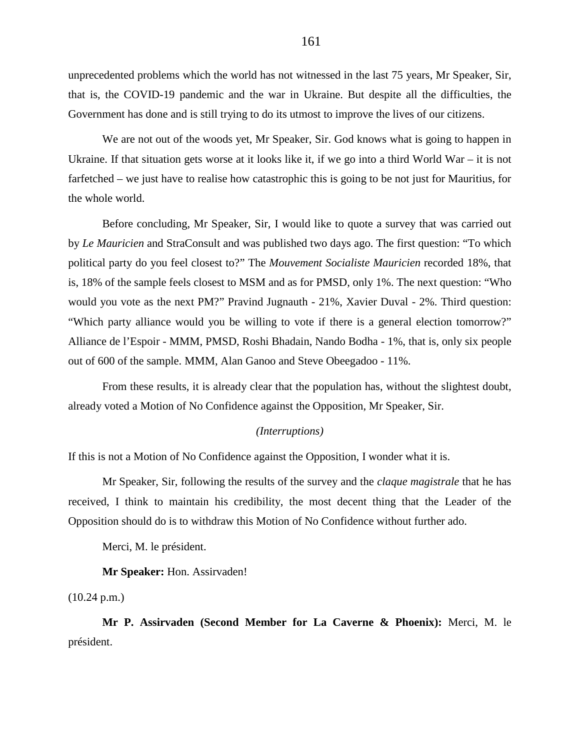unprecedented problems which the world has not witnessed in the last 75 years, Mr Speaker, Sir, that is, the COVID-19 pandemic and the war in Ukraine. But despite all the difficulties, the Government has done and is still trying to do its utmost to improve the lives of our citizens.

We are not out of the woods yet, Mr Speaker, Sir. God knows what is going to happen in Ukraine. If that situation gets worse at it looks like it, if we go into a third World War – it is not farfetched – we just have to realise how catastrophic this is going to be not just for Mauritius, for the whole world.

Before concluding, Mr Speaker, Sir, I would like to quote a survey that was carried out by *Le Mauricien* and StraConsult and was published two days ago. The first question: "To which political party do you feel closest to?" The *Mouvement Socialiste Mauricien* recorded 18%, that is, 18% of the sample feels closest to MSM and as for PMSD, only 1%. The next question: "Who would you vote as the next PM?" Pravind Jugnauth - 21%, Xavier Duval - 2%. Third question: "Which party alliance would you be willing to vote if there is a general election tomorrow?" Alliance de l'Espoir - MMM, PMSD, Roshi Bhadain, Nando Bodha - 1%, that is, only six people out of 600 of the sample. MMM, Alan Ganoo and Steve Obeegadoo - 11%.

From these results, it is already clear that the population has, without the slightest doubt, already voted a Motion of No Confidence against the Opposition, Mr Speaker, Sir.

# *(Interruptions)*

If this is not a Motion of No Confidence against the Opposition, I wonder what it is.

Mr Speaker, Sir, following the results of the survey and the *claque magistrale* that he has received, I think to maintain his credibility, the most decent thing that the Leader of the Opposition should do is to withdraw this Motion of No Confidence without further ado.

Merci, M. le président.

**Mr Speaker:** Hon. Assirvaden!

 $(10.24 \text{ p.m.})$ 

**Mr P. Assirvaden (Second Member for La Caverne & Phoenix):** Merci, M. le président.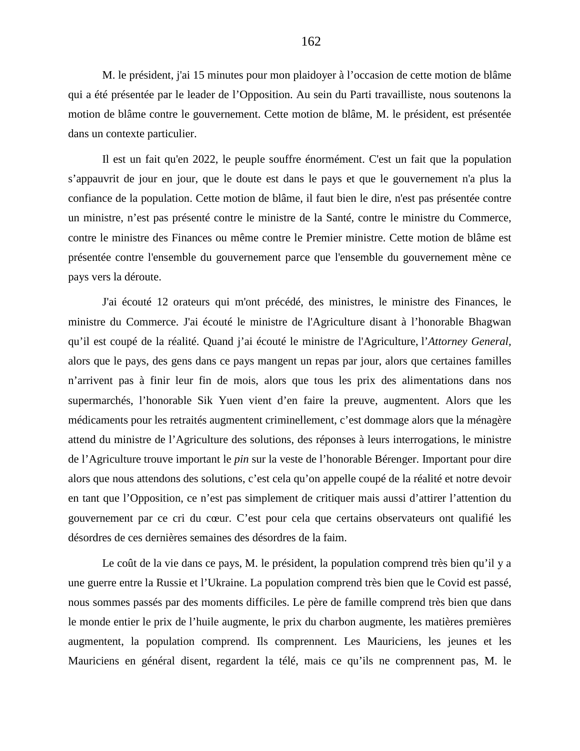M. le président, j'ai 15 minutes pour mon plaidoyer à l'occasion de cette motion de blâme qui a été présentée par le leader de l'Opposition. Au sein du Parti travailliste, nous soutenons la motion de blâme contre le gouvernement. Cette motion de blâme, M. le président, est présentée dans un contexte particulier.

Il est un fait qu'en 2022, le peuple souffre énormément. C'est un fait que la population s'appauvrit de jour en jour, que le doute est dans le pays et que le gouvernement n'a plus la confiance de la population. Cette motion de blâme, il faut bien le dire, n'est pas présentée contre un ministre, n'est pas présenté contre le ministre de la Santé, contre le ministre du Commerce, contre le ministre des Finances ou même contre le Premier ministre. Cette motion de blâme est présentée contre l'ensemble du gouvernement parce que l'ensemble du gouvernement mène ce pays vers la déroute.

J'ai écouté 12 orateurs qui m'ont précédé, des ministres, le ministre des Finances, le ministre du Commerce. J'ai écouté le ministre de l'Agriculture disant à l'honorable Bhagwan qu'il est coupé de la réalité. Quand j'ai écouté le ministre de l'Agriculture, l'*Attorney General,*  alors que le pays, des gens dans ce pays mangent un repas par jour, alors que certaines familles n'arrivent pas à finir leur fin de mois, alors que tous les prix des alimentations dans nos supermarchés, l'honorable Sik Yuen vient d'en faire la preuve, augmentent. Alors que les médicaments pour les retraités augmentent criminellement, c'est dommage alors que la ménagère attend du ministre de l'Agriculture des solutions, des réponses à leurs interrogations, le ministre de l'Agriculture trouve important le *pin* sur la veste de l'honorable Bérenger. Important pour dire alors que nous attendons des solutions, c'est cela qu'on appelle coupé de la réalité et notre devoir en tant que l'Opposition, ce n'est pas simplement de critiquer mais aussi d'attirer l'attention du gouvernement par ce cri du cœur. C'est pour cela que certains observateurs ont qualifié les désordres de ces dernières semaines des désordres de la faim.

Le coût de la vie dans ce pays, M. le président, la population comprend très bien qu'il y a une guerre entre la Russie et l'Ukraine. La population comprend très bien que le Covid est passé, nous sommes passés par des moments difficiles. Le père de famille comprend très bien que dans le monde entier le prix de l'huile augmente, le prix du charbon augmente, les matières premières augmentent, la population comprend. Ils comprennent. Les Mauriciens, les jeunes et les Mauriciens en général disent, regardent la télé, mais ce qu'ils ne comprennent pas, M. le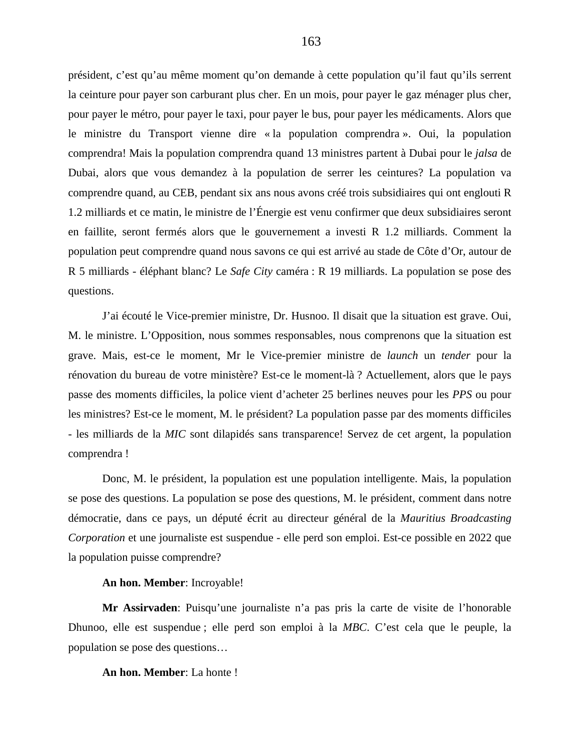président, c'est qu'au même moment qu'on demande à cette population qu'il faut qu'ils serrent la ceinture pour payer son carburant plus cher. En un mois, pour payer le gaz ménager plus cher, pour payer le métro, pour payer le taxi, pour payer le bus, pour payer les médicaments. Alors que le ministre du Transport vienne dire « la population comprendra ». Oui, la population comprendra! Mais la population comprendra quand 13 ministres partent à Dubai pour le *jalsa* de Dubai, alors que vous demandez à la population de serrer les ceintures? La population va comprendre quand, au CEB, pendant six ans nous avons créé trois subsidiaires qui ont englouti R 1.2 milliards et ce matin, le ministre de l'Énergie est venu confirmer que deux subsidiaires seront en faillite, seront fermés alors que le gouvernement a investi R 1.2 milliards. Comment la population peut comprendre quand nous savons ce qui est arrivé au stade de Côte d'Or, autour de R 5 milliards - éléphant blanc? Le *Safe City* caméra : R 19 milliards. La population se pose des questions.

J'ai écouté le Vice-premier ministre, Dr. Husnoo. Il disait que la situation est grave. Oui, M. le ministre. L'Opposition, nous sommes responsables, nous comprenons que la situation est grave. Mais, est-ce le moment, Mr le Vice-premier ministre de *launch* un *tender* pour la rénovation du bureau de votre ministère? Est-ce le moment-là ? Actuellement, alors que le pays passe des moments difficiles, la police vient d'acheter 25 berlines neuves pour les *PPS* ou pour les ministres? Est-ce le moment, M. le président? La population passe par des moments difficiles - les milliards de la *MIC* sont dilapidés sans transparence! Servez de cet argent, la population comprendra !

Donc, M. le président, la population est une population intelligente. Mais, la population se pose des questions. La population se pose des questions, M. le président, comment dans notre démocratie, dans ce pays, un député écrit au directeur général de la *Mauritius Broadcasting Corporation* et une journaliste est suspendue - elle perd son emploi. Est-ce possible en 2022 que la population puisse comprendre?

#### **An hon. Member**: Incroyable!

**Mr Assirvaden**: Puisqu'une journaliste n'a pas pris la carte de visite de l'honorable Dhunoo, elle est suspendue ; elle perd son emploi à la *MBC*. C'est cela que le peuple, la population se pose des questions…

#### **An hon. Member**: La honte !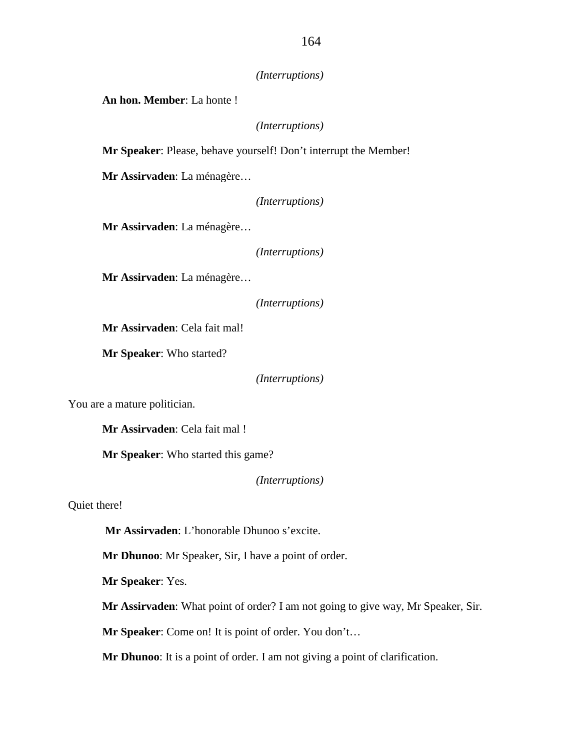*(Interruptions)*

**An hon. Member**: La honte !

*(Interruptions)*

**Mr Speaker**: Please, behave yourself! Don't interrupt the Member!

**Mr Assirvaden**: La ménagère…

*(Interruptions)*

**Mr Assirvaden**: La ménagère…

*(Interruptions)*

**Mr Assirvaden**: La ménagère…

*(Interruptions)*

**Mr Assirvaden**: Cela fait mal!

**Mr Speaker**: Who started?

*(Interruptions)*

You are a mature politician.

**Mr Assirvaden**: Cela fait mal !

**Mr Speaker**: Who started this game?

*(Interruptions)*

Quiet there!

**Mr Assirvaden**: L'honorable Dhunoo s'excite.

**Mr Dhunoo**: Mr Speaker, Sir, I have a point of order.

**Mr Speaker**: Yes.

**Mr Assirvaden**: What point of order? I am not going to give way, Mr Speaker, Sir.

**Mr Speaker**: Come on! It is point of order. You don't…

**Mr Dhunoo**: It is a point of order. I am not giving a point of clarification.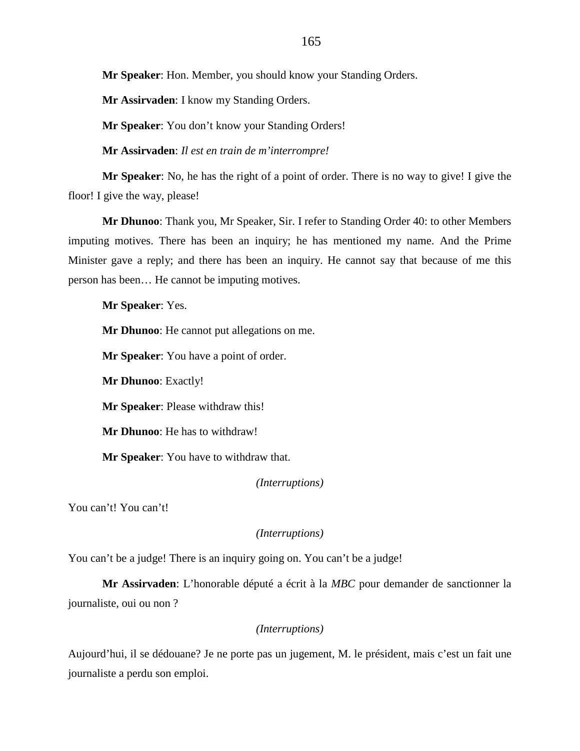**Mr Speaker**: Hon. Member, you should know your Standing Orders.

**Mr Assirvaden**: I know my Standing Orders.

**Mr Speaker**: You don't know your Standing Orders!

**Mr Assirvaden**: *Il est en train de m'interrompre!*

**Mr Speaker**: No, he has the right of a point of order. There is no way to give! I give the floor! I give the way, please!

**Mr Dhunoo**: Thank you, Mr Speaker, Sir. I refer to Standing Order 40: to other Members imputing motives. There has been an inquiry; he has mentioned my name. And the Prime Minister gave a reply; and there has been an inquiry. He cannot say that because of me this person has been… He cannot be imputing motives.

**Mr Speaker**: Yes.

**Mr Dhunoo**: He cannot put allegations on me.

**Mr Speaker**: You have a point of order.

**Mr Dhunoo**: Exactly!

**Mr Speaker**: Please withdraw this!

**Mr Dhunoo**: He has to withdraw!

**Mr Speaker**: You have to withdraw that.

*(Interruptions)*

You can't! You can't!

*(Interruptions)*

You can't be a judge! There is an inquiry going on. You can't be a judge!

**Mr Assirvaden**: L'honorable député a écrit à la *MBC* pour demander de sanctionner la journaliste, oui ou non ?

### *(Interruptions)*

Aujourd'hui, il se dédouane? Je ne porte pas un jugement, M. le président, mais c'est un fait une journaliste a perdu son emploi.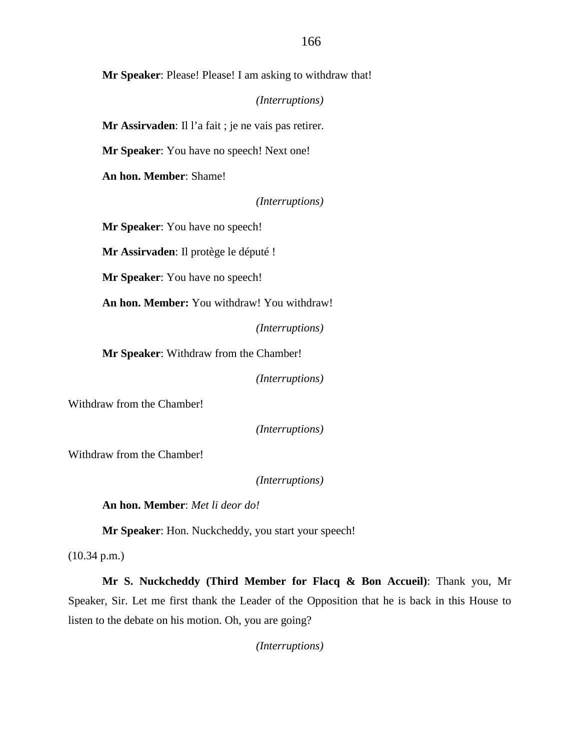**Mr Speaker**: Please! Please! I am asking to withdraw that!

*(Interruptions)*

**Mr Assirvaden**: Il l'a fait ; je ne vais pas retirer.

**Mr Speaker**: You have no speech! Next one!

**An hon. Member**: Shame!

*(Interruptions)*

**Mr Speaker**: You have no speech!

**Mr Assirvaden**: Il protège le député !

**Mr Speaker**: You have no speech!

**An hon. Member:** You withdraw! You withdraw!

*(Interruptions)*

**Mr Speaker**: Withdraw from the Chamber!

*(Interruptions)*

Withdraw from the Chamber!

*(Interruptions)*

Withdraw from the Chamber!

*(Interruptions)*

**An hon. Member**: *Met li deor do!*

**Mr Speaker**: Hon. Nuckcheddy, you start your speech!

(10.34 p.m.)

**Mr S. Nuckcheddy (Third Member for Flacq & Bon Accueil)**: Thank you, Mr Speaker, Sir. Let me first thank the Leader of the Opposition that he is back in this House to listen to the debate on his motion. Oh, you are going?

*(Interruptions)*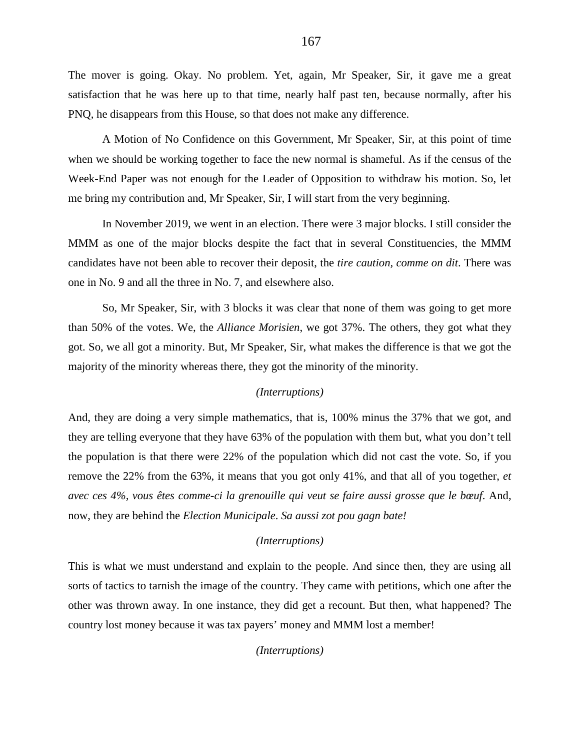The mover is going. Okay. No problem. Yet, again, Mr Speaker, Sir, it gave me a great satisfaction that he was here up to that time, nearly half past ten, because normally, after his PNQ, he disappears from this House, so that does not make any difference.

A Motion of No Confidence on this Government, Mr Speaker, Sir, at this point of time when we should be working together to face the new normal is shameful. As if the census of the Week-End Paper was not enough for the Leader of Opposition to withdraw his motion. So, let me bring my contribution and, Mr Speaker, Sir, I will start from the very beginning.

In November 2019, we went in an election. There were 3 major blocks. I still consider the MMM as one of the major blocks despite the fact that in several Constituencies, the MMM candidates have not been able to recover their deposit, the *tire caution, comme on dit*. There was one in No. 9 and all the three in No. 7, and elsewhere also.

So, Mr Speaker, Sir, with 3 blocks it was clear that none of them was going to get more than 50% of the votes. We, the *Alliance Morisien*, we got 37%. The others, they got what they got. So, we all got a minority. But, Mr Speaker, Sir, what makes the difference is that we got the majority of the minority whereas there, they got the minority of the minority.

### *(Interruptions)*

And, they are doing a very simple mathematics, that is, 100% minus the 37% that we got, and they are telling everyone that they have 63% of the population with them but, what you don't tell the population is that there were 22% of the population which did not cast the vote. So, if you remove the 22% from the 63%, it means that you got only 41%, and that all of you together, *et avec ces 4%, vous êtes comme-ci la grenouille qui veut se faire aussi grosse que le bœuf*. And, now, they are behind the *Election Municipale*. *Sa aussi zot pou gagn bate!*

#### *(Interruptions)*

This is what we must understand and explain to the people. And since then, they are using all sorts of tactics to tarnish the image of the country. They came with petitions, which one after the other was thrown away. In one instance, they did get a recount. But then, what happened? The country lost money because it was tax payers' money and MMM lost a member!

*(Interruptions)*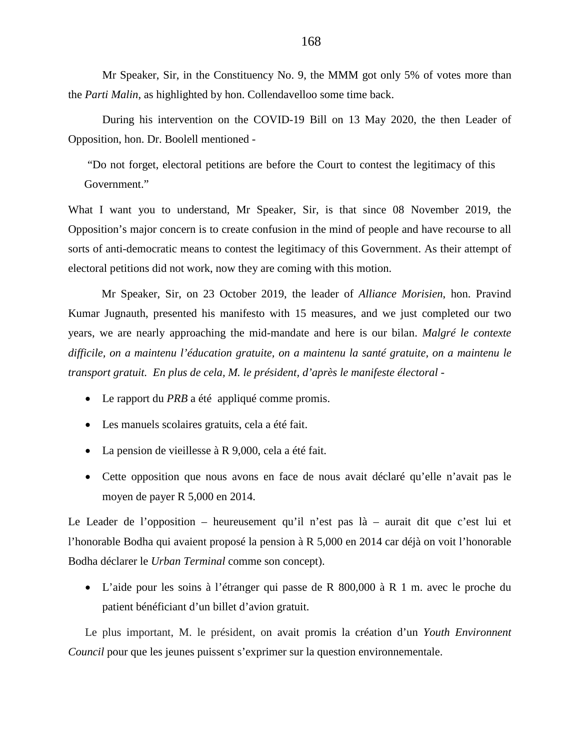Mr Speaker, Sir, in the Constituency No. 9, the MMM got only 5% of votes more than the *Parti Malin*, as highlighted by hon. Collendavelloo some time back.

During his intervention on the COVID-19 Bill on 13 May 2020, the then Leader of Opposition, hon. Dr. Boolell mentioned -

"Do not forget, electoral petitions are before the Court to contest the legitimacy of this Government."

What I want you to understand, Mr Speaker, Sir, is that since 08 November 2019, the Opposition's major concern is to create confusion in the mind of people and have recourse to all sorts of anti-democratic means to contest the legitimacy of this Government. As their attempt of electoral petitions did not work, now they are coming with this motion.

Mr Speaker, Sir, on 23 October 2019, the leader of *Alliance Morisien*, hon. Pravind Kumar Jugnauth, presented his manifesto with 15 measures, and we just completed our two years, we are nearly approaching the mid-mandate and here is our bilan. *Malgré le contexte difficile, on a maintenu l'éducation gratuite, on a maintenu la santé gratuite, on a maintenu le transport gratuit. En plus de cela, M. le président, d'après le manifeste électoral* -

- Le rapport du *PRB* a été appliqué comme promis.
- Les manuels scolaires gratuits, cela a été fait.
- La pension de vieillesse à R 9,000, cela a été fait.
- Cette opposition que nous avons en face de nous avait déclaré qu'elle n'avait pas le moyen de payer R 5,000 en 2014.

Le Leader de l'opposition – heureusement qu'il n'est pas là – aurait dit que c'est lui et l'honorable Bodha qui avaient proposé la pension à R 5,000 en 2014 car déjà on voit l'honorable Bodha déclarer le *Urban Terminal* comme son concept).

• L'aide pour les soins à l'étranger qui passe de R 800,000 à R 1 m. avec le proche du patient bénéficiant d'un billet d'avion gratuit.

Le plus important, M. le président, on avait promis la création d'un *Youth Environnent Council* pour que les jeunes puissent s'exprimer sur la question environnementale.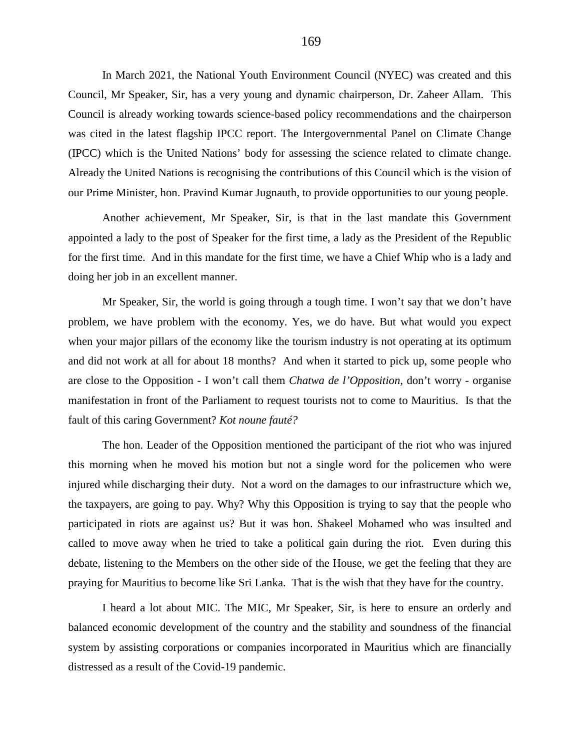In March 2021, the National Youth Environment Council (NYEC) was created and this Council, Mr Speaker, Sir, has a very young and dynamic chairperson, Dr. Zaheer Allam. This Council is already working towards science-based policy recommendations and the chairperson was cited in the latest flagship IPCC report. The Intergovernmental Panel on Climate Change (IPCC) which is the United Nations' body for assessing the science related to climate change. Already the United Nations is recognising the contributions of this Council which is the vision of our Prime Minister, hon. Pravind Kumar Jugnauth, to provide opportunities to our young people.

Another achievement, Mr Speaker, Sir, is that in the last mandate this Government appointed a lady to the post of Speaker for the first time, a lady as the President of the Republic for the first time. And in this mandate for the first time, we have a Chief Whip who is a lady and doing her job in an excellent manner.

Mr Speaker, Sir, the world is going through a tough time. I won't say that we don't have problem, we have problem with the economy. Yes, we do have. But what would you expect when your major pillars of the economy like the tourism industry is not operating at its optimum and did not work at all for about 18 months? And when it started to pick up, some people who are close to the Opposition - I won't call them *Chatwa de l'Opposition,* don't worry - organise manifestation in front of the Parliament to request tourists not to come to Mauritius. Is that the fault of this caring Government? *Kot noune fauté?*

The hon. Leader of the Opposition mentioned the participant of the riot who was injured this morning when he moved his motion but not a single word for the policemen who were injured while discharging their duty. Not a word on the damages to our infrastructure which we, the taxpayers, are going to pay. Why? Why this Opposition is trying to say that the people who participated in riots are against us? But it was hon. Shakeel Mohamed who was insulted and called to move away when he tried to take a political gain during the riot. Even during this debate, listening to the Members on the other side of the House, we get the feeling that they are praying for Mauritius to become like Sri Lanka. That is the wish that they have for the country.

I heard a lot about MIC. The MIC, Mr Speaker, Sir, is here to ensure an orderly and balanced economic development of the country and the stability and soundness of the financial system by assisting corporations or companies incorporated in Mauritius which are financially distressed as a result of the Covid-19 pandemic.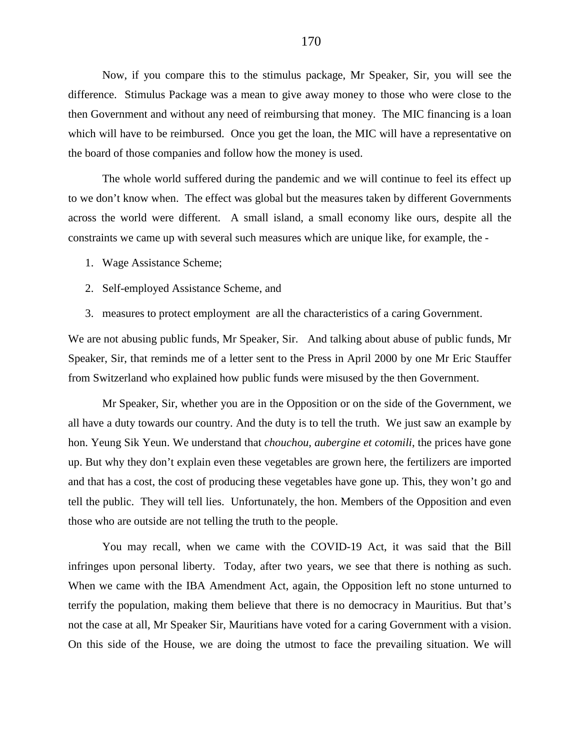Now, if you compare this to the stimulus package, Mr Speaker, Sir, you will see the difference. Stimulus Package was a mean to give away money to those who were close to the then Government and without any need of reimbursing that money. The MIC financing is a loan which will have to be reimbursed. Once you get the loan, the MIC will have a representative on the board of those companies and follow how the money is used.

The whole world suffered during the pandemic and we will continue to feel its effect up to we don't know when. The effect was global but the measures taken by different Governments across the world were different. A small island, a small economy like ours, despite all the constraints we came up with several such measures which are unique like, for example, the -

- 1. Wage Assistance Scheme;
- 2. Self-employed Assistance Scheme, and
- 3. measures to protect employment are all the characteristics of a caring Government.

We are not abusing public funds, Mr Speaker, Sir. And talking about abuse of public funds, Mr Speaker, Sir, that reminds me of a letter sent to the Press in April 2000 by one Mr Eric Stauffer from Switzerland who explained how public funds were misused by the then Government.

Mr Speaker, Sir, whether you are in the Opposition or on the side of the Government, we all have a duty towards our country. And the duty is to tell the truth. We just saw an example by hon. Yeung Sik Yeun. We understand that *chouchou, aubergine et cotomili*, the prices have gone up. But why they don't explain even these vegetables are grown here, the fertilizers are imported and that has a cost, the cost of producing these vegetables have gone up. This, they won't go and tell the public. They will tell lies. Unfortunately, the hon. Members of the Opposition and even those who are outside are not telling the truth to the people.

You may recall, when we came with the COVID-19 Act, it was said that the Bill infringes upon personal liberty. Today, after two years, we see that there is nothing as such. When we came with the IBA Amendment Act, again, the Opposition left no stone unturned to terrify the population, making them believe that there is no democracy in Mauritius. But that's not the case at all, Mr Speaker Sir, Mauritians have voted for a caring Government with a vision. On this side of the House, we are doing the utmost to face the prevailing situation. We will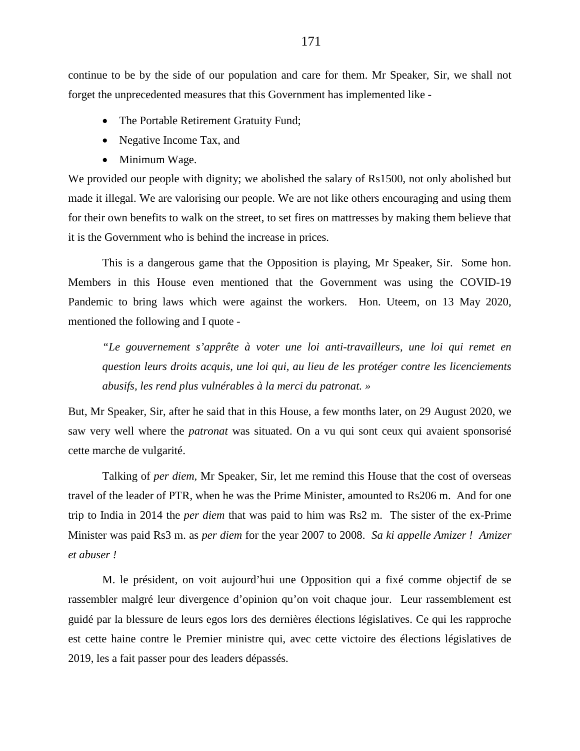continue to be by the side of our population and care for them. Mr Speaker, Sir, we shall not forget the unprecedented measures that this Government has implemented like -

- The Portable Retirement Gratuity Fund;
- Negative Income Tax, and
- Minimum Wage.

We provided our people with dignity; we abolished the salary of Rs1500, not only abolished but made it illegal. We are valorising our people. We are not like others encouraging and using them for their own benefits to walk on the street, to set fires on mattresses by making them believe that it is the Government who is behind the increase in prices.

This is a dangerous game that the Opposition is playing, Mr Speaker, Sir. Some hon. Members in this House even mentioned that the Government was using the COVID-19 Pandemic to bring laws which were against the workers. Hon. Uteem, on 13 May 2020, mentioned the following and I quote -

*"Le gouvernement s'apprête à voter une loi anti-travailleurs, une loi qui remet en question leurs droits acquis, une loi qui, au lieu de les protéger contre les licenciements abusifs, les rend plus vulnérables à la merci du patronat. »*

But, Mr Speaker, Sir, after he said that in this House, a few months later, on 29 August 2020, we saw very well where the *patronat* was situated. On a vu qui sont ceux qui avaient sponsorisé cette marche de vulgarité.

Talking of *per diem,* Mr Speaker, Sir, let me remind this House that the cost of overseas travel of the leader of PTR, when he was the Prime Minister, amounted to Rs206 m. And for one trip to India in 2014 the *per diem* that was paid to him was Rs2 m. The sister of the ex-Prime Minister was paid Rs3 m. as *per diem* for the year 2007 to 2008. *Sa ki appelle Amizer ! Amizer et abuser !*

M. le président, on voit aujourd'hui une Opposition qui a fixé comme objectif de se rassembler malgré leur divergence d'opinion qu'on voit chaque jour. Leur rassemblement est guidé par la blessure de leurs egos lors des dernières élections législatives. Ce qui les rapproche est cette haine contre le Premier ministre qui, avec cette victoire des élections législatives de 2019, les a fait passer pour des leaders dépassés.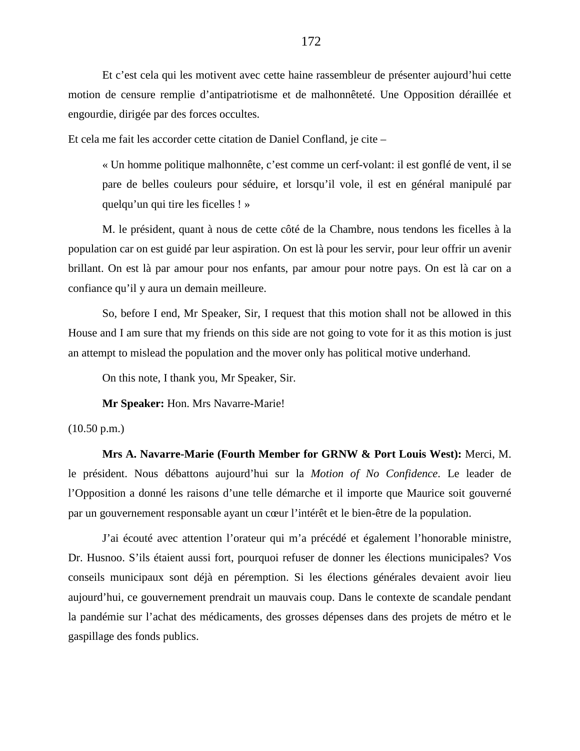Et c'est cela qui les motivent avec cette haine rassembleur de présenter aujourd'hui cette motion de censure remplie d'antipatriotisme et de malhonnêteté. Une Opposition déraillée et engourdie, dirigée par des forces occultes.

Et cela me fait les accorder cette citation de Daniel Confland, je cite –

« Un homme politique malhonnête, c'est comme un cerf-volant: il est gonflé de vent, il se pare de belles couleurs pour séduire, et lorsqu'il vole, il est en général manipulé par quelqu'un qui tire les ficelles ! »

M. le président, quant à nous de cette côté de la Chambre, nous tendons les ficelles à la population car on est guidé par leur aspiration. On est là pour les servir, pour leur offrir un avenir brillant. On est là par amour pour nos enfants, par amour pour notre pays. On est là car on a confiance qu'il y aura un demain meilleure.

So, before I end, Mr Speaker, Sir, I request that this motion shall not be allowed in this House and I am sure that my friends on this side are not going to vote for it as this motion is just an attempt to mislead the population and the mover only has political motive underhand.

On this note, I thank you, Mr Speaker, Sir.

**Mr Speaker:** Hon. Mrs Navarre-Marie!

(10.50 p.m.)

**Mrs A. Navarre-Marie (Fourth Member for GRNW & Port Louis West):** Merci, M. le président. Nous débattons aujourd'hui sur la *Motion of No Confidence*. Le leader de l'Opposition a donné les raisons d'une telle démarche et il importe que Maurice soit gouverné par un gouvernement responsable ayant un cœur l'intérêt et le bien-être de la population.

J'ai écouté avec attention l'orateur qui m'a précédé et également l'honorable ministre, Dr. Husnoo. S'ils étaient aussi fort, pourquoi refuser de donner les élections municipales? Vos conseils municipaux sont déjà en péremption. Si les élections générales devaient avoir lieu aujourd'hui, ce gouvernement prendrait un mauvais coup. Dans le contexte de scandale pendant la pandémie sur l'achat des médicaments, des grosses dépenses dans des projets de métro et le gaspillage des fonds publics.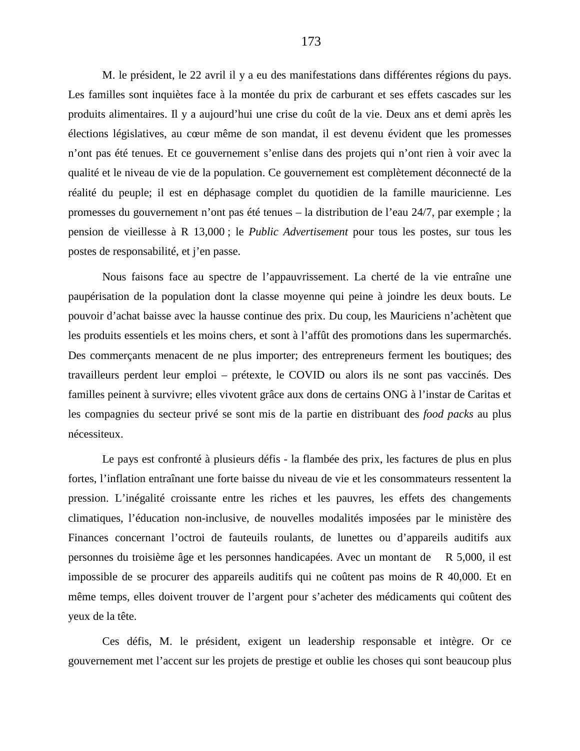M. le président, le 22 avril il y a eu des manifestations dans différentes régions du pays. Les familles sont inquiètes face à la montée du prix de carburant et ses effets cascades sur les produits alimentaires. Il y a aujourd'hui une crise du coût de la vie. Deux ans et demi après les élections législatives, au cœur même de son mandat, il est devenu évident que les promesses n'ont pas été tenues. Et ce gouvernement s'enlise dans des projets qui n'ont rien à voir avec la qualité et le niveau de vie de la population. Ce gouvernement est complètement déconnecté de la réalité du peuple; il est en déphasage complet du quotidien de la famille mauricienne. Les promesses du gouvernement n'ont pas été tenues – la distribution de l'eau 24/7, par exemple ; la pension de vieillesse à R 13,000 ; le *Public Advertisement* pour tous les postes, sur tous les postes de responsabilité, et j'en passe.

Nous faisons face au spectre de l'appauvrissement. La cherté de la vie entraîne une paupérisation de la population dont la classe moyenne qui peine à joindre les deux bouts. Le pouvoir d'achat baisse avec la hausse continue des prix. Du coup, les Mauriciens n'achètent que les produits essentiels et les moins chers, et sont à l'affût des promotions dans les supermarchés. Des commerçants menacent de ne plus importer; des entrepreneurs ferment les boutiques; des travailleurs perdent leur emploi – prétexte, le COVID ou alors ils ne sont pas vaccinés. Des familles peinent à survivre; elles vivotent grâce aux dons de certains ONG à l'instar de Caritas et les compagnies du secteur privé se sont mis de la partie en distribuant des *food packs* au plus nécessiteux.

Le pays est confronté à plusieurs défis - la flambée des prix, les factures de plus en plus fortes, l'inflation entraînant une forte baisse du niveau de vie et les consommateurs ressentent la pression. L'inégalité croissante entre les riches et les pauvres, les effets des changements climatiques, l'éducation non-inclusive, de nouvelles modalités imposées par le ministère des Finances concernant l'octroi de fauteuils roulants, de lunettes ou d'appareils auditifs aux personnes du troisième âge et les personnes handicapées. Avec un montant de R 5,000, il est impossible de se procurer des appareils auditifs qui ne coûtent pas moins de R 40,000. Et en même temps, elles doivent trouver de l'argent pour s'acheter des médicaments qui coûtent des yeux de la tête.

Ces défis, M. le président, exigent un leadership responsable et intègre. Or ce gouvernement met l'accent sur les projets de prestige et oublie les choses qui sont beaucoup plus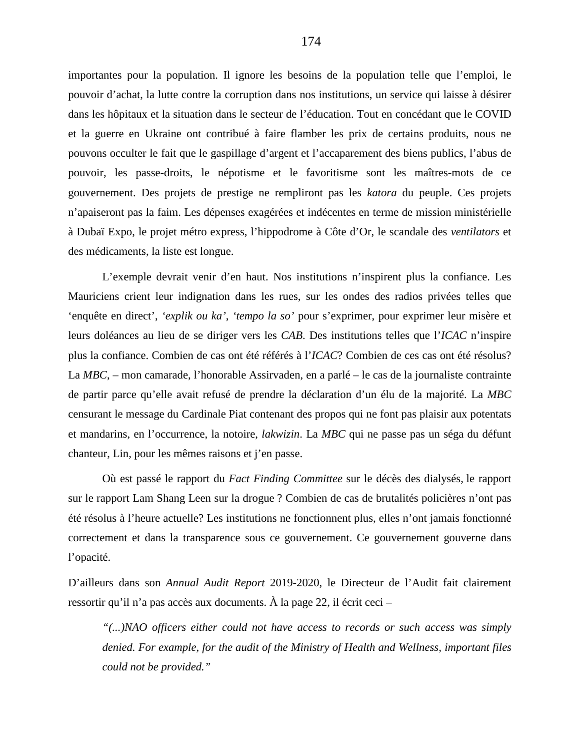importantes pour la population. Il ignore les besoins de la population telle que l'emploi, le pouvoir d'achat, la lutte contre la corruption dans nos institutions, un service qui laisse à désirer dans les hôpitaux et la situation dans le secteur de l'éducation. Tout en concédant que le COVID et la guerre en Ukraine ont contribué à faire flamber les prix de certains produits, nous ne pouvons occulter le fait que le gaspillage d'argent et l'accaparement des biens publics, l'abus de pouvoir, les passe-droits, le népotisme et le favoritisme sont les maîtres-mots de ce gouvernement. Des projets de prestige ne rempliront pas les *katora* du peuple. Ces projets n'apaiseront pas la faim. Les dépenses exagérées et indécentes en terme de mission ministérielle à Dubaï Expo, le projet métro express, l'hippodrome à Côte d'Or, le scandale des *ventilators* et des médicaments, la liste est longue.

L'exemple devrait venir d'en haut. Nos institutions n'inspirent plus la confiance. Les Mauriciens crient leur indignation dans les rues, sur les ondes des radios privées telles que 'enquête en direct', *'explik ou ka'*, *'tempo la so'* pour s'exprimer, pour exprimer leur misère et leurs doléances au lieu de se diriger vers les *CAB*. Des institutions telles que l'*ICAC* n'inspire plus la confiance. Combien de cas ont été référés à l'*ICAC*? Combien de ces cas ont été résolus? La *MBC*, – mon camarade, l'honorable Assirvaden, en a parlé – le cas de la journaliste contrainte de partir parce qu'elle avait refusé de prendre la déclaration d'un élu de la majorité. La *MBC* censurant le message du Cardinale Piat contenant des propos qui ne font pas plaisir aux potentats et mandarins, en l'occurrence, la notoire, *lakwizin*. La *MBC* qui ne passe pas un séga du défunt chanteur, Lin, pour les mêmes raisons et j'en passe.

Où est passé le rapport du *Fact Finding Committee* sur le décès des dialysés, le rapport sur le rapport Lam Shang Leen sur la drogue ? Combien de cas de brutalités policières n'ont pas été résolus à l'heure actuelle? Les institutions ne fonctionnent plus, elles n'ont jamais fonctionné correctement et dans la transparence sous ce gouvernement. Ce gouvernement gouverne dans l'opacité.

D'ailleurs dans son *Annual Audit Report* 2019-2020, le Directeur de l'Audit fait clairement ressortir qu'il n'a pas accès aux documents. À la page 22, il écrit ceci –

*"(...)NAO officers either could not have access to records or such access was simply denied. For example, for the audit of the Ministry of Health and Wellness, important files could not be provided."*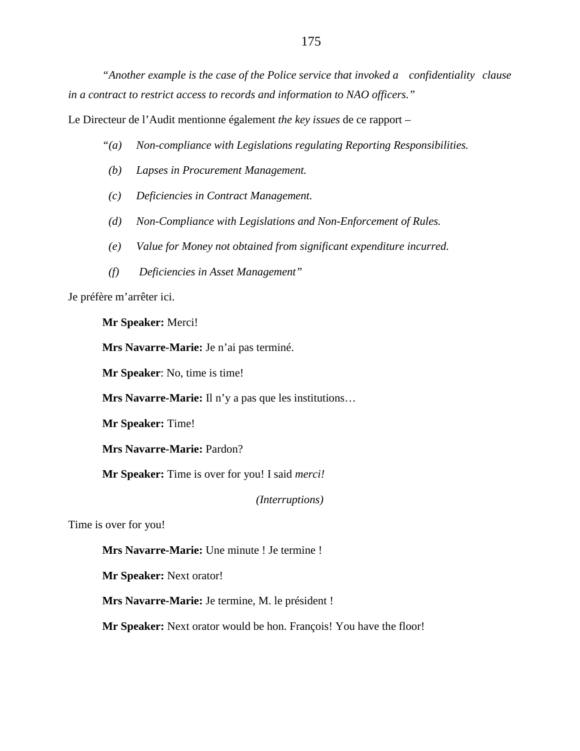*"Another example is the case of the Police service that invoked a confidentiality clause in a contract to restrict access to records and information to NAO officers."*

Le Directeur de l'Audit mentionne également *the key issues* de ce rapport –

- *"(a) Non-compliance with Legislations regulating Reporting Responsibilities.*
- *(b) Lapses in Procurement Management.*
- *(c) Deficiencies in Contract Management.*
- *(d) Non-Compliance with Legislations and Non-Enforcement of Rules.*
- *(e) Value for Money not obtained from significant expenditure incurred.*
- *(f) Deficiencies in Asset Management"*

Je préfère m'arrêter ici.

**Mr Speaker:** Merci!

**Mrs Navarre-Marie:** Je n'ai pas terminé.

**Mr Speaker**: No, time is time!

**Mrs Navarre-Marie:** Il n'y a pas que les institutions…

**Mr Speaker:** Time!

**Mrs Navarre-Marie:** Pardon?

**Mr Speaker:** Time is over for you! I said *merci!*

*(Interruptions)*

Time is over for you!

**Mrs Navarre-Marie:** Une minute ! Je termine !

**Mr Speaker:** Next orator!

**Mrs Navarre-Marie:** Je termine, M. le président !

**Mr Speaker:** Next orator would be hon. François! You have the floor!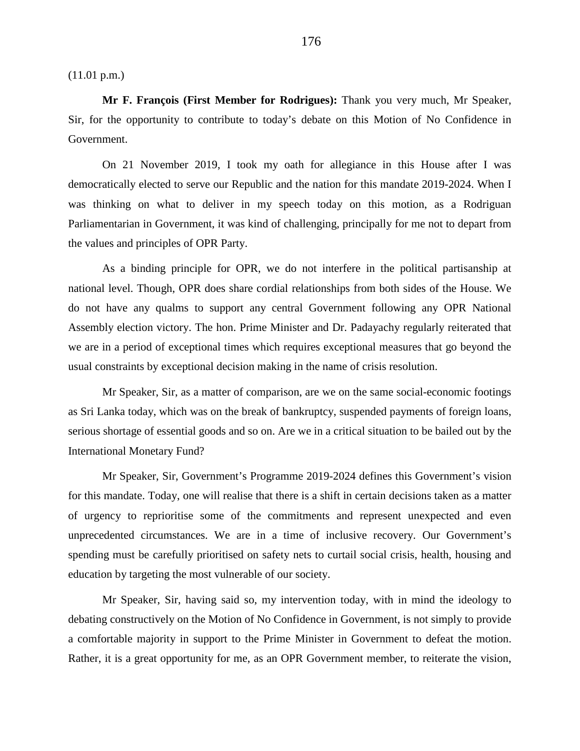(11.01 p.m.)

**Mr F. François (First Member for Rodrigues):** Thank you very much, Mr Speaker, Sir, for the opportunity to contribute to today's debate on this Motion of No Confidence in Government.

On 21 November 2019, I took my oath for allegiance in this House after I was democratically elected to serve our Republic and the nation for this mandate 2019-2024. When I was thinking on what to deliver in my speech today on this motion, as a Rodriguan Parliamentarian in Government, it was kind of challenging, principally for me not to depart from the values and principles of OPR Party.

As a binding principle for OPR, we do not interfere in the political partisanship at national level. Though, OPR does share cordial relationships from both sides of the House. We do not have any qualms to support any central Government following any OPR National Assembly election victory. The hon. Prime Minister and Dr. Padayachy regularly reiterated that we are in a period of exceptional times which requires exceptional measures that go beyond the usual constraints by exceptional decision making in the name of crisis resolution.

Mr Speaker, Sir, as a matter of comparison, are we on the same social-economic footings as Sri Lanka today, which was on the break of bankruptcy, suspended payments of foreign loans, serious shortage of essential goods and so on. Are we in a critical situation to be bailed out by the International Monetary Fund?

Mr Speaker, Sir, Government's Programme 2019-2024 defines this Government's vision for this mandate. Today, one will realise that there is a shift in certain decisions taken as a matter of urgency to reprioritise some of the commitments and represent unexpected and even unprecedented circumstances. We are in a time of inclusive recovery. Our Government's spending must be carefully prioritised on safety nets to curtail social crisis, health, housing and education by targeting the most vulnerable of our society.

Mr Speaker, Sir, having said so, my intervention today, with in mind the ideology to debating constructively on the Motion of No Confidence in Government, is not simply to provide a comfortable majority in support to the Prime Minister in Government to defeat the motion. Rather, it is a great opportunity for me, as an OPR Government member, to reiterate the vision,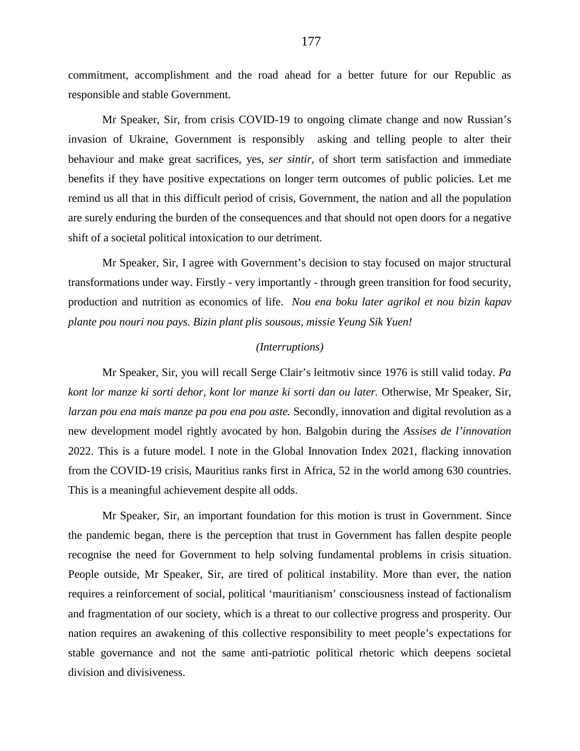commitment, accomplishment and the road ahead for a better future for our Republic as responsible and stable Government.

Mr Speaker, Sir, from crisis COVID-19 to ongoing climate change and now Russian's invasion of Ukraine, Government is responsibly asking and telling people to alter their behaviour and make great sacrifices, yes, *ser sintir,* of short term satisfaction and immediate benefits if they have positive expectations on longer term outcomes of public policies. Let me remind us all that in this difficult period of crisis, Government, the nation and all the population are surely enduring the burden of the consequences and that should not open doors for a negative shift of a societal political intoxication to our detriment.

Mr Speaker, Sir, I agree with Government's decision to stay focused on major structural transformations under way. Firstly - very importantly - through green transition for food security, production and nutrition as economics of life. *Nou ena boku later agrikol et nou bizin kapav plante pou nouri nou pays. Bizin plant plis sousous, missie Yeung Sik Yuen!* 

## *(Interruptions)*

Mr Speaker, Sir, you will recall Serge Clair's leitmotiv since 1976 is still valid today. *Pa kont lor manze ki sorti dehor, kont lor manze ki sorti dan ou later.* Otherwise, Mr Speaker, Sir, *larzan pou ena mais manze pa pou ena pou aste.* Secondly, innovation and digital revolution as a new development model rightly avocated by hon. Balgobin during the *Assises de l'innovation*  2022. This is a future model. I note in the Global Innovation Index 2021, flacking innovation from the COVID-19 crisis, Mauritius ranks first in Africa, 52 in the world among 630 countries. This is a meaningful achievement despite all odds.

Mr Speaker, Sir, an important foundation for this motion is trust in Government. Since the pandemic began, there is the perception that trust in Government has fallen despite people recognise the need for Government to help solving fundamental problems in crisis situation. People outside, Mr Speaker, Sir, are tired of political instability. More than ever, the nation requires a reinforcement of social, political 'mauritianism' consciousness instead of factionalism and fragmentation of our society, which is a threat to our collective progress and prosperity. Our nation requires an awakening of this collective responsibility to meet people's expectations for stable governance and not the same anti-patriotic political rhetoric which deepens societal division and divisiveness.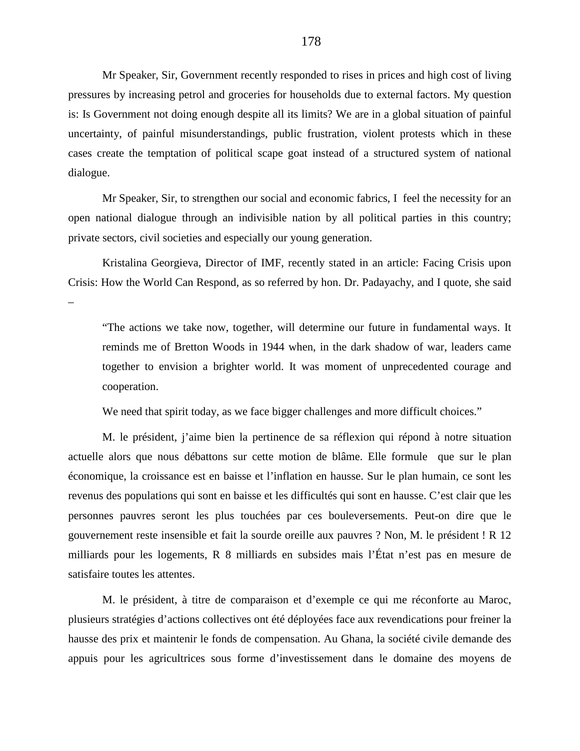Mr Speaker, Sir, Government recently responded to rises in prices and high cost of living pressures by increasing petrol and groceries for households due to external factors. My question is: Is Government not doing enough despite all its limits? We are in a global situation of painful uncertainty, of painful misunderstandings, public frustration, violent protests which in these cases create the temptation of political scape goat instead of a structured system of national dialogue.

Mr Speaker, Sir, to strengthen our social and economic fabrics, I feel the necessity for an open national dialogue through an indivisible nation by all political parties in this country; private sectors, civil societies and especially our young generation.

Kristalina Georgieva, Director of IMF, recently stated in an article: Facing Crisis upon Crisis: How the World Can Respond, as so referred by hon. Dr. Padayachy, and I quote, she said –

"The actions we take now, together, will determine our future in fundamental ways. It reminds me of Bretton Woods in 1944 when, in the dark shadow of war, leaders came together to envision a brighter world. It was moment of unprecedented courage and cooperation.

We need that spirit today, as we face bigger challenges and more difficult choices."

M. le président, j'aime bien la pertinence de sa réflexion qui répond à notre situation actuelle alors que nous débattons sur cette motion de blâme. Elle formule que sur le plan économique, la croissance est en baisse et l'inflation en hausse. Sur le plan humain, ce sont les revenus des populations qui sont en baisse et les difficultés qui sont en hausse. C'est clair que les personnes pauvres seront les plus touchées par ces bouleversements. Peut-on dire que le gouvernement reste insensible et fait la sourde oreille aux pauvres ? Non, M. le président ! R 12 milliards pour les logements, R 8 milliards en subsides mais l'État n'est pas en mesure de satisfaire toutes les attentes.

M. le président, à titre de comparaison et d'exemple ce qui me réconforte au Maroc, plusieurs stratégies d'actions collectives ont été déployées face aux revendications pour freiner la hausse des prix et maintenir le fonds de compensation. Au Ghana, la société civile demande des appuis pour les agricultrices sous forme d'investissement dans le domaine des moyens de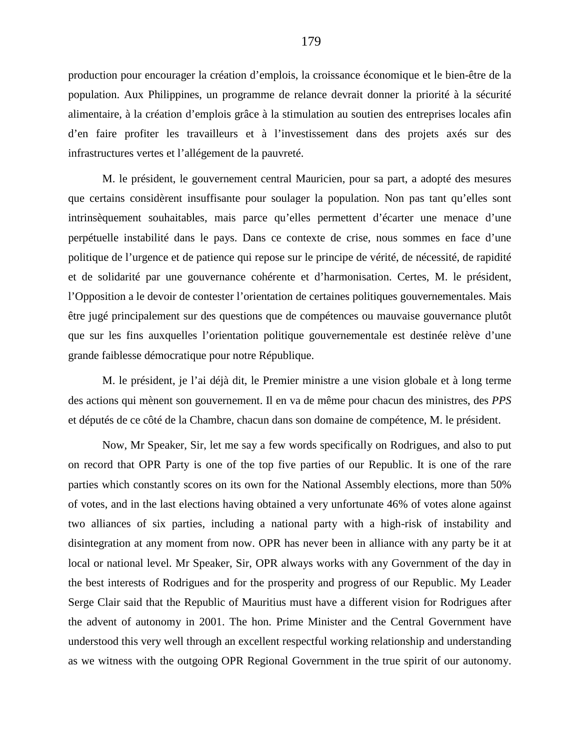production pour encourager la création d'emplois, la croissance économique et le bien-être de la population. Aux Philippines, un programme de relance devrait donner la priorité à la sécurité alimentaire, à la création d'emplois grâce à la stimulation au soutien des entreprises locales afin d'en faire profiter les travailleurs et à l'investissement dans des projets axés sur des infrastructures vertes et l'allégement de la pauvreté.

M. le président, le gouvernement central Mauricien, pour sa part, a adopté des mesures que certains considèrent insuffisante pour soulager la population. Non pas tant qu'elles sont intrinsèquement souhaitables, mais parce qu'elles permettent d'écarter une menace d'une perpétuelle instabilité dans le pays. Dans ce contexte de crise, nous sommes en face d'une politique de l'urgence et de patience qui repose sur le principe de vérité, de nécessité, de rapidité et de solidarité par une gouvernance cohérente et d'harmonisation. Certes, M. le président, l'Opposition a le devoir de contester l'orientation de certaines politiques gouvernementales. Mais être jugé principalement sur des questions que de compétences ou mauvaise gouvernance plutôt que sur les fins auxquelles l'orientation politique gouvernementale est destinée relève d'une grande faiblesse démocratique pour notre République.

M. le président, je l'ai déjà dit, le Premier ministre a une vision globale et à long terme des actions qui mènent son gouvernement. Il en va de même pour chacun des ministres, des *PPS* et députés de ce côté de la Chambre, chacun dans son domaine de compétence, M. le président.

Now, Mr Speaker, Sir, let me say a few words specifically on Rodrigues, and also to put on record that OPR Party is one of the top five parties of our Republic. It is one of the rare parties which constantly scores on its own for the National Assembly elections, more than 50% of votes, and in the last elections having obtained a very unfortunate 46% of votes alone against two alliances of six parties, including a national party with a high-risk of instability and disintegration at any moment from now. OPR has never been in alliance with any party be it at local or national level. Mr Speaker, Sir, OPR always works with any Government of the day in the best interests of Rodrigues and for the prosperity and progress of our Republic. My Leader Serge Clair said that the Republic of Mauritius must have a different vision for Rodrigues after the advent of autonomy in 2001. The hon. Prime Minister and the Central Government have understood this very well through an excellent respectful working relationship and understanding as we witness with the outgoing OPR Regional Government in the true spirit of our autonomy.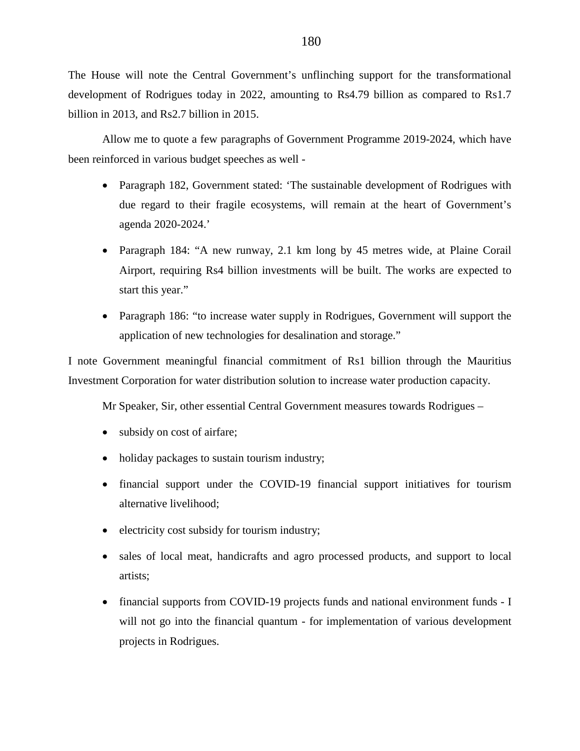The House will note the Central Government's unflinching support for the transformational development of Rodrigues today in 2022, amounting to Rs4.79 billion as compared to Rs1.7 billion in 2013, and Rs2.7 billion in 2015.

Allow me to quote a few paragraphs of Government Programme 2019-2024, which have been reinforced in various budget speeches as well -

- Paragraph 182, Government stated: 'The sustainable development of Rodrigues with due regard to their fragile ecosystems, will remain at the heart of Government's agenda 2020-2024.'
- Paragraph 184: "A new runway, 2.1 km long by 45 metres wide, at Plaine Corail Airport, requiring Rs4 billion investments will be built. The works are expected to start this year."
- Paragraph 186: "to increase water supply in Rodrigues, Government will support the application of new technologies for desalination and storage."

I note Government meaningful financial commitment of Rs1 billion through the Mauritius Investment Corporation for water distribution solution to increase water production capacity.

Mr Speaker, Sir, other essential Central Government measures towards Rodrigues –

- subsidy on cost of airfare;
- holiday packages to sustain tourism industry;
- financial support under the COVID-19 financial support initiatives for tourism alternative livelihood;
- electricity cost subsidy for tourism industry;
- sales of local meat, handicrafts and agro processed products, and support to local artists;
- financial supports from COVID-19 projects funds and national environment funds I will not go into the financial quantum - for implementation of various development projects in Rodrigues.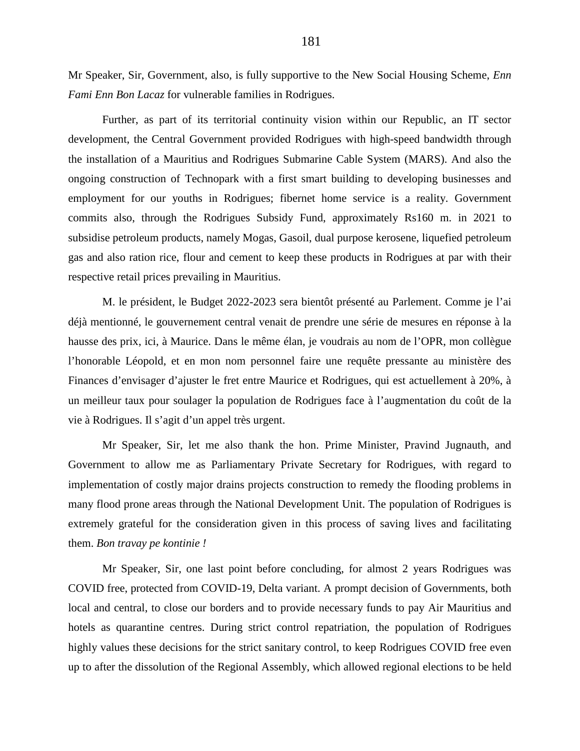Mr Speaker, Sir, Government, also, is fully supportive to the New Social Housing Scheme, *Enn Fami Enn Bon Lacaz* for vulnerable families in Rodrigues.

Further, as part of its territorial continuity vision within our Republic, an IT sector development, the Central Government provided Rodrigues with high-speed bandwidth through the installation of a Mauritius and Rodrigues Submarine Cable System (MARS). And also the ongoing construction of Technopark with a first smart building to developing businesses and employment for our youths in Rodrigues; fibernet home service is a reality. Government commits also, through the Rodrigues Subsidy Fund, approximately Rs160 m. in 2021 to subsidise petroleum products, namely Mogas, Gasoil, dual purpose kerosene, liquefied petroleum gas and also ration rice, flour and cement to keep these products in Rodrigues at par with their respective retail prices prevailing in Mauritius.

M. le président, le Budget 2022-2023 sera bientôt présenté au Parlement. Comme je l'ai déjà mentionné, le gouvernement central venait de prendre une série de mesures en réponse à la hausse des prix, ici, à Maurice. Dans le même élan, je voudrais au nom de l'OPR, mon collègue l'honorable Léopold, et en mon nom personnel faire une requête pressante au ministère des Finances d'envisager d'ajuster le fret entre Maurice et Rodrigues, qui est actuellement à 20%, à un meilleur taux pour soulager la population de Rodrigues face à l'augmentation du coût de la vie à Rodrigues. Il s'agit d'un appel très urgent.

Mr Speaker, Sir, let me also thank the hon. Prime Minister, Pravind Jugnauth, and Government to allow me as Parliamentary Private Secretary for Rodrigues, with regard to implementation of costly major drains projects construction to remedy the flooding problems in many flood prone areas through the National Development Unit. The population of Rodrigues is extremely grateful for the consideration given in this process of saving lives and facilitating them. *Bon travay pe kontinie !* 

Mr Speaker, Sir, one last point before concluding, for almost 2 years Rodrigues was COVID free, protected from COVID-19, Delta variant. A prompt decision of Governments, both local and central, to close our borders and to provide necessary funds to pay Air Mauritius and hotels as quarantine centres. During strict control repatriation, the population of Rodrigues highly values these decisions for the strict sanitary control, to keep Rodrigues COVID free even up to after the dissolution of the Regional Assembly, which allowed regional elections to be held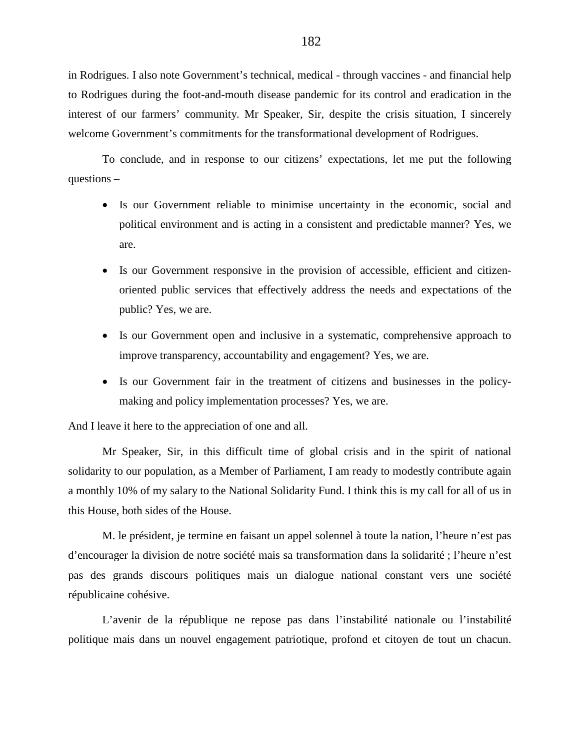in Rodrigues. I also note Government's technical, medical - through vaccines - and financial help to Rodrigues during the foot-and-mouth disease pandemic for its control and eradication in the interest of our farmers' community. Mr Speaker, Sir, despite the crisis situation, I sincerely welcome Government's commitments for the transformational development of Rodrigues.

To conclude, and in response to our citizens' expectations, let me put the following questions –

- Is our Government reliable to minimise uncertainty in the economic, social and political environment and is acting in a consistent and predictable manner? Yes, we are.
- Is our Government responsive in the provision of accessible, efficient and citizenoriented public services that effectively address the needs and expectations of the public? Yes, we are.
- Is our Government open and inclusive in a systematic, comprehensive approach to improve transparency, accountability and engagement? Yes, we are.
- Is our Government fair in the treatment of citizens and businesses in the policymaking and policy implementation processes? Yes, we are.

And I leave it here to the appreciation of one and all.

Mr Speaker, Sir, in this difficult time of global crisis and in the spirit of national solidarity to our population, as a Member of Parliament, I am ready to modestly contribute again a monthly 10% of my salary to the National Solidarity Fund. I think this is my call for all of us in this House, both sides of the House.

M. le président, je termine en faisant un appel solennel à toute la nation, l'heure n'est pas d'encourager la division de notre société mais sa transformation dans la solidarité ; l'heure n'est pas des grands discours politiques mais un dialogue national constant vers une société républicaine cohésive.

L'avenir de la république ne repose pas dans l'instabilité nationale ou l'instabilité politique mais dans un nouvel engagement patriotique, profond et citoyen de tout un chacun.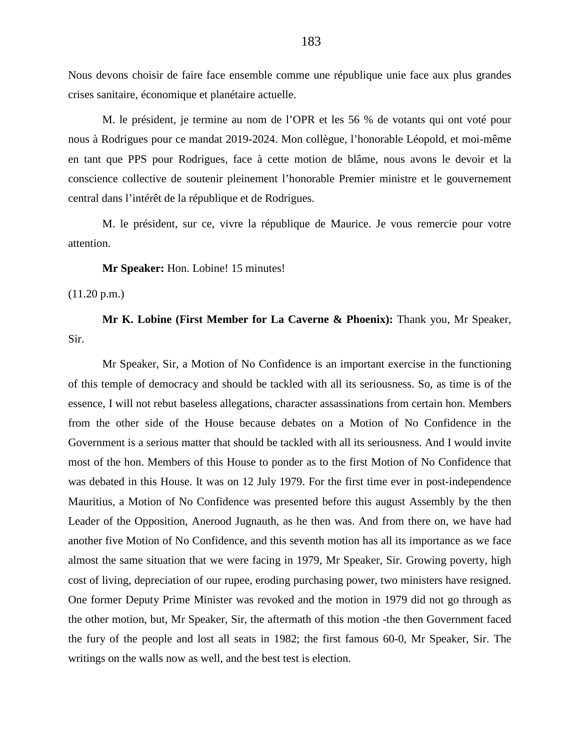Nous devons choisir de faire face ensemble comme une république unie face aux plus grandes crises sanitaire, économique et planétaire actuelle.

M. le président, je termine au nom de l'OPR et les 56 % de votants qui ont voté pour nous à Rodrigues pour ce mandat 2019-2024. Mon collègue, l'honorable Léopold, et moi-même en tant que PPS pour Rodrigues, face à cette motion de blâme, nous avons le devoir et la conscience collective de soutenir pleinement l'honorable Premier ministre et le gouvernement central dans l'intérêt de la république et de Rodrigues.

M. le président, sur ce, vivre la république de Maurice. Je vous remercie pour votre attention.

**Mr Speaker:** Hon. Lobine! 15 minutes!

(11.20 p.m.)

**Mr K. Lobine (First Member for La Caverne & Phoenix):** Thank you, Mr Speaker, Sir.

Mr Speaker, Sir, a Motion of No Confidence is an important exercise in the functioning of this temple of democracy and should be tackled with all its seriousness. So, as time is of the essence, I will not rebut baseless allegations, character assassinations from certain hon. Members from the other side of the House because debates on a Motion of No Confidence in the Government is a serious matter that should be tackled with all its seriousness. And I would invite most of the hon. Members of this House to ponder as to the first Motion of No Confidence that was debated in this House. It was on 12 July 1979. For the first time ever in post-independence Mauritius, a Motion of No Confidence was presented before this august Assembly by the then Leader of the Opposition, Anerood Jugnauth, as he then was. And from there on, we have had another five Motion of No Confidence, and this seventh motion has all its importance as we face almost the same situation that we were facing in 1979, Mr Speaker, Sir. Growing poverty, high cost of living, depreciation of our rupee, eroding purchasing power, two ministers have resigned. One former Deputy Prime Minister was revoked and the motion in 1979 did not go through as the other motion, but, Mr Speaker, Sir, the aftermath of this motion -the then Government faced the fury of the people and lost all seats in 1982; the first famous 60-0, Mr Speaker, Sir. The writings on the walls now as well, and the best test is election.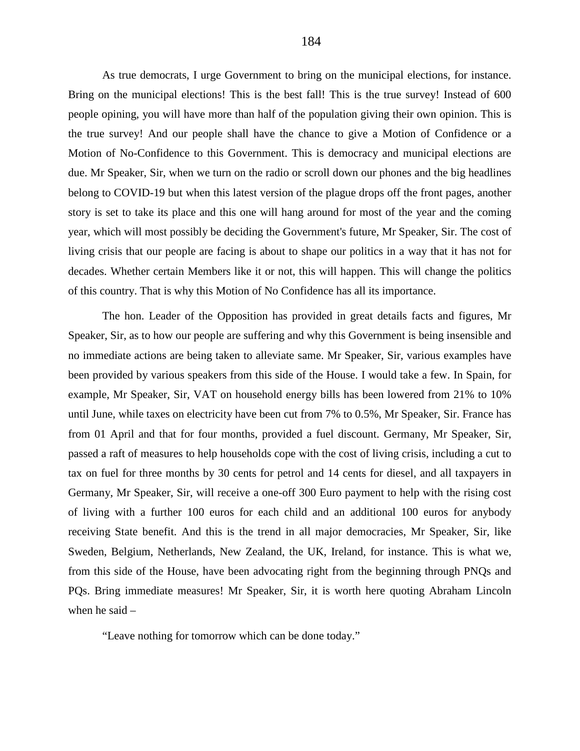As true democrats, I urge Government to bring on the municipal elections, for instance. Bring on the municipal elections! This is the best fall! This is the true survey! Instead of 600 people opining, you will have more than half of the population giving their own opinion. This is the true survey! And our people shall have the chance to give a Motion of Confidence or a Motion of No-Confidence to this Government. This is democracy and municipal elections are due. Mr Speaker, Sir, when we turn on the radio or scroll down our phones and the big headlines belong to COVID-19 but when this latest version of the plague drops off the front pages, another story is set to take its place and this one will hang around for most of the year and the coming year, which will most possibly be deciding the Government's future, Mr Speaker, Sir. The cost of living crisis that our people are facing is about to shape our politics in a way that it has not for decades. Whether certain Members like it or not, this will happen. This will change the politics of this country. That is why this Motion of No Confidence has all its importance.

The hon. Leader of the Opposition has provided in great details facts and figures, Mr Speaker, Sir, as to how our people are suffering and why this Government is being insensible and no immediate actions are being taken to alleviate same. Mr Speaker, Sir, various examples have been provided by various speakers from this side of the House. I would take a few. In Spain, for example, Mr Speaker, Sir, VAT on household energy bills has been lowered from 21% to 10% until June, while taxes on electricity have been cut from 7% to 0.5%, Mr Speaker, Sir. France has from 01 April and that for four months, provided a fuel discount. Germany, Mr Speaker, Sir, passed a raft of measures to help households cope with the cost of living crisis, including a cut to tax on fuel for three months by 30 cents for petrol and 14 cents for diesel, and all taxpayers in Germany, Mr Speaker, Sir, will receive a one-off 300 Euro payment to help with the rising cost of living with a further 100 euros for each child and an additional 100 euros for anybody receiving State benefit. And this is the trend in all major democracies, Mr Speaker, Sir, like Sweden, Belgium, Netherlands, New Zealand, the UK, Ireland, for instance. This is what we, from this side of the House, have been advocating right from the beginning through PNQs and PQs. Bring immediate measures! Mr Speaker, Sir, it is worth here quoting Abraham Lincoln when he said –

"Leave nothing for tomorrow which can be done today."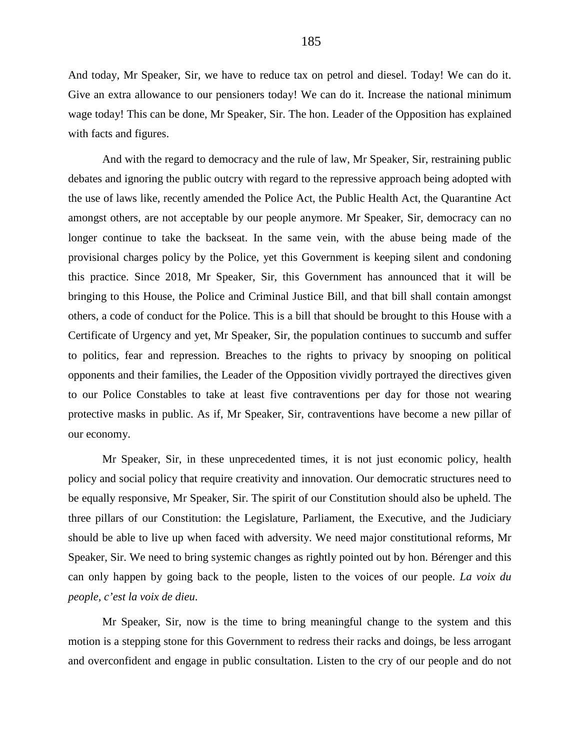And today, Mr Speaker, Sir, we have to reduce tax on petrol and diesel. Today! We can do it. Give an extra allowance to our pensioners today! We can do it. Increase the national minimum wage today! This can be done, Mr Speaker, Sir. The hon. Leader of the Opposition has explained with facts and figures.

And with the regard to democracy and the rule of law, Mr Speaker, Sir, restraining public debates and ignoring the public outcry with regard to the repressive approach being adopted with the use of laws like, recently amended the Police Act, the Public Health Act, the Quarantine Act amongst others, are not acceptable by our people anymore. Mr Speaker, Sir, democracy can no longer continue to take the backseat. In the same vein, with the abuse being made of the provisional charges policy by the Police, yet this Government is keeping silent and condoning this practice. Since 2018, Mr Speaker, Sir, this Government has announced that it will be bringing to this House, the Police and Criminal Justice Bill, and that bill shall contain amongst others, a code of conduct for the Police. This is a bill that should be brought to this House with a Certificate of Urgency and yet, Mr Speaker, Sir, the population continues to succumb and suffer to politics, fear and repression. Breaches to the rights to privacy by snooping on political opponents and their families, the Leader of the Opposition vividly portrayed the directives given to our Police Constables to take at least five contraventions per day for those not wearing protective masks in public. As if, Mr Speaker, Sir, contraventions have become a new pillar of our economy.

Mr Speaker, Sir, in these unprecedented times, it is not just economic policy, health policy and social policy that require creativity and innovation. Our democratic structures need to be equally responsive, Mr Speaker, Sir. The spirit of our Constitution should also be upheld. The three pillars of our Constitution: the Legislature, Parliament, the Executive, and the Judiciary should be able to live up when faced with adversity. We need major constitutional reforms, Mr Speaker, Sir. We need to bring systemic changes as rightly pointed out by hon. Bérenger and this can only happen by going back to the people, listen to the voices of our people. *La voix du people, c'est la voix de dieu*.

Mr Speaker, Sir, now is the time to bring meaningful change to the system and this motion is a stepping stone for this Government to redress their racks and doings, be less arrogant and overconfident and engage in public consultation. Listen to the cry of our people and do not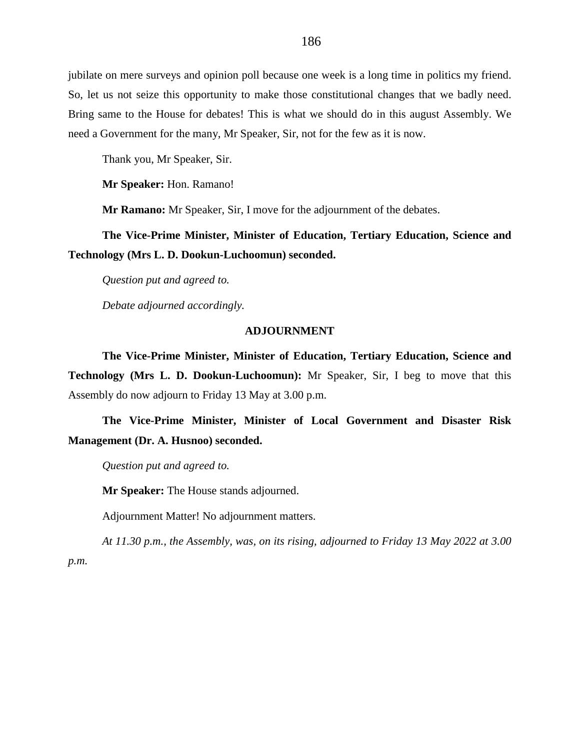jubilate on mere surveys and opinion poll because one week is a long time in politics my friend. So, let us not seize this opportunity to make those constitutional changes that we badly need. Bring same to the House for debates! This is what we should do in this august Assembly. We need a Government for the many, Mr Speaker, Sir, not for the few as it is now.

Thank you, Mr Speaker, Sir.

**Mr Speaker:** Hon. Ramano!

**Mr Ramano:** Mr Speaker, Sir, I move for the adjournment of the debates.

# **The Vice-Prime Minister, Minister of Education, Tertiary Education, Science and Technology (Mrs L. D. Dookun-Luchoomun) seconded.**

*Question put and agreed to.*

*Debate adjourned accordingly.*

#### **ADJOURNMENT**

**The Vice-Prime Minister, Minister of Education, Tertiary Education, Science and Technology (Mrs L. D. Dookun-Luchoomun):** Mr Speaker, Sir, I beg to move that this Assembly do now adjourn to Friday 13 May at 3.00 p.m.

**The Vice-Prime Minister, Minister of Local Government and Disaster Risk Management (Dr. A. Husnoo) seconded.**

*Question put and agreed to.*

**Mr Speaker:** The House stands adjourned.

Adjournment Matter! No adjournment matters.

*At 11.30 p.m., the Assembly, was, on its rising, adjourned to Friday 13 May 2022 at 3.00 p.m.*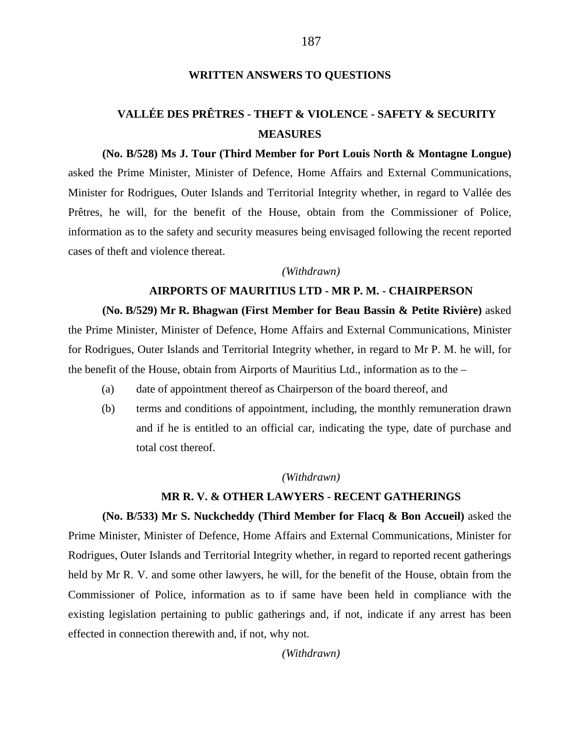### **WRITTEN ANSWERS TO QUESTIONS**

# **VALLÉE DES PRÊTRES - THEFT & VIOLENCE - SAFETY & SECURITY MEASURES**

**(No. B/528) Ms J. Tour (Third Member for Port Louis North & Montagne Longue)** asked the Prime Minister, Minister of Defence, Home Affairs and External Communications, Minister for Rodrigues, Outer Islands and Territorial Integrity whether, in regard to Vallée des Prêtres, he will, for the benefit of the House, obtain from the Commissioner of Police, information as to the safety and security measures being envisaged following the recent reported cases of theft and violence thereat.

# *(Withdrawn)*

### **AIRPORTS OF MAURITIUS LTD - MR P. M. - CHAIRPERSON**

**(No. B/529) Mr R. Bhagwan (First Member for Beau Bassin & Petite Rivière)** asked the Prime Minister, Minister of Defence, Home Affairs and External Communications, Minister for Rodrigues, Outer Islands and Territorial Integrity whether, in regard to Mr P. M. he will, for the benefit of the House, obtain from Airports of Mauritius Ltd., information as to the –

- (a) date of appointment thereof as Chairperson of the board thereof, and
- (b) terms and conditions of appointment, including, the monthly remuneration drawn and if he is entitled to an official car, indicating the type, date of purchase and total cost thereof.

#### *(Withdrawn)*

### **MR R. V. & OTHER LAWYERS - RECENT GATHERINGS**

**(No. B/533) Mr S. Nuckcheddy (Third Member for Flacq & Bon Accueil)** asked the Prime Minister, Minister of Defence, Home Affairs and External Communications, Minister for Rodrigues, Outer Islands and Territorial Integrity whether, in regard to reported recent gatherings held by Mr R. V. and some other lawyers, he will, for the benefit of the House, obtain from the Commissioner of Police, information as to if same have been held in compliance with the existing legislation pertaining to public gatherings and, if not, indicate if any arrest has been effected in connection therewith and, if not, why not.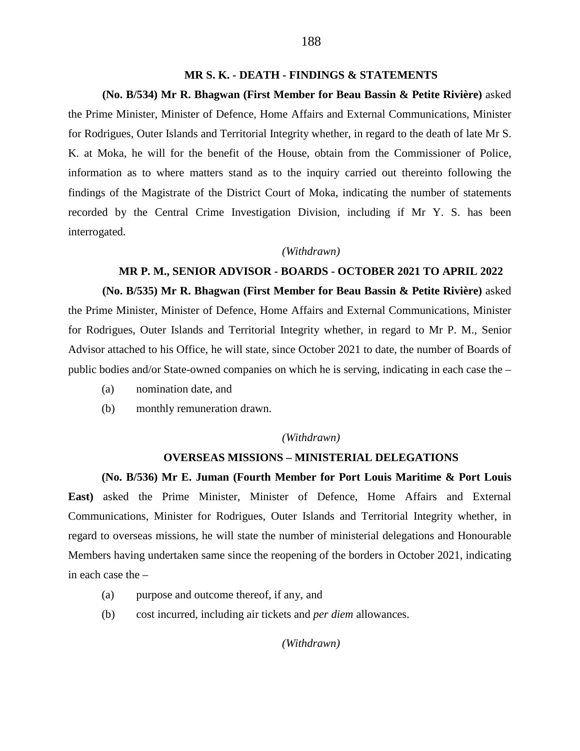# **MR S. K. - DEATH - FINDINGS & STATEMENTS**

# **(No. B/534) Mr R. Bhagwan (First Member for Beau Bassin & Petite Rivière)** asked

the Prime Minister, Minister of Defence, Home Affairs and External Communications, Minister for Rodrigues, Outer Islands and Territorial Integrity whether, in regard to the death of late Mr S. K. at Moka, he will for the benefit of the House, obtain from the Commissioner of Police, information as to where matters stand as to the inquiry carried out thereinto following the findings of the Magistrate of the District Court of Moka, indicating the number of statements recorded by the Central Crime Investigation Division, including if Mr Y. S. has been interrogated.

# *(Withdrawn)*

# **MR P. M., SENIOR ADVISOR - BOARDS - OCTOBER 2021 TO APRIL 2022**

**(No. B/535) Mr R. Bhagwan (First Member for Beau Bassin & Petite Rivière)** asked the Prime Minister, Minister of Defence, Home Affairs and External Communications, Minister for Rodrigues, Outer Islands and Territorial Integrity whether, in regard to Mr P. M., Senior Advisor attached to his Office, he will state, since October 2021 to date, the number of Boards of public bodies and/or State-owned companies on which he is serving, indicating in each case the –

- (a) nomination date, and
- (b) monthly remuneration drawn.

### *(Withdrawn)*

### **OVERSEAS MISSIONS – MINISTERIAL DELEGATIONS**

#### **(No. B/536) Mr E. Juman (Fourth Member for Port Louis Maritime & Port Louis**

**East)** asked the Prime Minister, Minister of Defence, Home Affairs and External Communications, Minister for Rodrigues, Outer Islands and Territorial Integrity whether, in regard to overseas missions, he will state the number of ministerial delegations and Honourable Members having undertaken same since the reopening of the borders in October 2021, indicating in each case the –

- (a) purpose and outcome thereof, if any, and
- (b) cost incurred, including air tickets and *per diem* allowances.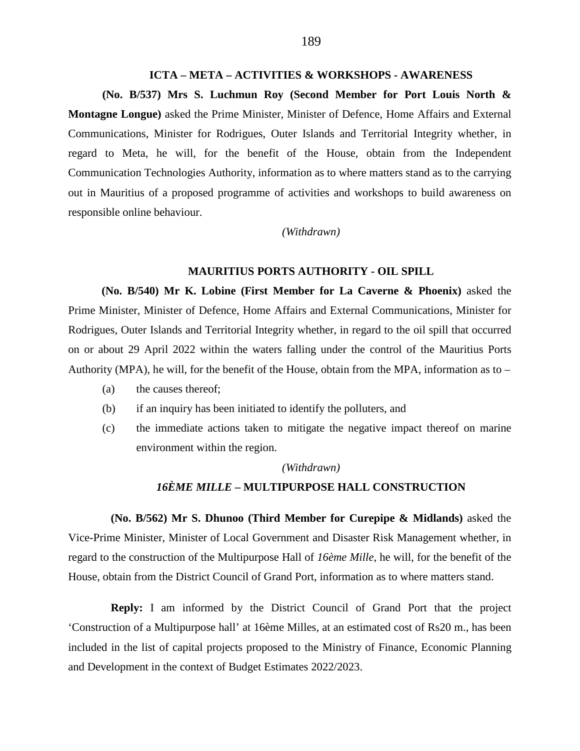#### **ICTA – META – ACTIVITIES & WORKSHOPS - AWARENESS**

**(No. B/537) Mrs S. Luchmun Roy (Second Member for Port Louis North & Montagne Longue)** asked the Prime Minister, Minister of Defence, Home Affairs and External Communications, Minister for Rodrigues, Outer Islands and Territorial Integrity whether, in regard to Meta, he will, for the benefit of the House, obtain from the Independent Communication Technologies Authority, information as to where matters stand as to the carrying out in Mauritius of a proposed programme of activities and workshops to build awareness on responsible online behaviour.

# *(Withdrawn)*

# **MAURITIUS PORTS AUTHORITY - OIL SPILL**

**(No. B/540) Mr K. Lobine (First Member for La Caverne & Phoenix)** asked the Prime Minister, Minister of Defence, Home Affairs and External Communications, Minister for Rodrigues, Outer Islands and Territorial Integrity whether, in regard to the oil spill that occurred on or about 29 April 2022 within the waters falling under the control of the Mauritius Ports Authority (MPA), he will, for the benefit of the House, obtain from the MPA, information as to –

- (a) the causes thereof;
- (b) if an inquiry has been initiated to identify the polluters, and
- (c) the immediate actions taken to mitigate the negative impact thereof on marine environment within the region.

#### *(Withdrawn)*

## *16ÈME MILLE* **– MULTIPURPOSE HALL CONSTRUCTION**

**(No. B/562) Mr S. Dhunoo (Third Member for Curepipe & Midlands)** asked the Vice-Prime Minister, Minister of Local Government and Disaster Risk Management whether, in regard to the construction of the Multipurpose Hall of *16ème Mille*, he will, for the benefit of the House, obtain from the District Council of Grand Port, information as to where matters stand.

**Reply:** I am informed by the District Council of Grand Port that the project 'Construction of a Multipurpose hall' at 16ème Milles, at an estimated cost of Rs20 m., has been included in the list of capital projects proposed to the Ministry of Finance, Economic Planning and Development in the context of Budget Estimates 2022/2023.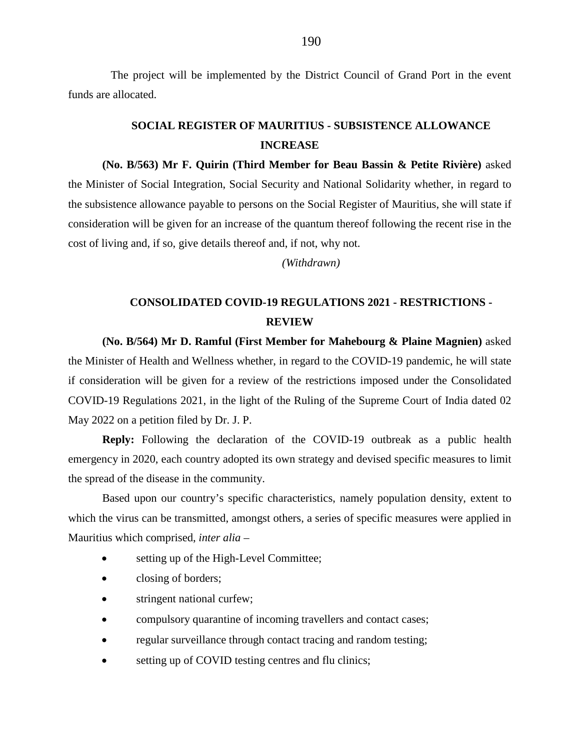The project will be implemented by the District Council of Grand Port in the event funds are allocated.

# **SOCIAL REGISTER OF MAURITIUS - SUBSISTENCE ALLOWANCE INCREASE**

**(No. B/563) Mr F. Quirin (Third Member for Beau Bassin & Petite Rivière)** asked the Minister of Social Integration, Social Security and National Solidarity whether, in regard to the subsistence allowance payable to persons on the Social Register of Mauritius, she will state if consideration will be given for an increase of the quantum thereof following the recent rise in the cost of living and, if so, give details thereof and, if not, why not.

*(Withdrawn)*

# **CONSOLIDATED COVID-19 REGULATIONS 2021 - RESTRICTIONS - REVIEW**

**(No. B/564) Mr D. Ramful (First Member for Mahebourg & Plaine Magnien)** asked the Minister of Health and Wellness whether, in regard to the COVID-19 pandemic, he will state if consideration will be given for a review of the restrictions imposed under the Consolidated COVID-19 Regulations 2021, in the light of the Ruling of the Supreme Court of India dated 02 May 2022 on a petition filed by Dr. J. P.

**Reply:** Following the declaration of the COVID-19 outbreak as a public health emergency in 2020, each country adopted its own strategy and devised specific measures to limit the spread of the disease in the community.

Based upon our country's specific characteristics, namely population density, extent to which the virus can be transmitted, amongst others, a series of specific measures were applied in Mauritius which comprised, *inter alia* –

- setting up of the High-Level Committee;
- closing of borders;
- stringent national curfew;
- compulsory quarantine of incoming travellers and contact cases;
- regular surveillance through contact tracing and random testing;
- setting up of COVID testing centres and flu clinics;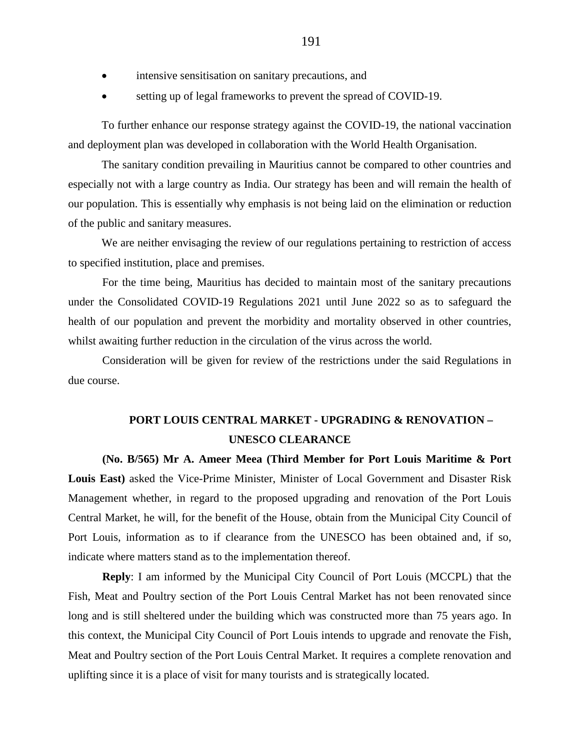- intensive sensitisation on sanitary precautions, and
- setting up of legal frameworks to prevent the spread of COVID-19.

To further enhance our response strategy against the COVID-19, the national vaccination and deployment plan was developed in collaboration with the World Health Organisation.

The sanitary condition prevailing in Mauritius cannot be compared to other countries and especially not with a large country as India. Our strategy has been and will remain the health of our population. This is essentially why emphasis is not being laid on the elimination or reduction of the public and sanitary measures.

We are neither envisaging the review of our regulations pertaining to restriction of access to specified institution, place and premises.

For the time being, Mauritius has decided to maintain most of the sanitary precautions under the Consolidated COVID-19 Regulations 2021 until June 2022 so as to safeguard the health of our population and prevent the morbidity and mortality observed in other countries, whilst awaiting further reduction in the circulation of the virus across the world.

Consideration will be given for review of the restrictions under the said Regulations in due course.

# **PORT LOUIS CENTRAL MARKET - UPGRADING & RENOVATION – UNESCO CLEARANCE**

# **(No. B/565) Mr A. Ameer Meea (Third Member for Port Louis Maritime & Port Louis East)** asked the Vice-Prime Minister, Minister of Local Government and Disaster Risk Management whether, in regard to the proposed upgrading and renovation of the Port Louis Central Market, he will, for the benefit of the House, obtain from the Municipal City Council of Port Louis, information as to if clearance from the UNESCO has been obtained and, if so, indicate where matters stand as to the implementation thereof.

**Reply**: I am informed by the Municipal City Council of Port Louis (MCCPL) that the Fish, Meat and Poultry section of the Port Louis Central Market has not been renovated since long and is still sheltered under the building which was constructed more than 75 years ago. In this context, the Municipal City Council of Port Louis intends to upgrade and renovate the Fish, Meat and Poultry section of the Port Louis Central Market. It requires a complete renovation and uplifting since it is a place of visit for many tourists and is strategically located.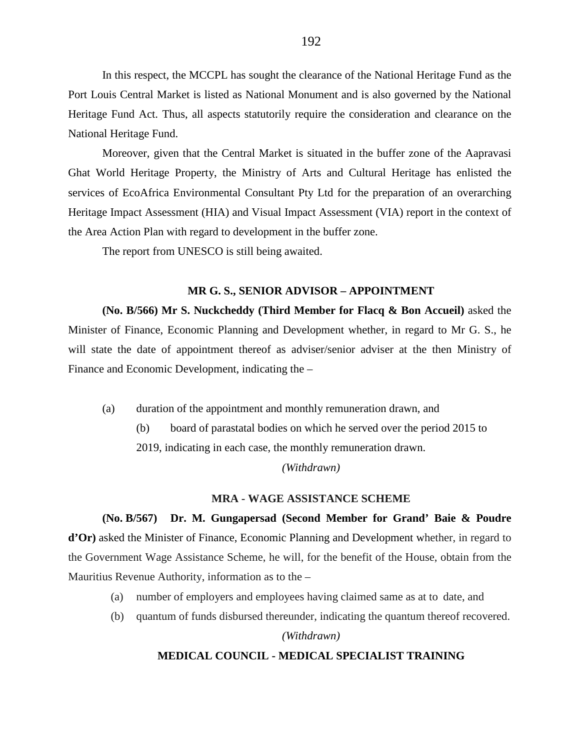In this respect, the MCCPL has sought the clearance of the National Heritage Fund as the Port Louis Central Market is listed as National Monument and is also governed by the National Heritage Fund Act. Thus, all aspects statutorily require the consideration and clearance on the National Heritage Fund.

Moreover, given that the Central Market is situated in the buffer zone of the Aapravasi Ghat World Heritage Property, the Ministry of Arts and Cultural Heritage has enlisted the services of EcoAfrica Environmental Consultant Pty Ltd for the preparation of an overarching Heritage Impact Assessment (HIA) and Visual Impact Assessment (VIA) report in the context of the Area Action Plan with regard to development in the buffer zone.

The report from UNESCO is still being awaited.

#### **MR G. S., SENIOR ADVISOR – APPOINTMENT**

**(No. B/566) Mr S. Nuckcheddy (Third Member for Flacq & Bon Accueil)** asked the Minister of Finance, Economic Planning and Development whether, in regard to Mr G. S., he will state the date of appointment thereof as adviser/senior adviser at the then Ministry of Finance and Economic Development, indicating the –

(a) duration of the appointment and monthly remuneration drawn, and

(b) board of parastatal bodies on which he served over the period 2015 to

2019, indicating in each case, the monthly remuneration drawn.

*(Withdrawn)*

#### **MRA - WAGE ASSISTANCE SCHEME**

**(No. B/567) Dr. M. Gungapersad (Second Member for Grand' Baie & Poudre d'Or)** asked the Minister of Finance, Economic Planning and Development whether, in regard to the Government Wage Assistance Scheme, he will, for the benefit of the House, obtain from the Mauritius Revenue Authority, information as to the –

- (a) number of employers and employees having claimed same as at to date, and
- (b) quantum of funds disbursed thereunder, indicating the quantum thereof recovered.

*(Withdrawn)*

### **MEDICAL COUNCIL - MEDICAL SPECIALIST TRAINING**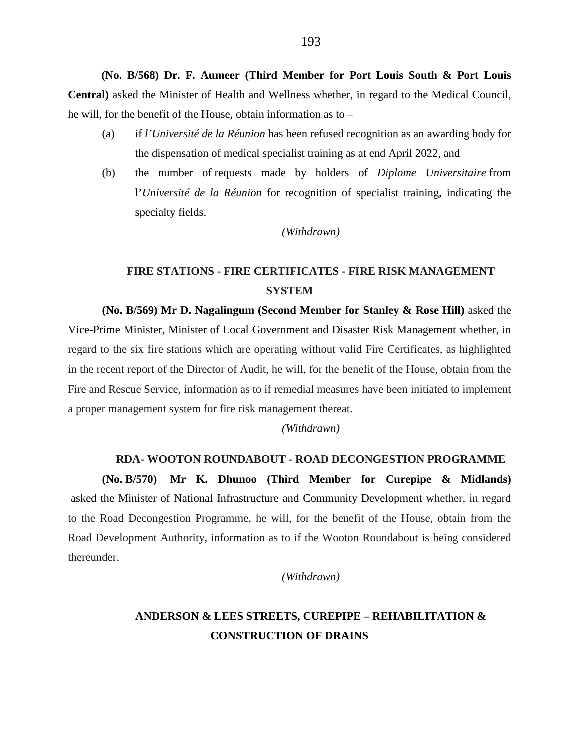**(No. B/568) Dr. F. Aumeer (Third Member for Port Louis South & Port Louis Central)** asked the Minister of Health and Wellness whether, in regard to the Medical Council, he will, for the benefit of the House, obtain information as to –

- (a) if *l'Université de la Réunion* has been refused recognition as an awarding body for the dispensation of medical specialist training as at end April 2022, and
- (b) the number of requests made by holders of *Diplome Universitaire* from l'*Université de la Réunion* for recognition of specialist training, indicating the specialty fields.

*(Withdrawn)*

# **FIRE STATIONS - FIRE CERTIFICATES - FIRE RISK MANAGEMENT SYSTEM**

**(No. B/569) Mr D. Nagalingum (Second Member for Stanley & Rose Hill)** asked the Vice-Prime Minister, Minister of Local Government and Disaster Risk Management whether, in regard to the six fire stations which are operating without valid Fire Certificates, as highlighted in the recent report of the Director of Audit, he will, for the benefit of the House, obtain from the Fire and Rescue Service, information as to if remedial measures have been initiated to implement a proper management system for fire risk management thereat.

*(Withdrawn)*

# **RDA- WOOTON ROUNDABOUT - ROAD DECONGESTION PROGRAMME**

**(No. B/570) Mr K. Dhunoo (Third Member for Curepipe & Midlands)** asked the Minister of National Infrastructure and Community Development whether, in regard to the Road Decongestion Programme, he will, for the benefit of the House, obtain from the Road Development Authority, information as to if the Wooton Roundabout is being considered thereunder.

*(Withdrawn)*

# **ANDERSON & LEES STREETS, CUREPIPE – REHABILITATION & CONSTRUCTION OF DRAINS**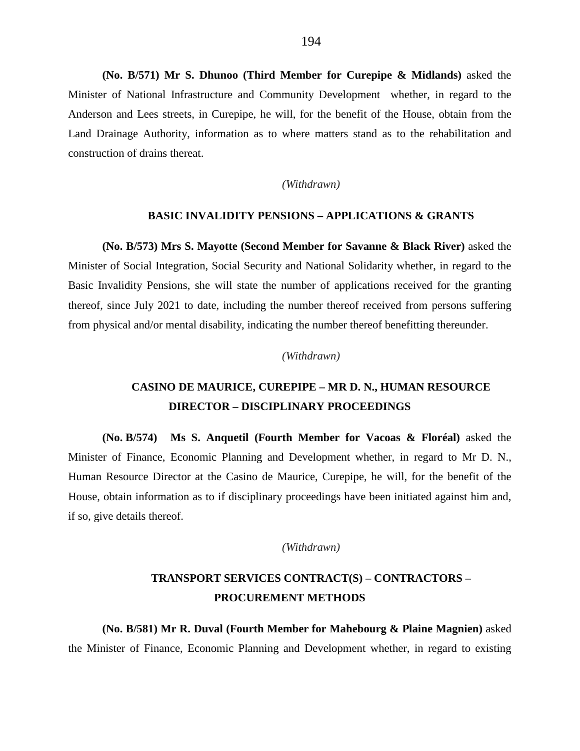**(No. B/571) Mr S. Dhunoo (Third Member for Curepipe & Midlands)** asked the Minister of National Infrastructure and Community Development whether, in regard to the Anderson and Lees streets, in Curepipe, he will, for the benefit of the House, obtain from the Land Drainage Authority, information as to where matters stand as to the rehabilitation and construction of drains thereat.

*(Withdrawn)*

#### **BASIC INVALIDITY PENSIONS – APPLICATIONS & GRANTS**

**(No. B/573) Mrs S. Mayotte (Second Member for Savanne & Black River)** asked the Minister of Social Integration, Social Security and National Solidarity whether, in regard to the Basic Invalidity Pensions, she will state the number of applications received for the granting thereof, since July 2021 to date, including the number thereof received from persons suffering from physical and/or mental disability, indicating the number thereof benefitting thereunder.

#### *(Withdrawn)*

# **CASINO DE MAURICE, CUREPIPE – MR D. N., HUMAN RESOURCE DIRECTOR – DISCIPLINARY PROCEEDINGS**

**(No. B/574) Ms S. Anquetil (Fourth Member for Vacoas & Floréal)** asked the Minister of Finance, Economic Planning and Development whether, in regard to Mr D. N., Human Resource Director at the Casino de Maurice, Curepipe, he will, for the benefit of the House, obtain information as to if disciplinary proceedings have been initiated against him and, if so, give details thereof.

*(Withdrawn)*

# **TRANSPORT SERVICES CONTRACT(S) – CONTRACTORS – PROCUREMENT METHODS**

**(No. B/581) Mr R. Duval (Fourth Member for Mahebourg & Plaine Magnien)** asked the Minister of Finance, Economic Planning and Development whether, in regard to existing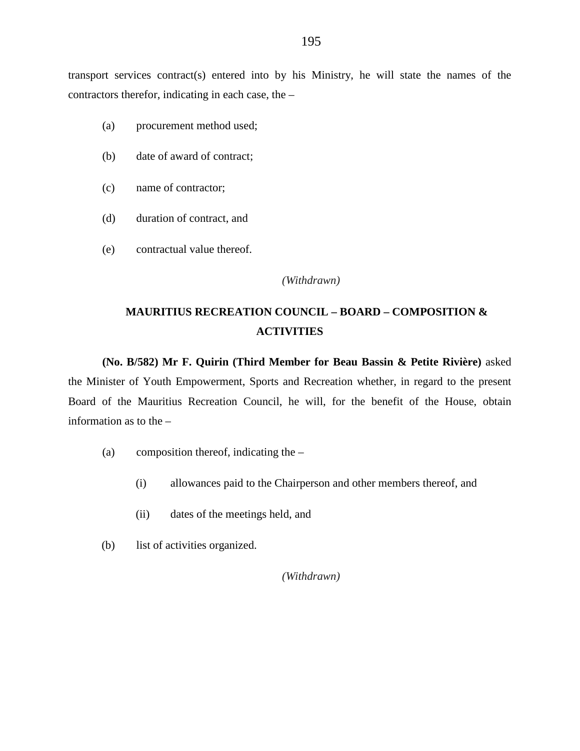transport services contract(s) entered into by his Ministry, he will state the names of the contractors therefor, indicating in each case, the –

- (a) procurement method used;
- (b) date of award of contract;
- (c) name of contractor;
- (d) duration of contract, and
- (e) contractual value thereof.

*(Withdrawn)*

# **MAURITIUS RECREATION COUNCIL – BOARD – COMPOSITION & ACTIVITIES**

**(No. B/582) Mr F. Quirin (Third Member for Beau Bassin & Petite Rivière)** asked the Minister of Youth Empowerment, Sports and Recreation whether, in regard to the present Board of the Mauritius Recreation Council, he will, for the benefit of the House, obtain information as to the –

- (a) composition thereof, indicating the
	- (i) allowances paid to the Chairperson and other members thereof, and
	- (ii) dates of the meetings held, and
- (b) list of activities organized.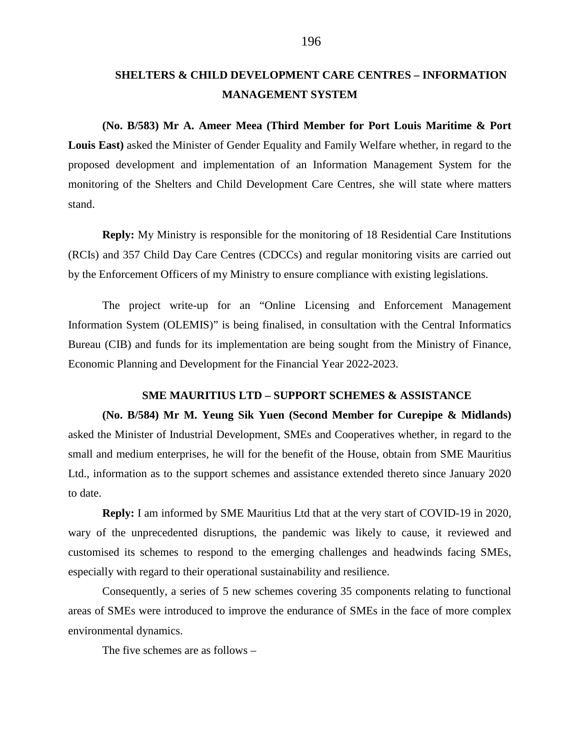# **SHELTERS & CHILD DEVELOPMENT CARE CENTRES – INFORMATION MANAGEMENT SYSTEM**

**(No. B/583) Mr A. Ameer Meea (Third Member for Port Louis Maritime & Port Louis East)** asked the Minister of Gender Equality and Family Welfare whether, in regard to the proposed development and implementation of an Information Management System for the monitoring of the Shelters and Child Development Care Centres, she will state where matters stand.

**Reply:** My Ministry is responsible for the monitoring of 18 Residential Care Institutions (RCIs) and 357 Child Day Care Centres (CDCCs) and regular monitoring visits are carried out by the Enforcement Officers of my Ministry to ensure compliance with existing legislations.

The project write-up for an "Online Licensing and Enforcement Management Information System (OLEMIS)" is being finalised, in consultation with the Central Informatics Bureau (CIB) and funds for its implementation are being sought from the Ministry of Finance, Economic Planning and Development for the Financial Year 2022-2023.

# **SME MAURITIUS LTD – SUPPORT SCHEMES & ASSISTANCE**

**(No. B/584) Mr M. Yeung Sik Yuen (Second Member for Curepipe & Midlands)** asked the Minister of Industrial Development, SMEs and Cooperatives whether, in regard to the small and medium enterprises, he will for the benefit of the House, obtain from SME Mauritius Ltd., information as to the support schemes and assistance extended thereto since January 2020 to date.

**Reply:** I am informed by SME Mauritius Ltd that at the very start of COVID-19 in 2020, wary of the unprecedented disruptions, the pandemic was likely to cause, it reviewed and customised its schemes to respond to the emerging challenges and headwinds facing SMEs, especially with regard to their operational sustainability and resilience.

Consequently, a series of 5 new schemes covering 35 components relating to functional areas of SMEs were introduced to improve the endurance of SMEs in the face of more complex environmental dynamics.

The five schemes are as follows –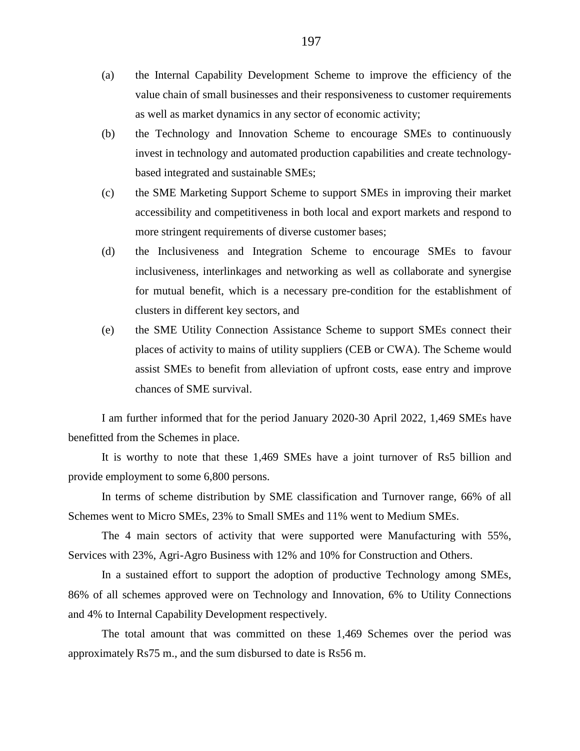- (a) the Internal Capability Development Scheme to improve the efficiency of the value chain of small businesses and their responsiveness to customer requirements as well as market dynamics in any sector of economic activity;
- (b) the Technology and Innovation Scheme to encourage SMEs to continuously invest in technology and automated production capabilities and create technologybased integrated and sustainable SMEs;
- (c) the SME Marketing Support Scheme to support SMEs in improving their market accessibility and competitiveness in both local and export markets and respond to more stringent requirements of diverse customer bases;
- (d) the Inclusiveness and Integration Scheme to encourage SMEs to favour inclusiveness, interlinkages and networking as well as collaborate and synergise for mutual benefit, which is a necessary pre-condition for the establishment of clusters in different key sectors, and
- (e) the SME Utility Connection Assistance Scheme to support SMEs connect their places of activity to mains of utility suppliers (CEB or CWA). The Scheme would assist SMEs to benefit from alleviation of upfront costs, ease entry and improve chances of SME survival.

I am further informed that for the period January 2020-30 April 2022, 1,469 SMEs have benefitted from the Schemes in place.

It is worthy to note that these 1,469 SMEs have a joint turnover of Rs5 billion and provide employment to some 6,800 persons.

In terms of scheme distribution by SME classification and Turnover range, 66% of all Schemes went to Micro SMEs, 23% to Small SMEs and 11% went to Medium SMEs.

The 4 main sectors of activity that were supported were Manufacturing with 55%, Services with 23%, Agri-Agro Business with 12% and 10% for Construction and Others.

In a sustained effort to support the adoption of productive Technology among SMEs, 86% of all schemes approved were on Technology and Innovation, 6% to Utility Connections and 4% to Internal Capability Development respectively.

The total amount that was committed on these 1,469 Schemes over the period was approximately Rs75 m., and the sum disbursed to date is Rs56 m.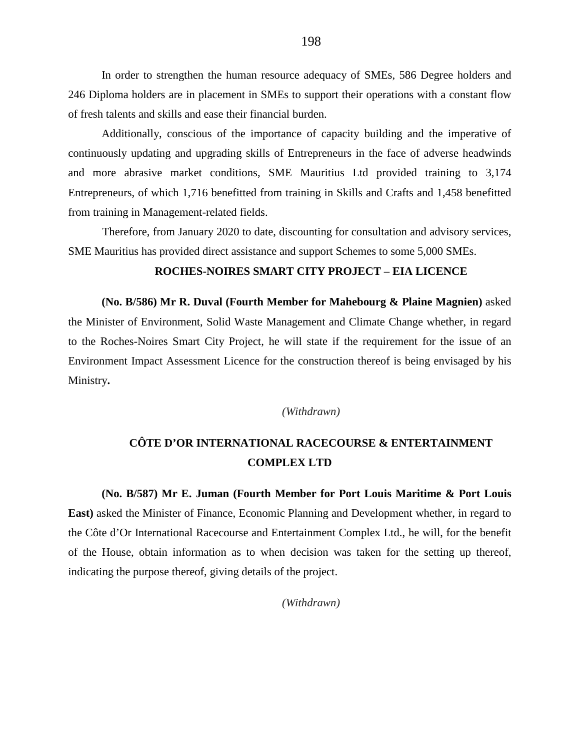In order to strengthen the human resource adequacy of SMEs, 586 Degree holders and 246 Diploma holders are in placement in SMEs to support their operations with a constant flow of fresh talents and skills and ease their financial burden.

Additionally, conscious of the importance of capacity building and the imperative of continuously updating and upgrading skills of Entrepreneurs in the face of adverse headwinds and more abrasive market conditions, SME Mauritius Ltd provided training to 3,174 Entrepreneurs, of which 1,716 benefitted from training in Skills and Crafts and 1,458 benefitted from training in Management-related fields.

Therefore, from January 2020 to date, discounting for consultation and advisory services, SME Mauritius has provided direct assistance and support Schemes to some 5,000 SMEs.

# **ROCHES-NOIRES SMART CITY PROJECT – EIA LICENCE**

**(No. B/586) Mr R. Duval (Fourth Member for Mahebourg & Plaine Magnien)** asked the Minister of Environment, Solid Waste Management and Climate Change whether, in regard to the Roches-Noires Smart City Project, he will state if the requirement for the issue of an Environment Impact Assessment Licence for the construction thereof is being envisaged by his Ministry**.**

*(Withdrawn)*

# **CÔTE D'OR INTERNATIONAL RACECOURSE & ENTERTAINMENT COMPLEX LTD**

**(No. B/587) Mr E. Juman (Fourth Member for Port Louis Maritime & Port Louis East)** asked the Minister of Finance, Economic Planning and Development whether, in regard to the Côte d'Or International Racecourse and Entertainment Complex Ltd., he will, for the benefit of the House, obtain information as to when decision was taken for the setting up thereof, indicating the purpose thereof, giving details of the project.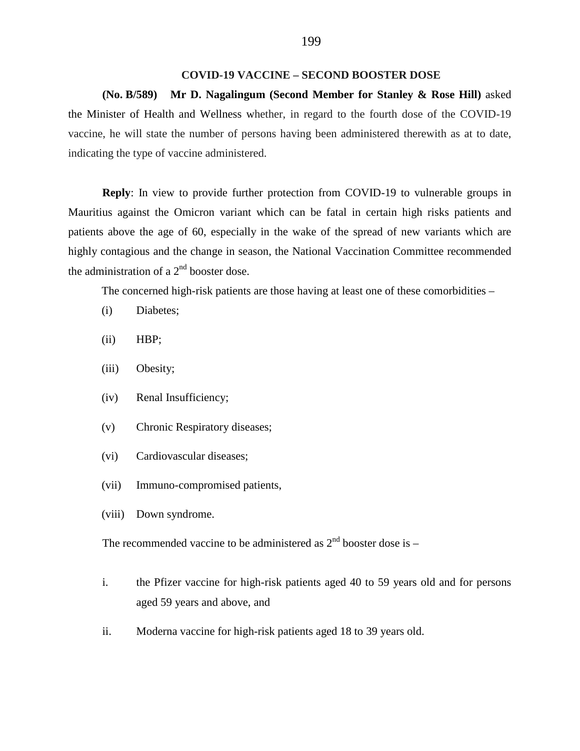### **COVID-19 VACCINE – SECOND BOOSTER DOSE**

**(No. B/589) Mr D. Nagalingum (Second Member for Stanley & Rose Hill)** asked the Minister of Health and Wellness whether, in regard to the fourth dose of the COVID-19 vaccine, he will state the number of persons having been administered therewith as at to date, indicating the type of vaccine administered.

**Reply**: In view to provide further protection from COVID-19 to vulnerable groups in Mauritius against the Omicron variant which can be fatal in certain high risks patients and patients above the age of 60, especially in the wake of the spread of new variants which are highly contagious and the change in season, the National Vaccination Committee recommended the administration of a  $2<sup>nd</sup>$  booster dose.

The concerned high-risk patients are those having at least one of these comorbidities –

- (i) Diabetes;
- (ii) HBP;
- (iii) Obesity;
- (iv) Renal Insufficiency;
- (v) Chronic Respiratory diseases;
- (vi) Cardiovascular diseases;
- (vii) Immuno-compromised patients,
- (viii) Down syndrome.

The recommended vaccine to be administered as  $2<sup>nd</sup>$  booster dose is –

- i. the Pfizer vaccine for high-risk patients aged 40 to 59 years old and for persons aged 59 years and above, and
- ii. Moderna vaccine for high-risk patients aged 18 to 39 years old.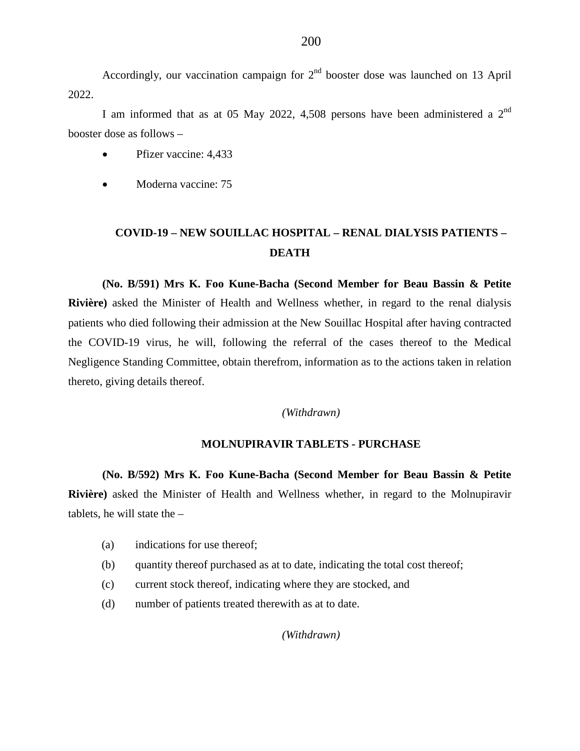Accordingly, our vaccination campaign for  $2<sup>nd</sup>$  booster dose was launched on 13 April 2022.

I am informed that as at 05 May 2022, 4,508 persons have been administered a 2nd booster dose as follows –

- Pfizer vaccine: 4,433
- Moderna vaccine: 75

# **COVID-19 – NEW SOUILLAC HOSPITAL – RENAL DIALYSIS PATIENTS – DEATH**

**(No. B/591) Mrs K. Foo Kune-Bacha (Second Member for Beau Bassin & Petite Rivière)** asked the Minister of Health and Wellness whether, in regard to the renal dialysis patients who died following their admission at the New Souillac Hospital after having contracted the COVID-19 virus, he will, following the referral of the cases thereof to the Medical Negligence Standing Committee, obtain therefrom, information as to the actions taken in relation thereto, giving details thereof.

### *(Withdrawn)*

# **MOLNUPIRAVIR TABLETS - PURCHASE**

**(No. B/592) Mrs K. Foo Kune-Bacha (Second Member for Beau Bassin & Petite Rivière)** asked the Minister of Health and Wellness whether, in regard to the Molnupiravir tablets, he will state the –

- (a) indications for use thereof;
- (b) quantity thereof purchased as at to date, indicating the total cost thereof;
- (c) current stock thereof, indicating where they are stocked, and
- (d) number of patients treated therewith as at to date.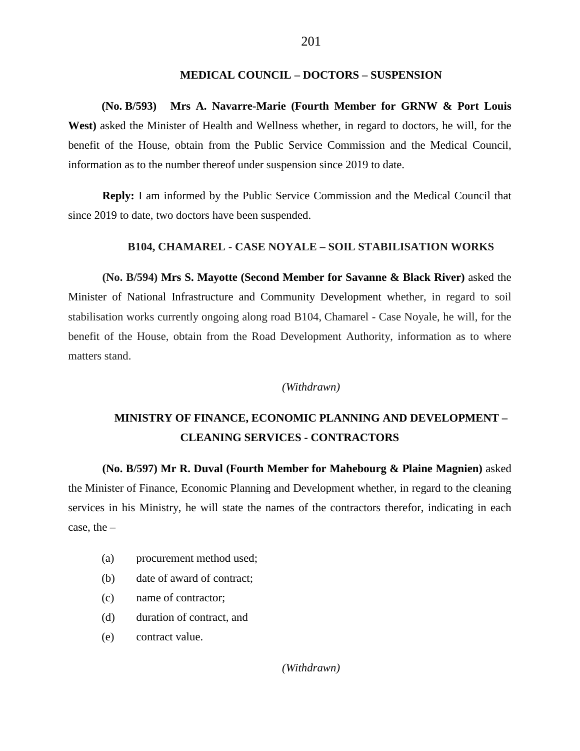### **MEDICAL COUNCIL – DOCTORS – SUSPENSION**

**(No. B/593) Mrs A. Navarre-Marie (Fourth Member for GRNW & Port Louis West)** asked the Minister of Health and Wellness whether, in regard to doctors, he will, for the benefit of the House, obtain from the Public Service Commission and the Medical Council, information as to the number thereof under suspension since 2019 to date.

**Reply:** I am informed by the Public Service Commission and the Medical Council that since 2019 to date, two doctors have been suspended.

## **B104, CHAMAREL - CASE NOYALE – SOIL STABILISATION WORKS**

**(No. B/594) Mrs S. Mayotte (Second Member for Savanne & Black River)** asked the Minister of National Infrastructure and Community Development whether, in regard to soil stabilisation works currently ongoing along road B104, Chamarel - Case Noyale, he will, for the benefit of the House, obtain from the Road Development Authority, information as to where matters stand.

#### *(Withdrawn)*

# **MINISTRY OF FINANCE, ECONOMIC PLANNING AND DEVELOPMENT – CLEANING SERVICES - CONTRACTORS**

**(No. B/597) Mr R. Duval (Fourth Member for Mahebourg & Plaine Magnien)** asked the Minister of Finance, Economic Planning and Development whether, in regard to the cleaning services in his Ministry, he will state the names of the contractors therefor, indicating in each case, the –

- (a) procurement method used;
- (b) date of award of contract;
- (c) name of contractor;
- (d) duration of contract, and
- (e) contract value.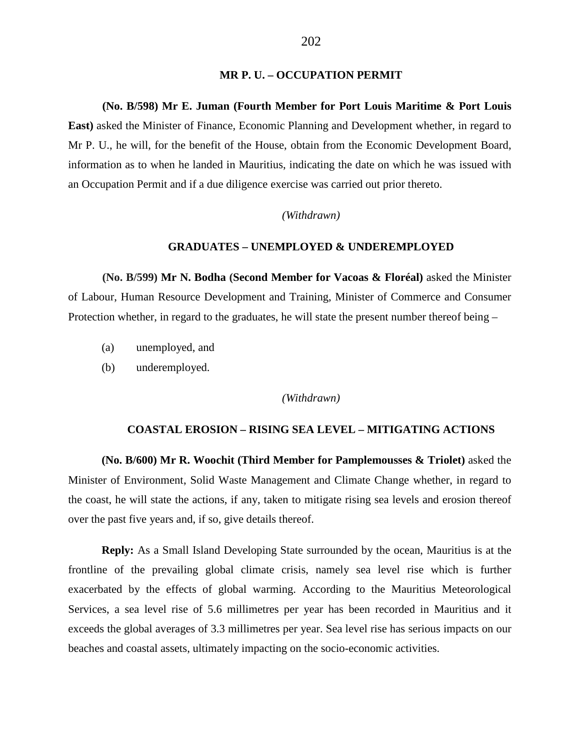### **MR P. U. – OCCUPATION PERMIT**

# **(No. B/598) Mr E. Juman (Fourth Member for Port Louis Maritime & Port Louis East)** asked the Minister of Finance, Economic Planning and Development whether, in regard to Mr P. U., he will, for the benefit of the House, obtain from the Economic Development Board, information as to when he landed in Mauritius, indicating the date on which he was issued with an Occupation Permit and if a due diligence exercise was carried out prior thereto.

### *(Withdrawn)*

# **GRADUATES – UNEMPLOYED & UNDEREMPLOYED**

**(No. B/599) Mr N. Bodha (Second Member for Vacoas & Floréal)** asked the Minister of Labour, Human Resource Development and Training, Minister of Commerce and Consumer Protection whether, in regard to the graduates, he will state the present number thereof being –

- (a) unemployed, and
- (b) underemployed.

#### *(Withdrawn)*

#### **COASTAL EROSION – RISING SEA LEVEL – MITIGATING ACTIONS**

**(No. B/600) Mr R. Woochit (Third Member for Pamplemousses & Triolet)** asked the Minister of Environment, Solid Waste Management and Climate Change whether, in regard to the coast, he will state the actions, if any, taken to mitigate rising sea levels and erosion thereof over the past five years and, if so, give details thereof.

**Reply:** As a Small Island Developing State surrounded by the ocean, Mauritius is at the frontline of the prevailing global climate crisis, namely sea level rise which is further exacerbated by the effects of global warming. According to the Mauritius Meteorological Services, a sea level rise of 5.6 millimetres per year has been recorded in Mauritius and it exceeds the global averages of 3.3 millimetres per year. Sea level rise has serious impacts on our beaches and coastal assets, ultimately impacting on the socio-economic activities.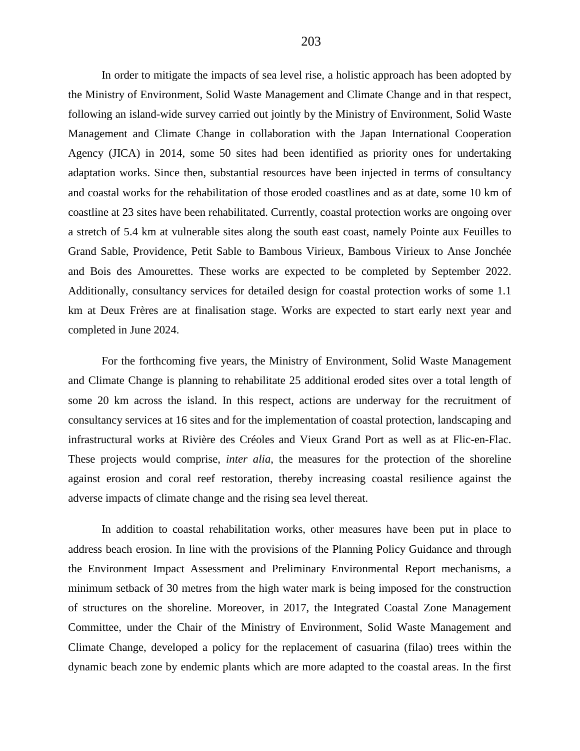In order to mitigate the impacts of sea level rise, a holistic approach has been adopted by the Ministry of Environment, Solid Waste Management and Climate Change and in that respect, following an island-wide survey carried out jointly by the Ministry of Environment, Solid Waste Management and Climate Change in collaboration with the Japan International Cooperation Agency (JICA) in 2014, some 50 sites had been identified as priority ones for undertaking adaptation works. Since then, substantial resources have been injected in terms of consultancy and coastal works for the rehabilitation of those eroded coastlines and as at date, some 10 km of coastline at 23 sites have been rehabilitated. Currently, coastal protection works are ongoing over a stretch of 5.4 km at vulnerable sites along the south east coast, namely Pointe aux Feuilles to Grand Sable, Providence, Petit Sable to Bambous Virieux, Bambous Virieux to Anse Jonchée and Bois des Amourettes. These works are expected to be completed by September 2022. Additionally, consultancy services for detailed design for coastal protection works of some 1.1 km at Deux Frères are at finalisation stage. Works are expected to start early next year and completed in June 2024.

For the forthcoming five years, the Ministry of Environment, Solid Waste Management and Climate Change is planning to rehabilitate 25 additional eroded sites over a total length of some 20 km across the island. In this respect, actions are underway for the recruitment of consultancy services at 16 sites and for the implementation of coastal protection, landscaping and infrastructural works at Rivière des Créoles and Vieux Grand Port as well as at Flic-en-Flac. These projects would comprise, *inter alia*, the measures for the protection of the shoreline against erosion and coral reef restoration, thereby increasing coastal resilience against the adverse impacts of climate change and the rising sea level thereat.

In addition to coastal rehabilitation works, other measures have been put in place to address beach erosion. In line with the provisions of the Planning Policy Guidance and through the Environment Impact Assessment and Preliminary Environmental Report mechanisms, a minimum setback of 30 metres from the high water mark is being imposed for the construction of structures on the shoreline. Moreover, in 2017, the Integrated Coastal Zone Management Committee, under the Chair of the Ministry of Environment, Solid Waste Management and Climate Change, developed a policy for the replacement of casuarina (filao) trees within the dynamic beach zone by endemic plants which are more adapted to the coastal areas. In the first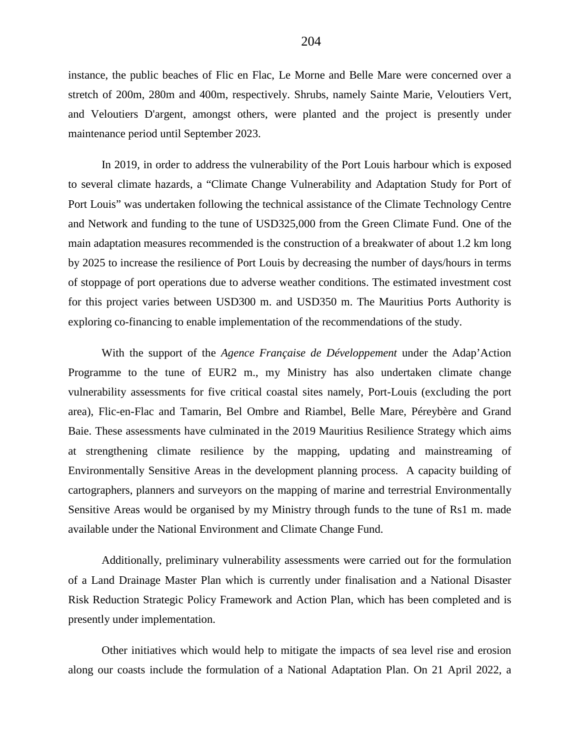instance, the public beaches of Flic en Flac, Le Morne and Belle Mare were concerned over a stretch of 200m, 280m and 400m, respectively. Shrubs, namely Sainte Marie, Veloutiers Vert, and Veloutiers D'argent, amongst others, were planted and the project is presently under maintenance period until September 2023.

In 2019, in order to address the vulnerability of the Port Louis harbour which is exposed to several climate hazards, a "Climate Change Vulnerability and Adaptation Study for Port of Port Louis" was undertaken following the technical assistance of the Climate Technology Centre and Network and funding to the tune of USD325,000 from the Green Climate Fund. One of the main adaptation measures recommended is the construction of a breakwater of about 1.2 km long by 2025 to increase the resilience of Port Louis by decreasing the number of days/hours in terms of stoppage of port operations due to adverse weather conditions. The estimated investment cost for this project varies between USD300 m. and USD350 m. The Mauritius Ports Authority is exploring co-financing to enable implementation of the recommendations of the study.

With the support of the *Agence Française de Développement* under the Adap'Action Programme to the tune of EUR2 m., my Ministry has also undertaken climate change vulnerability assessments for five critical coastal sites namely, Port-Louis (excluding the port area), Flic-en-Flac and Tamarin, Bel Ombre and Riambel, Belle Mare, Péreybère and Grand Baie. These assessments have culminated in the 2019 Mauritius Resilience Strategy which aims at strengthening climate resilience by the mapping, updating and mainstreaming of Environmentally Sensitive Areas in the development planning process. A capacity building of cartographers, planners and surveyors on the mapping of marine and terrestrial Environmentally Sensitive Areas would be organised by my Ministry through funds to the tune of Rs1 m. made available under the National Environment and Climate Change Fund.

Additionally, preliminary vulnerability assessments were carried out for the formulation of a Land Drainage Master Plan which is currently under finalisation and a National Disaster Risk Reduction Strategic Policy Framework and Action Plan, which has been completed and is presently under implementation.

Other initiatives which would help to mitigate the impacts of sea level rise and erosion along our coasts include the formulation of a National Adaptation Plan. On 21 April 2022, a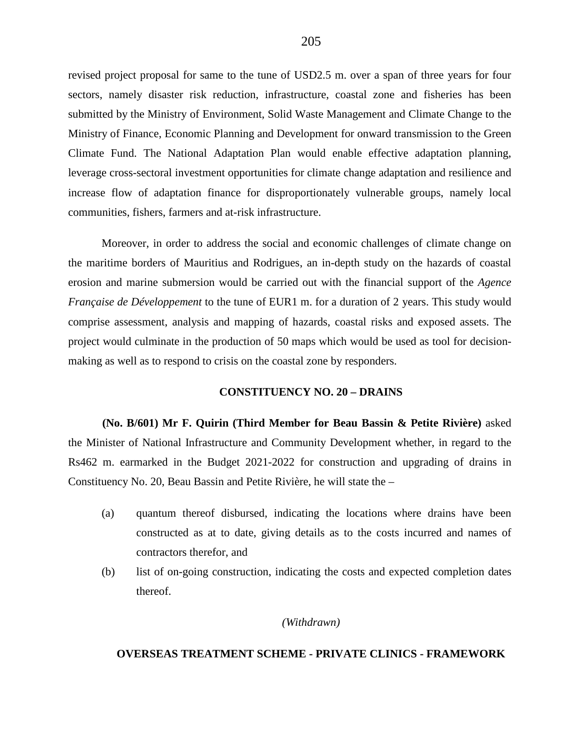revised project proposal for same to the tune of USD2.5 m. over a span of three years for four sectors, namely disaster risk reduction, infrastructure, coastal zone and fisheries has been submitted by the Ministry of Environment, Solid Waste Management and Climate Change to the Ministry of Finance, Economic Planning and Development for onward transmission to the Green Climate Fund. The National Adaptation Plan would enable effective adaptation planning, leverage cross-sectoral investment opportunities for climate change adaptation and resilience and increase flow of adaptation finance for disproportionately vulnerable groups, namely local communities, fishers, farmers and at-risk infrastructure.

Moreover, in order to address the social and economic challenges of climate change on the maritime borders of Mauritius and Rodrigues, an in-depth study on the hazards of coastal erosion and marine submersion would be carried out with the financial support of the *Agence Française de Développement* to the tune of EUR1 m. for a duration of 2 years. This study would comprise assessment, analysis and mapping of hazards, coastal risks and exposed assets. The project would culminate in the production of 50 maps which would be used as tool for decisionmaking as well as to respond to crisis on the coastal zone by responders.

### **CONSTITUENCY NO. 20 – DRAINS**

**(No. B/601) Mr F. Quirin (Third Member for Beau Bassin & Petite Rivière)** asked the Minister of National Infrastructure and Community Development whether, in regard to the Rs462 m. earmarked in the Budget 2021-2022 for construction and upgrading of drains in Constituency No. 20, Beau Bassin and Petite Rivière, he will state the –

- (a) quantum thereof disbursed, indicating the locations where drains have been constructed as at to date, giving details as to the costs incurred and names of contractors therefor, and
- (b) list of on-going construction, indicating the costs and expected completion dates thereof.

### *(Withdrawn)*

# **OVERSEAS TREATMENT SCHEME - PRIVATE CLINICS - FRAMEWORK**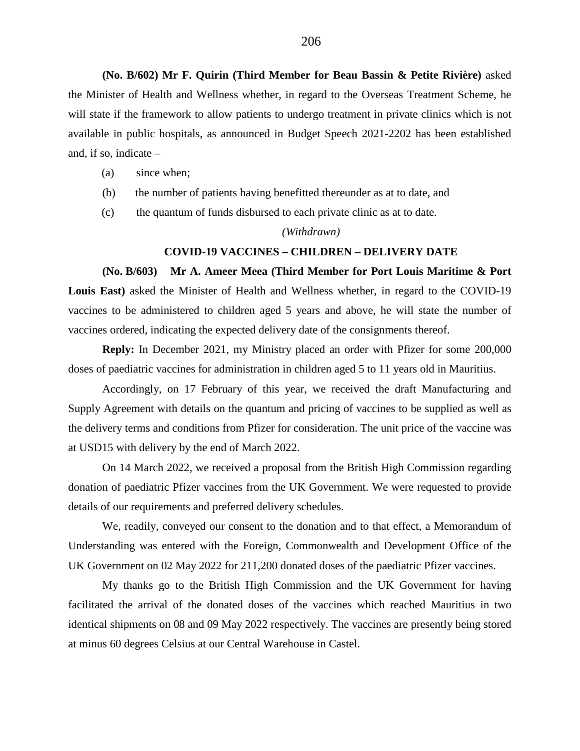**(No. B/602) Mr F. Quirin (Third Member for Beau Bassin & Petite Rivière)** asked the Minister of Health and Wellness whether, in regard to the Overseas Treatment Scheme, he will state if the framework to allow patients to undergo treatment in private clinics which is not available in public hospitals, as announced in Budget Speech 2021-2202 has been established and, if so, indicate –

- (a) since when;
- (b) the number of patients having benefitted thereunder as at to date, and
- (c) the quantum of funds disbursed to each private clinic as at to date.

### *(Withdrawn)*

#### **COVID-19 VACCINES – CHILDREN – DELIVERY DATE**

# **(No. B/603) Mr A. Ameer Meea (Third Member for Port Louis Maritime & Port**

**Louis East)** asked the Minister of Health and Wellness whether, in regard to the COVID-19 vaccines to be administered to children aged 5 years and above, he will state the number of vaccines ordered, indicating the expected delivery date of the consignments thereof.

**Reply:** In December 2021, my Ministry placed an order with Pfizer for some 200,000 doses of paediatric vaccines for administration in children aged 5 to 11 years old in Mauritius.

Accordingly, on 17 February of this year, we received the draft Manufacturing and Supply Agreement with details on the quantum and pricing of vaccines to be supplied as well as the delivery terms and conditions from Pfizer for consideration. The unit price of the vaccine was at USD15 with delivery by the end of March 2022.

On 14 March 2022, we received a proposal from the British High Commission regarding donation of paediatric Pfizer vaccines from the UK Government. We were requested to provide details of our requirements and preferred delivery schedules.

We, readily, conveyed our consent to the donation and to that effect, a Memorandum of Understanding was entered with the Foreign, Commonwealth and Development Office of the UK Government on 02 May 2022 for 211,200 donated doses of the paediatric Pfizer vaccines.

My thanks go to the British High Commission and the UK Government for having facilitated the arrival of the donated doses of the vaccines which reached Mauritius in two identical shipments on 08 and 09 May 2022 respectively. The vaccines are presently being stored at minus 60 degrees Celsius at our Central Warehouse in Castel.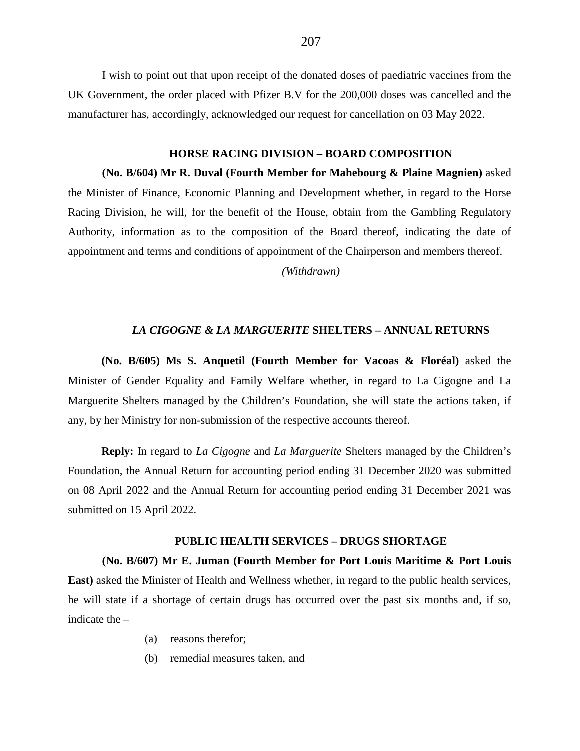I wish to point out that upon receipt of the donated doses of paediatric vaccines from the UK Government, the order placed with Pfizer B.V for the 200,000 doses was cancelled and the manufacturer has, accordingly, acknowledged our request for cancellation on 03 May 2022.

#### **HORSE RACING DIVISION – BOARD COMPOSITION**

**(No. B/604) Mr R. Duval (Fourth Member for Mahebourg & Plaine Magnien)** asked the Minister of Finance, Economic Planning and Development whether, in regard to the Horse Racing Division, he will, for the benefit of the House, obtain from the Gambling Regulatory Authority, information as to the composition of the Board thereof, indicating the date of appointment and terms and conditions of appointment of the Chairperson and members thereof.

*(Withdrawn)*

### *LA CIGOGNE & LA MARGUERITE* **SHELTERS – ANNUAL RETURNS**

**(No. B/605) Ms S. Anquetil (Fourth Member for Vacoas & Floréal)** asked the Minister of Gender Equality and Family Welfare whether, in regard to La Cigogne and La Marguerite Shelters managed by the Children's Foundation, she will state the actions taken, if any, by her Ministry for non-submission of the respective accounts thereof.

**Reply:** In regard to *La Cigogne* and *La Marguerite* Shelters managed by the Children's Foundation, the Annual Return for accounting period ending 31 December 2020 was submitted on 08 April 2022 and the Annual Return for accounting period ending 31 December 2021 was submitted on 15 April 2022.

#### **PUBLIC HEALTH SERVICES – DRUGS SHORTAGE**

**(No. B/607) Mr E. Juman (Fourth Member for Port Louis Maritime & Port Louis East)** asked the Minister of Health and Wellness whether, in regard to the public health services, he will state if a shortage of certain drugs has occurred over the past six months and, if so, indicate the –

- (a) reasons therefor;
- (b) remedial measures taken, and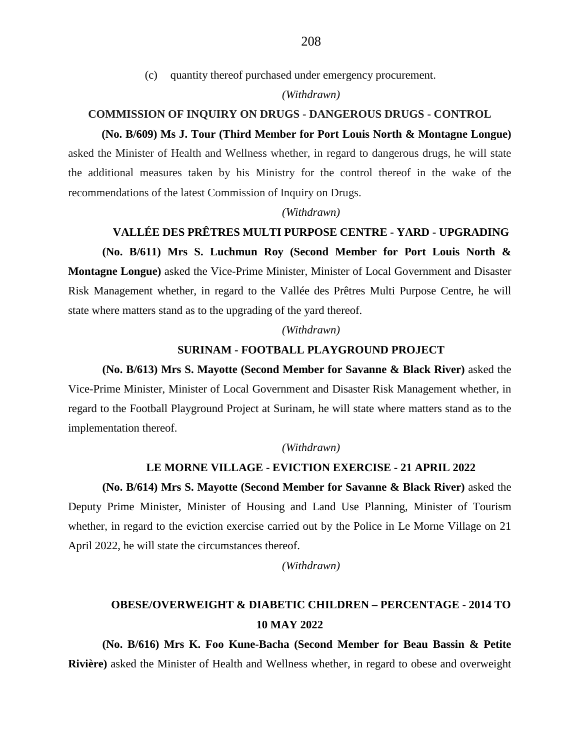(c) quantity thereof purchased under emergency procurement.

### *(Withdrawn)*

# **COMMISSION OF INQUIRY ON DRUGS - DANGEROUS DRUGS - CONTROL**

#### **(No. B/609) Ms J. Tour (Third Member for Port Louis North & Montagne Longue)**

asked the Minister of Health and Wellness whether, in regard to dangerous drugs, he will state the additional measures taken by his Ministry for the control thereof in the wake of the recommendations of the latest Commission of Inquiry on Drugs.

#### *(Withdrawn)*

# **VALLÉE DES PRÊTRES MULTI PURPOSE CENTRE - YARD - UPGRADING**

#### **(No. B/611) Mrs S. Luchmun Roy (Second Member for Port Louis North &**

**Montagne Longue)** asked the Vice-Prime Minister, Minister of Local Government and Disaster Risk Management whether, in regard to the Vallée des Prêtres Multi Purpose Centre, he will state where matters stand as to the upgrading of the yard thereof.

### *(Withdrawn)*

# **SURINAM - FOOTBALL PLAYGROUND PROJECT**

**(No. B/613) Mrs S. Mayotte (Second Member for Savanne & Black River)** asked the Vice-Prime Minister, Minister of Local Government and Disaster Risk Management whether, in regard to the Football Playground Project at Surinam, he will state where matters stand as to the implementation thereof.

#### *(Withdrawn)*

#### **LE MORNE VILLAGE - EVICTION EXERCISE - 21 APRIL 2022**

**(No. B/614) Mrs S. Mayotte (Second Member for Savanne & Black River)** asked the Deputy Prime Minister, Minister of Housing and Land Use Planning, Minister of Tourism whether, in regard to the eviction exercise carried out by the Police in Le Morne Village on 21 April 2022, he will state the circumstances thereof.

*(Withdrawn)*

# **OBESE/OVERWEIGHT & DIABETIC CHILDREN – PERCENTAGE - 2014 TO 10 MAY 2022**

**(No. B/616) Mrs K. Foo Kune-Bacha (Second Member for Beau Bassin & Petite Rivière)** asked the Minister of Health and Wellness whether, in regard to obese and overweight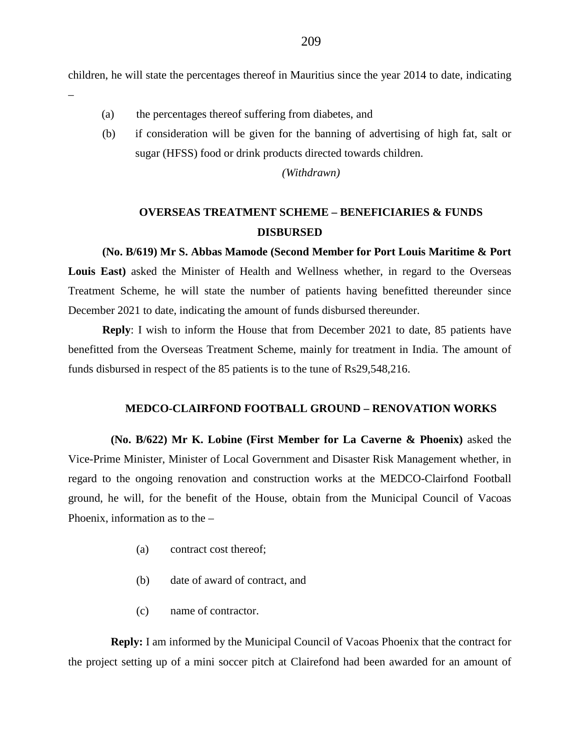children, he will state the percentages thereof in Mauritius since the year 2014 to date, indicating

–

- (a) the percentages thereof suffering from diabetes, and
- (b) if consideration will be given for the banning of advertising of high fat, salt or sugar (HFSS) food or drink products directed towards children.

# *(Withdrawn)*

# **OVERSEAS TREATMENT SCHEME – BENEFICIARIES & FUNDS DISBURSED**

**(No. B/619) Mr S. Abbas Mamode (Second Member for Port Louis Maritime & Port Louis East)** asked the Minister of Health and Wellness whether, in regard to the Overseas Treatment Scheme, he will state the number of patients having benefitted thereunder since December 2021 to date, indicating the amount of funds disbursed thereunder.

**Reply**: I wish to inform the House that from December 2021 to date, 85 patients have benefitted from the Overseas Treatment Scheme, mainly for treatment in India. The amount of funds disbursed in respect of the 85 patients is to the tune of Rs29,548,216.

#### **MEDCO-CLAIRFOND FOOTBALL GROUND – RENOVATION WORKS**

**(No. B/622) Mr K. Lobine (First Member for La Caverne & Phoenix)** asked the Vice-Prime Minister, Minister of Local Government and Disaster Risk Management whether, in regard to the ongoing renovation and construction works at the MEDCO-Clairfond Football ground, he will, for the benefit of the House, obtain from the Municipal Council of Vacoas Phoenix, information as to the –

- (a) contract cost thereof;
- (b) date of award of contract, and
- (c) name of contractor.

**Reply:** I am informed by the Municipal Council of Vacoas Phoenix that the contract for the project setting up of a mini soccer pitch at Clairefond had been awarded for an amount of